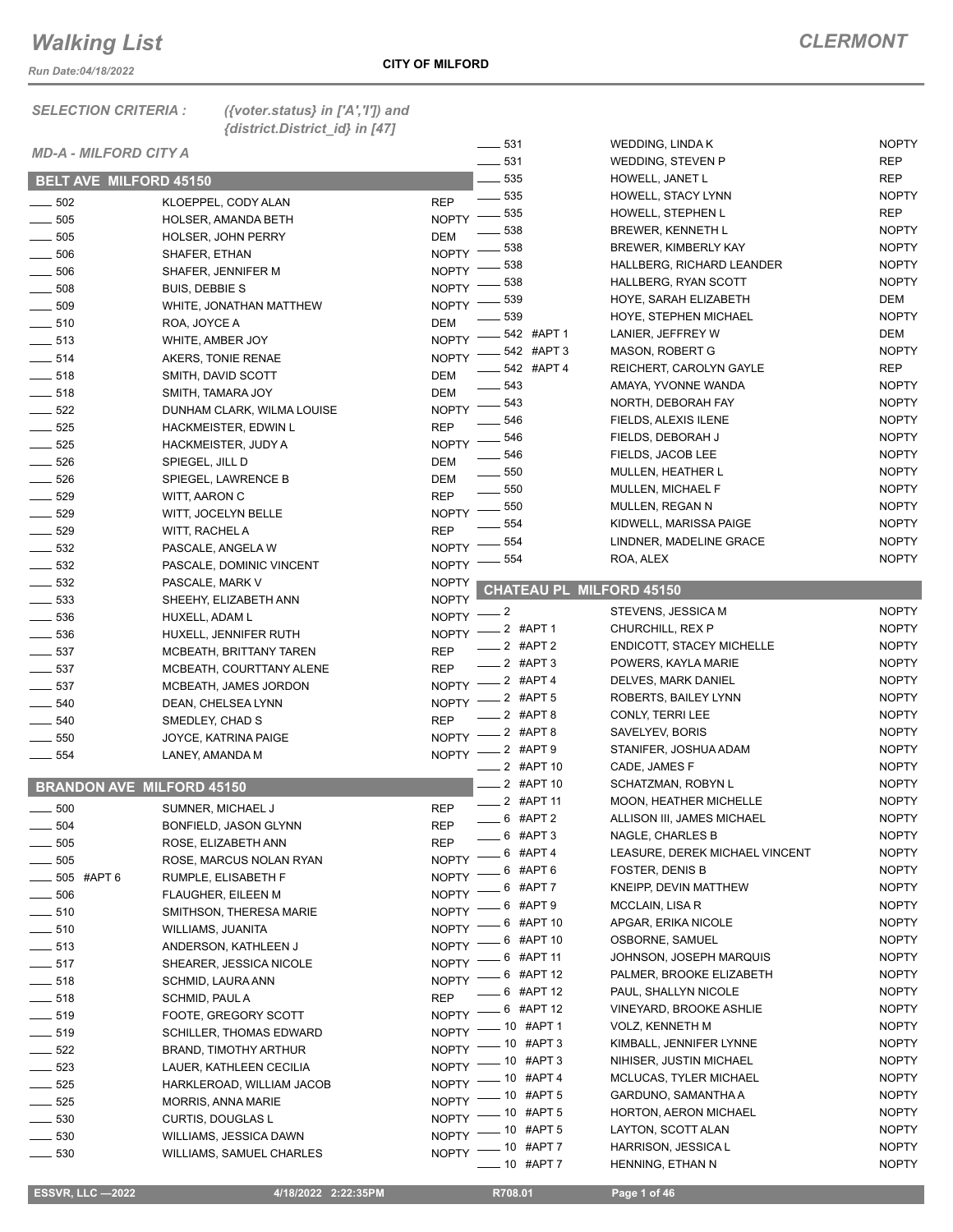*Run Date:04/18/2022*

*SELECTION CRITERIA : ({voter.status} in ['A','I']) and* 

|                                  | {district.District_id} in [47] |                              |
|----------------------------------|--------------------------------|------------------------------|
| <b>MD-A - MILFORD CITY A</b>     |                                | ____ 531                     |
|                                  |                                | $-531$<br>$-535$             |
| <b>BELT AVE MILFORD 45150</b>    |                                | _ 535                        |
| $- 502$                          | KLOEPPEL, CODY ALAN            | REP<br>$-535$                |
| $\rule{1em}{0.15mm}$ 505         | HOLSER, AMANDA BETH            | <b>NOPTY</b><br>$-538$       |
| $-505$                           | HOLSER, JOHN PERRY             | DEM<br>- 538                 |
| $\sim$ 506                       | SHAFER, ETHAN                  | <b>NOPTY</b><br>$-538$       |
| $-506$                           | SHAFER, JENNIFER M             | <b>NOPTY</b>                 |
| $-508$                           | <b>BUIS, DEBBIE S</b>          | _ 538<br><b>NOPTY</b>        |
| $\rule{1em}{0.15mm}$ 509         | WHITE, JONATHAN MATTHEW        | $-539$<br><b>NOPTY</b>       |
| $-510$                           | ROA, JOYCE A                   | $-539$<br>DEM                |
| $\equiv$ 513                     | WHITE, AMBER JOY               | $-542$<br><b>NOPTY</b>       |
| $\rule{1em}{0.15mm}$ 514         | AKERS, TONIE RENAE             | $-542$<br><b>NOPTY</b>       |
| —— 518                           | SMITH, DAVID SCOTT             | - 542<br><b>DEM</b>          |
| $-518$                           | SMITH, TAMARA JOY              | $=543$<br>DEM                |
| $-522$                           | DUNHAM CLARK, WILMA LOUISE     | $-543$<br><b>NOPTY</b>       |
| $\rule{1em}{0.15mm}$ 525         | HACKMEISTER, EDWIN L           | _ 546<br>REP                 |
| $-525$                           | HACKMEISTER, JUDY A            | $-546$<br><b>NOPTY</b>       |
| $-526$                           | SPIEGEL, JILL D                | - 546<br>DEM                 |
| $\rule{1em}{0.15mm}$ 526         | SPIEGEL, LAWRENCE B            | $-550$<br>DEM                |
| $-529$                           | WITT, AARON C                  | $=$ 550<br>REP               |
| $-529$                           | WITT, JOCELYN BELLE            | $-550$<br><b>NOPTY</b>       |
| $-529$                           | WITT, RACHEL A                 | $-554$<br>REP                |
| $-532$                           | PASCALE, ANGELA W              | - 554<br><b>NOPTY</b>        |
| ____ 532                         | PASCALE, DOMINIC VINCENT       | - 554<br><b>NOPTY</b>        |
| $-532$                           | PASCALE, MARK V                | <b>NOPTY</b>                 |
| $\equiv$ 533                     | SHEEHY, ELIZABETH ANN          | <b>CHATE</b><br><b>NOPTY</b> |
| — 536                            | HUXELL, ADAM L                 | $-2$<br>NOPTY :              |
| ___ 536                          | HUXELL, JENNIFER RUTH          | NOPTY $-2$ #                 |
| $\equiv$ 537                     | MCBEATH, BRITTANY TAREN        | $-2$ # $\theta$<br>REP       |
| $-537$                           | MCBEATH, COURTTANY ALENE       | $-2$ #<br>REP                |
| $\equiv$ 537                     | MCBEATH, JAMES JORDON          | $-2$ #<br><b>NOPTY</b>       |
| $\rule{1em}{0.15mm}$ 540         | DEAN, CHELSEA LYNN             | $-2$ #<br><b>NOPTY</b>       |
| —— 540                           | SMEDLEY, CHAD S                | $-2$ #<br>REP                |
| $\equiv$ 550                     | JOYCE, KATRINA PAIGE           | $-2$ #<br>NOPTY =            |
| $=$ 554                          | LANEY, AMANDA M                | NOPTY $-2$ #                 |
|                                  |                                | $-2$ #                       |
| <b>BRANDON AVE MILFORD 45150</b> |                                | $-2$ # $\theta$              |
| $-500$                           | SUMNER, MICHAEL J              | $-2$ #<br>REP                |
| $- 504$                          | BONFIELD, JASON GLYNN          | -6#/<br>REP                  |
| $\frac{1}{2}$ 505                | ROSE, ELIZABETH ANN            | $-6$ #<br>REP                |
| $\frac{1}{2}$ 505                | ROSE, MARCUS NOLAN RYAN        | NOPTY $-6$ #                 |
| ____ 505 #APT 6                  | RUMPLE, ELISABETH F            | NOPTY $-6$ #                 |
| $-506$                           | FLAUGHER, EILEEN M             | NOPTY $-6$ #                 |
| $-510$                           | SMITHSON, THERESA MARIE        | $-6$ #<br>NOPTY -            |
| $- 510$                          | WILLIAMS, JUANITA              | NOPTY $-6$ #                 |
| $\frac{1}{2}$ 513                | ANDERSON, KATHLEEN J           | $-6$ #<br>NOPTY -            |
| $-517$                           | SHEARER, JESSICA NICOLE        | $-6$ #<br>NOPTY <sup>-</sup> |
| $-518$                           | SCHMID, LAURA ANN              | NOPTY $-6$ #                 |
| $-518$                           | SCHMID, PAUL A                 | $-6$ #<br>REP                |
| $-519$                           | FOOTE, GREGORY SCOTT           | NOPTY $-6$ #                 |
| $-519$                           | <b>SCHILLER, THOMAS EDWARD</b> | $-10$ #<br>NOPTY -           |
| $-522$                           | BRAND, TIMOTHY ARTHUR          | NOPTY - 10 #                 |
| 523                              | LAUER, KATHLEEN CECILIA        | NOPTY - 10 #                 |
|                                  |                                |                              |

|                                      | $\{$ usulcusulcu lu $\}$ III [41] |              |                                 |                                                          |                            |
|--------------------------------------|-----------------------------------|--------------|---------------------------------|----------------------------------------------------------|----------------------------|
| <b>MD-A - MILFORD CITY A</b>         |                                   |              | $-531$<br>531                   | WEDDING, LINDA K<br>WEDDING, STEVEN P                    | <b>NOPTY</b><br><b>REP</b> |
|                                      |                                   |              | 535                             | HOWELL, JANET L                                          | <b>REP</b>                 |
| <b>BELT AVE MILFORD 45150</b>        |                                   |              | $\frac{1}{2}$ 535               | HOWELL, STACY LYNN                                       | <b>NOPTY</b>               |
| $\frac{1}{2}$ 502                    | KLOEPPEL, CODY ALAN               | <b>REP</b>   | 535                             | HOWELL, STEPHEN L                                        | <b>REP</b>                 |
| $\sim$ 505                           | <b>HOLSER, AMANDA BETH</b>        | <b>NOPTY</b> | 538                             | <b>BREWER, KENNETH L</b>                                 | <b>NOPTY</b>               |
| $-505$                               | <b>HOLSER, JOHN PERRY</b>         | <b>DEM</b>   | 538                             | <b>BREWER, KIMBERLY KAY</b>                              | <b>NOPTY</b>               |
| 506                                  | SHAFER, ETHAN                     | <b>NOPTY</b> | 538                             | HALLBERG, RICHARD LEANDER                                | <b>NOPTY</b>               |
| 506                                  | SHAFER, JENNIFER M                | <b>NOPTY</b> | 538                             | HALLBERG, RYAN SCOTT                                     | <b>NOPTY</b>               |
| 508                                  | BUIS, DEBBIE S                    | <b>NOPTY</b> | 539                             | HOYE, SARAH ELIZABETH                                    | DEM                        |
| $\sim$ 509                           | WHITE, JONATHAN MATTHEW           | <b>NOPTY</b> | 539                             | HOYE, STEPHEN MICHAEL                                    | <b>NOPTY</b>               |
| $-510$                               | ROA, JOYCE A                      | <b>DEM</b>   | 542 #APT 1                      | LANIER, JEFFREY W                                        | DEM                        |
| $-513$                               | WHITE, AMBER JOY                  | <b>NOPTY</b> | 542 #APT 3                      | MASON, ROBERT G                                          | <b>NOPTY</b>               |
| $-514$                               | AKERS, TONIE RENAE                | <b>NOPTY</b> | 542 #APT 4                      | REICHERT, CAROLYN GAYLE                                  | <b>REP</b>                 |
| $-518$                               | SMITH, DAVID SCOTT                | <b>DEM</b>   | $-543$                          | AMAYA, YVONNE WANDA                                      | <b>NOPTY</b>               |
| $-518$                               | SMITH, TAMARA JOY                 | <b>DEM</b>   | 543                             | NORTH, DEBORAH FAY                                       | <b>NOPTY</b>               |
| $-522$                               | DUNHAM CLARK, WILMA LOUISE        | <b>NOPTY</b> | 546                             | FIELDS, ALEXIS ILENE                                     | <b>NOPTY</b>               |
| 525                                  | HACKMEISTER, EDWIN L              | REP          | 546                             | FIELDS, DEBORAH J                                        | <b>NOPTY</b>               |
| $-525$                               | HACKMEISTER, JUDY A               | <b>NOPTY</b> | 546                             | FIELDS, JACOB LEE                                        | <b>NOPTY</b>               |
| 526                                  | SPIEGEL, JILL D                   | DEM          | $-550$                          | MULLEN, HEATHER L                                        | <b>NOPTY</b>               |
| $-526$                               | SPIEGEL, LAWRENCE B               | <b>DEM</b>   | 550                             | MULLEN, MICHAEL F                                        | <b>NOPTY</b>               |
| 529                                  | WITT, AARON C                     | <b>REP</b>   | 550                             | MULLEN, REGAN N                                          | <b>NOPTY</b>               |
| 529                                  | WITT, JOCELYN BELLE               | <b>NOPTY</b> | 554                             | KIDWELL, MARISSA PAIGE                                   | <b>NOPTY</b>               |
| 529                                  | WITT, RACHEL A                    | <b>REP</b>   | 554                             | LINDNER, MADELINE GRACE                                  | <b>NOPTY</b>               |
| $-532$                               | PASCALE, ANGELA W                 | <b>NOPTY</b> |                                 |                                                          |                            |
| $\sim$ 532                           | PASCALE, DOMINIC VINCENT          | <b>NOPTY</b> | 554                             | ROA, ALEX                                                | <b>NOPTY</b>               |
| $-532$                               | PASCALE, MARK V                   | <b>NOPTY</b> | <b>CHATEAU PL MILFORD 45150</b> |                                                          |                            |
| 533                                  | SHEEHY, ELIZABETH ANN             | <b>NOPTY</b> |                                 |                                                          |                            |
| 536                                  | HUXELL, ADAM L                    | NOPTY -      | $-2$                            | STEVENS, JESSICA M                                       | <b>NOPTY</b>               |
| 536                                  | HUXELL, JENNIFER RUTH             | NOPTY -      | $-2$ #APT 1                     | CHURCHILL, REX P                                         | <b>NOPTY</b>               |
| $\equiv$ 537                         | MCBEATH, BRITTANY TAREN           | <b>REP</b>   | 2 #APT 2                        | <b>ENDICOTT, STACEY MICHELLE</b>                         | <b>NOPTY</b>               |
| $-537$                               | MCBEATH, COURTTANY ALENE          | <b>REP</b>   | 2 #APT 3                        | POWERS, KAYLA MARIE                                      | <b>NOPTY</b>               |
| 537                                  | MCBEATH, JAMES JORDON             | <b>NOPTY</b> | 2 #APT 4                        | DELVES, MARK DANIEL                                      | <b>NOPTY</b>               |
| $-540$                               | DEAN, CHELSEA LYNN                | <b>NOPTY</b> | 2 #APT 5                        | ROBERTS, BAILEY LYNN                                     | <b>NOPTY</b>               |
| 540                                  | SMEDLEY, CHAD S                   | <b>REP</b>   | 2 #APT 8                        | CONLY, TERRI LEE                                         | <b>NOPTY</b>               |
| $-550$                               | JOYCE, KATRINA PAIGE              | NOPTY -      | 2 #APT 8                        | SAVELYEV, BORIS                                          | <b>NOPTY</b>               |
| 554                                  | LANEY, AMANDA M                   | NOPTY -      | 2 #APT 9                        | STANIFER, JOSHUA ADAM                                    | <b>NOPTY</b>               |
|                                      |                                   |              | 2 #APT 10                       | CADE, JAMES F                                            | <b>NOPTY</b>               |
| <b>BRANDON AVE MILFORD 45150</b>     |                                   |              | 2 #APT 10                       | SCHATZMAN, ROBYN L                                       | <b>NOPTY</b>               |
| 500                                  | SUMNER, MICHAEL J                 | <b>REP</b>   | 2 #APT 11                       | MOON, HEATHER MICHELLE                                   | <b>NOPTY</b>               |
| 504                                  | BONFIELD, JASON GLYNN             | <b>REP</b>   | $-6$ #APT 2                     | ALLISON III, JAMES MICHAEL                               | <b>NOPTY</b>               |
| $\rule{1em}{0.15mm}$ 505             | ROSE, ELIZABETH ANN               | <b>REP</b>   | $-6$ #APT 3<br>$-6$ #APT 4      | <b>NAGLE, CHARLES B</b>                                  | <b>NOPTY</b>               |
| $\frac{1}{2}$ 505                    | ROSE, MARCUS NOLAN RYAN           | NOPTY -      | 6 #APT 6                        | LEASURE, DEREK MICHAEL VINCENT<br><b>FOSTER, DENIS B</b> | <b>NOPTY</b>               |
| ___ 505 #APT 6                       | RUMPLE, ELISABETH F               | NOPTY -      |                                 |                                                          | <b>NOPTY</b>               |
| $\frac{1}{2}$ 506                    | <b>FLAUGHER, EILEEN M</b>         |              | NOPTY -6 #APT7                  | KNEIPP, DEVIN MATTHEW                                    | <b>NOPTY</b>               |
| $-510$                               | SMITHSON, THERESA MARIE           |              | NOPTY -6 #APT 9                 | MCCLAIN, LISA R                                          | <b>NOPTY</b>               |
| $\rule{1em}{0.15mm} \vspace{0.05mm}$ | WILLIAMS, JUANITA                 |              | NOPTY -6 #APT 10                | APGAR, ERIKA NICOLE                                      | <b>NOPTY</b>               |
| $\frac{1}{2}$ 513                    | ANDERSON, KATHLEEN J              |              | NOPTY -6 #APT 10                | OSBORNE, SAMUEL                                          | <b>NOPTY</b>               |
| $-517$                               | SHEARER, JESSICA NICOLE           | NOPTY -      | $-6$ #APT 11                    | JOHNSON, JOSEPH MARQUIS                                  | <b>NOPTY</b>               |
| $-518$                               | SCHMID, LAURA ANN                 |              | NOPTY $-6$ #APT 12              | PALMER, BROOKE ELIZABETH                                 | <b>NOPTY</b>               |
| $- 518$                              | SCHMID, PAUL A                    | <b>REP</b>   | -6 #APT 12                      | PAUL, SHALLYN NICOLE                                     | <b>NOPTY</b>               |
| $- 519$                              | FOOTE, GREGORY SCOTT              |              | NOPTY $-6$ #APT 12              | VINEYARD, BROOKE ASHLIE                                  | <b>NOPTY</b>               |
| $-519$                               | SCHILLER, THOMAS EDWARD           |              | NOPTY -0 #APT1                  | <b>VOLZ, KENNETH M</b>                                   | <b>NOPTY</b>               |
| $-522$                               | BRAND, TIMOTHY ARTHUR             | $N$ OPTY $-$ | $-10$ #APT 3                    | KIMBALL, JENNIFER LYNNE                                  | <b>NOPTY</b>               |
| $- 523$                              | LAUER, KATHLEEN CECILIA           |              | NOPTY -0 #APT 3                 | NIHISER, JUSTIN MICHAEL                                  | <b>NOPTY</b>               |
| $- 525$                              | HARKLEROAD, WILLIAM JACOB         |              | NOPTY -0 #APT 4                 | MCLUCAS, TYLER MICHAEL                                   | <b>NOPTY</b>               |
| $- 525$                              | MORRIS, ANNA MARIE                |              | NOPTY -0 #APT 5                 | GARDUNO, SAMANTHA A                                      | <b>NOPTY</b>               |
| $\frac{1}{2}$ 530                    | CURTIS, DOUGLAS L                 |              | NOPTY -0 #APT 5                 | <b>HORTON, AERON MICHAEL</b>                             | <b>NOPTY</b>               |
| $\sim$ 530                           | WILLIAMS, JESSICA DAWN            | $N$ OPTY $-$ | $-10$ #APT 5                    | LAYTON, SCOTT ALAN                                       | <b>NOPTY</b>               |
| $\sim$ 530                           | WILLIAMS, SAMUEL CHARLES          | $N$ OPTY -   | $-10$ #APT 7                    | HARRISON, JESSICA L                                      | <b>NOPTY</b>               |
|                                      |                                   |              | $-10$ #APT 7                    | HENNING, ETHAN N                                         | <b>NOPTY</b>               |

 **ESSVR, LLC —2022 4/18/2022 2:22:35PM R708.01 Page 1 of 46**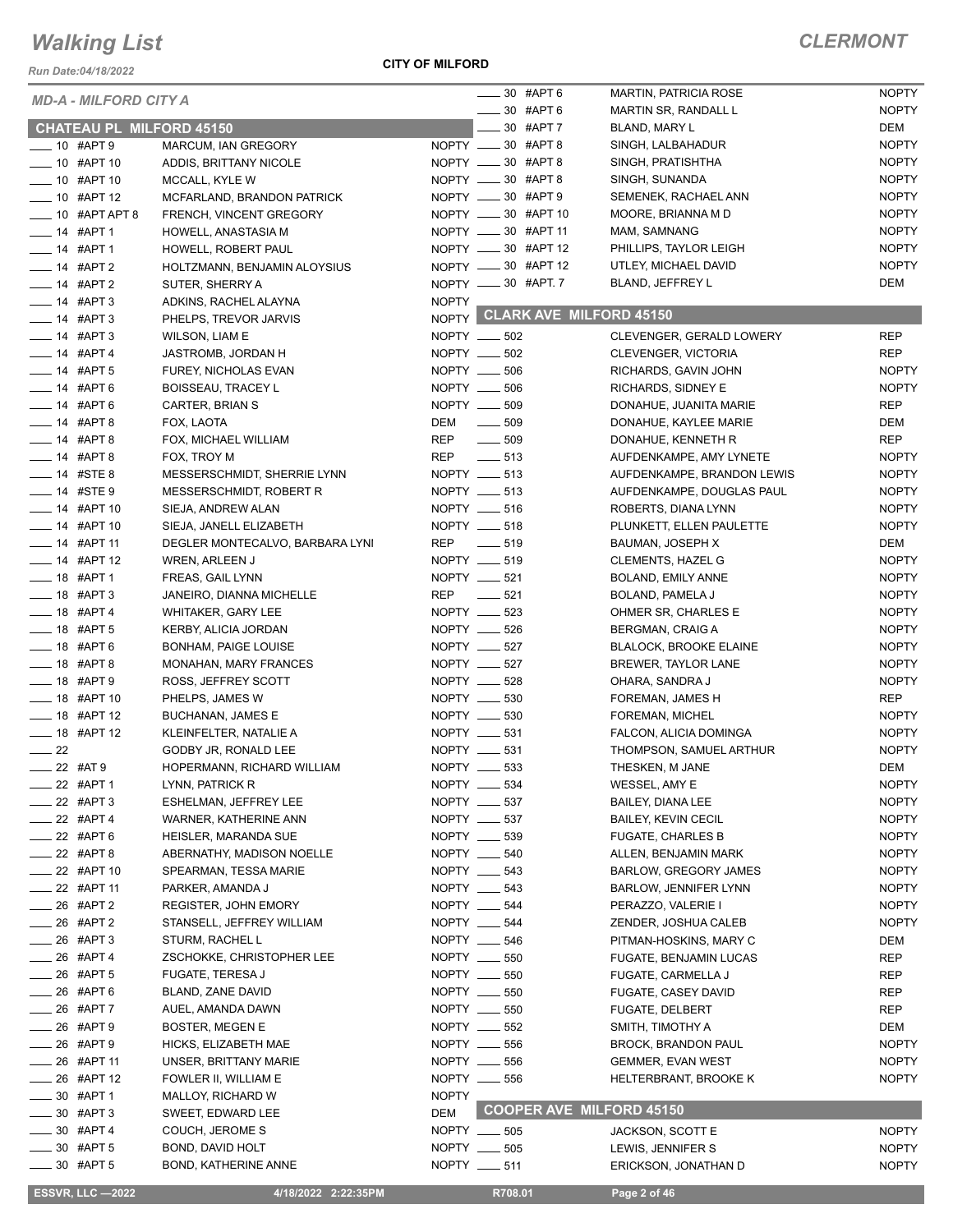*Run Date:04/18/2022*

#### **CITY OF MILFORD**

| <b>MD-A - MILFORD CITY A</b>    |                                 | $- 30$ #APT 6                   | <b>MARTIN, PATRICIA ROSE</b>    | <b>NOPTY</b> |
|---------------------------------|---------------------------------|---------------------------------|---------------------------------|--------------|
|                                 |                                 | 30 #APT 6                       | MARTIN SR, RANDALL L            | <b>NOPTY</b> |
| <b>CHATEAU PL MILFORD 45150</b> |                                 | $- 30$ #APT 7                   | <b>BLAND, MARY L</b>            | DEM          |
| $-$ 10 #APT 9                   | MARCUM, IAN GREGORY             | NOPTY __ 30 #APT 8              | SINGH, LALBAHADUR               | <b>NOPTY</b> |
| $-$ 10 #APT 10                  | ADDIS, BRITTANY NICOLE          | NOPTY __ 30 #APT 8              | SINGH, PRATISHTHA               | <b>NOPTY</b> |
| $\frac{1}{2}$ 10 #APT 10        | MCCALL, KYLE W                  | NOPTY __ 30 #APT 8              | SINGH, SUNANDA                  | <b>NOPTY</b> |
| -0 #APT 12                      | MCFARLAND, BRANDON PATRICK      | NOPTY __ 30 #APT 9              | SEMENEK, RACHAEL ANN            | <b>NOPTY</b> |
| $\frac{1}{2}$ 10 #APT APT 8     | FRENCH, VINCENT GREGORY         | NOPTY __ 30 #APT 10             | MOORE, BRIANNA M D              | <b>NOPTY</b> |
| $- 14$ #APT 1                   | HOWELL, ANASTASIA M             | NOPTY __ 30 #APT 11             | MAM, SAMNANG                    | <b>NOPTY</b> |
| $- 14$ #APT 1                   | HOWELL, ROBERT PAUL             | NOPTY __ 30 #APT 12             | PHILLIPS, TAYLOR LEIGH          | <b>NOPTY</b> |
| $- 14$ #APT 2                   | HOLTZMANN, BENJAMIN ALOYSIUS    | NOPTY __ 30 #APT 12             | UTLEY, MICHAEL DAVID            | <b>NOPTY</b> |
| $- 14$ #APT 2                   | SUTER, SHERRY A                 | NOPTY __ 30 #APT. 7             | BLAND, JEFFREY L                | DEM          |
| $- 14$ #APT 3                   | ADKINS, RACHEL ALAYNA           | <b>NOPTY</b>                    |                                 |              |
| $- 14$ #APT 3                   | PHELPS, TREVOR JARVIS           |                                 | NOPTY CLARK AVE MILFORD 45150   |              |
| $- 14$ #APT 3                   | WILSON, LIAM E                  | NOPTY __ 502                    | CLEVENGER, GERALD LOWERY        | <b>REP</b>   |
| $- 14$ #APT 4                   | JASTROMB, JORDAN H              | NOPTY __ 502                    | CLEVENGER, VICTORIA             | REP          |
| $- 14$ #APT 5                   | FUREY, NICHOLAS EVAN            | NOPTY __ 506                    | RICHARDS, GAVIN JOHN            | <b>NOPTY</b> |
| $- 14$ #APT 6                   | <b>BOISSEAU, TRACEY L</b>       | NOPTY __ 506                    | RICHARDS, SIDNEY E              | <b>NOPTY</b> |
| $- 14$ #APT 6                   | CARTER, BRIAN S                 | NOPTY __ 509                    | DONAHUE, JUANITA MARIE          | <b>REP</b>   |
| $- 14$ #APT 8                   | FOX, LAOTA                      | DEM<br>$\frac{1}{2}$ 509        | DONAHUE, KAYLEE MARIE           | DEM          |
| $- 14$ #APT 8                   | FOX, MICHAEL WILLIAM            | <b>REP</b><br>$\frac{1}{2}$ 509 | DONAHUE, KENNETH R              | <b>REP</b>   |
| $- 14$ #APT 8                   | FOX, TROY M                     | REP<br>$\frac{1}{2}$ 513        | AUFDENKAMPE, AMY LYNETE         | <b>NOPTY</b> |
| $- 14$ #STE 8                   | MESSERSCHMIDT, SHERRIE LYNN     | NOPTY __ 513                    | AUFDENKAMPE, BRANDON LEWIS      | <b>NOPTY</b> |
| $- 14$ #STE 9                   | MESSERSCHMIDT, ROBERT R         | NOPTY __ 513                    | AUFDENKAMPE, DOUGLAS PAUL       | <b>NOPTY</b> |
| -14 #APT 10                     | SIEJA, ANDREW ALAN              | NOPTY __ 516                    | ROBERTS, DIANA LYNN             | <b>NOPTY</b> |
| $- 14$ #APT 10                  | SIEJA, JANELL ELIZABETH         | NOPTY __ 518                    | PLUNKETT, ELLEN PAULETTE        | <b>NOPTY</b> |
| ___ 14 #APT 11                  | DEGLER MONTECALVO, BARBARA LYNI | REP ______ 519                  | BAUMAN, JOSEPH X                | DEM          |
| $- 14$ #APT 12                  | <b>WREN, ARLEEN J</b>           | NOPTY __ 519                    | <b>CLEMENTS, HAZEL G</b>        | <b>NOPTY</b> |
| $- 18$ #APT 1                   | FREAS, GAIL LYNN                | NOPTY __ 521                    | BOLAND, EMILY ANNE              | <b>NOPTY</b> |
| $-$ 18 #APT 3                   | JANEIRO, DIANNA MICHELLE        | REP __ 521                      | BOLAND, PAMELA J                | <b>NOPTY</b> |
| $- 18$ #APT 4                   | <b>WHITAKER, GARY LEE</b>       | NOPTY __ 523                    | OHMER SR, CHARLES E             | <b>NOPTY</b> |
| $- 18$ #APT 5                   | KERBY, ALICIA JORDAN            | NOPTY __ 526                    | <b>BERGMAN, CRAIG A</b>         | <b>NOPTY</b> |
| $- 18$ #APT 6                   | <b>BONHAM, PAIGE LOUISE</b>     | NOPTY __ 527                    | <b>BLALOCK, BROOKE ELAINE</b>   | <b>NOPTY</b> |
| $- 18$ #APT 8                   | MONAHAN, MARY FRANCES           | NOPTY __ 527                    | BREWER, TAYLOR LANE             | <b>NOPTY</b> |
| $- 18$ #APT 9                   | ROSS, JEFFREY SCOTT             | NOPTY __ 528                    | OHARA, SANDRA J                 | <b>NOPTY</b> |
| $- 18$ #APT 10                  | PHELPS, JAMES W                 | NOPTY __ 530                    | FOREMAN, JAMES H                | REP          |
| $- 18$ #APT 12                  | BUCHANAN, JAMES E               | NOPTY __ 530                    | FOREMAN, MICHEL                 | <b>NOPTY</b> |
| $- 18$ #APT 12                  | KLEINFELTER, NATALIE A          | NOPTY __ 531                    | FALCON, ALICIA DOMINGA          | <b>NOPTY</b> |
| $\frac{1}{22}$                  | GODBY JR, RONALD LEE            | NOPTY __ 531                    | THOMPSON, SAMUEL ARTHUR         | <b>NOPTY</b> |
| $-22$ #AT 9                     | HOPERMANN, RICHARD WILLIAM      | NOPTY __ 533                    | THESKEN, M JANE                 | DEM          |
| __ 22   #APT 1                  | LYNN, PATRICK R                 | NOPTY __ 534                    | WESSEL, AMY E                   | <b>NOPTY</b> |
| _ 22 #APT 3                     | ESHELMAN, JEFFREY LEE           | NOPTY __ 537                    | <b>BAILEY, DIANA LEE</b>        | <b>NOPTY</b> |
| _ 22 #APT 4                     | WARNER, KATHERINE ANN           | NOPTY __ 537                    | <b>BAILEY, KEVIN CECIL</b>      | <b>NOPTY</b> |
| __ 22 #APT 6                    | HEISLER, MARANDA SUE            | NOPTY __ 539                    | <b>FUGATE, CHARLES B</b>        | <b>NOPTY</b> |
| __ 22 #APT 8                    | ABERNATHY, MADISON NOELLE       | NOPTY __ 540                    | ALLEN, BENJAMIN MARK            | <b>NOPTY</b> |
| $\frac{1}{22}$ #APT 10          | SPEARMAN, TESSA MARIE           | NOPTY __ 543                    | <b>BARLOW, GREGORY JAMES</b>    | <b>NOPTY</b> |
| $\frac{1}{22}$ #APT 11          | PARKER, AMANDA J                | NOPTY __ 543                    | BARLOW, JENNIFER LYNN           | <b>NOPTY</b> |
| $-26$ #APT 2                    | <b>REGISTER, JOHN EMORY</b>     | NOPTY __ 544                    | PERAZZO, VALERIE I              | <b>NOPTY</b> |
| $-26$ #APT 2                    | STANSELL, JEFFREY WILLIAM       | NOPTY __ 544                    | ZENDER, JOSHUA CALEB            | <b>NOPTY</b> |
| $-26$ #APT 3                    | STURM, RACHEL L                 | NOPTY __ 546                    | PITMAN-HOSKINS, MARY C          | DEM          |
| $-26$ #APT 4                    | ZSCHOKKE, CHRISTOPHER LEE       | NOPTY __ 550                    | <b>FUGATE, BENJAMIN LUCAS</b>   | <b>REP</b>   |
| $-26$ #APT 5                    | FUGATE, TERESA J                | NOPTY __ 550                    | FUGATE, CARMELLA J              | REP          |
| — 26 #APT 6                     | BLAND, ZANE DAVID               | NOPTY __ 550                    | FUGATE, CASEY DAVID             | REP          |
| ____ 26 #APT 7                  | AUEL, AMANDA DAWN               | NOPTY __ 550                    | <b>FUGATE, DELBERT</b>          | REP          |
| $= 26$ #APT 9                   | BOSTER, MEGEN E                 | NOPTY __ 552                    | SMITH, TIMOTHY A                | DEM          |
| $-26$ #APT 9                    | HICKS, ELIZABETH MAE            | NOPTY __ 556                    | <b>BROCK, BRANDON PAUL</b>      | <b>NOPTY</b> |
| $-26$ #APT 11                   | UNSER, BRITTANY MARIE           | NOPTY __ 556                    | GEMMER, EVAN WEST               | <b>NOPTY</b> |
| _ 26 #APT 12                    | FOWLER II, WILLIAM E            | NOPTY __ 556                    | HELTERBRANT, BROOKE K           | <b>NOPTY</b> |
| $-30$ #APT 1                    | MALLOY, RICHARD W               | <b>NOPTY</b>                    |                                 |              |
| $=$ 30 #APT 3                   | SWEET, EDWARD LEE               | DEM                             | <b>COOPER AVE MILFORD 45150</b> |              |
| __ 30 #APT 4                    | COUCH, JEROME S                 | NOPTY __ 505                    | JACKSON, SCOTT E                | <b>NOPTY</b> |
| $\_30$ #APT 5                   | BOND, DAVID HOLT                | NOPTY __ 505                    | LEWIS, JENNIFER S               | <b>NOPTY</b> |
| 30 #APT 5                       | BOND, KATHERINE ANNE            | NOPTY __ 511                    | ERICKSON, JONATHAN D            | <b>NOPTY</b> |
|                                 |                                 |                                 |                                 |              |
| <b>ESSVR, LLC -2022</b>         | 4/18/2022 2:22:35PM             | R708.01                         | Page 2 of 46                    |              |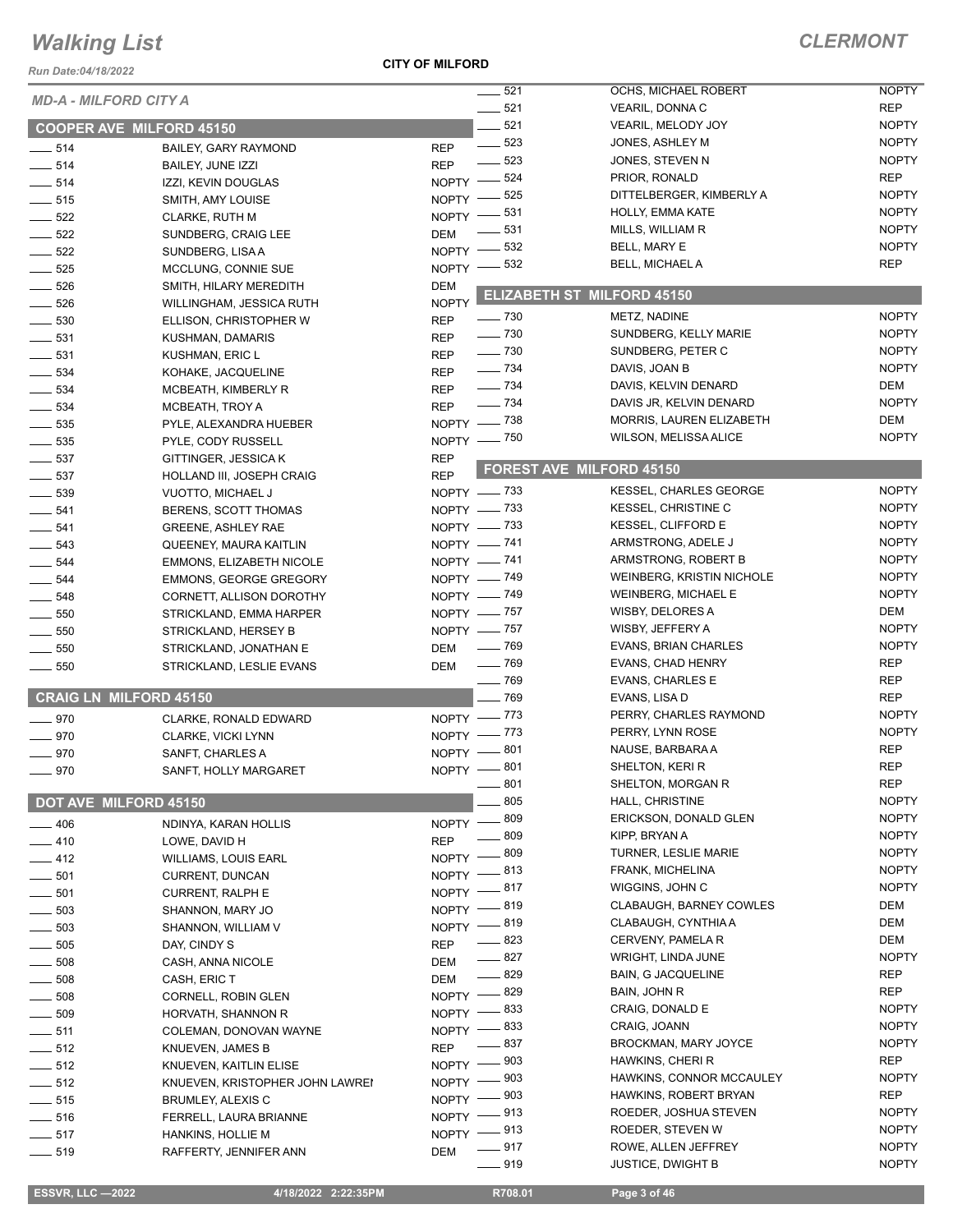*Run Date:04/18/2022*

**CITY OF MILFORD**

| <b>MD-A - MILFORD CITY A</b> |                                 |              | $-521$            | OCHS, MICHAEL ROBERT              | <b>NOPTY</b> |
|------------------------------|---------------------------------|--------------|-------------------|-----------------------------------|--------------|
|                              |                                 |              | $- 521$           | VEARIL, DONNA C                   | <b>REP</b>   |
|                              | <b>COOPER AVE MILFORD 45150</b> |              | 521               | VEARIL, MELODY JOY                | <b>NOPTY</b> |
| $-514$                       | <b>BAILEY, GARY RAYMOND</b>     | <b>REP</b>   | $\frac{1}{2}$ 523 | JONES, ASHLEY M                   | <b>NOPTY</b> |
| $-514$                       |                                 | <b>REP</b>   | 523               | JONES, STEVEN N                   | <b>NOPTY</b> |
|                              | <b>BAILEY, JUNE IZZI</b>        |              | NOPTY -824        | PRIOR, RONALD                     | <b>REP</b>   |
| $\frac{1}{2}$ 514            | IZZI, KEVIN DOUGLAS             |              | 525               | DITTELBERGER, KIMBERLY A          | <b>NOPTY</b> |
| $\frac{1}{2}$ 515            | SMITH, AMY LOUISE               | NOPTY -      | 531               | <b>HOLLY, EMMA KATE</b>           | <b>NOPTY</b> |
| $\frac{1}{2}$ 522            | CLARKE, RUTH M                  | NOPTY -      |                   |                                   | <b>NOPTY</b> |
| $\frac{1}{2}$ 522            | SUNDBERG, CRAIG LEE             | DEM          | 531               | MILLS, WILLIAM R                  |              |
| $\frac{1}{2}$ 522            | SUNDBERG, LISA A                | NOPTY -      | 532               | <b>BELL, MARY E</b>               | <b>NOPTY</b> |
| $\frac{1}{2}$ 525            | MCCLUNG, CONNIE SUE             |              | NOPTY -832        | <b>BELL, MICHAEL A</b>            | <b>REP</b>   |
| $- 526$                      | SMITH, HILARY MEREDITH          | DEM          |                   |                                   |              |
| $- 526$                      | WILLINGHAM, JESSICA RUTH        | <b>NOPTY</b> |                   | <b>ELIZABETH ST MILFORD 45150</b> |              |
| $\frac{1}{2}$ 530            | ELLISON, CHRISTOPHER W          | <b>REP</b>   | $- 730$           | METZ, NADINE                      | <b>NOPTY</b> |
| $\frac{1}{2}$ 531            | KUSHMAN, DAMARIS                | REP          | $\sim$ 730        | SUNDBERG, KELLY MARIE             | <b>NOPTY</b> |
| $\frac{1}{2}$ 531            |                                 | REP          | $- 730$           | SUNDBERG, PETER C                 | <b>NOPTY</b> |
|                              | KUSHMAN, ERIC L                 |              | $- 734$           | DAVIS, JOAN B                     | <b>NOPTY</b> |
| $\frac{1}{2}$ 534            | KOHAKE, JACQUELINE              | REP          | $- 734$           | DAVIS, KELVIN DENARD              | <b>DEM</b>   |
| $\frac{1}{2}$ 534            | MCBEATH, KIMBERLY R             | <b>REP</b>   |                   |                                   | <b>NOPTY</b> |
| $\frac{1}{2}$ 534            | MCBEATH, TROY A                 | <b>REP</b>   | $- 734$           | DAVIS JR, KELVIN DENARD           |              |
| $\frac{1}{2}$ 535            | PYLE, ALEXANDRA HUEBER          |              | NOPTY $-$ 738     | <b>MORRIS, LAUREN ELIZABETH</b>   | <b>DEM</b>   |
| $\frac{1}{2}$ 535            | PYLE, CODY RUSSELL              |              | NOPTY - 750       | WILSON, MELISSA ALICE             | <b>NOPTY</b> |
| $\frac{1}{2}$ 537            | GITTINGER, JESSICA K            | <b>REP</b>   |                   |                                   |              |
| $\frac{1}{2}$ 537            | HOLLAND III, JOSEPH CRAIG       | <b>REP</b>   |                   | <b>FOREST AVE MILFORD 45150</b>   |              |
| $\frac{1}{2}$ 539            | <b>VUOTTO, MICHAEL J</b>        |              | NOPTY - 733       | <b>KESSEL, CHARLES GEORGE</b>     | <b>NOPTY</b> |
| $- 541$                      | BERENS, SCOTT THOMAS            |              | NOPTY - 733       | <b>KESSEL, CHRISTINE C</b>        | <b>NOPTY</b> |
|                              |                                 |              | NOPTY - 733       | <b>KESSEL, CLIFFORD E</b>         | <b>NOPTY</b> |
| $- 541$                      | <b>GREENE, ASHLEY RAE</b>       |              |                   | ARMSTRONG, ADELE J                | <b>NOPTY</b> |
| $\frac{1}{2}$ 543            | QUEENEY, MAURA KAITLIN          |              | NOPTY $-$ 741     |                                   |              |
| $\frac{1}{2}$ 544            | <b>EMMONS, ELIZABETH NICOLE</b> |              | NOPTY - 741       | ARMSTRONG, ROBERT B               | <b>NOPTY</b> |
| $\frac{1}{2}$ 544            | <b>EMMONS, GEORGE GREGORY</b>   |              | NOPTY - 749       | WEINBERG, KRISTIN NICHOLE         | <b>NOPTY</b> |
| $- 548$                      | CORNETT, ALLISON DOROTHY        |              | NOPTY - 749       | <b>WEINBERG, MICHAEL E</b>        | <b>NOPTY</b> |
| $\frac{1}{2}$ 550            | STRICKLAND, EMMA HARPER         |              | NOPTY - 757       | WISBY, DELORES A                  | <b>DEM</b>   |
| $\frac{1}{2}$ 550            | STRICKLAND, HERSEY B            |              | NOPTY - 757       | WISBY, JEFFERY A                  | <b>NOPTY</b> |
| $\frac{1}{2}$ 550            | STRICKLAND, JONATHAN E          | DEM          | —— 769            | EVANS, BRIAN CHARLES              | <b>NOPTY</b> |
| $\frac{1}{2}$ 550            | STRICKLAND, LESLIE EVANS        | DEM          | $- 769$           | <b>EVANS, CHAD HENRY</b>          | <b>REP</b>   |
|                              |                                 |              | $-769$            | <b>EVANS, CHARLES E</b>           | <b>REP</b>   |
|                              | <b>CRAIG LN MILFORD 45150</b>   |              | $-769$            | EVANS, LISA D                     | <b>REP</b>   |
|                              |                                 |              | NOPTY -773        | PERRY, CHARLES RAYMOND            | <b>NOPTY</b> |
| $- 970$                      | <b>CLARKE, RONALD EDWARD</b>    |              |                   |                                   | <b>NOPTY</b> |
| $-970$                       | CLARKE, VICKI LYNN              |              | NOPTY -773        | PERRY, LYNN ROSE                  |              |
| $-970$                       | SANFT, CHARLES A                |              | NOPTY -801        | NAUSE, BARBARA A                  | <b>REP</b>   |
| $-970$                       | SANFT, HOLLY MARGARET           |              | NOPTY -801        | SHELTON, KERI R                   | <b>REP</b>   |
|                              |                                 |              | 801               | SHELTON, MORGAN R                 | <b>REP</b>   |
| DOT AVE MILFORD 45150        |                                 |              | 805               | HALL, CHRISTINE                   | <b>NOPTY</b> |
| $- 406$                      | NDINYA, KARAN HOLLIS            | $N$ OPTY -   | 809               | ERICKSON, DONALD GLEN             | <b>NOPTY</b> |
| $-410$                       | LOWE, DAVID H                   | <b>REP</b>   | 809               | KIPP, BRYAN A                     | <b>NOPTY</b> |
|                              |                                 | NOPTY -      | 809               | <b>TURNER, LESLIE MARIE</b>       | <b>NOPTY</b> |
| $-412$                       | <b>WILLIAMS, LOUIS EARL</b>     |              | NOPTY -813        | FRANK, MICHELINA                  | <b>NOPTY</b> |
| $\frac{1}{2}$ 501            | CURRENT, DUNCAN                 |              |                   | WIGGINS, JOHN C                   | <b>NOPTY</b> |
| $\frac{1}{2}$ 501            | <b>CURRENT, RALPH E</b>         |              | NOPTY -817        |                                   |              |
| $\frac{1}{2}$ 503            | SHANNON, MARY JO                |              | NOPTY -819        | CLABAUGH, BARNEY COWLES           | DEM          |
| $\frac{1}{2}$ 503            | SHANNON, WILLIAM V              |              | NOPTY -819        | CLABAUGH, CYNTHIA A               | DEM          |
| $\frac{1}{2}$ 505            | DAY, CINDY S                    | <b>REP</b>   | $-823$            | CERVENY, PAMELA R                 | DEM          |
| $\frac{1}{2}$ 508            | CASH, ANNA NICOLE               | DEM          | $-827$            | WRIGHT, LINDA JUNE                | <b>NOPTY</b> |
| $\frac{1}{2}$ 508            | CASH, ERIC T                    | DEM          | $-829$            | <b>BAIN, G JACQUELINE</b>         | REP          |
| $\frac{1}{2}$ 508            | CORNELL, ROBIN GLEN             |              | NOPTY -829        | BAIN, JOHN R                      | REP          |
|                              |                                 |              | NOPTY -833        | CRAIG, DONALD E                   | <b>NOPTY</b> |
| $\frac{1}{2}$ 509            | HORVATH, SHANNON R              |              | NOPTY -833        | CRAIG, JOANN                      | <b>NOPTY</b> |
| $\frac{1}{2}$ 511            | COLEMAN, DONOVAN WAYNE          |              | 837               | BROCKMAN, MARY JOYCE              | <b>NOPTY</b> |
| $- 512$                      | KNUEVEN, JAMES B                | REP          |                   |                                   |              |
| $- 512$                      | KNUEVEN, KAITLIN ELISE          | NOPTY $-$    | 903               | HAWKINS, CHERI R                  | REP          |
| $-512$                       | KNUEVEN, KRISTOPHER JOHN LAWREI | NOPTY -      | 903               | HAWKINS, CONNOR MCCAULEY          | <b>NOPTY</b> |
| $- 515$                      | BRUMLEY, ALEXIS C               | $NOPTY$ –    | 903               | HAWKINS, ROBERT BRYAN             | REP          |
| $- 516$                      | FERRELL, LAURA BRIANNE          |              | NOPTY -813        | ROEDER, JOSHUA STEVEN             | <b>NOPTY</b> |
| $-517$                       | HANKINS, HOLLIE M               |              | NOPTY -813        | ROEDER, STEVEN W                  | <b>NOPTY</b> |
| $\frac{1}{2}$ 519            | RAFFERTY, JENNIFER ANN          | DEM          | __ 917            | ROWE, ALLEN JEFFREY               | <b>NOPTY</b> |
|                              |                                 |              | $-919$            | <b>JUSTICE, DWIGHT B</b>          | <b>NOPTY</b> |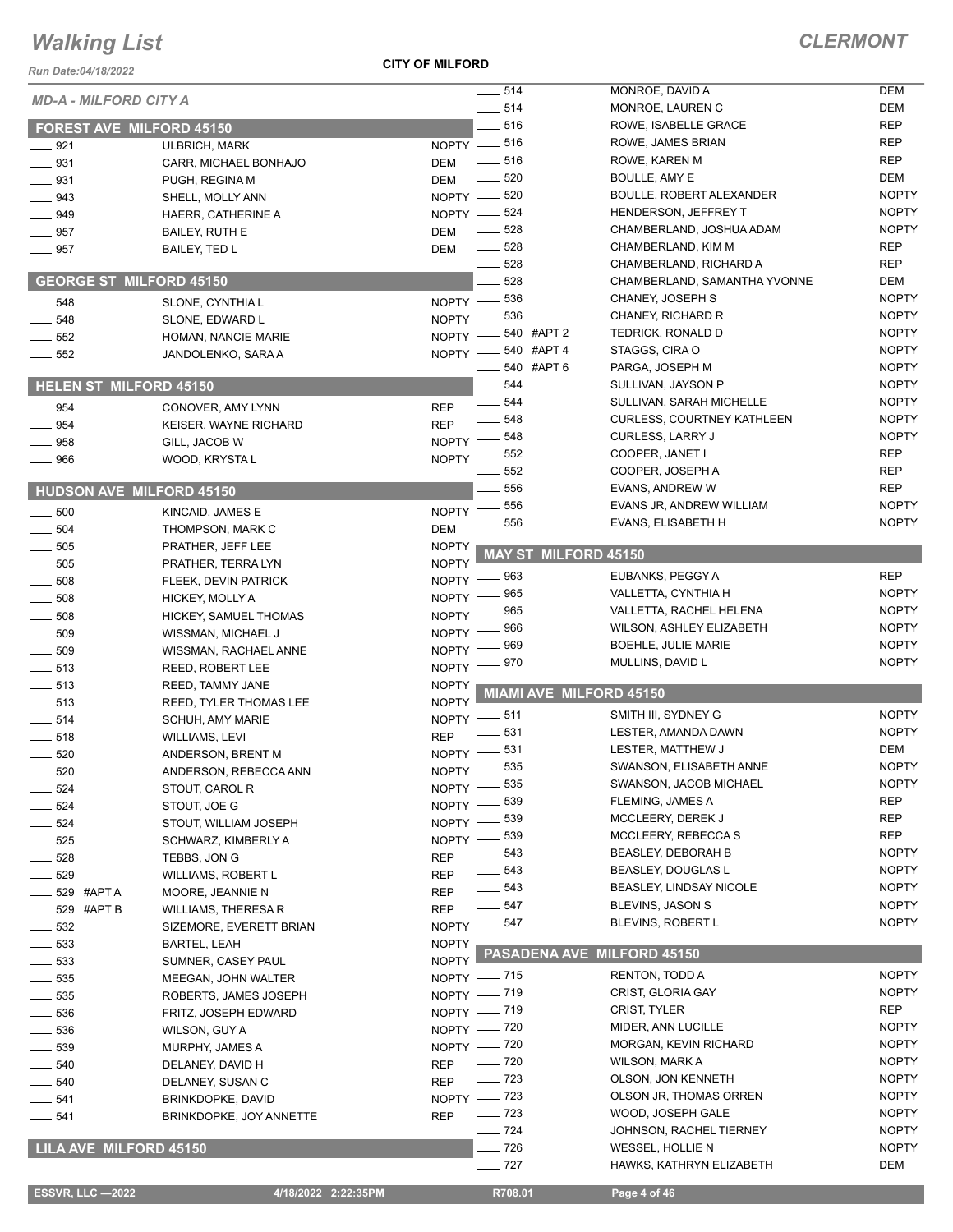*Run Date:04/18/2022*

**CITY OF MILFORD**

| <b>MD-A - MILFORD CITY A</b>    |                               |              | $\frac{1}{2}$ 514<br>$- 514$    |                                | MONROE, DAVID A                          | <b>DEM</b><br><b>DEM</b> |
|---------------------------------|-------------------------------|--------------|---------------------------------|--------------------------------|------------------------------------------|--------------------------|
|                                 |                               |              | 516                             |                                | MONROE, LAUREN C<br>ROWE, ISABELLE GRACE | <b>REP</b>               |
| FOREST AVE MILFORD 45150        |                               |              |                                 |                                |                                          |                          |
| $-921$                          | <b>ULBRICH, MARK</b>          |              | NOPTY -816<br>$\frac{1}{2}$ 516 |                                | ROWE, JAMES BRIAN                        | <b>REP</b><br><b>REP</b> |
| $\frac{1}{2}$ 931               | CARR, MICHAEL BONHAJO         | <b>DEM</b>   | $-520$                          |                                | ROWE, KAREN M<br><b>BOULLE, AMY E</b>    | DEM                      |
| $- 931$                         | PUGH, REGINA M                | <b>DEM</b>   |                                 |                                |                                          | <b>NOPTY</b>             |
| 943                             | SHELL, MOLLY ANN              |              | NOPTY -820                      |                                | <b>BOULLE, ROBERT ALEXANDER</b>          | <b>NOPTY</b>             |
| 949                             | HAERR, CATHERINE A            | NOPTY -      | _ 524                           |                                | HENDERSON, JEFFREY T                     |                          |
| .957                            | <b>BAILEY, RUTH E</b>         | <b>DEM</b>   | $-528$                          |                                | CHAMBERLAND, JOSHUA ADAM                 | <b>NOPTY</b>             |
| 957                             | BAILEY, TED L                 | <b>DEM</b>   | $\frac{1}{2}$ 528               |                                | CHAMBERLAND, KIM M                       | <b>REP</b>               |
|                                 |                               |              | 528                             |                                | CHAMBERLAND, RICHARD A                   | <b>REP</b>               |
| <b>GEORGE ST MILFORD 45150</b>  |                               |              | 528                             |                                | CHAMBERLAND, SAMANTHA YVONNE             | DEM                      |
| 548                             | SLONE, CYNTHIA L              | $NOPTY -$    | 536                             |                                | CHANEY, JOSEPH S                         | <b>NOPTY</b>             |
| $- 548$                         | SLONE, EDWARD L               |              | NOPTY -836                      |                                | CHANEY, RICHARD R                        | <b>NOPTY</b>             |
| $-552$                          | HOMAN, NANCIE MARIE           | $N$ OPTY $-$ |                                 | 540 #APT 2                     | <b>TEDRICK, RONALD D</b>                 | <b>NOPTY</b>             |
| $-552$                          | JANDOLENKO, SARA A            | $N$ OPTY $-$ |                                 | $-540$ #APT 4                  | STAGGS, CIRA O                           | <b>NOPTY</b>             |
|                                 |                               |              |                                 | 540 #APT 6                     | PARGA, JOSEPH M                          | <b>NOPTY</b>             |
| <b>HELEN ST MILFORD 45150</b>   |                               |              | 544                             |                                | SULLIVAN, JAYSON P                       | <b>NOPTY</b>             |
| $-954$                          | CONOVER, AMY LYNN             | <b>REP</b>   | $-544$                          |                                | SULLIVAN, SARAH MICHELLE                 | <b>NOPTY</b>             |
| 954                             | KEISER, WAYNE RICHARD         | <b>REP</b>   | 548                             |                                | <b>CURLESS, COURTNEY KATHLEEN</b>        | <b>NOPTY</b>             |
| 958                             | GILL, JACOB W                 | NOPTY -      | 548                             |                                | <b>CURLESS, LARRY J</b>                  | <b>NOPTY</b>             |
| 966                             | WOOD, KRYSTA L                | <b>NOPTY</b> | 552                             |                                | COOPER, JANET I                          | <b>REP</b>               |
|                                 |                               |              | 552                             |                                | COOPER, JOSEPH A                         | <b>REP</b>               |
| <b>HUDSON AVE MILFORD 45150</b> |                               |              | 556                             |                                | EVANS, ANDREW W                          | <b>REP</b>               |
| 500                             | KINCAID, JAMES E              | <b>NOPTY</b> | 556                             |                                | EVANS JR, ANDREW WILLIAM                 | <b>NOPTY</b>             |
| 504                             | THOMPSON, MARK C              | <b>DEM</b>   | 556                             |                                | EVANS, ELISABETH H                       | <b>NOPTY</b>             |
| $-505$                          | PRATHER, JEFF LEE             | <b>NOPTY</b> |                                 |                                |                                          |                          |
| 505                             | PRATHER, TERRA LYN            | <b>NOPTY</b> |                                 | <b>MAY ST MILFORD 45150</b>    |                                          |                          |
| 508                             | FLEEK, DEVIN PATRICK          | NOPTY -      | _ 963                           |                                | EUBANKS, PEGGY A                         | <b>REP</b>               |
| 508                             | HICKEY, MOLLY A               | NOPTY -      | 965                             |                                | VALLETTA, CYNTHIA H                      | <b>NOPTY</b>             |
| $-508$                          | HICKEY, SAMUEL THOMAS         | NOPTY $-$    | 965                             |                                | VALLETTA, RACHEL HELENA                  | <b>NOPTY</b>             |
| $-509$                          | WISSMAN, MICHAEL J            | NOPTY -      | 966                             |                                | WILSON, ASHLEY ELIZABETH                 | <b>NOPTY</b>             |
| $\frac{1}{2}$ 509               | WISSMAN, RACHAEL ANNE         | NOPTY =      | 969                             |                                | <b>BOEHLE, JULIE MARIE</b>               | <b>NOPTY</b>             |
| $\frac{1}{2}$ 513               |                               | <b>NOPTY</b> | 970                             |                                | MULLINS, DAVID L                         | <b>NOPTY</b>             |
| $-513$                          | <b>REED, ROBERT LEE</b>       | <b>NOPTY</b> |                                 |                                |                                          |                          |
| $-513$                          | REED, TAMMY JANE              | <b>NOPTY</b> |                                 | <b>MIAMI AVE MILFORD 45150</b> |                                          |                          |
|                                 | <b>REED, TYLER THOMAS LEE</b> |              | NOPTY -811                      |                                | SMITH III, SYDNEY G                      | <b>NOPTY</b>             |
| $-514$<br>$-518$                | <b>SCHUH, AMY MARIE</b>       | <b>REP</b>   | $-531$                          |                                | LESTER, AMANDA DAWN                      | <b>NOPTY</b>             |
|                                 | WILLIAMS, LEVI                |              | NOPTY -831                      |                                | LESTER, MATTHEW J                        | DEM                      |
| $-520$<br>520                   | ANDERSON, BRENT M             |              | NOPTY -835                      |                                | SWANSON, ELISABETH ANNE                  | <b>NOPTY</b>             |
|                                 | ANDERSON, REBECCA ANN         |              | NOPTY -835                      |                                | SWANSON, JACOB MICHAEL                   | <b>NOPTY</b>             |
| $\frac{1}{2}$ 524               | STOUT, CAROL R                |              | NOPTY -839                      |                                | FLEMING, JAMES A                         | <b>REP</b>               |
| $-524$                          | STOUT, JOE G                  | $NOPTY =$    | $-539$                          |                                | MCCLEERY, DEREK J                        | <b>REP</b>               |
| 524                             | STOUT, WILLIAM JOSEPH         |              | NOPTY -839                      |                                | MCCLEERY, REBECCA S                      | <b>REP</b>               |
| . 525                           | SCHWARZ, KIMBERLY A           |              | $\frac{1}{2}$ 543               |                                | <b>BEASLEY, DEBORAH B</b>                | <b>NOPTY</b>             |
| $-528$                          | TEBBS, JON G                  | <b>REP</b>   | $\frac{1}{2}$ 543               |                                | BEASLEY, DOUGLAS L                       | <b>NOPTY</b>             |
| $-529$                          | <b>WILLIAMS, ROBERT L</b>     | <b>REP</b>   | $-543$                          |                                | BEASLEY, LINDSAY NICOLE                  | <b>NOPTY</b>             |
| <sub>_</sub> __ 529 #APT A      | MOORE, JEANNIE N              | <b>REP</b>   | $\frac{1}{2}$ 547               |                                | <b>BLEVINS, JASON S</b>                  | <b>NOPTY</b>             |
| $-529$ #APT B                   | <b>WILLIAMS, THERESA R</b>    | <b>REP</b>   |                                 |                                | BLEVINS, ROBERT L                        | <b>NOPTY</b>             |
| $\sim$ 532                      | SIZEMORE, EVERETT BRIAN       |              | NOPTY -847                      |                                |                                          |                          |
| $\frac{1}{2}$ 533               | <b>BARTEL, LEAH</b>           | <b>NOPTY</b> |                                 |                                | PASADENA AVE_MILFORD 45150               |                          |
| $\sim$ 533                      | SUMNER, CASEY PAUL            | NOPTY L      |                                 |                                |                                          |                          |
| $\frac{1}{2}$ 535               | MEEGAN, JOHN WALTER           |              | NOPTY - 715                     |                                | RENTON, TODD A                           | <b>NOPTY</b>             |
| $\_\_\_\$ 535                   | ROBERTS, JAMES JOSEPH         |              | NOPTY - 719                     |                                | CRIST, GLORIA GAY                        | <b>NOPTY</b>             |
| $\sim$ 536                      | FRITZ, JOSEPH EDWARD          |              | NOPTY - 719                     |                                | <b>CRIST, TYLER</b>                      | <b>REP</b>               |
| $\frac{1}{2}$ 536               | WILSON, GUY A                 |              | NOPTY - 720                     |                                | MIDER, ANN LUCILLE                       | <b>NOPTY</b>             |
| ____ 539                        | MURPHY, JAMES A               |              | NOPTY - 720                     |                                | MORGAN, KEVIN RICHARD                    | <b>NOPTY</b>             |
| $-540$                          | DELANEY, DAVID H              | <b>REP</b>   | $\frac{1}{2}$ 720               |                                | WILSON, MARK A                           | <b>NOPTY</b>             |
| $-540$                          | DELANEY, SUSAN C              | <b>REP</b>   | $\frac{1}{2}$ 723               |                                | OLSON, JON KENNETH                       | <b>NOPTY</b>             |
| $- 541$                         | BRINKDOPKE, DAVID             |              | NOPTY - 723                     |                                | OLSON JR, THOMAS ORREN                   | <b>NOPTY</b>             |
| $-541$                          | BRINKDOPKE, JOY ANNETTE       | <b>REP</b>   | $\frac{1}{2}$ 723               |                                | WOOD, JOSEPH GALE                        | <b>NOPTY</b>             |
|                                 |                               |              | $\frac{1}{2}$ 724               |                                | JOHNSON, RACHEL TIERNEY                  | <b>NOPTY</b>             |
| LILA AVE MILFORD 45150          |                               |              | $-726$                          |                                | WESSEL, HOLLIE N                         | <b>NOPTY</b>             |
|                                 |                               |              | $- 727$                         |                                | HAWKS, KATHRYN ELIZABETH                 | DEM                      |
| <b>ESSVR, LLC -2022</b>         | 4/18/2022 2:22:35PM           |              | R708.01                         |                                | Page 4 of 46                             |                          |
|                                 |                               |              |                                 |                                |                                          |                          |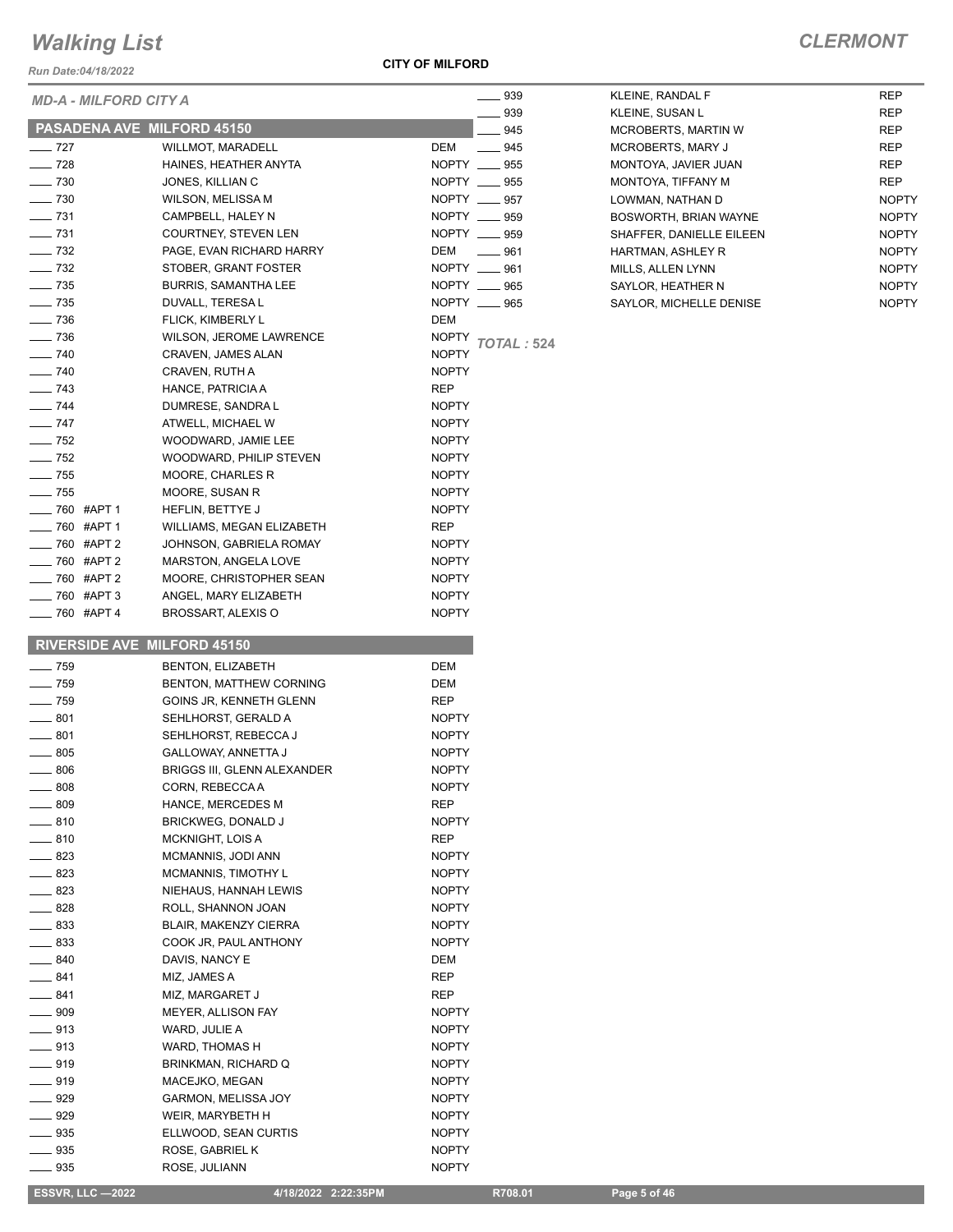*Run Date:04/18/2022*

#### **CITY OF MILFORD**

| <b>MD-A - MILFORD CITY A</b>    |                                                    |                              | ___ 939                     |
|---------------------------------|----------------------------------------------------|------------------------------|-----------------------------|
|                                 | <b>PASADENA AVE MILFORD 45150</b>                  |                              | _ 939                       |
| $-727$                          |                                                    |                              | __ 945<br>$\frac{1}{2}$ 945 |
| $- 728$                         | <b>WILLMOT, MARADELL</b><br>HAINES, HEATHER ANYTA  | DEM                          | NOPTY __ 955                |
| $- 730$                         | JONES, KILLIAN C                                   |                              | NOPTY __ 955                |
| $\equiv$ 730                    | WILSON, MELISSA M                                  |                              | NOPTY __ 957                |
| $-731$                          | CAMPBELL, HALEY N                                  | NOPTY __ 959                 |                             |
| $-731$                          | <b>COURTNEY, STEVEN LEN</b>                        |                              | NOPTY __ 959                |
| $-732$                          | PAGE, EVAN RICHARD HARRY                           | DEM                          | $-961$                      |
| $-732$                          | STOBER, GRANT FOSTER                               | NOPTY __ 961                 |                             |
| $-735$                          | BURRIS, SAMANTHA LEE                               | NOPTY __ 965                 |                             |
| — 735                           | DUVALL, TERESA L                                   |                              | NOPTY __ 965                |
| $-736$                          | <b>FLICK, KIMBERLY L</b>                           | DEM                          |                             |
| $-736$                          | WILSON, JEROME LAWRENCE                            | <b>NOPTY</b>                 | <b>TOTAL: 524</b>           |
| $-740$                          | CRAVEN, JAMES ALAN                                 | <b>NOPTY</b>                 |                             |
| $-740$                          | CRAVEN, RUTH A                                     | <b>NOPTY</b>                 |                             |
| $-$ 743                         | HANCE, PATRICIA A                                  | <b>REP</b>                   |                             |
| $- 744$                         | DUMRESE, SANDRA L                                  | <b>NOPTY</b>                 |                             |
| $-747$                          | ATWELL, MICHAEL W                                  | <b>NOPTY</b>                 |                             |
| $-752$                          | WOODWARD, JAMIE LEE                                | <b>NOPTY</b>                 |                             |
| $-752$                          | WOODWARD, PHILIP STEVEN                            | <b>NOPTY</b>                 |                             |
| $-755$                          | MOORE, CHARLES R                                   | <b>NOPTY</b>                 |                             |
| $\frac{1}{2}$                   | <b>MOORE, SUSAN R</b>                              | <b>NOPTY</b>                 |                             |
| ____ 760 #APT 1                 | HEFLIN, BETTYE J                                   | <b>NOPTY</b>                 |                             |
| —— 760 #APT 1                   | WILLIAMS, MEGAN ELIZABETH                          | <b>REP</b>                   |                             |
| ____ 760 #APT 2                 | JOHNSON, GABRIELA ROMAY                            | <b>NOPTY</b>                 |                             |
| ____ 760 #APT 2                 | <b>MARSTON, ANGELA LOVE</b>                        | <b>NOPTY</b>                 |                             |
| ___ 760 #APT 2<br>__ 760 #APT 3 | MOORE, CHRISTOPHER SEAN                            | <b>NOPTY</b>                 |                             |
| __ 760 #APT 4                   | ANGEL, MARY ELIZABETH<br>BROSSART, ALEXIS O        | <b>NOPTY</b><br><b>NOPTY</b> |                             |
|                                 |                                                    |                              |                             |
|                                 |                                                    |                              |                             |
|                                 | <b>RIVERSIDE AVE MILFORD 45150</b>                 |                              |                             |
| $-759$                          | BENTON, ELIZABETH                                  | <b>DEM</b>                   |                             |
| — 759                           | BENTON, MATTHEW CORNING                            | DEM                          |                             |
| $-759$                          | GOINS JR, KENNETH GLENN                            | <b>REP</b>                   |                             |
| $-801$                          | SEHLHORST, GERALD A                                | <b>NOPTY</b>                 |                             |
| $\equiv$ 801                    | SEHLHORST, REBECCA J                               | <b>NOPTY</b>                 |                             |
| $\equiv$ 805                    | <b>GALLOWAY, ANNETTA J</b>                         | <b>NOPTY</b>                 |                             |
| $-806$                          | BRIGGS III, GLENN ALEXANDER                        | <b>NOPTY</b>                 |                             |
| $=808$                          | CORN, REBECCAA                                     | NOPTY                        |                             |
| $-809$                          | HANCE, MERCEDES M                                  | REP                          |                             |
| $-810$                          | <b>BRICKWEG, DONALD J</b>                          | NOPTY                        |                             |
| $-810$                          | MCKNIGHT, LOIS A                                   | REP                          |                             |
| __ 823                          | MCMANNIS, JODI ANN                                 | <b>NOPTY</b>                 |                             |
| __ 823                          | <b>MCMANNIS, TIMOTHY L</b>                         | NOPTY                        |                             |
| — 823<br>__ 828                 | NIEHAUS, HANNAH LEWIS                              | <b>NOPTY</b>                 |                             |
| ___ 833                         | ROLL, SHANNON JOAN<br><b>BLAIR, MAKENZY CIERRA</b> | NOPTY<br><b>NOPTY</b>        |                             |
| __ 833                          | COOK JR, PAUL ANTHONY                              | <b>NOPTY</b>                 |                             |
| $-840$                          | DAVIS, NANCY E                                     | DEM                          |                             |
| $-841$                          | MIZ, JAMES A                                       | REP                          |                             |
| ___ 841                         | MIZ, MARGARET J                                    | <b>REP</b>                   |                             |
| $-909$                          | MEYER, ALLISON FAY                                 | NOPTY                        |                             |
| ___ 913                         | WARD, JULIE A                                      | <b>NOPTY</b>                 |                             |
| $= 913$                         | WARD, THOMAS H                                     | <b>NOPTY</b>                 |                             |
| __ 919                          | BRINKMAN, RICHARD Q                                | <b>NOPTY</b>                 |                             |
| __ 919                          | MACEJKO, MEGAN                                     | <b>NOPTY</b>                 |                             |
| _ 929                           | GARMON, MELISSA JOY                                | <b>NOPTY</b>                 |                             |
| __ 929                          | WEIR, MARYBETH H                                   | NOPTY                        |                             |
| _ 935                           | ELLWOOD, SEAN CURTIS                               | NOPTY                        |                             |
| - 935<br>935                    | ROSE, GABRIEL K<br>ROSE, JULIANN                   | <b>NOPTY</b><br><b>NOPTY</b> |                             |

| 939 | <b>KLEINE, RANDAL F</b>    | <b>REP</b>   |
|-----|----------------------------|--------------|
| 939 | KLEINE, SUSAN L            | <b>REP</b>   |
| 945 | <b>MCROBERTS, MARTIN W</b> | <b>REP</b>   |
| 945 | <b>MCROBERTS, MARY J</b>   | <b>REP</b>   |
| 955 | MONTOYA, JAVIER JUAN       | <b>REP</b>   |
| 955 | MONTOYA, TIFFANY M         | <b>REP</b>   |
| 957 | LOWMAN, NATHAN D           | <b>NOPTY</b> |
| 959 | BOSWORTH, BRIAN WAYNE      | <b>NOPTY</b> |
| 959 | SHAFFER, DANIELLE EILEEN   | <b>NOPTY</b> |
| 961 | <b>HARTMAN, ASHLEY R</b>   | <b>NOPTY</b> |
| 961 | <b>MILLS, ALLEN LYNN</b>   | <b>NOPTY</b> |
| 965 | SAYLOR. HEATHER N          | <b>NOPTY</b> |
| 965 | SAYLOR. MICHELLE DENISE    | <b>NOPTY</b> |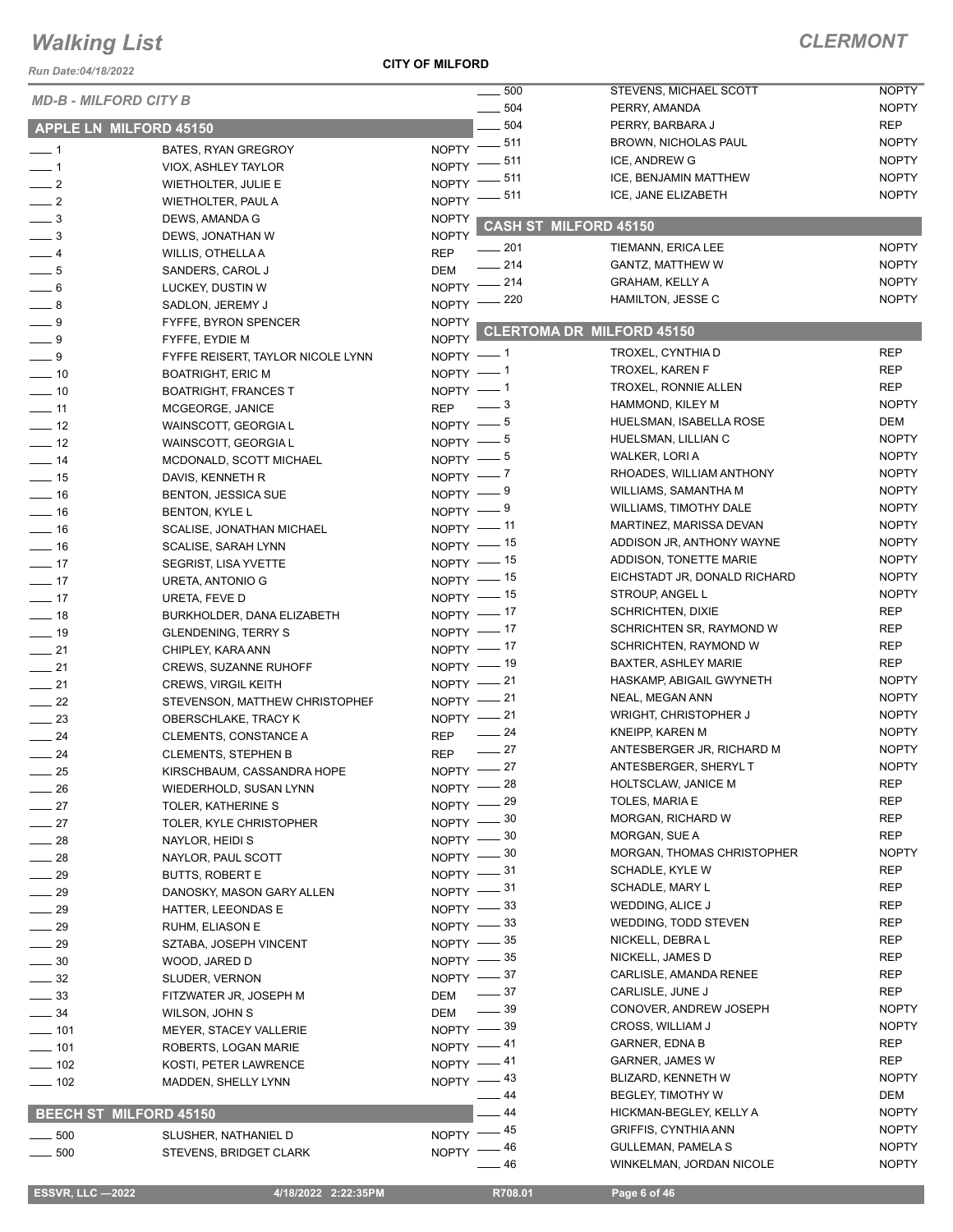*Run Date:04/18/2022*

**CITY OF MILFORD**

|                               |                                   |                           | 500<br>$\overline{\phantom{a}}$ | STEVENS, MICHAEL SCOTT           | <b>NOPTY</b> |
|-------------------------------|-----------------------------------|---------------------------|---------------------------------|----------------------------------|--------------|
| <b>MD-B - MILFORD CITY B</b>  |                                   |                           | 504<br>$\sim$                   | PERRY, AMANDA                    | <b>NOPTY</b> |
| <b>APPLE LN MILFORD 45150</b> |                                   |                           | 504                             | PERRY, BARBARA J                 | <b>REP</b>   |
| $\overline{\phantom{0}}$ 1    | BATES, RYAN GREGROY               |                           | NOPTY -811                      | <b>BROWN, NICHOLAS PAUL</b>      | <b>NOPTY</b> |
| $\overline{\phantom{0}}$ 1    | VIOX, ASHLEY TAYLOR               | NOPTY <sup>-</sup>        | 511                             | ICE, ANDREW G                    | <b>NOPTY</b> |
| $\frac{1}{2}$                 | <b>WIETHOLTER, JULIE E</b>        | <b>NOPTY</b>              | 511                             | ICE, BENJAMIN MATTHEW            | <b>NOPTY</b> |
| $\frac{1}{2}$                 | WIETHOLTER, PAUL A                | NOPTY <sup>-</sup>        | 511                             | ICE, JANE ELIZABETH              | <b>NOPTY</b> |
| $\overline{\phantom{0}}$ 3    | DEWS, AMANDA G                    | <b>NOPTY</b>              |                                 |                                  |              |
| $\overline{\phantom{0}}$ 3    | DEWS, JONATHAN W                  | <b>NOPTY</b>              |                                 | <b>CASH ST MILFORD 45150</b>     |              |
| $\frac{1}{2}$                 | WILLIS, OTHELLA A                 | <b>REP</b>                | —— 201                          | TIEMANN, ERICA LEE               | <b>NOPTY</b> |
| $\overline{\phantom{0}}$ 5    | SANDERS, CAROL J                  | <b>DEM</b>                | 214                             | <b>GANTZ, MATTHEW W</b>          | <b>NOPTY</b> |
| $\frac{1}{2}$ 6               | LUCKEY, DUSTIN W                  |                           | NOPTY -214                      | <b>GRAHAM, KELLY A</b>           | <b>NOPTY</b> |
| $\_\_\_$ 8                    | SADLON, JEREMY J                  | $NOPTY$ –                 | _ 220                           | <b>HAMILTON, JESSE C</b>         | <b>NOPTY</b> |
| $-9$                          | <b>FYFFE, BYRON SPENCER</b>       | <b>NOPTY</b>              |                                 |                                  |              |
| $-9$                          | FYFFE, EYDIE M                    | <b>NOPTY</b>              |                                 | <b>CLERTOMA DR MILFORD 45150</b> |              |
| $-9$                          | FYFFE REISERT, TAYLOR NICOLE LYNN | NOPTY $-1$                |                                 | TROXEL, CYNTHIA D                | <b>REP</b>   |
| $\frac{1}{2}$ 10              | <b>BOATRIGHT, ERIC M</b>          | NOPTY $-1$                |                                 | TROXEL, KAREN F                  | <b>REP</b>   |
| $\overline{\phantom{0}}$ 10   | <b>BOATRIGHT, FRANCES T</b>       | NOPTY $-1$                |                                 | TROXEL, RONNIE ALLEN             | <b>REP</b>   |
| $\frac{1}{2}$ 11              | MCGEORGE, JANICE                  | <b>REP</b>                | $\sim$ 3                        | HAMMOND, KILEY M                 | <b>NOPTY</b> |
| $\frac{1}{2}$                 | WAINSCOTT, GEORGIA L              | NOPTY $-$ 5               |                                 | HUELSMAN, ISABELLA ROSE          | DEM          |
| $\frac{1}{2}$ 12              | WAINSCOTT, GEORGIA L              | NOPTY $-$ 5               |                                 | HUELSMAN, LILLIAN C              | <b>NOPTY</b> |
| $\frac{1}{2}$ 14              | MCDONALD, SCOTT MICHAEL           | NOPTY $-$ 5               |                                 | WALKER, LORI A                   | <b>NOPTY</b> |
| $\frac{1}{2}$ 15              | DAVIS, KENNETH R                  | NOPTY $ ^7$               |                                 | RHOADES, WILLIAM ANTHONY         | <b>NOPTY</b> |
| $\frac{1}{16}$                | BENTON, JESSICA SUE               | $NOPTY \longrightarrow 9$ |                                 | WILLIAMS, SAMANTHA M             | <b>NOPTY</b> |
| $\frac{1}{16}$                | <b>BENTON, KYLE L</b>             | NOPTY $-9$                |                                 | WILLIAMS, TIMOTHY DALE           | <b>NOPTY</b> |
| $\overline{\phantom{0}}$ 16   | SCALISE, JONATHAN MICHAEL         | $NOPTY$ - 11              |                                 | MARTINEZ, MARISSA DEVAN          | <b>NOPTY</b> |
| $\frac{1}{16}$                | <b>SCALISE, SARAH LYNN</b>        | NOPTY - 15                |                                 | ADDISON JR, ANTHONY WAYNE        | <b>NOPTY</b> |
| $\frac{1}{2}$ 17              | <b>SEGRIST, LISA YVETTE</b>       | NOPTY - 15                |                                 | ADDISON, TONETTE MARIE           | <b>NOPTY</b> |
| $\frac{1}{2}$ 17              | URETA, ANTONIO G                  | NOPTY - 15                |                                 | EICHSTADT JR, DONALD RICHARD     | <b>NOPTY</b> |
| $\frac{1}{2}$ 17              | URETA, FEVE D                     | NOPTY - 15                |                                 | STROUP, ANGEL L                  | <b>NOPTY</b> |
| $\frac{1}{2}$ 18              | BURKHOLDER, DANA ELIZABETH        | $NOPTY$ - 17              |                                 | <b>SCHRICHTEN, DIXIE</b>         | <b>REP</b>   |
| $\frac{1}{2}$ 19              | <b>GLENDENING, TERRY S</b>        | NOPTY $-$ 17              |                                 | SCHRICHTEN SR, RAYMOND W         | <b>REP</b>   |
| $\frac{1}{21}$                | CHIPLEY, KARA ANN                 | $NOPTY = 17$              |                                 | SCHRICHTEN, RAYMOND W            | <b>REP</b>   |
| $\frac{1}{21}$                | <b>CREWS, SUZANNE RUHOFF</b>      | NOPTY - 19                |                                 | <b>BAXTER, ASHLEY MARIE</b>      | <b>REP</b>   |
| $\frac{1}{21}$                | <b>CREWS, VIRGIL KEITH</b>        | NOPTY -21                 |                                 | HASKAMP, ABIGAIL GWYNETH         | <b>NOPTY</b> |
| $\frac{1}{22}$                | STEVENSON, MATTHEW CHRISTOPHEF    | NOPTY - 21                |                                 | NEAL, MEGAN ANN                  | <b>NOPTY</b> |
| $\frac{1}{2}$ 23              | OBERSCHLAKE, TRACY K              | NOPTY -21                 |                                 | <b>WRIGHT, CHRISTOPHER J</b>     | <b>NOPTY</b> |
| $\frac{24}{3}$                | CLEMENTS, CONSTANCE A             | <b>REP</b>                | $\frac{1}{24}$                  | KNEIPP, KAREN M                  | <b>NOPTY</b> |
| $\frac{1}{24}$                | <b>CLEMENTS, STEPHEN B</b>        | <b>REP</b>                | $\frac{27}{2}$                  | ANTESBERGER JR, RICHARD M        | <b>NOPTY</b> |
| 25                            | KIRSCHBAUM, CASSANDRA HOPE        | NOPTY -27                 |                                 | ANTESBERGER, SHERYL T            | <b>NOPTY</b> |
| $-26$                         | WIEDERHOLD, SUSAN LYNN            | NOPTY - 28                |                                 | HOLTSCLAW, JANICE M              | REP          |
| $\frac{1}{27}$                | <b>TOLER, KATHERINE S</b>         | NOPTY -29                 |                                 | TOLES, MARIA E                   | <b>REP</b>   |
| $-27$                         | TOLER, KYLE CHRISTOPHER           | NOPTY $-$ 30              |                                 | MORGAN, RICHARD W                | <b>REP</b>   |
| $\frac{1}{28}$                | NAYLOR, HEIDI S                   | NOPTY $-$ 30              |                                 | MORGAN, SUE A                    | <b>REP</b>   |
| $\frac{1}{28}$                | NAYLOR, PAUL SCOTT                | NOPTY $-30$               |                                 | MORGAN, THOMAS CHRISTOPHER       | <b>NOPTY</b> |
| $-29$                         | <b>BUTTS, ROBERT E</b>            | NOPTY $-31$               |                                 | SCHADLE, KYLE W                  | <b>REP</b>   |
| $\frac{1}{29}$                | DANOSKY, MASON GARY ALLEN         | NOPTY -81                 |                                 | SCHADLE, MARY L                  | <b>REP</b>   |
| $\frac{1}{2}$ 29              | HATTER, LEEONDAS E                | NOPTY $-$ 33              |                                 | WEDDING, ALICE J                 | REP          |
| $\frac{1}{2}$ 29              | RUHM, ELIASON E                   | NOPTY $-33$               |                                 | WEDDING, TODD STEVEN             | <b>REP</b>   |
| $\frac{1}{29}$                | SZTABA, JOSEPH VINCENT            | NOPTY -85                 |                                 | NICKELL, DEBRA L                 | REP          |
| $\frac{1}{2}$ 30              | WOOD, JARED D                     | NOPTY $-$ 35              |                                 | NICKELL, JAMES D                 | REP          |
| $\frac{1}{2}$ 32              | SLUDER, VERNON                    | NOPTY $-37$               |                                 | CARLISLE, AMANDA RENEE           | <b>REP</b>   |
| $\frac{33}{2}$                | FITZWATER JR, JOSEPH M            | DEM                       | $\frac{1}{2}$ 37                | CARLISLE, JUNE J                 | <b>REP</b>   |
| $\frac{1}{2}$ 34              | WILSON, JOHN S                    | DEM                       | 39                              | CONOVER, ANDREW JOSEPH           | <b>NOPTY</b> |
| $- 101$                       | MEYER, STACEY VALLERIE            | NOPTY -89                 |                                 | CROSS, WILLIAM J                 | <b>NOPTY</b> |
| $\frac{1}{2}$ 101             | ROBERTS, LOGAN MARIE              | NOPTY $-41$               |                                 | GARNER, EDNA B                   | REP          |
| $\frac{1}{2}$ 102             | KOSTI, PETER LAWRENCE             | NOPTY $-41$               |                                 | GARNER, JAMES W                  | <b>REP</b>   |
| $\frac{1}{2}$ 102             | MADDEN, SHELLY LYNN               | NOPTY -43                 |                                 | BLIZARD, KENNETH W               | <b>NOPTY</b> |
|                               |                                   |                           | 44                              | BEGLEY, TIMOTHY W                | DEM          |
| <b>BEECH ST MILFORD 45150</b> |                                   |                           | 44                              | HICKMAN-BEGLEY, KELLY A          | <b>NOPTY</b> |
| $\frac{1}{2}$ 500             | SLUSHER, NATHANIEL D              | $NOPTY$ -                 | 45                              | <b>GRIFFIS, CYNTHIA ANN</b>      | <b>NOPTY</b> |
| $\frac{1}{2}$ 500             | STEVENS, BRIDGET CLARK            | NOPTY -                   | . 46                            | GULLEMAN, PAMELA S               | <b>NOPTY</b> |
|                               |                                   |                           | - 46                            | WINKELMAN, JORDAN NICOLE         | <b>NOPTY</b> |
|                               |                                   |                           |                                 |                                  |              |
| <b>ESSVR, LLC -2022</b>       | 4/18/2022 2:22:35PM               |                           | R708.01                         | Page 6 of 46                     |              |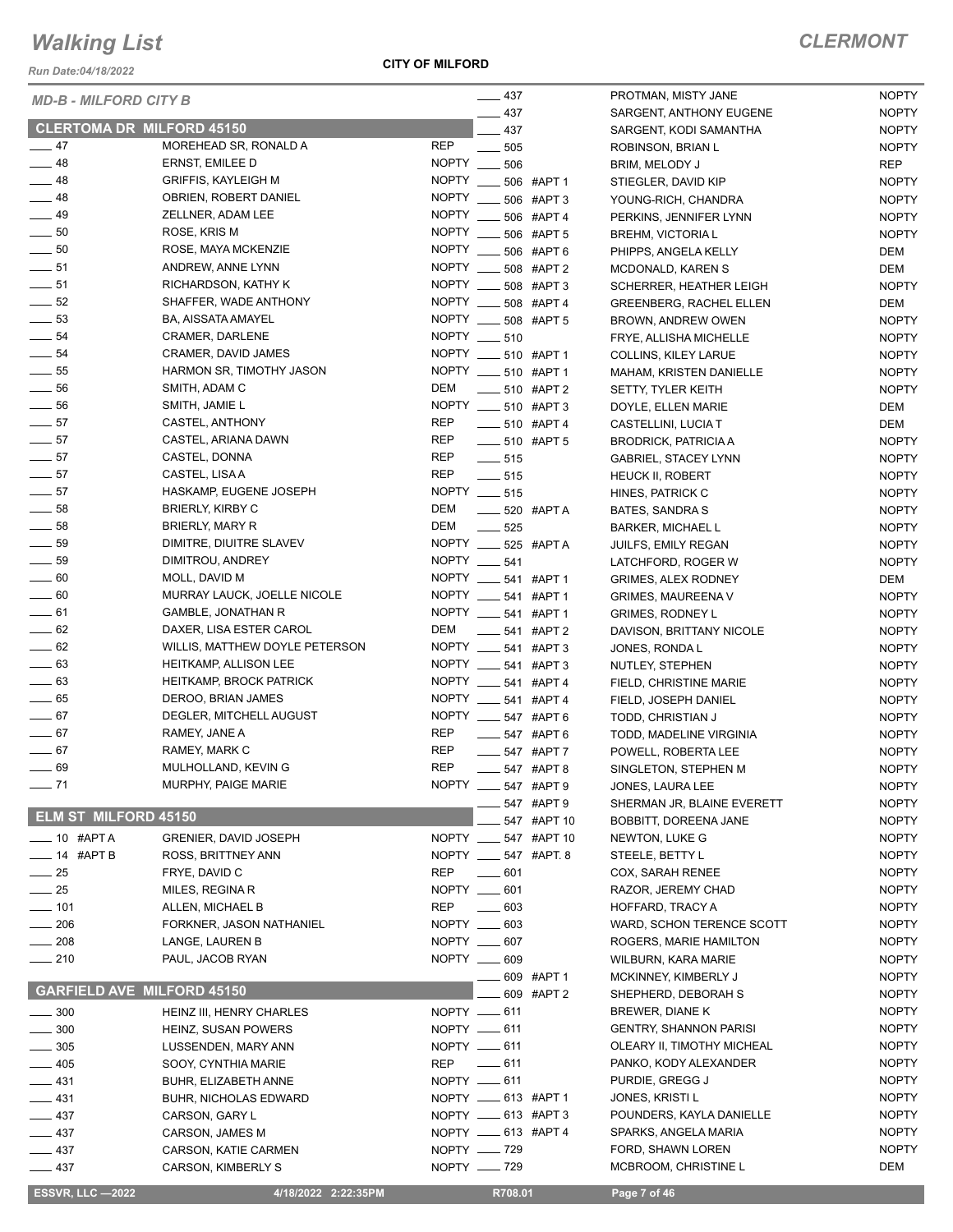*Run Date:04/18/2022*

#### **CITY OF MILFORD**

| <b>MD-B - MILFORD CITY B</b>      |                                | $-437$                   |                          | PROTMAN, MISTY JANE            | <b>NOPTY</b> |
|-----------------------------------|--------------------------------|--------------------------|--------------------------|--------------------------------|--------------|
|                                   |                                |                          | 437                      | SARGENT, ANTHONY EUGENE        | <b>NOPTY</b> |
| <b>CLERTOMA DR MILFORD 45150</b>  |                                |                          | 437                      | SARGENT, KODI SAMANTHA         | <b>NOPTY</b> |
| $\frac{1}{2}$ 47                  | MOREHEAD SR, RONALD A          | <b>REP</b>               | 505                      | ROBINSON, BRIAN L              | <b>NOPTY</b> |
| $-48$                             | ERNST, EMILEE D                | NOPTY __ 506             |                          | BRIM, MELODY J                 | <b>REP</b>   |
| $\frac{1}{2}$ 48                  | <b>GRIFFIS, KAYLEIGH M</b>     | NOPTY __ 506 #APT 1      |                          | STIEGLER, DAVID KIP            | <b>NOPTY</b> |
| $-48$                             | OBRIEN, ROBERT DANIEL          | NOPTY _____ 506 #APT 3   |                          | YOUNG-RICH, CHANDRA            | <b>NOPTY</b> |
| $\frac{1}{2}$ 49                  | ZELLNER, ADAM LEE              | NOPTY ____ 506 #APT 4    |                          | PERKINS, JENNIFER LYNN         | <b>NOPTY</b> |
| $\sim$ 50                         | ROSE, KRIS M                   | NOPTY _____ 506 #APT 5   |                          | <b>BREHM, VICTORIA L</b>       | <b>NOPTY</b> |
| $\sim$ 50                         | ROSE, MAYA MCKENZIE            | NOPTY _____ 506 #APT 6   |                          | PHIPPS, ANGELA KELLY           | DEM          |
| $\frac{1}{2}$ 51                  | ANDREW, ANNE LYNN              | NOPTY _____ 508 #APT 2   |                          | MCDONALD, KAREN S              | <b>DEM</b>   |
| $\frac{1}{2}$ 51                  | RICHARDSON, KATHY K            | NOPTY _____ 508 #APT 3   |                          | SCHERRER, HEATHER LEIGH        | <b>NOPTY</b> |
| $\frac{1}{2}$ 52                  | SHAFFER, WADE ANTHONY          | NOPTY _____ 508 #APT 4   |                          | <b>GREENBERG, RACHEL ELLEN</b> | DEM          |
| $\frac{1}{2}$ 53                  | <b>BA, AISSATA AMAYEL</b>      | NOPTY _____ 508 #APT 5   |                          | <b>BROWN, ANDREW OWEN</b>      | <b>NOPTY</b> |
| $\frac{1}{2}$ 54                  | CRAMER, DARLENE                | NOPTY __ 510             |                          | FRYE, ALLISHA MICHELLE         | <b>NOPTY</b> |
| $\frac{1}{2}$ 54                  | CRAMER, DAVID JAMES            | NOPTY ____ 510 #APT 1    |                          | <b>COLLINS, KILEY LARUE</b>    | <b>NOPTY</b> |
| $\frac{1}{2}$ 55                  | HARMON SR, TIMOTHY JASON       | NOPTY __ 510 #APT 1      |                          | MAHAM, KRISTEN DANIELLE        | <b>NOPTY</b> |
| $\frac{1}{2}$ 56                  | SMITH, ADAM C                  | DEM                      | $- 510$ #APT 2           | SETTY, TYLER KEITH             | <b>NOPTY</b> |
| $\frac{1}{2}$ 56                  | SMITH, JAMIE L                 | NOPTY _____ 510 #APT 3   |                          | DOYLE, ELLEN MARIE             | DEM          |
| $\frac{1}{2}$ 57                  | CASTEL, ANTHONY                | <b>REP</b>               | $- 510$ #APT 4           | CASTELLINI, LUCIA T            | DEM          |
| $\frac{1}{2}$ 57                  | CASTEL, ARIANA DAWN            | REP                      | $- 510$ #APT 5           | <b>BRODRICK, PATRICIA A</b>    | <b>NOPTY</b> |
| $-57$                             | CASTEL, DONNA                  | REP<br>$-515$            |                          | <b>GABRIEL, STACEY LYNN</b>    | <b>NOPTY</b> |
| $\frac{1}{2}$ 57                  | CASTEL, LISA A                 | <b>REP</b><br>$-515$     |                          | <b>HEUCK II, ROBERT</b>        | <b>NOPTY</b> |
| $\frac{1}{2}$ 57                  | HASKAMP, EUGENE JOSEPH         | NOPTY ____ 515           |                          | HINES, PATRICK C               | <b>NOPTY</b> |
| $\frac{1}{2}$ 58                  | <b>BRIERLY, KIRBY C</b>        | DEM                      | $\equiv$ 520 #APT A      | BATES, SANDRA S                | <b>NOPTY</b> |
| 58                                | BRIERLY, MARY R                | DEM<br>$\frac{1}{2}$ 525 |                          | <b>BARKER, MICHAEL L</b>       | <b>NOPTY</b> |
| $\frac{1}{2}$ 59                  | DIMITRE, DIUITRE SLAVEV        | NOPTY __ 525 #APT A      |                          |                                | <b>NOPTY</b> |
| $\frac{1}{2}$ 59                  | DIMITROU, ANDREY               | NOPTY __ 541             |                          | <b>JUILFS, EMILY REGAN</b>     |              |
| $\sim$ 60                         | MOLL, DAVID M                  | NOPTY __ 541 #APT 1      |                          | LATCHFORD, ROGER W             | <b>NOPTY</b> |
|                                   |                                |                          |                          | <b>GRIMES, ALEX RODNEY</b>     | DEM          |
| $\sim$ 60                         | MURRAY LAUCK, JOELLE NICOLE    | NOPTY __ 541 #APT 1      |                          | <b>GRIMES, MAUREENA V</b>      | <b>NOPTY</b> |
| $\frac{1}{2}$ 61                  | <b>GAMBLE, JONATHAN R</b>      | NOPTY _____ 541 #APT 1   |                          | <b>GRIMES, RODNEY L</b>        | <b>NOPTY</b> |
| $\frac{1}{2}$ 62                  | DAXER, LISA ESTER CAROL        | DEM                      | $\frac{1}{2}$ 541 #APT 2 | DAVISON, BRITTANY NICOLE       | <b>NOPTY</b> |
| $\frac{1}{2}$ 62                  | WILLIS, MATTHEW DOYLE PETERSON | NOPTY _____ 541 #APT 3   |                          | JONES, RONDA L                 | <b>NOPTY</b> |
| $\sim$ 63                         | <b>HEITKAMP, ALLISON LEE</b>   | NOPTY _____ 541 #APT 3   |                          | NUTLEY, STEPHEN                | <b>NOPTY</b> |
| $\frac{1}{2}$ 63                  | <b>HEITKAMP, BROCK PATRICK</b> | NOPTY __ 541 #APT 4      |                          | FIELD, CHRISTINE MARIE         | <b>NOPTY</b> |
| $\frac{1}{2}$ 65                  | DEROO, BRIAN JAMES             | NOPTY ____ 541 #APT 4    |                          | FIELD, JOSEPH DANIEL           | <b>NOPTY</b> |
| $\frac{1}{2}$ 67                  | DEGLER, MITCHELL AUGUST        | NOPTY _____ 547 #APT 6   |                          | TODD, CHRISTIAN J              | <b>NOPTY</b> |
| $\frac{1}{2}$ 67                  | RAMEY, JANE A                  | <b>REP</b>               | $\frac{1}{2}$ 547 #APT 6 | TODD, MADELINE VIRGINIA        | <b>NOPTY</b> |
| $\frac{1}{2}$ 67                  | RAMEY, MARK C                  | REP                      | 547 #APT 7               | POWELL, ROBERTA LEE            | <b>NOPTY</b> |
| $-69$                             | MULHOLLAND, KEVIN G            | <b>REP</b>               | 547 #APT 8               | SINGLETON, STEPHEN M           | <b>NOPTY</b> |
| $- 71$                            | MURPHY, PAIGE MARIE            | NOPTY __ 547 #APT 9      |                          | JONES, LAURA LEE               | <b>NOPTY</b> |
|                                   |                                |                          | 547 #APT 9               | SHERMAN JR, BLAINE EVERETT     | <b>NOPTY</b> |
| <b>ELM ST MILFORD 45150</b>       |                                |                          | 547 #APT 10              | BOBBITT, DOREENA JANE          | <b>NOPTY</b> |
| $\equiv$ 10 #APT A                | <b>GRENIER, DAVID JOSEPH</b>   | NOPTY _____ 547 #APT 10  |                          | NEWTON, LUKE G                 | <b>NOPTY</b> |
| $-$ 14 #APT B                     | ROSS, BRITTNEY ANN             | NOPTY _____ 547 #APT. 8  |                          | STEELE, BETTY L                | <b>NOPTY</b> |
| $\frac{1}{25}$                    | FRYE, DAVID C                  | REP<br>$\frac{1}{1}$ 601 |                          | COX, SARAH RENEE               | <b>NOPTY</b> |
| 25                                | MILES, REGINA R                | NOPTY __ 601             |                          | RAZOR, JEREMY CHAD             | <b>NOPTY</b> |
| $- 101$                           | ALLEN, MICHAEL B               | REP<br>$- 603$           |                          | HOFFARD, TRACY A               | <b>NOPTY</b> |
| $\frac{1}{206}$                   | FORKNER, JASON NATHANIEL       | NOPTY __ 603             |                          | WARD, SCHON TERENCE SCOTT      | <b>NOPTY</b> |
| $\frac{1}{208}$                   | LANGE, LAUREN B                | NOPTY __ 607             |                          | ROGERS, MARIE HAMILTON         | <b>NOPTY</b> |
| $-210$                            | PAUL, JACOB RYAN               | NOPTY __ 609             |                          | WILBURN, KARA MARIE            | <b>NOPTY</b> |
|                                   |                                |                          | 609 #APT 1               | MCKINNEY, KIMBERLY J           | <b>NOPTY</b> |
| <b>GARFIELD AVE MILFORD 45150</b> |                                |                          | 609 #APT 2               | SHEPHERD, DEBORAH S            | <b>NOPTY</b> |
| $\frac{1}{2}$ 300                 | HEINZ III, HENRY CHARLES       | NOPTY __ 611             |                          | BREWER, DIANE K                | <b>NOPTY</b> |
| 300                               | HEINZ, SUSAN POWERS            | NOPTY __ 611             |                          | <b>GENTRY, SHANNON PARISI</b>  | <b>NOPTY</b> |
| $\equiv$ 305                      | LUSSENDEN, MARY ANN            | NOPTY __ 611             |                          | OLEARY II, TIMOTHY MICHEAL     | <b>NOPTY</b> |
| $-405$                            | SOOY, CYNTHIA MARIE            | REP -611                 |                          | PANKO, KODY ALEXANDER          | <b>NOPTY</b> |
| $-431$                            | BUHR, ELIZABETH ANNE           | NOPTY __ 611             |                          | PURDIE, GREGG J                | <b>NOPTY</b> |
|                                   |                                | NOPTY __ 613 #APT 1      |                          | JONES, KRISTI L                | <b>NOPTY</b> |
| $-431$                            | <b>BUHR, NICHOLAS EDWARD</b>   |                          |                          |                                |              |
| $\frac{1}{2}$ 437                 | CARSON, GARY L                 | NOPTY _____ 613 #APT 3   |                          | POUNDERS, KAYLA DANIELLE       | <b>NOPTY</b> |
| $-437$                            | CARSON, JAMES M                | NOPTY _____ 613 #APT 4   |                          | SPARKS, ANGELA MARIA           | <b>NOPTY</b> |
| $\frac{1}{2}$ 437                 | <b>CARSON, KATIE CARMEN</b>    | NOPTY - 729              |                          | FORD, SHAWN LOREN              | <b>NOPTY</b> |
| $-437$                            | CARSON, KIMBERLY S             | NOPTY __ 729             |                          | MCBROOM, CHRISTINE L           | DEM          |
| <b>ESSVR, LLC -2022</b>           | 4/18/2022 2:22:35PM            |                          | R708.01                  | Page 7 of 46                   |              |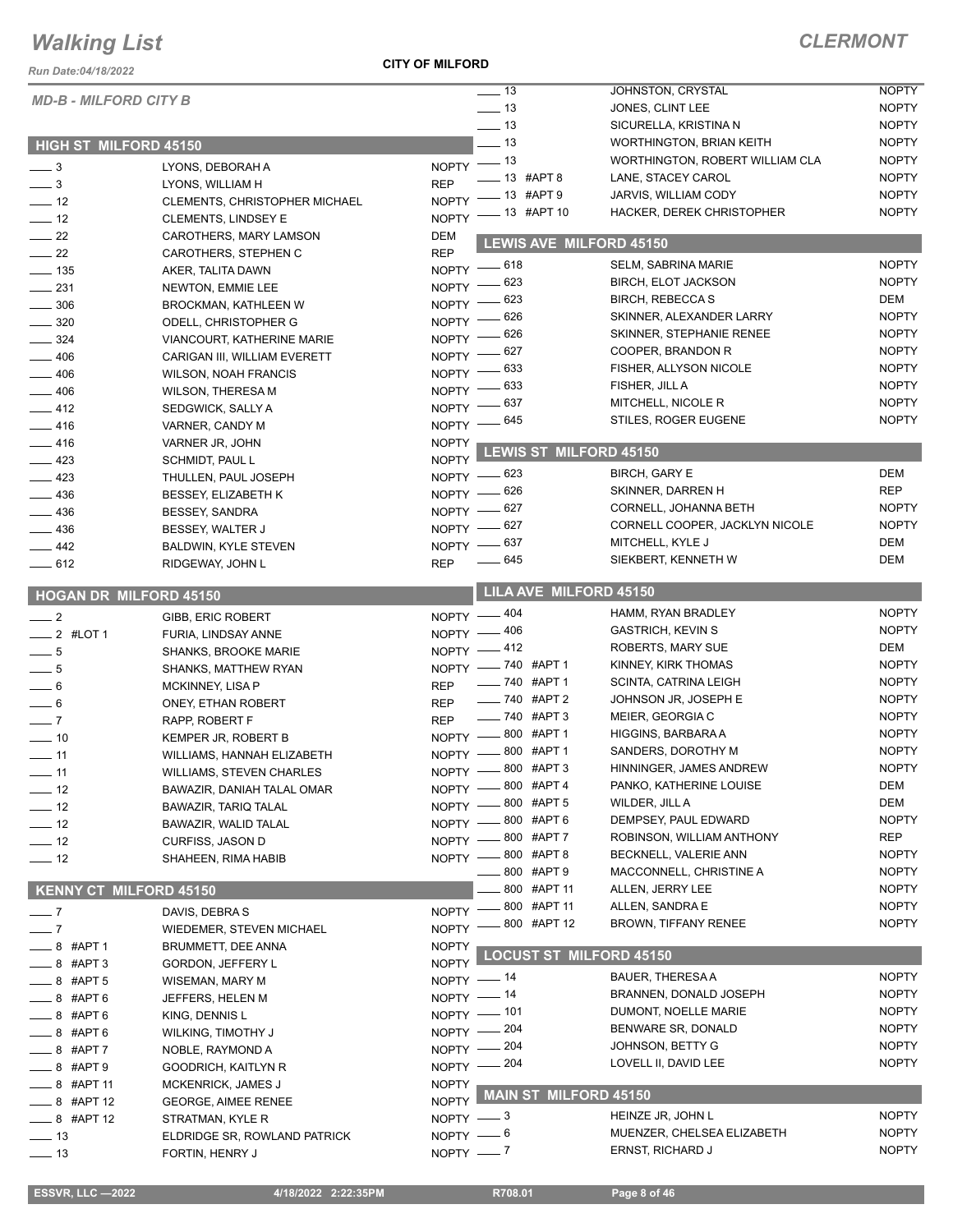#### *Run Date:04/18/2022*

#### **CITY OF MILFORD**

| <b>MD-B - MILFORD CITY B</b> |                                      |              | $\overline{\phantom{0}}$ 13    | JOHNSTON, CRYSTAL               | <b>NOPTY</b> |
|------------------------------|--------------------------------------|--------------|--------------------------------|---------------------------------|--------------|
|                              |                                      |              | $\frac{1}{2}$ 13               | JONES, CLINT LEE                | <b>NOPTY</b> |
|                              |                                      |              | $\frac{1}{2}$ 13               | SICURELLA, KRISTINA N           | <b>NOPTY</b> |
| HIGH ST MILFORD 45150        |                                      |              | $-13$                          | WORTHINGTON, BRIAN KEITH        | <b>NOPTY</b> |
| $\equiv$ 3                   | LYONS, DEBORAH A                     |              | $NOPTY$ - 13                   | WORTHINGTON, ROBERT WILLIAM CLA | <b>NOPTY</b> |
| $\frac{1}{2}$                | LYONS, WILLIAM H                     | <b>REP</b>   | $-13$ #APT 8                   | LANE, STACEY CAROL              | <b>NOPTY</b> |
| $\overline{\phantom{0}}$ 12  | <b>CLEMENTS, CHRISTOPHER MICHAEL</b> | <b>NOPTY</b> | $-13$ #APT 9                   | <b>JARVIS, WILLIAM CODY</b>     | <b>NOPTY</b> |
| $\frac{1}{2}$                |                                      | <b>NOPTY</b> | $-13$ #APT 10                  | HACKER, DEREK CHRISTOPHER       | <b>NOPTY</b> |
| $\frac{1}{22}$               | <b>CLEMENTS, LINDSEY E</b>           |              |                                |                                 |              |
|                              | CAROTHERS, MARY LAMSON               | DEM          | <b>LEWIS AVE MILFORD 45150</b> |                                 |              |
| $\frac{1}{22}$               | CAROTHERS, STEPHEN C                 | <b>REP</b>   | NOPTY - 618                    | <b>SELM, SABRINA MARIE</b>      | <b>NOPTY</b> |
| $\frac{1}{2}$ 135            | AKER, TALITA DAWN                    |              | NOPTY - 623                    | <b>BIRCH, ELOT JACKSON</b>      | <b>NOPTY</b> |
| $\frac{1}{2}$ 231            | NEWTON, EMMIE LEE                    |              | NOPTY -823                     | <b>BIRCH, REBECCAS</b>          | DEM          |
| $\frac{1}{2}$ 306            | <b>BROCKMAN, KATHLEEN W</b>          |              | NOPTY - 626                    | SKINNER, ALEXANDER LARRY        | <b>NOPTY</b> |
| $\frac{1}{2}$ 320            | ODELL, CHRISTOPHER G                 |              | $-626$                         | SKINNER, STEPHANIE RENEE        | <b>NOPTY</b> |
| $\frac{324}{ }$              | <b>VIANCOURT, KATHERINE MARIE</b>    | $NOPTY =$    |                                | COOPER, BRANDON R               | <b>NOPTY</b> |
| $- 406$                      | CARIGAN III, WILLIAM EVERETT         |              | NOPTY - 627                    | FISHER, ALLYSON NICOLE          | <b>NOPTY</b> |
| $\frac{1}{2}$ 406            | <b>WILSON, NOAH FRANCIS</b>          |              | NOPTY - 633                    | FISHER, JILL A                  | <b>NOPTY</b> |
| $-406$                       | <b>WILSON, THERESA M</b>             |              | NOPTY $-633$                   |                                 | <b>NOPTY</b> |
| $-412$                       | SEDGWICK, SALLY A                    |              | NOPTY -837                     | MITCHELL, NICOLE R              |              |
| $-416$                       | VARNER, CANDY M                      |              | NOPTY -645                     | STILES, ROGER EUGENE            | <b>NOPTY</b> |
| $-416$                       | VARNER JR, JOHN                      | <b>NOPTY</b> | <b>LEWIS ST MILFORD 45150</b>  |                                 |              |
| $\frac{1}{2}$ 423            | <b>SCHMIDT, PAUL L</b>               | <b>NOPTY</b> |                                |                                 |              |
| $\frac{1}{2}$ 423            | THULLEN, PAUL JOSEPH                 |              | NOPTY -823                     | <b>BIRCH, GARY E</b>            | <b>DEM</b>   |
| $\frac{1}{2}$ 436            | BESSEY, ELIZABETH K                  |              | NOPTY -826                     | SKINNER, DARREN H               | <b>REP</b>   |
| $\frac{1}{2}$ 436            | <b>BESSEY, SANDRA</b>                |              | NOPTY -827                     | CORNELL, JOHANNA BETH           | <b>NOPTY</b> |
| $\frac{1}{2}$ 436            | BESSEY, WALTER J                     |              | NOPTY -827                     | CORNELL COOPER, JACKLYN NICOLE  | <b>NOPTY</b> |
| $-442$                       | <b>BALDWIN, KYLE STEVEN</b>          |              | NOPTY -837                     | MITCHELL, KYLE J                | <b>DEM</b>   |
| $= 612$                      | RIDGEWAY, JOHN L                     | <b>REP</b>   | $- 645$                        | SIEKBERT, KENNETH W             | <b>DEM</b>   |
|                              |                                      |              |                                |                                 |              |
| HOGAN DR MILFORD 45150       |                                      |              | LILA AVE MILFORD 45150         |                                 |              |
| $\frac{1}{2}$                | <b>GIBB, ERIC ROBERT</b>             |              | NOPTY -404                     | HAMM, RYAN BRADLEY              | <b>NOPTY</b> |
| $-2$ #LOT 1                  | FURIA, LINDSAY ANNE                  |              | NOPTY -406                     | <b>GASTRICH, KEVIN S</b>        | <b>NOPTY</b> |
| $\overline{\phantom{0}}$ 5   | <b>SHANKS, BROOKE MARIE</b>          |              | NOPTY -412                     | ROBERTS, MARY SUE               | DEM          |
| $\frac{1}{2}$ 5              | SHANKS, MATTHEW RYAN                 |              | NOPTY -740 #APT 1              | KINNEY, KIRK THOMAS             | <b>NOPTY</b> |
| $\frac{1}{2}$ 6              | MCKINNEY, LISA P                     | <b>REP</b>   | $- 740$ #APT 1                 | <b>SCINTA, CATRINA LEIGH</b>    | <b>NOPTY</b> |
| $\frac{1}{\sqrt{2}}$ 6       | ONEY, ETHAN ROBERT                   | <b>REP</b>   | -2740 #APT 2                   | JOHNSON JR, JOSEPH E            | <b>NOPTY</b> |
| $\overline{\phantom{0}}$ 7   | RAPP, ROBERT F                       | <b>REP</b>   | -240 #APT 3                    | MEIER, GEORGIA C                | <b>NOPTY</b> |
| $\frac{1}{2}$ 10             | KEMPER JR, ROBERT B                  |              | NOPTY -800 #APT 1              | HIGGINS, BARBARA A              | <b>NOPTY</b> |
| $\frac{1}{2}$ 11             | WILLIAMS, HANNAH ELIZABETH           |              | NOPTY -800 #APT 1              | SANDERS, DOROTHY M              | <b>NOPTY</b> |
| $-11$                        | <b>WILLIAMS, STEVEN CHARLES</b>      |              | NOPTY -800 #APT 3              | HINNINGER, JAMES ANDREW         | <b>NOPTY</b> |
| $\frac{1}{2}$ 12             | BAWAZIR, DANIAH TALAL OMAR           |              | NOPTY -800 #APT 4              | PANKO, KATHERINE LOUISE         | <b>DEM</b>   |
| $\frac{1}{2}$ 12             | <b>BAWAZIR, TARIQ TALAL</b>          | $N$ OPTY $-$ | $-800$ #APT 5                  | WILDER, JILL A                  | <b>DEM</b>   |
| $-12$                        | BAWAZIR, WALID TALAL                 |              | NOPTY -800 #APT 6              | DEMPSEY, PAUL EDWARD            | <b>NOPTY</b> |
| $\frac{1}{2}$ 12             | CURFISS, JASON D                     | $N$ OPTY $-$ | <sub>–</sub> 800 #APT 7        | ROBINSON, WILLIAM ANTHONY       | <b>REP</b>   |
| $-12$                        | SHAHEEN, RIMA HABIB                  |              | NOPTY -800 #APT 8              | BECKNELL, VALERIE ANN           | <b>NOPTY</b> |
|                              |                                      |              | 800 #APT 9                     | MACCONNELL, CHRISTINE A         | <b>NOPTY</b> |
| KENNY CT MILFORD 45150       |                                      |              | 800 #APT 11                    | ALLEN, JERRY LEE                | <b>NOPTY</b> |
| $\overline{\phantom{0}}$ 7   | DAVIS, DEBRA S                       | <b>NOPTY</b> | 800 #APT 11                    | ALLEN, SANDRA E                 | <b>NOPTY</b> |
| $-7$                         | WIEDEMER, STEVEN MICHAEL             | NOPTY -      | 800 #APT 12                    | <b>BROWN, TIFFANY RENEE</b>     | <b>NOPTY</b> |
| $-8$ #APT 1                  | BRUMMETT, DEE ANNA                   | <b>NOPTY</b> |                                |                                 |              |
|                              | GORDON, JEFFERY L                    | <b>NOPTY</b> | <b>LOCUST ST MILFORD 45150</b> |                                 |              |
| $-8$ #APT 3                  |                                      |              | NOPTY - 14                     | <b>BAUER, THERESA A</b>         | <b>NOPTY</b> |
| $-8$ #APT 5                  | WISEMAN, MARY M                      | NOPTY - 14   |                                | BRANNEN, DONALD JOSEPH          | <b>NOPTY</b> |
| $=$ 8 #APT 6                 | JEFFERS, HELEN M                     |              |                                | DUMONT, NOELLE MARIE            | <b>NOPTY</b> |
| $-8$ #APT6                   | KING, DENNIS L                       |              | NOPTY - 101<br>NOPTY - 204     | BENWARE SR, DONALD              | <b>NOPTY</b> |
| $-8$ #APT 6                  | WILKING, TIMOTHY J                   |              |                                | JOHNSON, BETTY G                | <b>NOPTY</b> |
| __ 8 #APT 7                  | NOBLE, RAYMOND A                     |              | NOPTY -204                     | LOVELL II, DAVID LEE            | <b>NOPTY</b> |
| _8 #APT9                     | GOODRICH, KAITLYN R                  |              | NOPTY -204                     |                                 |              |
| $=$ 8 #APT 11                | MCKENRICK, JAMES J                   | <b>NOPTY</b> | <b>MAIN ST MILFORD 45150</b>   |                                 |              |
| _ 8 #APT 12                  | <b>GEORGE, AIMEE RENEE</b>           | <b>NOPTY</b> |                                |                                 |              |
| $-8$ #APT 12                 | STRATMAN, KYLE R                     | NOPTY $-3$   |                                | HEINZE JR, JOHN L               | <b>NOPTY</b> |
| $-13$                        | ELDRIDGE SR, ROWLAND PATRICK         | NOPTY $-6$   |                                | MUENZER, CHELSEA ELIZABETH      | <b>NOPTY</b> |
| $\frac{1}{2}$ 13             | FORTIN, HENRY J                      | NOPTY $-$ 7  |                                | ERNST, RICHARD J                | <b>NOPTY</b> |
|                              |                                      |              |                                |                                 |              |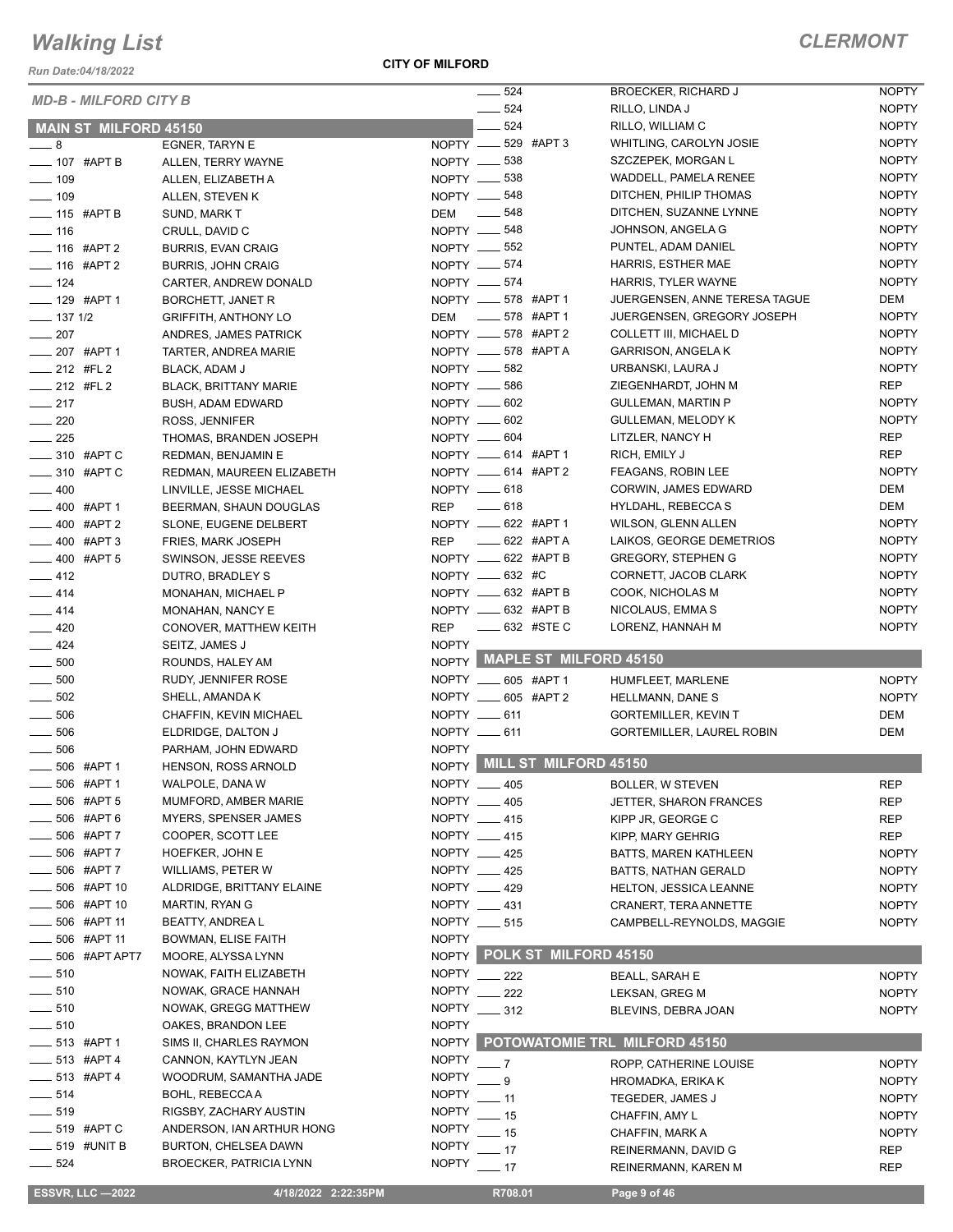*Run Date:04/18/2022*

**CITY OF MILFORD**

|                                | <b>MD-B - MILFORD CITY B</b> |                                |              | $\frac{1}{2}$ 524         |                             | <b>BROECKER, RICHARD J</b>       | <b>NOPTY</b> |
|--------------------------------|------------------------------|--------------------------------|--------------|---------------------------|-----------------------------|----------------------------------|--------------|
|                                |                              |                                |              | $- 524$                   |                             | RILLO, LINDA J                   | <b>NOPTY</b> |
|                                | <b>MAIN ST MILFORD 45150</b> |                                |              | 524                       |                             | RILLO, WILLIAM C                 | <b>NOPTY</b> |
| $-8$                           |                              | EGNER, TARYN E                 |              | NOPTY __ 529 #APT 3       |                             | WHITLING, CAROLYN JOSIE          | <b>NOPTY</b> |
| $\equiv$ 107 #APT B            |                              | ALLEN, TERRY WAYNE             |              | NOPTY -638                |                             | SZCZEPEK, MORGAN L               | <b>NOPTY</b> |
| $- 109$                        |                              | ALLEN, ELIZABETH A             |              | NOPTY __ 538              |                             | WADDELL, PAMELA RENEE            | <b>NOPTY</b> |
| $- 109$                        |                              | ALLEN, STEVEN K                |              | NOPTY -648                |                             | DITCHEN, PHILIP THOMAS           | <b>NOPTY</b> |
| $\equiv$ 115 #APT B            |                              | SUND, MARK T                   |              | DEM - 548                 |                             | DITCHEN, SUZANNE LYNNE           | <b>NOPTY</b> |
| $\frac{1}{16}$                 |                              | CRULL, DAVID C                 |              | NOPTY -648                |                             | JOHNSON, ANGELA G                | <b>NOPTY</b> |
| $- 116$ #APT 2                 |                              | <b>BURRIS, EVAN CRAIG</b>      |              | NOPTY -652                |                             | PUNTEL, ADAM DANIEL              | <b>NOPTY</b> |
| ___ 116 #APT 2                 |                              | <b>BURRIS, JOHN CRAIG</b>      |              | NOPTY __ 574              |                             | HARRIS, ESTHER MAE               | <b>NOPTY</b> |
| $- 124$                        |                              | CARTER, ANDREW DONALD          |              | NOPTY __ 574              |                             | HARRIS, TYLER WAYNE              | <b>NOPTY</b> |
| $- 129$ #APT 1                 |                              | BORCHETT, JANET R              |              | NOPTY __ 578 #APT 1       |                             | JUERGENSEN, ANNE TERESA TAGUE    | DEM          |
| $- 1371/2$                     |                              | <b>GRIFFITH, ANTHONY LO</b>    |              | DEM ______ 578 #APT 1     |                             | JUERGENSEN, GREGORY JOSEPH       | <b>NOPTY</b> |
| $\frac{1}{207}$                |                              | ANDRES, JAMES PATRICK          |              | NOPTY __ 578 #APT 2       |                             | <b>COLLETT III, MICHAEL D</b>    | <b>NOPTY</b> |
| $-207$ #APT 1                  |                              | TARTER, ANDREA MARIE           |              | NOPTY __ 578 #APT A       |                             | <b>GARRISON, ANGELA K</b>        | <b>NOPTY</b> |
| $-212$ #FL 2                   |                              | BLACK, ADAM J                  |              | NOPTY -682                |                             | URBANSKI, LAURA J                | <b>NOPTY</b> |
| $-212$ #FL 2                   |                              | <b>BLACK, BRITTANY MARIE</b>   |              | NOPTY __ 586              |                             | ZIEGENHARDT, JOHN M              | REP          |
| $\frac{1}{217}$                |                              | <b>BUSH, ADAM EDWARD</b>       |              | NOPTY __ 602              |                             | <b>GULLEMAN, MARTIN P</b>        | <b>NOPTY</b> |
| $\sim$ 220                     |                              | ROSS, JENNIFER                 |              | NOPTY -602                |                             | <b>GULLEMAN, MELODY K</b>        | <b>NOPTY</b> |
| $\frac{225}{2}$                |                              | THOMAS, BRANDEN JOSEPH         |              | NOPTY __ 604              |                             | LITZLER, NANCY H                 | REP          |
| $\equiv$ 310 #APT C            |                              | REDMAN, BENJAMIN E             |              | NOPTY __ 614 #APT 1       |                             | RICH, EMILY J                    | REP          |
| ____ 310 #APT C                |                              | REDMAN, MAUREEN ELIZABETH      |              | NOPTY __ 614 #APT 2       |                             | FEAGANS, ROBIN LEE               | <b>NOPTY</b> |
| $-400$                         |                              | LINVILLE, JESSE MICHAEL        |              | NOPTY __ 618              |                             | <b>CORWIN, JAMES EDWARD</b>      | DEM          |
|                                |                              |                                |              | REP __ 618                |                             | <b>HYLDAHL, REBECCA S</b>        | DEM          |
| $-400$ #APT 1<br>$-400$ #APT 2 |                              | BEERMAN, SHAUN DOUGLAS         |              | NOPTY __ 622 #APT 1       |                             |                                  | <b>NOPTY</b> |
|                                |                              | SLONE, EUGENE DELBERT          |              | REP -622 #APTA            |                             | WILSON, GLENN ALLEN              | <b>NOPTY</b> |
| $-400$ #APT 3                  |                              | FRIES, MARK JOSEPH             |              |                           |                             | LAIKOS, GEORGE DEMETRIOS         |              |
| $-400$ #APT 5                  |                              | SWINSON, JESSE REEVES          |              | NOPTY __ 622 #APT B       |                             | <b>GREGORY, STEPHEN G</b>        | <b>NOPTY</b> |
| $-412$                         |                              | DUTRO, BRADLEY S               |              | NOPTY _____ 632 #C        |                             | CORNETT, JACOB CLARK             | <b>NOPTY</b> |
| $-414$                         |                              | MONAHAN, MICHAEL P             |              | NOPTY __ 632 #APT B       |                             | COOK, NICHOLAS M                 | <b>NOPTY</b> |
| $-414$                         |                              | MONAHAN, NANCY E               |              | NOPTY __ 632 #APT B       |                             | NICOLAUS, EMMA S                 | <b>NOPTY</b> |
| $-420$                         |                              | CONOVER, MATTHEW KEITH         | <b>REP</b>   | _____ 632 #STE C          |                             | LORENZ, HANNAH M                 | <b>NOPTY</b> |
| $\frac{1}{2}$ 424              |                              | SEITZ, JAMES J                 | <b>NOPTY</b> |                           |                             |                                  |              |
| $\frac{1}{2}$ 500              |                              | ROUNDS, HALEY AM               |              |                           |                             | NOPTY MAPLE ST MILFORD 45150     |              |
| $\frac{1}{2}$ 500              |                              | RUDY, JENNIFER ROSE            |              | NOPTY ______ 605 #APT 1   |                             | HUMFLEET, MARLENE                | <b>NOPTY</b> |
| $-502$                         |                              | SHELL, AMANDA K                |              | NOPTY _____ 605 #APT 2    |                             | HELLMANN, DANE S                 | <b>NOPTY</b> |
| $\frac{1}{2}$ 506              |                              | CHAFFIN, KEVIN MICHAEL         |              | NOPTY __ 611              |                             | <b>GORTEMILLER, KEVIN T</b>      | DEM          |
| 506<br>$\frac{1}{1}$           |                              | ELDRIDGE, DALTON J             |              | NOPTY __ 611              |                             | <b>GORTEMILLER, LAUREL ROBIN</b> | DEM          |
| 506                            |                              | PARHAM, JOHN EDWARD            | <b>NOPTY</b> |                           |                             |                                  |              |
|                                | 506 #APT 1                   | HENSON, ROSS ARNOLD            |              |                           | NOPTY MILL ST MILFORD 45150 |                                  |              |
|                                | $-506$ #APT 1                | WALPOLE, DANA W                |              | NOPTY __ 405              |                             | BOLLER, W STEVEN                 | <b>REP</b>   |
|                                | — 506 #APT 5                 | MUMFORD, AMBER MARIE           |              | NOPTY __ 405              |                             | JETTER, SHARON FRANCES           | REP          |
|                                | _506 #APT6                   | <b>MYERS, SPENSER JAMES</b>    | NOPTY __ 415 |                           |                             |                                  | REP          |
|                                | 506 #APT 7                   |                                |              |                           |                             | KIPP JR, GEORGE C                |              |
|                                |                              | COOPER, SCOTT LEE              |              | NOPTY __ 415              |                             | KIPP, MARY GEHRIG                | REP          |
|                                | <sub>—</sub> 506 #APT 7      | <b>HOEFKER, JOHN E</b>         |              | NOPTY __ 425              |                             | <b>BATTS, MAREN KATHLEEN</b>     | <b>NOPTY</b> |
|                                | 506 #APT 7                   | <b>WILLIAMS, PETER W</b>       |              |                           |                             | BATTS, NATHAN GERALD             |              |
|                                | 506 #APT 10                  | ALDRIDGE, BRITTANY ELAINE      |              | NOPTY __ 425<br>NOPTY 429 |                             |                                  | <b>NOPTY</b> |
|                                | $-506$ #APT 10               |                                |              |                           |                             | <b>HELTON, JESSICA LEANNE</b>    | <b>NOPTY</b> |
|                                | 506 #APT 11                  | <b>MARTIN, RYAN G</b>          |              | NOPTY __ 431              |                             | CRANERT, TERA ANNETTE            | <b>NOPTY</b> |
|                                |                              | BEATTY, ANDREA L               |              | NOPTY __ 515              |                             | CAMPBELL-REYNOLDS, MAGGIE        | <b>NOPTY</b> |
|                                | $-506$ #APT 11               | <b>BOWMAN, ELISE FAITH</b>     | <b>NOPTY</b> |                           |                             |                                  |              |
|                                | 506 #APT APT7                | MOORE, ALYSSA LYNN             |              |                           | NOPTY POLK ST MILFORD 45150 |                                  |              |
| $-510$                         |                              | NOWAK, FAITH ELIZABETH         |              | NOPTY __ 222              |                             | <b>BEALL, SARAH E</b>            | <b>NOPTY</b> |
| $\frac{1}{2}$ 510              |                              | NOWAK, GRACE HANNAH            |              | NOPTY __ 222              |                             | LEKSAN, GREG M                   | <b>NOPTY</b> |
| $-510$                         |                              | NOWAK, GREGG MATTHEW           |              | NOPTY ____ 312            |                             | BLEVINS, DEBRA JOAN              | <b>NOPTY</b> |
| $\frac{1}{2}$ 510              |                              | OAKES, BRANDON LEE             | <b>NOPTY</b> |                           |                             |                                  |              |
| $- 513$ #APT 1                 |                              | SIMS II, CHARLES RAYMON        | NOPTY        |                           |                             | POTOWATOMIE TRL MILFORD 45150    |              |
| $\frac{1}{2}$ 513 #APT 4       |                              | CANNON, KAYTLYN JEAN           | <b>NOPTY</b> | $-7$                      |                             | ROPP, CATHERINE LOUISE           | <b>NOPTY</b> |
| $-513$ #APT 4                  |                              | WOODRUM, SAMANTHA JADE         | <b>NOPTY</b> | $-9$                      |                             | HROMADKA, ERIKA K                | <b>NOPTY</b> |
| $\frac{1}{2}$ 514              |                              | BOHL, REBECCAA                 | <b>NOPTY</b> | $-11$                     |                             | TEGEDER, JAMES J                 | <b>NOPTY</b> |
| $- 519$                        |                              | RIGSBY, ZACHARY AUSTIN         | <b>NOPTY</b> | $-15$                     |                             | CHAFFIN, AMY L                   | <b>NOPTY</b> |
|                                | __ 519 #APT C                | ANDERSON, IAN ARTHUR HONG      | <b>NOPTY</b> | $-15$                     |                             | CHAFFIN, MARK A                  | <b>NOPTY</b> |
|                                | — 519 #UNIT B                | <b>BURTON, CHELSEA DAWN</b>    | <b>NOPTY</b> | $-17$                     |                             | REINERMANN, DAVID G              | REP          |
| $- 524$                        |                              | <b>BROECKER, PATRICIA LYNN</b> | NOPTY ___ 17 |                           |                             | REINERMANN, KAREN M              | REP          |

 **ESSVR, LLC —2022 4/18/2022 2:22:35PM R708.01 Page 9 of 46**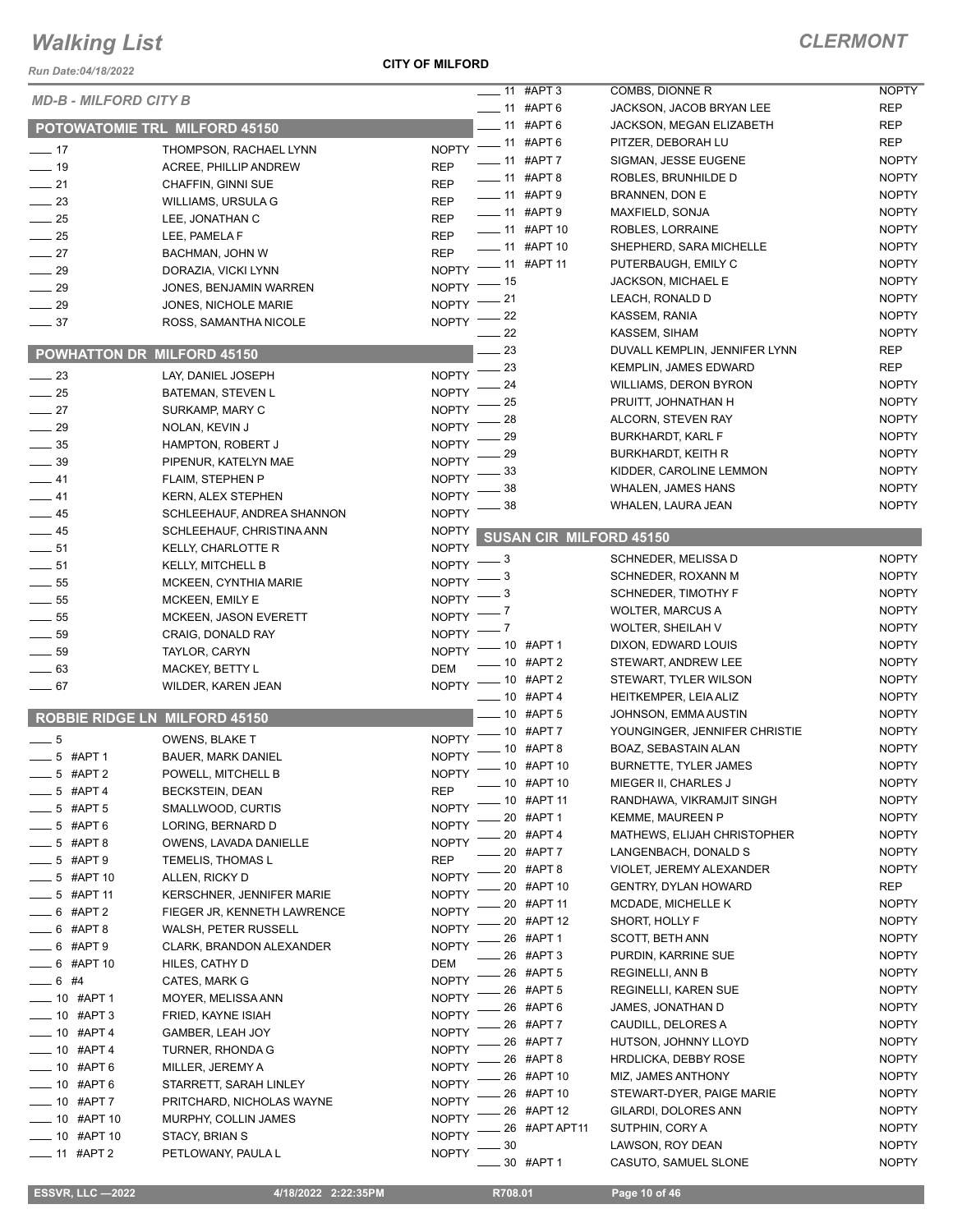*Run Date:04/18/2022*

**CITY OF MILFORD**

### *CLERMONT*

|                                      |                                  |                    |      | $- 11$ #APT 3           | COMBS, DIONNE R                          | <b>NOPTY</b> |
|--------------------------------------|----------------------------------|--------------------|------|-------------------------|------------------------------------------|--------------|
| <b>MD-B - MILFORD CITY B</b>         |                                  |                    |      | $- 11$ #APT 6           | JACKSON, JACOB BRYAN LEE                 | <b>REP</b>   |
| POTOWATOMIE TRL MILFORD 45150        |                                  |                    |      | $-$ 11 #APT 6           | JACKSON, MEGAN ELIZABETH                 | <b>REP</b>   |
|                                      |                                  | <b>NOPTY</b>       |      | -11 #APT 6              | PITZER, DEBORAH LU                       | <b>REP</b>   |
| $\frac{1}{2}$ 17                     | THOMPSON, RACHAEL LYNN           |                    |      | ____ 11 #APT 7          | SIGMAN, JESSE EUGENE                     | <b>NOPTY</b> |
| $\frac{1}{2}$ 19                     | ACREE, PHILLIP ANDREW            | <b>REP</b>         |      | $- 11$ #APT 8           | ROBLES, BRUNHILDE D                      | <b>NOPTY</b> |
| $\frac{1}{21}$                       | CHAFFIN, GINNI SUE               | <b>REP</b>         |      | -11 #APT 9              | BRANNEN, DON E                           | <b>NOPTY</b> |
| $\frac{1}{2}$ 23                     | WILLIAMS, URSULA G               | <b>REP</b>         |      | ___ 11 #APT 9           | MAXFIELD, SONJA                          | <b>NOPTY</b> |
| $\frac{1}{25}$                       | LEE, JONATHAN C                  | <b>REP</b>         |      | -11 #APT 10             | ROBLES, LORRAINE                         | <b>NOPTY</b> |
| $\frac{1}{25}$                       | LEE, PAMELA F                    | <b>REP</b>         |      | -11 #APT 10             | SHEPHERD, SARA MICHELLE                  | <b>NOPTY</b> |
| $\frac{1}{27}$                       | BACHMAN, JOHN W                  | <b>REP</b>         |      | NOPTY - 11 #APT 11      | PUTERBAUGH, EMILY C                      | <b>NOPTY</b> |
| $\frac{1}{29}$                       | DORAZIA, VICKI LYNN              |                    | - 15 |                         | <b>JACKSON, MICHAEL E</b>                | <b>NOPTY</b> |
| $\frac{1}{29}$                       | JONES, BENJAMIN WARREN           | NOPTY <sup>-</sup> | _ 21 |                         | LEACH, RONALD D                          | <b>NOPTY</b> |
| $\frac{1}{29}$                       | JONES, NICHOLE MARIE             | NOPTY $-$          | 22   |                         | KASSEM, RANIA                            | <b>NOPTY</b> |
| $\frac{1}{2}$ 37                     | ROSS, SAMANTHA NICOLE            | NOPTY $^-$         | 22   |                         | KASSEM, SIHAM                            | <b>NOPTY</b> |
|                                      |                                  |                    | 23   |                         | DUVALL KEMPLIN, JENNIFER LYNN            | <b>REP</b>   |
| POWHATTON DR MILFORD 45150           |                                  |                    | 23   |                         | <b>KEMPLIN, JAMES EDWARD</b>             | <b>REP</b>   |
| $\frac{1}{2}$ 23                     | LAY, DANIEL JOSEPH               | <b>NOPTY</b>       | 24   |                         | <b>WILLIAMS, DERON BYRON</b>             | <b>NOPTY</b> |
| $\frac{1}{25}$                       | <b>BATEMAN, STEVEN L</b>         | <b>NOPTY</b>       | 25   |                         | PRUITT, JOHNATHAN H                      | <b>NOPTY</b> |
| $\frac{1}{27}$                       | SURKAMP, MARY C                  | <b>NOPTY</b>       | 28   |                         | ALCORN, STEVEN RAY                       | <b>NOPTY</b> |
| $\frac{1}{29}$                       | NOLAN, KEVIN J                   | <b>NOPTY</b>       | 29   |                         | <b>BURKHARDT, KARL F</b>                 | <b>NOPTY</b> |
| $\frac{1}{2}$ 35                     | HAMPTON, ROBERT J                | <b>NOPTY</b>       | 29   |                         | <b>BURKHARDT, KEITH R</b>                | <b>NOPTY</b> |
| $\frac{1}{2}$ 39                     | PIPENUR, KATELYN MAE             | <b>NOPTY</b>       | 33   |                         | KIDDER, CAROLINE LEMMON                  | <b>NOPTY</b> |
| $-41$                                | FLAIM, STEPHEN P                 | <b>NOPTY</b>       |      |                         |                                          | <b>NOPTY</b> |
| $-41$                                | KERN, ALEX STEPHEN               | <b>NOPTY</b>       | 38   |                         | WHALEN, JAMES HANS<br>WHALEN, LAURA JEAN | <b>NOPTY</b> |
| $\frac{1}{2}$ 45                     | SCHLEEHAUF, ANDREA SHANNON       | <b>NOPTY</b>       | 38   |                         |                                          |              |
| $\frac{1}{2}$ 45                     | SCHLEEHAUF, CHRISTINA ANN        | <b>NOPTY</b>       |      | SUSAN CIR MILFORD 45150 |                                          |              |
| $\frac{1}{2}$ 51                     | KELLY, CHARLOTTE R               | <b>NOPTY</b>       |      |                         |                                          |              |
| $-51$                                | <b>KELLY, MITCHELL B</b>         | <b>NOPTY</b>       | - 3  |                         | SCHNEDER, MELISSA D                      | <b>NOPTY</b> |
| $\sim$ 55                            | MCKEEN, CYNTHIA MARIE            | <b>NOPTY</b>       |      |                         | SCHNEDER, ROXANN M                       | <b>NOPTY</b> |
| $\frac{1}{2}$ 55                     | MCKEEN, EMILY E                  | <b>NOPTY</b>       |      |                         | SCHNEDER, TIMOTHY F                      | <b>NOPTY</b> |
| $\frac{1}{2}$ 55                     | <b>MCKEEN, JASON EVERETT</b>     | <b>NOPTY</b>       |      |                         | <b>WOLTER, MARCUS A</b>                  | <b>NOPTY</b> |
| $\frac{1}{2}$ 59                     | CRAIG, DONALD RAY                | <b>NOPTY</b>       | - 7  |                         | <b>WOLTER, SHEILAH V</b>                 | <b>NOPTY</b> |
| $\frac{1}{2}$ 59                     | TAYLOR, CARYN                    | <b>NOPTY</b>       |      | $-10$ #APT 1            | DIXON, EDWARD LOUIS                      | <b>NOPTY</b> |
| $\equiv$ 63                          | MACKEY, BETTY L                  | <b>DEM</b>         |      | $-10$ #APT 2            | STEWART, ANDREW LEE                      | <b>NOPTY</b> |
| $\frac{1}{2}$ 67                     | WILDER, KAREN JEAN               |                    |      | NOPTY $-$ 10 #APT 2     | STEWART, TYLER WILSON                    | <b>NOPTY</b> |
|                                      |                                  |                    |      | $-$ 10 #APT 4           | HEITKEMPER, LEIA ALIZ                    | <b>NOPTY</b> |
| <b>ROBBIE RIDGE LN MILFORD 45150</b> |                                  |                    |      | $- 10$ #APT 5           | JOHNSON, EMMA AUSTIN                     | <b>NOPTY</b> |
| $-5$                                 | OWENS, BLAKE T                   |                    |      | NOPTY - 10 #APT 7       | YOUNGINGER, JENNIFER CHRISTIE            | <b>NOPTY</b> |
| $-5$ #APT 1                          | <b>BAUER, MARK DANIEL</b>        |                    |      | NOPTY -0 #APT 8         | BOAZ, SEBASTAIN ALAN                     | <b>NOPTY</b> |
| 5 #APT 2                             | POWELL, MITCHELL B               |                    |      | NOPTY -0 #APT 10        | <b>BURNETTE, TYLER JAMES</b>             | <b>NOPTY</b> |
| $-5$ #APT 4                          | <b>BECKSTEIN, DEAN</b>           | <b>REP</b>         |      | $-10$ #APT 10           | MIEGER II, CHARLES J                     | <b>NOPTY</b> |
| 5 #APT 5                             | SMALLWOOD, CURTIS                | <b>NOPTY</b>       |      | _ 10 #APT 11            | RANDHAWA, VIKRAMJIT SINGH                | <b>NOPTY</b> |
| 5 #APT6                              | LORING, BERNARD D                | <b>NOPTY</b>       |      | 20 #APT 1               | <b>KEMME, MAUREEN P</b>                  | <b>NOPTY</b> |
| 5 #APT 8                             | OWENS, LAVADA DANIELLE           | <b>NOPTY</b>       |      | 20 #APT 4               | MATHEWS, ELIJAH CHRISTOPHER              | <b>NOPTY</b> |
| _5 #APT 9                            | TEMELIS, THOMAS L                | <b>REP</b>         |      | 20 #APT 7               | LANGENBACH, DONALD S                     | <b>NOPTY</b> |
| $-5$ #APT 10                         | ALLEN, RICKY D                   | <b>NOPTY</b>       |      | 20 #APT 8               | VIOLET, JEREMY ALEXANDER                 | <b>NOPTY</b> |
| __ 5 #APT 11                         | <b>KERSCHNER, JENNIFER MARIE</b> | <b>NOPTY</b>       |      | 20 #APT 10              | <b>GENTRY, DYLAN HOWARD</b>              | <b>REP</b>   |
| $-6$ #APT 2                          | FIEGER JR, KENNETH LAWRENCE      | <b>NOPTY</b>       |      | 20 #APT 11              | MCDADE, MICHELLE K                       | <b>NOPTY</b> |
| $-6$ #APT 8                          | <b>WALSH, PETER RUSSELL</b>      | <b>NOPTY</b>       |      | 20 #APT 12              | SHORT, HOLLY F                           | <b>NOPTY</b> |
| 5 #APT =                             | CLARK, BRANDON ALEXANDER         | <b>NOPTY</b>       |      | 26 #APT 1               | SCOTT, BETH ANN                          | <b>NOPTY</b> |
| $-6$ #APT 10                         | HILES, CATHY D                   | <b>DEM</b>         |      | 26 #APT 3               | PURDIN, KARRINE SUE                      | <b>NOPTY</b> |
| $-6$ #4                              | CATES, MARK G                    | <b>NOPTY</b>       |      | 26 #APT 5               | <b>REGINELLI, ANN B</b>                  | <b>NOPTY</b> |
| $- 10$ #APT 1                        | MOYER, MELISSA ANN               | <b>NOPTY</b>       |      | 26 #APT 5               | <b>REGINELLI, KAREN SUE</b>              | <b>NOPTY</b> |
| $- 10$ #APT 3                        | FRIED, KAYNE ISIAH               | <b>NOPTY</b>       |      | 26 #APT 6               | JAMES, JONATHAN D                        | <b>NOPTY</b> |
| $-$ 10 #APT 4                        | GAMBER, LEAH JOY                 | <b>NOPTY</b>       |      | 26 #APT 7               | CAUDILL, DELORES A                       | <b>NOPTY</b> |
| $-10$ #APT 4                         | TURNER, RHONDA G                 | <b>NOPTY</b>       |      | 26 #APT 7               | HUTSON, JOHNNY LLOYD                     | <b>NOPTY</b> |
| $-10$ #APT 6                         | MILLER, JEREMY A                 | <b>NOPTY</b>       |      | 26 #APT 8               | HRDLICKA, DEBBY ROSE                     | <b>NOPTY</b> |
| $-10$ #APT 6                         | STARRETT, SARAH LINLEY           | <b>NOPTY</b>       |      | 26 #APT 10              | MIZ, JAMES ANTHONY                       | <b>NOPTY</b> |
| $-10$ #APT 7                         | PRITCHARD, NICHOLAS WAYNE        | <b>NOPTY</b>       |      | 26 #APT 10              | STEWART-DYER, PAIGE MARIE                | <b>NOPTY</b> |
| __ 10   #APT 10                      | MURPHY, COLLIN JAMES             | <b>NOPTY</b>       |      | 26 #APT 12              | GILARDI, DOLORES ANN                     | <b>NOPTY</b> |
| ____ 10 #APT 10                      | STACY, BRIAN S                   | <b>NOPTY</b>       |      | 26 #APT APT11           | SUTPHIN, CORY A                          | <b>NOPTY</b> |
| $-$ 11 #APT 2                        |                                  | <b>NOPTY</b>       | 30   |                         | LAWSON, ROY DEAN                         | <b>NOPTY</b> |
|                                      | PETLOWANY, PAULA L               |                    |      | $-30$ #APT 1            | CASUTO, SAMUEL SLONE                     | <b>NOPTY</b> |

**ESSVR, LLC —2022 4/18/2022 2:22:35PM** R708.01 **Page 10 of 46**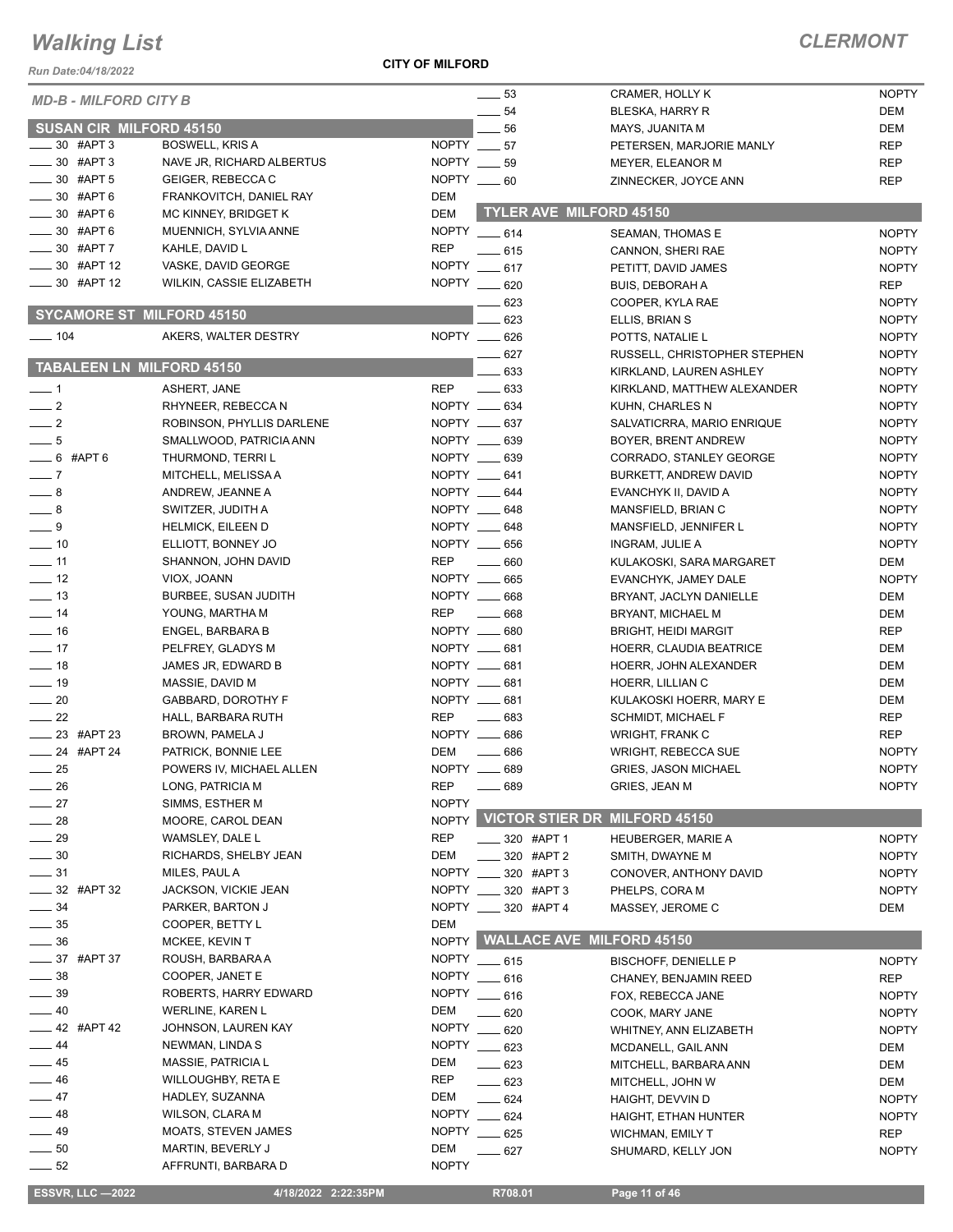*Run Date:04/18/2022*

**CITY OF MILFORD**

| <b>Run Date:04/18/2022</b>                      |                                                 |                   |                              |                                                     |                              |
|-------------------------------------------------|-------------------------------------------------|-------------------|------------------------------|-----------------------------------------------------|------------------------------|
| <b>MD-B - MILFORD CITY B</b>                    |                                                 |                   | $\frac{1}{2}$ 53             | CRAMER, HOLLY K                                     | <b>NOPTY</b>                 |
|                                                 |                                                 |                   | $\frac{1}{2}$ 54             | BLESKA, HARRY R                                     | DEM                          |
| <b>SUSAN CIR MILFORD 45150</b><br>$\_30$ #APT 3 | <b>BOSWELL, KRIS A</b>                          |                   | $-56$<br>NOPTY ____ 57       | MAYS, JUANITA M                                     | DEM                          |
| $= 30$ #APT 3                                   | NAVE JR, RICHARD ALBERTUS                       |                   | NOPTY $-59$                  | PETERSEN, MARJORIE MANLY<br><b>MEYER, ELEANOR M</b> | <b>REP</b><br><b>REP</b>     |
| $-30$ #APT 5                                    | GEIGER, REBECCA C                               |                   | $NOPTY = 60$                 | ZINNECKER, JOYCE ANN                                | <b>REP</b>                   |
| $-30$ #APT 6                                    | FRANKOVITCH, DANIEL RAY                         | DEM               |                              |                                                     |                              |
| $- 30$ #APT 6                                   | MC KINNEY, BRIDGET K                            | <b>DEM</b>        | TYLER AVE MILFORD 45150      |                                                     |                              |
| $-30$ #APT 6                                    | MUENNICH, SYLVIA ANNE                           |                   | NOPTY $-614$                 | SEAMAN, THOMAS E                                    | <b>NOPTY</b>                 |
| $\frac{1}{2}$ 30 #APT 7                         | KAHLE, DAVID L                                  | <b>REP</b>        | $-615$                       | CANNON, SHERI RAE                                   | <b>NOPTY</b>                 |
| $-30$ #APT 12                                   | VASKE, DAVID GEORGE                             |                   | NOPTY __ 617                 | PETITT, DAVID JAMES                                 | <b>NOPTY</b>                 |
| ___ 30 #APT 12                                  | WILKIN, CASSIE ELIZABETH                        |                   | NOPTY __ 620                 | <b>BUIS, DEBORAH A</b>                              | <b>REP</b>                   |
|                                                 |                                                 |                   | 623                          | COOPER, KYLA RAE                                    | <b>NOPTY</b>                 |
| <b>SYCAMORE ST MILFORD 45150</b>                |                                                 |                   | 623                          | ELLIS, BRIAN S                                      | <b>NOPTY</b>                 |
| $- 104$                                         | AKERS, WALTER DESTRY                            |                   | NOPTY __ 626                 | POTTS, NATALIE L                                    | <b>NOPTY</b>                 |
|                                                 |                                                 |                   | 627                          | RUSSELL, CHRISTOPHER STEPHEN                        | <b>NOPTY</b>                 |
| <b>TABALEEN LN_MILFORD 45150</b>                |                                                 |                   | 633                          | KIRKLAND, LAUREN ASHLEY                             | <b>NOPTY</b>                 |
| $\overline{\phantom{0}}$ 1                      | ASHERT, JANE                                    | REP               | $\frac{1}{2}$ 633            | KIRKLAND, MATTHEW ALEXANDER                         | <b>NOPTY</b>                 |
| $\frac{1}{2}$                                   | RHYNEER, REBECCA N                              |                   | NOPTY __ 634                 | KUHN, CHARLES N                                     | <b>NOPTY</b>                 |
| $\frac{1}{2}$                                   | ROBINSON, PHYLLIS DARLENE                       |                   | NOPTY __ 637                 | SALVATICRRA, MARIO ENRIQUE                          | <b>NOPTY</b>                 |
| $\overline{\phantom{0}}$ 5                      | SMALLWOOD, PATRICIA ANN<br>THURMOND, TERRIL     |                   | NOPTY __ 639<br>NOPTY __ 639 | BOYER, BRENT ANDREW                                 | <b>NOPTY</b>                 |
| $-6$ #APT 6<br>$\sim$ 7                         | MITCHELL, MELISSA A                             |                   | NOPTY __ 641                 | CORRADO, STANLEY GEORGE<br>BURKETT, ANDREW DAVID    | <b>NOPTY</b><br><b>NOPTY</b> |
| $-8$                                            | ANDREW, JEANNE A                                |                   | NOPTY __ 644                 | EVANCHYK II, DAVID A                                | <b>NOPTY</b>                 |
| $-8$                                            | SWITZER, JUDITH A                               |                   | NOPTY __ 648                 | MANSFIELD, BRIAN C                                  | <b>NOPTY</b>                 |
| $-9$                                            | <b>HELMICK, EILEEN D</b>                        |                   | NOPTY __ 648                 | MANSFIELD, JENNIFER L                               | <b>NOPTY</b>                 |
| $\frac{1}{2}$ 10                                | ELLIOTT, BONNEY JO                              |                   | NOPTY __ 656                 | INGRAM, JULIE A                                     | <b>NOPTY</b>                 |
| $\overline{\phantom{0}}$ 11                     | SHANNON, JOHN DAVID                             | REP               | $\sim$ 660                   | KULAKOSKI, SARA MARGARET                            | DEM                          |
| $-12$                                           | VIOX, JOANN                                     |                   | NOPTY __ 665                 | EVANCHYK, JAMEY DALE                                | <b>NOPTY</b>                 |
| $\frac{1}{2}$ 13                                | <b>BURBEE, SUSAN JUDITH</b>                     |                   | NOPTY __ 668                 | BRYANT, JACLYN DANIELLE                             | DEM                          |
| $-14$                                           | YOUNG, MARTHA M                                 | <b>REP</b>        | $\frac{1}{2}$ 668            | BRYANT, MICHAEL M                                   | DEM                          |
| $\frac{1}{16}$                                  | ENGEL, BARBARA B                                |                   | NOPTY __ 680                 | <b>BRIGHT, HEIDI MARGIT</b>                         | <b>REP</b>                   |
| $\frac{1}{2}$ 17                                | PELFREY, GLADYS M                               |                   | NOPTY __ 681                 | HOERR, CLAUDIA BEATRICE                             | DEM                          |
| $\frac{1}{2}$ 18                                | JAMES JR, EDWARD B                              |                   | NOPTY __ 681                 | HOERR, JOHN ALEXANDER                               | DEM                          |
| $\frac{1}{2}$ 19                                | MASSIE, DAVID M                                 |                   | NOPTY __ 681                 | HOERR, LILLIAN C                                    | DEM                          |
| $\sim$ 20                                       | GABBARD, DOROTHY F                              |                   | NOPTY __ 681                 | KULAKOSKI HOERR, MARY E                             | DEM                          |
| $\frac{22}{2}$                                  | HALL, BARBARA RUTH                              | <b>REP</b>        | $-683$                       | <b>SCHMIDT, MICHAEL F</b>                           | <b>REP</b>                   |
| $-23$ #APT 23                                   | BROWN, PAMELA J                                 |                   | NOPTY __ 686                 | <b>WRIGHT, FRANK C</b>                              | <b>REP</b>                   |
| __ 24 #APT 24<br>$-25$                          | PATRICK, BONNIE LEE<br>POWERS IV, MICHAEL ALLEN | DEM               | ____ 686<br>NOPTY __ 689     | <b>WRIGHT, REBECCA SUE</b><br>GRIES, JASON MICHAEL  | <b>NOPTY</b><br><b>NOPTY</b> |
| $-26$                                           | LONG, PATRICIA M                                | <b>REP</b>        | $\_\_689$                    | GRIES, JEAN M                                       | <b>NOPTY</b>                 |
| $\frac{1}{27}$                                  | SIMMS, ESTHER M                                 | <b>NOPTY</b>      |                              |                                                     |                              |
| $-28$                                           | MOORE, CAROL DEAN                               |                   | NOPTY VICTOR STIER DR        | <b>MILFORD 45150</b>                                |                              |
| $-29$                                           | WAMSLEY, DALE L                                 | <b>REP</b>        | 320 #APT 1                   | <b>HEUBERGER, MARIE A</b>                           | <b>NOPTY</b>                 |
| $\frac{1}{2}$ 30                                | RICHARDS, SHELBY JEAN                           | DEM               | 320 #APT 2                   | SMITH, DWAYNE M                                     | <b>NOPTY</b>                 |
| $-31$                                           | MILES, PAUL A                                   | NOPTY __          | 320 #APT 3                   | CONOVER, ANTHONY DAVID                              | <b>NOPTY</b>                 |
| _ 32 #APT 32                                    | JACKSON, VICKIE JEAN                            | NOPTY             | 320 #APT 3                   | PHELPS, CORA M                                      | <b>NOPTY</b>                 |
| $-34$                                           | PARKER, BARTON J                                | NOPTY ___         | 320 #APT 4                   | MASSEY, JEROME C                                    | DEM                          |
| $-35$                                           | COOPER, BETTY L                                 | <b>DEM</b>        |                              |                                                     |                              |
| _ 36                                            | MCKEE, KEVIN T                                  |                   |                              | NOPTY WALLACE AVE MILFORD 45150                     |                              |
| <sub>___</sub> 37 #APT 37                       | ROUSH, BARBARA A                                |                   | NOPTY __ 615                 | <b>BISCHOFF, DENIELLE P</b>                         | <b>NOPTY</b>                 |
| $-38$                                           | COOPER, JANET E                                 | <b>NOPTY</b>      | $-616$                       | CHANEY, BENJAMIN REED                               | <b>REP</b>                   |
| $\frac{1}{2}$ 39                                | ROBERTS, HARRY EDWARD                           | <b>NOPTY</b>      | $-616$                       | FOX, REBECCA JANE                                   | <b>NOPTY</b>                 |
| $-40$                                           | <b>WERLINE, KAREN L</b>                         | DEM               | - 620                        | COOK, MARY JANE                                     | <b>NOPTY</b>                 |
| $-42$ #APT 42                                   | JOHNSON, LAUREN KAY                             | <b>NOPTY</b>      | $-620$                       | WHITNEY, ANN ELIZABETH                              | <b>NOPTY</b>                 |
| $-44$                                           | NEWMAN, LINDA S                                 | <b>NOPTY</b>      | 623                          | MCDANELL, GAIL ANN                                  | DEM                          |
| __ 45<br>— 46                                   | MASSIE, PATRICIA L<br>WILLOUGHBY, RETA E        | DEM<br><b>REP</b> | $-623$                       | MITCHELL, BARBARA ANN                               | DEM                          |
| - 47                                            | HADLEY, SUZANNA                                 | DEM               | $\frac{1}{2}$ 623            | MITCHELL, JOHN W                                    | DEM                          |
| - 48                                            | WILSON, CLARA M                                 | <b>NOPTY</b>      | $-624$<br>$-624$             | HAIGHT, DEVVIN D                                    | <b>NOPTY</b>                 |
| $-49$                                           | <b>MOATS, STEVEN JAMES</b>                      | <b>NOPTY</b>      | $-625$                       | HAIGHT, ETHAN HUNTER<br>WICHMAN, EMILY T            | <b>NOPTY</b><br><b>REP</b>   |
| $=$ 50                                          | MARTIN, BEVERLY J                               | DEM               | 627                          | SHUMARD, KELLY JON                                  | <b>NOPTY</b>                 |
| $\frac{1}{2}$ 52                                | AFFRUNTI, BARBARA D                             | <b>NOPTY</b>      |                              |                                                     |                              |
|                                                 |                                                 |                   |                              |                                                     |                              |
| <b>ESSVR, LLC -2022</b>                         | 4/18/2022 2:22:35PM                             |                   | R708.01                      | Page 11 of 46                                       |                              |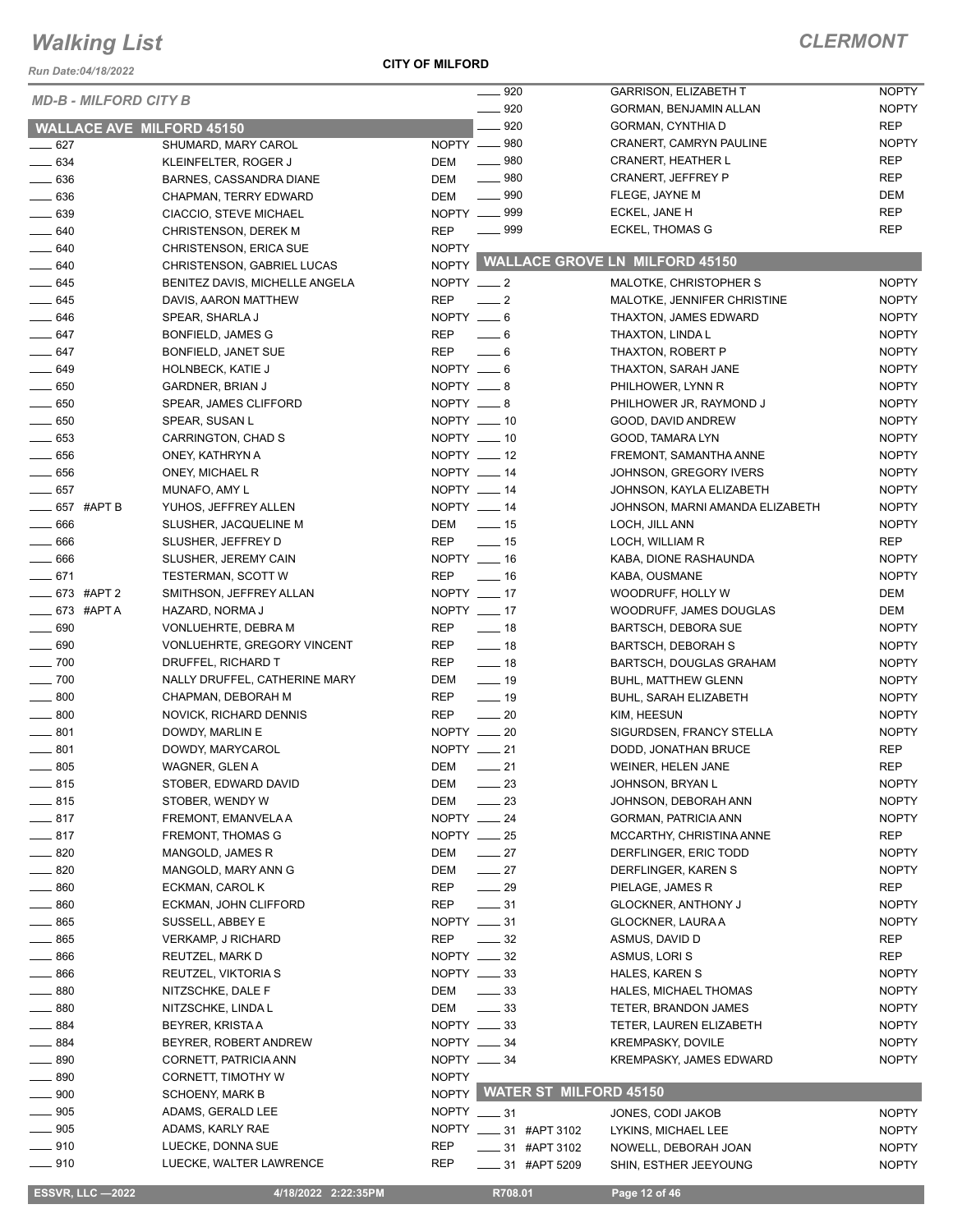*Run Date:04/18/2022*

### **CITY OF MILFORD**

| <b>MD-B - MILFORD CITY B</b>     |                                |                                  | 920                          | <b>GARRISON, ELIZABETH T</b>          | <b>NOPTY</b> |
|----------------------------------|--------------------------------|----------------------------------|------------------------------|---------------------------------------|--------------|
|                                  |                                |                                  | $\frac{1}{2}$ 920            | GORMAN, BENJAMIN ALLAN                | <b>NOPTY</b> |
| <b>WALLACE AVE MILFORD 45150</b> |                                |                                  | $-920$                       | <b>GORMAN, CYNTHIA D</b>              | <b>REP</b>   |
| $- 627$                          | SHUMARD, MARY CAROL            |                                  | NOPTY __ 980                 | CRANERT, CAMRYN PAULINE               | <b>NOPTY</b> |
| $- 634$                          | KLEINFELTER, ROGER J           | DEM                              | $\frac{1}{2}$ 980            | <b>CRANERT, HEATHER L</b>             | <b>REP</b>   |
| $\frac{1}{2}$ 636                | BARNES, CASSANDRA DIANE        | DEM                              | $- 980$                      | <b>CRANERT, JEFFREY P</b>             | <b>REP</b>   |
| $\frac{1}{2}$ 636                | CHAPMAN, TERRY EDWARD          | DEM                              | $\frac{1}{2}$ 990            | FLEGE, JAYNE M                        | <b>DEM</b>   |
| $\frac{1}{2}$ 639                | CIACCIO, STEVE MICHAEL         |                                  | NOPTY -899                   | ECKEL, JANE H                         | <b>REP</b>   |
| $-640$                           | <b>CHRISTENSON, DEREK M</b>    | <b>REP</b>                       | $\frac{1}{2}$ 999            | ECKEL, THOMAS G                       | <b>REP</b>   |
| $- 640$                          | <b>CHRISTENSON, ERICA SUE</b>  | <b>NOPTY</b>                     |                              |                                       |              |
| $- 640$                          | CHRISTENSON, GABRIEL LUCAS     | NOPTY                            |                              | <b>WALLACE GROVE LN MILFORD 45150</b> |              |
| $-645$                           | BENITEZ DAVIS, MICHELLE ANGELA | NOPTY $-2$                       |                              | MALOTKE, CHRISTOPHER S                | <b>NOPTY</b> |
| $-645$                           | DAVIS, AARON MATTHEW           | <b>REP</b>                       | $\frac{1}{2}$                | MALOTKE, JENNIFER CHRISTINE           | <b>NOPTY</b> |
| $\frac{1}{2}$ 646                | SPEAR, SHARLA J                | NOPTY __ 6                       |                              | THAXTON, JAMES EDWARD                 | <b>NOPTY</b> |
| $-647$                           | BONFIELD, JAMES G              | REP                              | $\frac{1}{2}$ 6              | THAXTON, LINDA L                      | <b>NOPTY</b> |
| $-647$                           | BONFIELD, JANET SUE            | REP                              | $\frac{1}{2}$ 6              | THAXTON, ROBERT P                     | <b>NOPTY</b> |
| $-649$                           | HOLNBECK, KATIE J              | NOPTY $-6$                       |                              | THAXTON, SARAH JANE                   | <b>NOPTY</b> |
| $\frac{1}{2}$ 650                | GARDNER, BRIAN J               | $NOPTY = 8$                      |                              | PHILHOWER, LYNN R                     | <b>NOPTY</b> |
| $\frac{1}{2}$ 650                | SPEAR, JAMES CLIFFORD          | NOPTY $-8$                       |                              | PHILHOWER JR, RAYMOND J               | <b>NOPTY</b> |
| $\frac{1}{2}$ 650                | SPEAR, SUSAN L                 | NOPTY __ 10                      |                              | GOOD, DAVID ANDREW                    | <b>NOPTY</b> |
| $\frac{1}{2}$ 653                | CARRINGTON, CHAD S             | NOPTY $-10$                      |                              | GOOD, TAMARA LYN                      | <b>NOPTY</b> |
| $\frac{1}{2}$ 656                | ONEY, KATHRYN A                | NOPTY $-12$                      |                              | FREMONT, SAMANTHA ANNE                | <b>NOPTY</b> |
| $\frac{1}{2}$ 656                | ONEY, MICHAEL R                | NOPTY __ 14                      |                              | JOHNSON, GREGORY IVERS                | <b>NOPTY</b> |
| $\frac{1}{2}$ 657                | MUNAFO, AMY L                  | NOPTY __ 14                      |                              | JOHNSON, KAYLA ELIZABETH              | <b>NOPTY</b> |
| _____ 657 #APT B                 | YUHOS, JEFFREY ALLEN           | NOPTY $\_\_\_\$ 14               |                              | JOHNSON, MARNI AMANDA ELIZABETH       | <b>NOPTY</b> |
| $\frac{1}{2}$ 666                | SLUSHER, JACQUELINE M          | DEM                              | $\frac{1}{2}$ 15             | LOCH, JILL ANN                        | <b>NOPTY</b> |
| $\equiv$ 666                     | SLUSHER, JEFFREY D             | <b>REP</b>                       | $\frac{1}{2}$ 15             | LOCH, WILLIAM R                       | REP          |
| $\frac{1}{2}$ 666                |                                | NOPTY __ 16                      |                              |                                       | <b>NOPTY</b> |
| $-671$                           | SLUSHER, JEREMY CAIN           | <b>REP</b>                       | $\sim$ 16                    | KABA, DIONE RASHAUNDA                 | <b>NOPTY</b> |
|                                  | <b>TESTERMAN, SCOTT W</b>      |                                  |                              | KABA, OUSMANE                         |              |
| $-673$ #APT 2                    | SMITHSON, JEFFREY ALLAN        | $NOPTY$ $\_\_$ 17<br>NOPTY __ 17 |                              | WOODRUFF, HOLLY W                     | DEM          |
| $\frac{1}{2}$ 673 #APT A         | HAZARD, NORMA J                |                                  |                              | WOODRUFF, JAMES DOUGLAS               | DEM          |
| $\frac{1}{2}$ 690                | VONLUEHRTE, DEBRA M            | <b>REP</b>                       | $\frac{1}{2}$ 18             | <b>BARTSCH, DEBORA SUE</b>            | <b>NOPTY</b> |
| $- 690$                          | VONLUEHRTE, GREGORY VINCENT    | REP                              | $\frac{1}{2}$ 18             | <b>BARTSCH, DEBORAH S</b>             | <b>NOPTY</b> |
| $\frac{1}{2}$ 700                | DRUFFEL, RICHARD T             | REP                              | $-18$                        | BARTSCH, DOUGLAS GRAHAM               | <b>NOPTY</b> |
| $\sim$ 700                       | NALLY DRUFFEL, CATHERINE MARY  | DEM                              | $\frac{1}{2}$ 19             | <b>BUHL, MATTHEW GLENN</b>            | <b>NOPTY</b> |
| $\frac{1}{2}$ 800                | CHAPMAN, DEBORAH M             | <b>REP</b>                       | $\frac{1}{2}$ 19             | <b>BUHL, SARAH ELIZABETH</b>          | <b>NOPTY</b> |
| $\frac{1}{2}$ 800                | NOVICK, RICHARD DENNIS         | <b>REP</b>                       | $\sim$ 20                    | KIM, HEESUN                           | <b>NOPTY</b> |
| $\frac{1}{2}$ 801                | DOWDY, MARLIN E                | NOPTY $-20$                      |                              | SIGURDSEN, FRANCY STELLA              | <b>NOPTY</b> |
| $\frac{1}{2}$ 801                | DOWDY, MARYCAROL               | NOPTY __ 21                      |                              | DODD, JONATHAN BRUCE                  | <b>REP</b>   |
| $\frac{1}{2}$ 805                | WAGNER, GLEN A                 | DEM                              | $\frac{1}{21}$               | WEINER, HELEN JANE                    | <b>REP</b>   |
| $\frac{1}{2}$ 815                | STOBER, EDWARD DAVID           | DEM                              | $\frac{1}{2}$ 23             | JOHNSON, BRYAN L                      | <b>NOPTY</b> |
| $-815$                           | STOBER, WENDY W                | DEM                              | $\frac{1}{2}$ 23             | JOHNSON, DEBORAH ANN                  | <b>NOPTY</b> |
| $-817$                           | FREMONT, EMANVELA A            | $NOPTY$ __ 24                    |                              | GORMAN, PATRICIA ANN                  | <b>NOPTY</b> |
| $-817$                           | <b>FREMONT, THOMAS G</b>       | NOPTY $-25$                      |                              | MCCARTHY, CHRISTINA ANNE              | <b>REP</b>   |
| $- 820$                          | MANGOLD, JAMES R               | DEM                              | $\frac{1}{27}$               | DERFLINGER, ERIC TODD                 | <b>NOPTY</b> |
| $- 820$                          | MANGOLD, MARY ANN G            | DEM                              | $\frac{1}{27}$               | DERFLINGER, KAREN S                   | <b>NOPTY</b> |
| $- 860$                          | ECKMAN, CAROL K                | REP                              | $\frac{1}{29}$               | PIELAGE, JAMES R                      | REP          |
| $- 860$                          | ECKMAN, JOHN CLIFFORD          | REP                              | $\frac{1}{2}$ 31             | <b>GLOCKNER, ANTHONY J</b>            | <b>NOPTY</b> |
| $\frac{1}{2}$ 865                | SUSSELL, ABBEY E               | $NOPTY$ ____ 31                  |                              | GLOCKNER, LAURA A                     | <b>NOPTY</b> |
| $- 865$                          | <b>VERKAMP, J RICHARD</b>      | REP                              | $\frac{32}{2}$               | ASMUS, DAVID D                        | REP          |
| $-866$                           | REUTZEL, MARK D                | $NOPTY$ ____ 32                  |                              | ASMUS, LORIS                          | REP          |
| $\frac{1}{2}$ 866                | REUTZEL, VIKTORIA S            | NOPTY __ 33                      |                              | HALES, KAREN S                        | <b>NOPTY</b> |
| $- 880$                          | NITZSCHKE, DALE F              | DEM                              | $\frac{1}{2}$ 33             | HALES, MICHAEL THOMAS                 | <b>NOPTY</b> |
| $-880$                           | NITZSCHKE, LINDA L             | DEM                              | $\frac{1}{2}$ 33             | TETER, BRANDON JAMES                  | <b>NOPTY</b> |
| $\_\_$ 884                       | BEYRER, KRISTA A               | NOPTY __ 33                      |                              | TETER, LAUREN ELIZABETH               | <b>NOPTY</b> |
| $- 884$                          | BEYRER, ROBERT ANDREW          | NOPTY __ 34                      |                              | <b>KREMPASKY, DOVILE</b>              | <b>NOPTY</b> |
| $\frac{1}{2}$ 890                | CORNETT, PATRICIA ANN          | NOPTY $-34$                      |                              | <b>KREMPASKY, JAMES EDWARD</b>        | <b>NOPTY</b> |
| $\frac{1}{2}$ 890                | CORNETT, TIMOTHY W             | <b>NOPTY</b>                     |                              |                                       |              |
| $\frac{1}{2}$ 900                | <b>SCHOENY, MARK B</b>         |                                  | NOPTY WATER ST MILFORD 45150 |                                       |              |
| $\_\_$ 905                       | ADAMS, GERALD LEE              | NOPTY $\_\_\$ 31                 |                              | JONES, CODI JAKOB                     | <b>NOPTY</b> |
| $\frac{1}{2}$ 905                | ADAMS, KARLY RAE               |                                  | NOPTY __ 31 #APT 3102        | LYKINS, MICHAEL LEE                   | <b>NOPTY</b> |
| $- 910$                          | LUECKE, DONNA SUE              | REP                              | _____ 31 #APT 3102           | NOWELL, DEBORAH JOAN                  | <b>NOPTY</b> |
| $- 910$                          | LUECKE, WALTER LAWRENCE        | REP                              | _____ 31 #APT 5209           | SHIN, ESTHER JEEYOUNG                 | <b>NOPTY</b> |
|                                  |                                |                                  |                              |                                       |              |
| <b>ESSVR, LLC -2022</b>          | 4/18/2022 2:22:35PM            |                                  | R708.01                      | Page 12 of 46                         |              |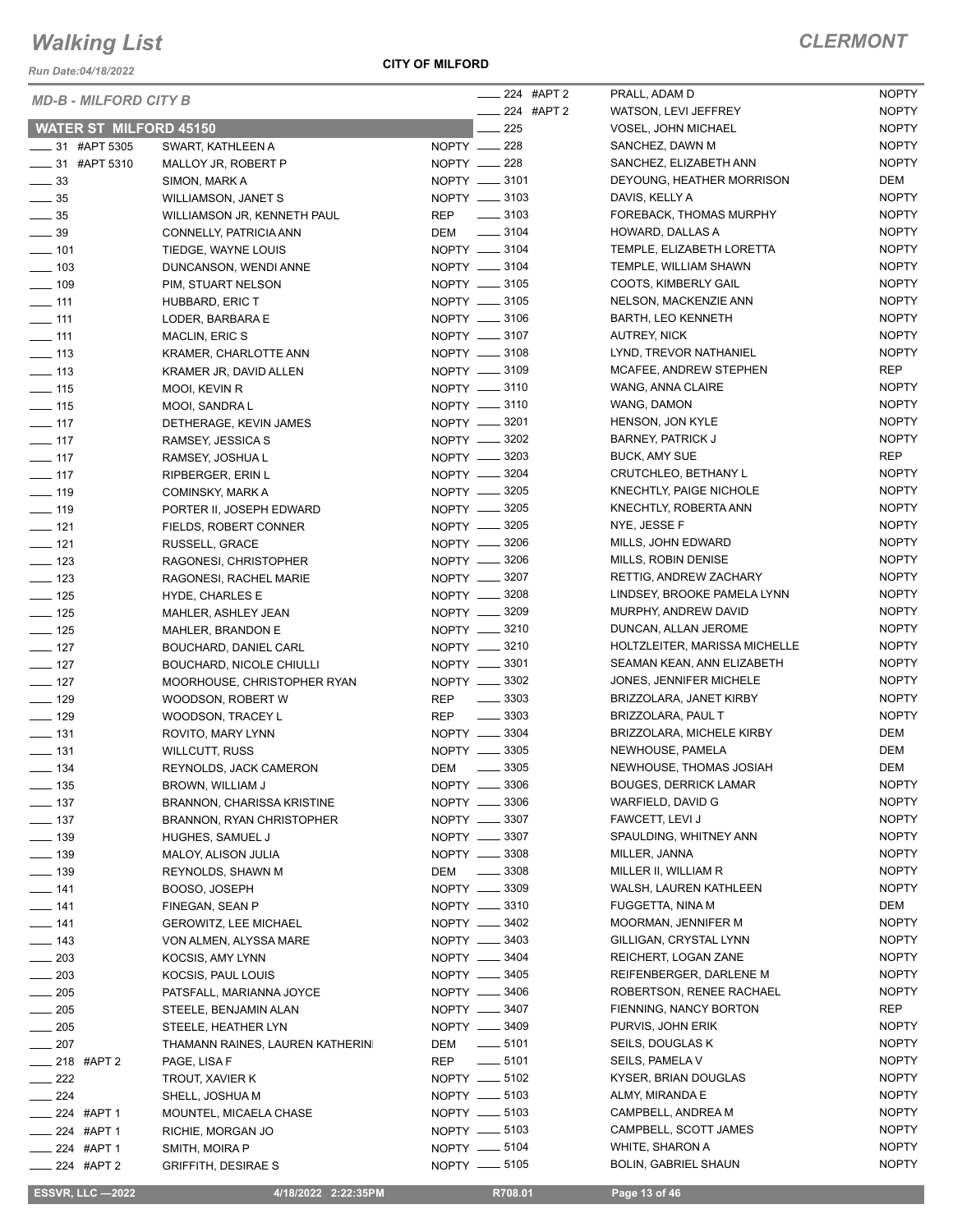*Run Date:04/18/2022*

**CITY OF MILFORD**

| <b>MD-B - MILFORD CITY B</b>  |                                   |            |                     | $\frac{1}{224}$ #APT 2 | PRALL, ADAM D                  | <b>NOPTY</b> |
|-------------------------------|-----------------------------------|------------|---------------------|------------------------|--------------------------------|--------------|
|                               |                                   |            | 224 #APT 2          | WATSON, LEVI JEFFREY   | <b>NOPTY</b>                   |              |
| <b>WATER ST MILFORD 45150</b> |                                   |            | 225                 |                        | VOSEL, JOHN MICHAEL            | <b>NOPTY</b> |
| _____ 31 #APT 5305            | SWART, KATHLEEN A                 |            | NOPTY -228          |                        | SANCHEZ, DAWN M                | <b>NOPTY</b> |
| $- 31$ #APT 5310              | MALLOY JR, ROBERT P               |            | NOPTY __ 228        |                        | SANCHEZ, ELIZABETH ANN         | <b>NOPTY</b> |
| $\frac{1}{2}$ 33              | SIMON, MARK A                     |            | NOPTY -8101         |                        | DEYOUNG, HEATHER MORRISON      | DEM          |
| $\frac{1}{2}$ 35              | WILLIAMSON, JANET S               |            | NOPTY __ 3103       |                        | DAVIS, KELLY A                 | <b>NOPTY</b> |
| $\frac{1}{2}$ 35              | WILLIAMSON JR, KENNETH PAUL       | REP        | $\frac{1}{2}$ 3103  |                        | FOREBACK, THOMAS MURPHY        | <b>NOPTY</b> |
| $\frac{1}{2}$ 39              | CONNELLY, PATRICIA ANN            | DEM        | $- 3104$            |                        | HOWARD, DALLAS A               | <b>NOPTY</b> |
| $- 101$                       | TIEDGE, WAYNE LOUIS               |            | NOPTY __ 3104       |                        | TEMPLE, ELIZABETH LORETTA      | <b>NOPTY</b> |
| $\frac{1}{2}$ 103             | DUNCANSON, WENDI ANNE             |            | NOPTY __ 3104       |                        | TEMPLE, WILLIAM SHAWN          | <b>NOPTY</b> |
| $\frac{1}{2}$ 109             | PIM, STUART NELSON                |            | NOPTY __ 3105       |                        | COOTS, KIMBERLY GAIL           | <b>NOPTY</b> |
| $\frac{1}{2}$ 111             | HUBBARD, ERIC T                   |            | NOPTY __ 3105       |                        | NELSON, MACKENZIE ANN          | <b>NOPTY</b> |
| $\frac{1}{2}$ 111             | LODER, BARBARA E                  |            | NOPTY __ 3106       |                        | <b>BARTH, LEO KENNETH</b>      | <b>NOPTY</b> |
| $-111$                        | MACLIN, ERIC S                    |            | NOPTY __ 3107       |                        | <b>AUTREY, NICK</b>            | <b>NOPTY</b> |
| $\equiv$ 113                  | KRAMER, CHARLOTTE ANN             |            | NOPTY -8108         |                        | LYND, TREVOR NATHANIEL         | <b>NOPTY</b> |
| $\frac{1}{2}$ 113             | KRAMER JR, DAVID ALLEN            |            | NOPTY __ 3109       |                        | MCAFEE, ANDREW STEPHEN         | <b>REP</b>   |
| $\frac{1}{2}$ 115             | MOOI, KEVIN R                     |            | NOPTY -8110         |                        | WANG, ANNA CLAIRE              | <b>NOPTY</b> |
| $\frac{1}{2}$ 115             | MOOI, SANDRA L                    |            | NOPTY -8110         |                        | WANG, DAMON                    | <b>NOPTY</b> |
| $\frac{1}{2}$ 117             | DETHERAGE, KEVIN JAMES            |            | NOPTY __ 3201       |                        | HENSON, JON KYLE               | <b>NOPTY</b> |
| $- 117$                       | RAMSEY, JESSICA S                 |            | NOPTY -8202         |                        | <b>BARNEY, PATRICK J</b>       | <b>NOPTY</b> |
| $\frac{1}{2}$ 117             | RAMSEY, JOSHUA L                  |            | NOPTY __ 3203       |                        | <b>BUCK, AMY SUE</b>           | REP          |
| $\frac{1}{2}$ 117             | <b>RIPBERGER, ERIN L</b>          |            | NOPTY -8204         |                        | CRUTCHLEO, BETHANY L           | <b>NOPTY</b> |
| $\equiv$ 119                  | <b>COMINSKY, MARK A</b>           |            | NOPTY __ 3205       |                        | <b>KNECHTLY, PAIGE NICHOLE</b> | <b>NOPTY</b> |
| $- 119$                       | PORTER II, JOSEPH EDWARD          |            | NOPTY __ 3205       |                        | KNECHTLY, ROBERTA ANN          | <b>NOPTY</b> |
| $- 121$                       | FIELDS, ROBERT CONNER             |            | NOPTY -8205         |                        | NYE, JESSE F                   | <b>NOPTY</b> |
| $\frac{1}{2}$ 121             | RUSSELL, GRACE                    |            | NOPTY __ 3206       |                        | MILLS, JOHN EDWARD             | <b>NOPTY</b> |
| $\frac{1}{2}$ 123             | RAGONESI, CHRISTOPHER             |            | NOPTY __ 3206       |                        | MILLS, ROBIN DENISE            | <b>NOPTY</b> |
| $\frac{1}{2}$ 123             | RAGONESI, RACHEL MARIE            |            | NOPTY -8207         |                        | RETTIG, ANDREW ZACHARY         | <b>NOPTY</b> |
| $\frac{1}{2}$ 125             | <b>HYDE, CHARLES E</b>            |            | NOPTY __ 3208       |                        | LINDSEY, BROOKE PAMELA LYNN    | <b>NOPTY</b> |
| $\frac{1}{2}$ 125             | MAHLER, ASHLEY JEAN               |            | NOPTY -8209         |                        | MURPHY, ANDREW DAVID           | <b>NOPTY</b> |
| $\frac{1}{2}$ 125             | MAHLER, BRANDON E                 |            | NOPTY __ 3210       |                        | DUNCAN, ALLAN JEROME           | <b>NOPTY</b> |
| $\frac{1}{2}$ 127             | BOUCHARD, DANIEL CARL             |            | NOPTY -8210         |                        | HOLTZLEITER, MARISSA MICHELLE  | <b>NOPTY</b> |
| $\frac{1}{2}$ 127             | BOUCHARD, NICOLE CHIULLI          |            | NOPTY __ 3301       |                        | SEAMAN KEAN, ANN ELIZABETH     | <b>NOPTY</b> |
| $- 127$                       | MOORHOUSE, CHRISTOPHER RYAN       |            | NOPTY __ 3302       |                        | JONES, JENNIFER MICHELE        | <b>NOPTY</b> |
| $\frac{1}{2}$ 129             | WOODSON, ROBERT W                 | <b>REP</b> | $\frac{1}{2}$ 3303  |                        | BRIZZOLARA, JANET KIRBY        | <b>NOPTY</b> |
| $\frac{129}{2}$               | <b>WOODSON, TRACEY L</b>          | <b>REP</b> | $\frac{1}{2}$ 3303  |                        | BRIZZOLARA, PAUL T             | <b>NOPTY</b> |
| $- 131$                       | ROVITO, MARY LYNN                 |            | NOPTY -8304         |                        | BRIZZOLARA, MICHELE KIRBY      | DEM          |
| $\frac{1}{2}$ 131             | <b>WILLCUTT, RUSS</b>             |            | NOPTY __ 3305       |                        | NEWHOUSE, PAMELA               | DEM          |
| $\frac{1}{2}$ 134             | REYNOLDS, JACK CAMERON            | DEM        | $\frac{1}{2}$ 3305  |                        | NEWHOUSE, THOMAS JOSIAH        | DEM          |
| $\frac{1}{2}$ 135             | BROWN, WILLIAM J                  |            | NOPTY <u>_</u> 3306 |                        | <b>BOUGES, DERRICK LAMAR</b>   | <b>NOPTY</b> |
| $\frac{1}{2}$ 137             | <b>BRANNON, CHARISSA KRISTINE</b> |            | NOPTY __ 3306       |                        | WARFIELD, DAVID G              | <b>NOPTY</b> |
| $\frac{1}{2}$ 137             | <b>BRANNON, RYAN CHRISTOPHER</b>  |            | NOPTY __ 3307       |                        | FAWCETT, LEVI J                | <b>NOPTY</b> |
| $\equiv$ 139                  | HUGHES, SAMUEL J                  |            | NOPTY -8307         |                        | SPAULDING, WHITNEY ANN         | <b>NOPTY</b> |
| $\frac{1}{2}$ 139             | MALOY, ALISON JULIA               |            | NOPTY __ 3308       |                        | MILLER, JANNA                  | <b>NOPTY</b> |
| $\frac{1}{2}$ 139             | REYNOLDS, SHAWN M                 |            | DEM - 3308          |                        | MILLER II, WILLIAM R           | <b>NOPTY</b> |
| $- 141$                       | BOOSO, JOSEPH                     |            | NOPTY __ 3309       |                        | WALSH, LAUREN KATHLEEN         | <b>NOPTY</b> |
| $- 141$                       | FINEGAN, SEAN P                   |            | NOPTY __ 3310       |                        | FUGGETTA, NINA M               | DEM          |
| $- 141$                       | <b>GEROWITZ, LEE MICHAEL</b>      |            | NOPTY -8402         |                        | MOORMAN, JENNIFER M            | <b>NOPTY</b> |
| $- 143$                       | VON ALMEN, ALYSSA MARE            |            | NOPTY __ 3403       |                        | GILLIGAN, CRYSTAL LYNN         | <b>NOPTY</b> |
| $\frac{1}{203}$               | KOCSIS, AMY LYNN                  |            | NOPTY -8404         |                        | REICHERT, LOGAN ZANE           | <b>NOPTY</b> |
| $\sim$ 203                    | KOCSIS, PAUL LOUIS                |            | NOPTY __ 3405       |                        | REIFENBERGER, DARLENE M        | <b>NOPTY</b> |
| $\frac{1}{205}$               | PATSFALL, MARIANNA JOYCE          |            | NOPTY __ 3406       |                        | ROBERTSON, RENEE RACHAEL       | <b>NOPTY</b> |
| $\frac{1}{205}$               | STEELE, BENJAMIN ALAN             |            | NOPTY __ 3407       |                        | FIENNING, NANCY BORTON         | REP          |
| $\sim$ 205                    | STEELE, HEATHER LYN               |            | NOPTY __ 3409       |                        | PURVIS, JOHN ERIK              | <b>NOPTY</b> |
| $-207$                        | THAMANN RAINES, LAUREN KATHERIN   | DEM        | $\frac{1}{2}$ 5101  |                        | SEILS, DOUGLAS K               | <b>NOPTY</b> |
| $\frac{1}{218}$ #APT 2        | PAGE, LISA F                      | REP        | $\frac{1}{2}$ 5101  |                        | SEILS, PAMELA V                | <b>NOPTY</b> |
| $\frac{222}{2}$               | TROUT, XAVIER K                   |            | NOPTY -6102         |                        | KYSER, BRIAN DOUGLAS           | <b>NOPTY</b> |
| $\frac{1}{224}$               | SHELL, JOSHUA M                   |            | NOPTY -6103         |                        | ALMY, MIRANDA E                | <b>NOPTY</b> |
| _____ 224 #APT 1              | MOUNTEL, MICAELA CHASE            |            | NOPTY __ 5103       |                        | CAMPBELL, ANDREA M             | <b>NOPTY</b> |
| $\frac{1}{224}$ #APT 1        | RICHIE, MORGAN JO                 |            | NOPTY __ 5103       |                        | CAMPBELL, SCOTT JAMES          | <b>NOPTY</b> |
| $224$ #APT 1                  | SMITH, MOIRA P                    |            | NOPTY __ 5104       |                        | WHITE, SHARON A                | <b>NOPTY</b> |
| $-224$ #APT 2                 | <b>GRIFFITH, DESIRAE S</b>        |            | NOPTY -6105         |                        | <b>BOLIN, GABRIEL SHAUN</b>    | <b>NOPTY</b> |

**ESSVR, LLC -2022 4/18/2022 2:22:35PM** R708.01 **Page 13 of 46**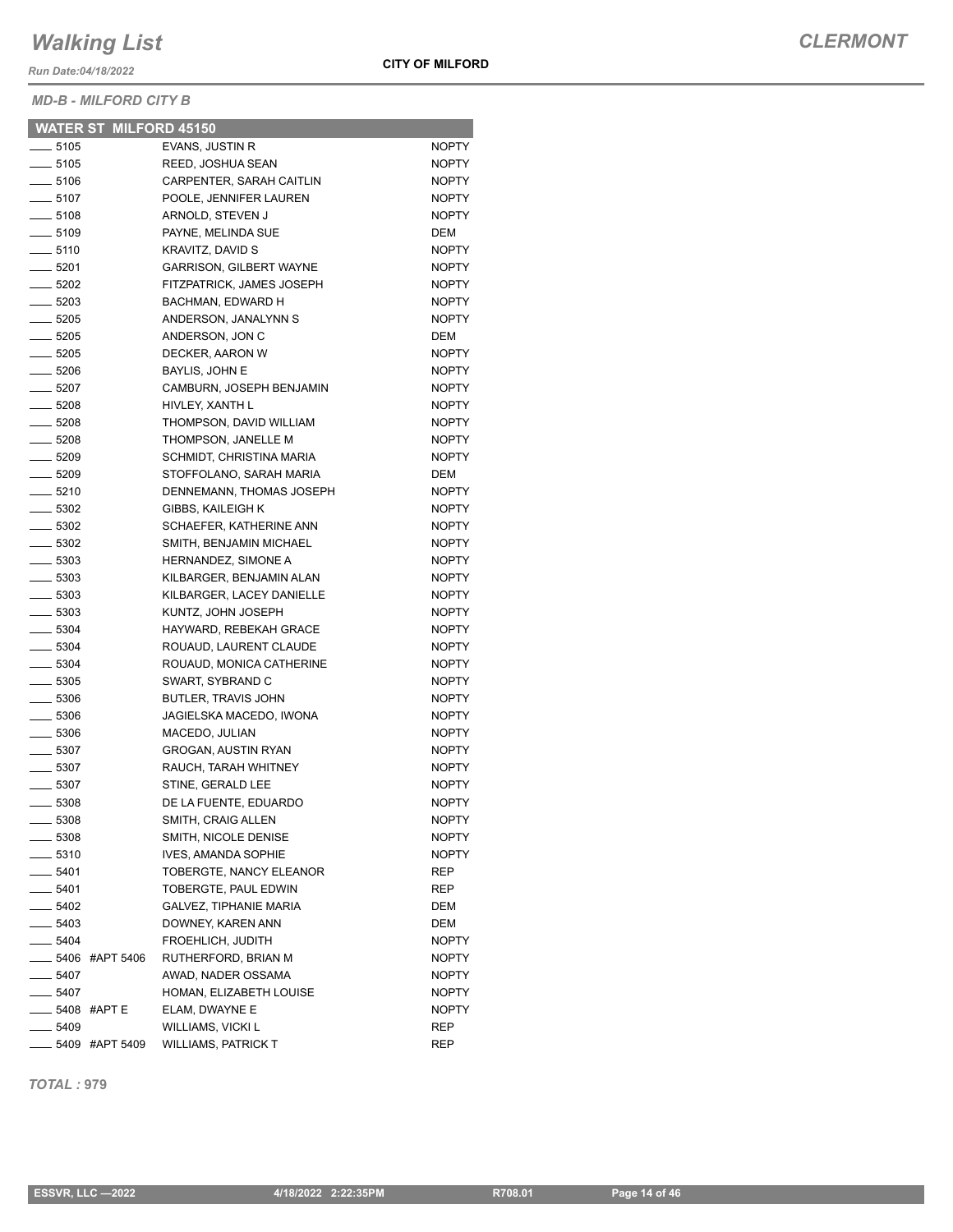*Run Date:04/18/2022*

*MD-B - MILFORD CITY B*

|                          | <b>WATER ST MILFORD 45150</b> |                                |              |
|--------------------------|-------------------------------|--------------------------------|--------------|
| $\frac{1}{2}$ 5105       |                               | EVANS, JUSTIN R                | <b>NOPTY</b> |
| $\frac{1}{2}$ 5105       |                               | REED, JOSHUA SEAN              | <b>NOPTY</b> |
| ____ 5106                |                               | CARPENTER, SARAH CAITLIN       | <b>NOPTY</b> |
| $\frac{1}{2}$ 5107       |                               | POOLE. JENNIFER LAUREN         | <b>NOPTY</b> |
| $\frac{1}{2}$ 5108       |                               | ARNOLD, STEVEN J               | <b>NOPTY</b> |
| $- 5109$                 |                               | PAYNE, MELINDA SUE             | DEM          |
| $-5110$                  |                               | KRAVITZ, DAVID S               | <b>NOPTY</b> |
| $- 5201$                 |                               | <b>GARRISON, GILBERT WAYNE</b> | <b>NOPTY</b> |
| $\frac{1}{2}$ 5202       |                               | FITZPATRICK, JAMES JOSEPH      | <b>NOPTY</b> |
| $\frac{1}{2}$ 5203       |                               | BACHMAN, EDWARD H              | <b>NOPTY</b> |
| $\frac{1}{2}$ 5205       |                               | ANDERSON, JANALYNN S           | <b>NOPTY</b> |
| $\frac{1}{2}$ 5205       |                               | ANDERSON, JON C                | DEM          |
| $\frac{1}{2}$ 5205       |                               | DECKER, AARON W                | <b>NOPTY</b> |
| $- 5206$                 |                               | BAYLIS, JOHN E                 | <b>NOPTY</b> |
| $- 5207$                 |                               | CAMBURN, JOSEPH BENJAMIN       | <b>NOPTY</b> |
| $- 5208$                 |                               | HIVLEY, XANTH L                | <b>NOPTY</b> |
| $- 5208$                 |                               | THOMPSON, DAVID WILLIAM        | <b>NOPTY</b> |
| $\frac{1}{2}$ 5208       |                               | THOMPSON, JANELLE M            | <b>NOPTY</b> |
| $- 5209$                 |                               | SCHMIDT, CHRISTINA MARIA       | <b>NOPTY</b> |
| $\frac{1}{2}$ 5209       |                               | STOFFOLANO, SARAH MARIA        | <b>DEM</b>   |
| $- 5210$                 |                               | DENNEMANN, THOMAS JOSEPH       | <b>NOPTY</b> |
| $\frac{1}{2}$ 5302       |                               | <b>GIBBS, KAILEIGH K</b>       | <b>NOPTY</b> |
| $\frac{1}{2}$ 5302       |                               | SCHAEFER, KATHERINE ANN        | <b>NOPTY</b> |
| $\frac{1}{2}$ 5302       |                               | SMITH, BENJAMIN MICHAEL        | <b>NOPTY</b> |
| $\frac{1}{2}$ 5303       |                               | HERNANDEZ, SIMONE A            | <b>NOPTY</b> |
| $\frac{1}{2}$ 5303       |                               | KILBARGER, BENJAMIN ALAN       | <b>NOPTY</b> |
| $- 5303$                 |                               | KILBARGER, LACEY DANIELLE      | <b>NOPTY</b> |
| $\frac{1}{2}$ 5303       |                               | KUNTZ, JOHN JOSEPH             | <b>NOPTY</b> |
| $\frac{1}{2}$ 5304       |                               | HAYWARD, REBEKAH GRACE         | <b>NOPTY</b> |
| $- 5304$                 |                               | ROUAUD, LAURENT CLAUDE         | <b>NOPTY</b> |
| $- 5304$                 |                               | ROUAUD, MONICA CATHERINE       | <b>NOPTY</b> |
| $\frac{1}{2}$ 5305       |                               | SWART, SYBRAND C               | <b>NOPTY</b> |
| $\frac{1}{2}$ 5306       |                               | BUTLER, TRAVIS JOHN            | <b>NOPTY</b> |
| $\frac{1}{2}$ 5306       |                               | JAGIELSKA MACEDO, IWONA        | <b>NOPTY</b> |
| $\frac{1}{2}$ 5306       |                               | MACEDO, JULIAN                 | <b>NOPTY</b> |
| $\frac{1}{2}$ 5307       |                               | <b>GROGAN, AUSTIN RYAN</b>     | <b>NOPTY</b> |
| $\frac{1}{2}$ 5307       |                               | RAUCH, TARAH WHITNEY           | <b>NOPTY</b> |
| $\frac{1}{2}$ 5307       |                               | STINE, GERALD LEE              | NOPTY        |
| $\frac{1}{2}$ 5308       |                               | DE LA FUENTE, EDUARDO          | <b>NOPTY</b> |
| $\frac{1}{2}$ 5308       |                               | SMITH, CRAIG ALLEN             | <b>NOPTY</b> |
| $- 5308$                 |                               | SMITH, NICOLE DENISE           | <b>NOPTY</b> |
| $\frac{1}{2}$ 5310       |                               | IVES, AMANDA SOPHIE            | <b>NOPTY</b> |
| $- 5401$                 |                               | TOBERGTE, NANCY ELEANOR        | REP          |
| ____ 5401                |                               | TOBERGTE, PAUL EDWIN           | REP          |
| $\frac{1}{2}$ 5402       |                               | <b>GALVEZ, TIPHANIE MARIA</b>  | DEM          |
| $\frac{1}{2}$ 5403       |                               | DOWNEY, KAREN ANN              | <b>DEM</b>   |
| $- 5404$                 |                               | FROEHLICH, JUDITH              | <b>NOPTY</b> |
|                          | ____ 5406 #APT 5406           | RUTHERFORD, BRIAN M            | <b>NOPTY</b> |
| $\frac{1}{2}$ 5407       |                               | AWAD, NADER OSSAMA             | <b>NOPTY</b> |
| $- 5407$                 |                               | HOMAN, ELIZABETH LOUISE        | <b>NOPTY</b> |
| <b>_____ 5408 #APT E</b> |                               | ELAM, DWAYNE E                 | <b>NOPTY</b> |
| $\frac{1}{2}$ 5409       |                               | WILLIAMS, VICKI L              | REP          |
|                          | <b>______ 5409 #APT 5409</b>  | <b>WILLIAMS, PATRICK T</b>     | REP          |

*TOTAL :* **979**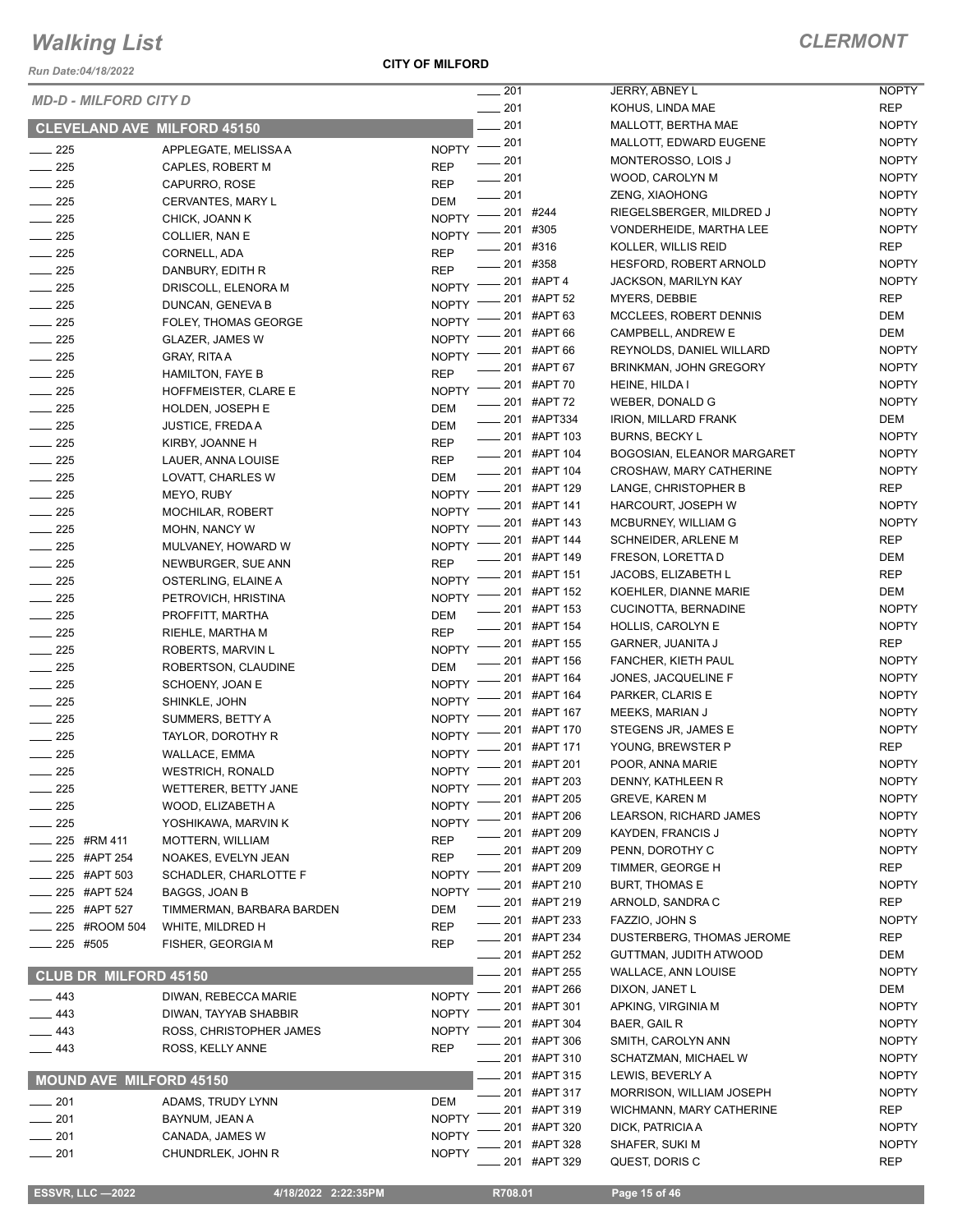*Run Date:04/18/2022*

**CITY OF MILFORD**

| <b>MD-D - MILFORD CITY D</b>       |                           | $\frac{1}{201}$               |                              | JERRY, ABNEY L                  | <b>NOPTY</b> |
|------------------------------------|---------------------------|-------------------------------|------------------------------|---------------------------------|--------------|
|                                    |                           | $-201$                        |                              | KOHUS, LINDA MAE                | <b>REP</b>   |
| <b>CLEVELAND AVE MILFORD 45150</b> |                           | $-201$                        |                              | MALLOTT, BERTHA MAE             | <b>NOPTY</b> |
| $\frac{1}{225}$                    | APPLEGATE, MELISSA A      | $NOPTY$ -201                  |                              | MALLOTT, EDWARD EUGENE          | <b>NOPTY</b> |
| 225                                | CAPLES, ROBERT M          | $-201$<br><b>REP</b>          |                              | MONTEROSSO, LOIS J              | <b>NOPTY</b> |
| $\equiv$ 225                       | CAPURRO, ROSE             | $\frac{1}{201}$<br><b>REP</b> |                              | WOOD, CAROLYN M                 | <b>NOPTY</b> |
| $\frac{225}{2}$                    | CERVANTES, MARY L         | $-201$<br><b>DEM</b>          |                              | <b>ZENG, XIAOHONG</b>           | <b>NOPTY</b> |
| $\frac{1}{225}$                    | CHICK, JOANN K            | $-201$ #244<br><b>NOPTY</b>   |                              | RIEGELSBERGER, MILDRED J        | <b>NOPTY</b> |
| $\frac{1}{225}$                    | COLLIER, NAN E            | <b>NOPTY</b>                  | $-201$ #305                  | VONDERHEIDE, MARTHA LEE         | <b>NOPTY</b> |
| $\frac{225}{2}$                    | CORNELL, ADA              | <b>REP</b>                    | _ 201 #316                   | KOLLER, WILLIS REID             | <b>REP</b>   |
| $\frac{1}{225}$                    | DANBURY, EDITH R          | $-201$ #358<br><b>REP</b>     |                              | HESFORD, ROBERT ARNOLD          | <b>NOPTY</b> |
| $\frac{1}{225}$                    | DRISCOLL, ELENORA M       | NOPTY -201 #APT 4             |                              | <b>JACKSON, MARILYN KAY</b>     | <b>NOPTY</b> |
| $\frac{1}{225}$                    | DUNCAN, GENEVA B          | NOPTY - 201 #APT 52           |                              | MYERS, DEBBIE                   | REP          |
| $\frac{1}{225}$                    | FOLEY, THOMAS GEORGE      | <b>NOPTY</b>                  | $-201$ #APT 63               | MCCLEES, ROBERT DENNIS          | DEM          |
| $\frac{1}{225}$                    | GLAZER, JAMES W           | <b>NOPTY</b>                  | 201 #APT 66                  | CAMPBELL, ANDREW E              | DEM          |
| $\frac{1}{225}$                    | <b>GRAY, RITA A</b>       | <b>NOPTY</b>                  | $-201$ #APT 66               | REYNOLDS, DANIEL WILLARD        | <b>NOPTY</b> |
| $\frac{225}{2}$                    | <b>HAMILTON, FAYE B</b>   | <b>REP</b>                    | 201 #APT 67                  | BRINKMAN, JOHN GREGORY          | <b>NOPTY</b> |
| $\frac{1}{225}$                    | HOFFMEISTER, CLARE E      | NOPTY <sup>-</sup>            | 201 #APT 70                  | HEINE, HILDA I                  | <b>NOPTY</b> |
| $\frac{1}{225}$                    | HOLDEN, JOSEPH E          | <b>DEM</b>                    | ___ 201 #APT 72              | WEBER, DONALD G                 | <b>NOPTY</b> |
| $\frac{225}{2}$                    | <b>JUSTICE, FREDAA</b>    | <b>DEM</b>                    | ____ 201 #APT334             | <b>IRION, MILLARD FRANK</b>     | DEM          |
| $\frac{1}{225}$                    | KIRBY, JOANNE H           | <b>REP</b>                    | __ 201 #APT 103              | <b>BURNS, BECKY L</b>           | <b>NOPTY</b> |
| $\frac{1}{225}$                    | LAUER, ANNA LOUISE        | <b>REP</b>                    | ____ 201 #APT 104            | BOGOSIAN, ELEANOR MARGARET      | <b>NOPTY</b> |
| $\frac{1}{225}$                    | LOVATT, CHARLES W         | <b>DEM</b>                    | $\frac{1}{201}$ #APT 104     | CROSHAW, MARY CATHERINE         | <b>NOPTY</b> |
| $\frac{1}{225}$                    | MEYO, RUBY                | NOPTY -201 #APT 129           |                              | LANGE, CHRISTOPHER B            | <b>REP</b>   |
| $\frac{225}{2}$                    | MOCHILAR, ROBERT          | NOPTY <sup>-</sup>            | _ 201 #APT 141               | HARCOURT, JOSEPH W              | <b>NOPTY</b> |
| $\frac{1}{225}$                    | MOHN, NANCY W             | NOPTY - 201 #APT 143          |                              | MCBURNEY, WILLIAM G             | <b>NOPTY</b> |
| $\frac{225}{2}$                    | MULVANEY, HOWARD W        | <b>NOPTY</b>                  | _ 201 #APT 144               | SCHNEIDER, ARLENE M             | REP          |
| $\frac{1}{225}$                    | NEWBURGER, SUE ANN        | <b>REP</b>                    | 201 #APT 149                 | FRESON, LORETTA D               | DEM          |
| $\frac{1}{225}$                    | OSTERLING, ELAINE A       | <b>NOPTY</b>                  | $-201$ #APT 151              | JACOBS, ELIZABETH L             | REP          |
| $\frac{225}{2}$                    | PETROVICH, HRISTINA       | <b>NOPTY</b>                  | _ 201 #APT 152               | KOEHLER, DIANNE MARIE           | DEM          |
| $\frac{1}{225}$                    | PROFFITT, MARTHA          | DEM                           | _ 201 #APT 153               | CUCINOTTA, BERNADINE            | <b>NOPTY</b> |
| $\frac{1}{225}$                    | RIEHLE, MARTHA M          | <b>REP</b>                    | ___ 201 #APT 154             | <b>HOLLIS, CAROLYN E</b>        | <b>NOPTY</b> |
| $\frac{1}{225}$                    | ROBERTS, MARVIN L         | <b>NOPTY</b>                  | <sub>_</sub> __ 201 #APT 155 | GARNER, JUANITA J               | REP          |
| $\frac{1}{225}$                    | ROBERTSON, CLAUDINE       | <b>DEM</b>                    | _ 201 #APT 156               | FANCHER, KIETH PAUL             | <b>NOPTY</b> |
| $\frac{225}{2}$                    | SCHOENY, JOAN E           | <b>NOPTY</b>                  | $-201$ #APT 164              | JONES, JACQUELINE F             | <b>NOPTY</b> |
| $\frac{1}{225}$                    | SHINKLE, JOHN             | <b>NOPTY</b>                  | $-201$ #APT 164              | PARKER, CLARIS E                | <b>NOPTY</b> |
| $\frac{225}{2}$                    | SUMMERS, BETTY A          | NOPTY <sup>-</sup>            | 201 #APT 167                 | MEEKS, MARIAN J                 | <b>NOPTY</b> |
| $\frac{1}{225}$                    | TAYLOR, DOROTHY R         | $N$ OPTY -                    | <sub>–</sub> 201 #APT 170    | STEGENS JR, JAMES E             | <b>NOPTY</b> |
| $\frac{1}{225}$                    | WALLACE, EMMA             | NOPTY -201 #APT 171           |                              | YOUNG, BREWSTER P               | REP          |
| $\frac{225}{2}$                    | <b>WESTRICH, RONALD</b>   | NOPTY -201 #APT 201           |                              | POOR, ANNA MARIE                | <b>NOPTY</b> |
| $-225$                             | WETTERER, BETTY JANE      | <b>NOPTY</b>                  | 201 #APT 203                 | DENNY, KATHLEEN R               | <b>NOPTY</b> |
| 225                                | WOOD, ELIZABETH A         | <b>NOPTY</b>                  | _ 201 #APT 205               | <b>GREVE, KAREN M</b>           | <b>NOPTY</b> |
| $-225$                             | YOSHIKAWA, MARVIN K       | <b>NOPTY</b>                  | _ 201 #APT 206               | LEARSON, RICHARD JAMES          | <b>NOPTY</b> |
| ____ 225 #RM 411                   | MOTTERN, WILLIAM          | <b>REP</b>                    | $-201$ #APT 209              | <b>KAYDEN, FRANCIS J</b>        | <b>NOPTY</b> |
| 225 #APT 254                       | NOAKES, EVELYN JEAN       | <b>REP</b>                    | _ 201 #APT 209               | PENN, DOROTHY C                 | <b>NOPTY</b> |
| $-225$ #APT 503                    | SCHADLER, CHARLOTTE F     | <b>NOPTY</b>                  | _ 201 #APT 209               | TIMMER, GEORGE H                | REP          |
| 225 #APT 524                       | BAGGS, JOAN B             | <b>NOPTY</b>                  | 201 #APT 210                 | <b>BURT, THOMAS E</b>           | <b>NOPTY</b> |
| __ 225 #APT 527                    | TIMMERMAN, BARBARA BARDEN | DEM                           | 201 #APT 219                 | ARNOLD, SANDRA C                | REP          |
| _225 #ROOM 504                     | WHITE, MILDRED H          | <b>REP</b>                    | $-201$ #APT 233              | FAZZIO, JOHN S                  | <b>NOPTY</b> |
| $-225$ #505                        | FISHER, GEORGIA M         | <b>REP</b>                    | _ 201   #APT 234             | DUSTERBERG, THOMAS JEROME       | REP          |
|                                    |                           |                               | ____ 201 #APT 252            | GUTTMAN, JUDITH ATWOOD          | DEM          |
| <b>CLUB DR MILFORD 45150</b>       |                           |                               | 201 #APT 255                 | <b>WALLACE, ANN LOUISE</b>      | <b>NOPTY</b> |
| 443                                | DIWAN, REBECCA MARIE      | <b>NOPTY</b>                  | 201 #APT 266                 | DIXON, JANET L                  | DEM          |
| 443                                | DIWAN, TAYYAB SHABBIR     | <b>NOPTY</b>                  | 201 #APT 301                 | APKING, VIRGINIA M              | <b>NOPTY</b> |
| $-443$                             | ROSS, CHRISTOPHER JAMES   | <b>NOPTY</b>                  | 201 #APT 304                 | BAER, GAIL R                    | <b>NOPTY</b> |
| — 443                              | ROSS, KELLY ANNE          | <b>REP</b>                    | 201 #APT 306                 | SMITH, CAROLYN ANN              | <b>NOPTY</b> |
|                                    |                           |                               | _ 201 #APT 310               | SCHATZMAN, MICHAEL W            | <b>NOPTY</b> |
| <b>MOUND AVE MILFORD 45150</b>     |                           |                               | 201 #APT 315                 | LEWIS, BEVERLY A                | <b>NOPTY</b> |
| —— 201                             | ADAMS, TRUDY LYNN         | DEM                           | 201 #APT 317                 | <b>MORRISON, WILLIAM JOSEPH</b> | <b>NOPTY</b> |
| 201                                | BAYNUM, JEAN A            | <b>NOPTY</b>                  | 201 #APT 319                 | WICHMANN, MARY CATHERINE        | REP          |
| 201                                | CANADA, JAMES W           | <b>NOPTY</b>                  | 201 #APT 320                 | DICK, PATRICIA A                | <b>NOPTY</b> |
| 201                                | CHUNDRLEK, JOHN R         | <b>NOPTY</b>                  | 201 #APT 328                 | SHAFER, SUKI M                  | <b>NOPTY</b> |
|                                    |                           |                               | 201 #APT 329                 | QUEST, DORIS C                  | REP          |

**ESSVR, LLC -2022** 2022 4/18/2022 2:22:35PM R708.01 R708.01 Page 15 of 46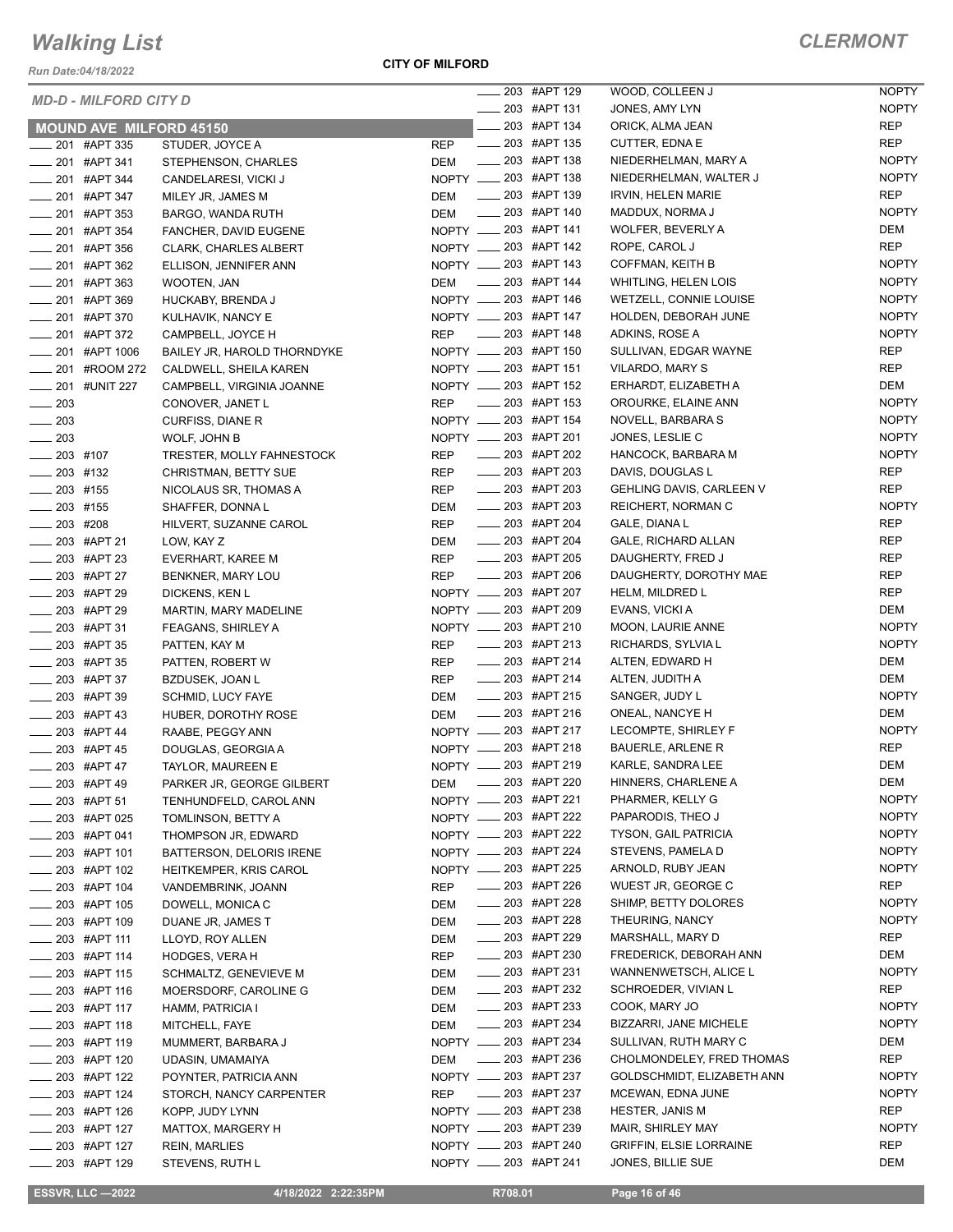*Run Date:04/18/2022*

#### **CITY OF MILFORD**

### *CLERMONT*

|                         | <b>MD-D - MILFORD CITY D</b>   |                              |            |                          | 203 #APT 129             | WOOD, COLLEEN J                | <b>NOPTY</b> |
|-------------------------|--------------------------------|------------------------------|------------|--------------------------|--------------------------|--------------------------------|--------------|
|                         |                                |                              |            |                          | 203 #APT 131             | JONES, AMY LYN                 | <b>NOPTY</b> |
|                         | <b>MOUND AVE MILFORD 45150</b> |                              |            |                          | 203 #APT 134             | ORICK, ALMA JEAN               | <b>REP</b>   |
|                         | 201 #APT 335                   | STUDER, JOYCE A              | <b>REP</b> | $\overline{\phantom{a}}$ | 203 #APT 135             | CUTTER, EDNA E                 | <b>REP</b>   |
|                         | $\frac{1}{201}$ #APT 341       | STEPHENSON, CHARLES          | DEM        | $\frac{1}{2}$            | 203 #APT 138             | NIEDERHELMAN, MARY A           | <b>NOPTY</b> |
|                         | ___ 201 #APT 344               | CANDELARESI, VICKI J         |            |                          | NOPTY __ 203 #APT 138    | NIEDERHELMAN, WALTER J         | <b>NOPTY</b> |
|                         | ___ 201 #APT 347               | MILEY JR, JAMES M            | DEM        |                          | <b>203 #APT 139</b>      | <b>IRVIN, HELEN MARIE</b>      | <b>REP</b>   |
|                         | $\frac{1}{201}$ #APT 353       | BARGO, WANDA RUTH            | DEM        |                          | _____ 203 #APT 140       | MADDUX, NORMA J                | <b>NOPTY</b> |
|                         | ____ 201 #APT 354              | FANCHER, DAVID EUGENE        |            |                          | NOPTY __ 203 #APT 141    | WOLFER, BEVERLY A              | DEM          |
|                         | $\frac{1}{201}$ #APT 356       | <b>CLARK, CHARLES ALBERT</b> |            |                          | NOPTY __ 203 #APT 142    | ROPE, CAROL J                  | REP          |
|                         | ____ 201 #APT 362              | ELLISON, JENNIFER ANN        |            |                          | NOPTY __ 203 #APT 143    | COFFMAN, KEITH B               | <b>NOPTY</b> |
|                         | $\frac{1}{201}$ #APT 363       | WOOTEN, JAN                  |            |                          | DEM __ 203 #APT 144      | <b>WHITLING, HELEN LOIS</b>    | <b>NOPTY</b> |
|                         | ____ 201 #APT 369              | HUCKABY, BRENDA J            |            |                          | NOPTY __ 203 #APT 146    | WETZELL, CONNIE LOUISE         | <b>NOPTY</b> |
|                         | 201 #APT 370                   | KULHAVIK, NANCY E            |            |                          | NOPTY __ 203 #APT 147    | HOLDEN, DEBORAH JUNE           | <b>NOPTY</b> |
|                         | $\frac{1}{201}$ #APT 372       | CAMPBELL, JOYCE H            | REP        |                          | <b>203 #APT 148</b>      | ADKINS, ROSE A                 | <b>NOPTY</b> |
|                         | $\frac{1}{201}$ #APT 1006      | BAILEY JR, HAROLD THORNDYKE  |            |                          | NOPTY __ 203 #APT 150    | SULLIVAN, EDGAR WAYNE          | <b>REP</b>   |
|                         | ____ 201 #ROOM 272             | CALDWELL, SHEILA KAREN       |            |                          | NOPTY __ 203 #APT 151    | VILARDO, MARY S                | <b>REP</b>   |
|                         | ___ 201 #UNIT 227              | CAMPBELL, VIRGINIA JOANNE    |            |                          | NOPTY __ 203 #APT 152    | ERHARDT, ELIZABETH A           | DEM          |
| $\sim$ 203              |                                | CONOVER, JANET L             | <b>REP</b> |                          | $\frac{1}{203}$ #APT 153 | OROURKE, ELAINE ANN            | <b>NOPTY</b> |
| $\frac{1}{203}$         |                                | <b>CURFISS, DIANE R</b>      |            |                          | NOPTY __ 203 #APT 154    | NOVELL, BARBARA S              | <b>NOPTY</b> |
| $\sim$ 203              |                                | WOLF, JOHN B                 |            |                          | NOPTY __ 203 #APT 201    | JONES, LESLIE C                | <b>NOPTY</b> |
| $\frac{1}{203}$ #107    |                                | TRESTER, MOLLY FAHNESTOCK    | <b>REP</b> |                          | $\frac{1}{203}$ #APT 202 | HANCOCK, BARBARA M             | <b>NOPTY</b> |
| $-203$ #132             |                                | CHRISTMAN, BETTY SUE         | REP        |                          | $\frac{1}{203}$ #APT 203 | DAVIS, DOUGLAS L               | <b>REP</b>   |
| $\frac{1}{203}$ #155    |                                | NICOLAUS SR, THOMAS A        | <b>REP</b> |                          | ___ 203 #APT 203         | GEHLING DAVIS, CARLEEN V       | <b>REP</b>   |
| $-203$ #155             |                                | SHAFFER, DONNAL              | DEM        |                          | ___ 203 #APT 203         | REICHERT, NORMAN C             | <b>NOPTY</b> |
| $-203$ #208             |                                | HILVERT, SUZANNE CAROL       | <b>REP</b> |                          | $\frac{1}{203}$ #APT 204 | GALE, DIANA L                  | <b>REP</b>   |
|                         | $-203$ #APT 21                 | LOW, KAY Z                   | DEM        |                          | $\frac{1}{203}$ #APT 204 | GALE, RICHARD ALLAN            | <b>REP</b>   |
|                         | $\frac{1}{203}$ #APT 23        | EVERHART, KAREE M            | <b>REP</b> |                          | ____ 203 #APT 205        | DAUGHERTY, FRED J              | <b>REP</b>   |
|                         | $\frac{1}{203}$ #APT 27        | BENKNER, MARY LOU            | <b>REP</b> |                          | $\frac{1}{203}$ #APT 206 | DAUGHERTY, DOROTHY MAE         | <b>REP</b>   |
| $\frac{1}{203}$ #APT 29 |                                | DICKENS, KEN L               |            |                          | NOPTY __ 203 #APT 207    | <b>HELM, MILDRED L</b>         | <b>REP</b>   |
| $\frac{1}{203}$ #APT 29 |                                | MARTIN, MARY MADELINE        |            |                          | NOPTY _____ 203 #APT 209 | EVANS, VICKI A                 | <b>DEM</b>   |
| $\frac{1}{203}$ #APT 31 |                                | FEAGANS, SHIRLEY A           |            |                          | NOPTY __ 203 #APT 210    | MOON, LAURIE ANNE              | <b>NOPTY</b> |
| $\frac{1}{203}$ #APT 35 |                                | PATTEN, KAY M                | <b>REP</b> |                          | 203 #APT 213             | RICHARDS, SYLVIA L             | <b>NOPTY</b> |
|                         | $\frac{1}{203}$ #APT 35        | PATTEN, ROBERT W             | <b>REP</b> |                          | $\frac{1}{203}$ #APT 214 | ALTEN, EDWARD H                | DEM          |
| $\frac{1}{203}$ #APT 37 |                                | <b>BZDUSEK, JOAN L</b>       | REP        |                          | __ 203 #APT 214          | ALTEN, JUDITH A                | DEM          |
| ____ 203 #APT 39        |                                | <b>SCHMID, LUCY FAYE</b>     | DEM        |                          | $\frac{1}{203}$ #APT 215 | SANGER, JUDY L                 | <b>NOPTY</b> |
| $\frac{1}{203}$ #APT 43 |                                | HUBER, DOROTHY ROSE          | DEM        |                          | _____ 203 #APT 216       | ONEAL, NANCYE H                | <b>DEM</b>   |
| $\frac{1}{203}$ #APT 44 |                                | RAABE, PEGGY ANN             |            |                          | NOPTY __ 203 #APT 217    | LECOMPTE, SHIRLEY F            | <b>NOPTY</b> |
|                         | 203 #APT 45                    | DOUGLAS, GEORGIA A           |            |                          | NOPTY 203 #APT 218       | BAUERLE, ARLENE R              | <b>REP</b>   |
|                         | 203 #APT 47                    | TAYLOR, MAUREEN E            |            |                          | NOPTY __ 203 #APT 219    | KARLE, SANDRA LEE              | DEM          |
|                         | __ 203 #APT 49                 | PARKER JR, GEORGE GILBERT    | DEM        |                          | ____ 203 #APT 220        | HINNERS, CHARLENE A            | DEM          |
|                         | <sub>_</sub> __ 203 #APT 51    | TENHUNDFELD, CAROL ANN       |            |                          | NOPTY __ 203 #APT 221    | PHARMER, KELLY G               | <b>NOPTY</b> |
|                         | _ 203 #APT 025                 | TOMLINSON, BETTY A           |            |                          | NOPTY __ 203 #APT 222    | PAPARODIS, THEO J              | <b>NOPTY</b> |
|                         | 203 #APT 041                   | THOMPSON JR, EDWARD          |            |                          | NOPTY __ 203 #APT 222    | TYSON, GAIL PATRICIA           | <b>NOPTY</b> |
|                         | <sub>—</sub> 203  #APT 101     | BATTERSON, DELORIS IRENE     |            |                          | NOPTY __ 203 #APT 224    | STEVENS, PAMELA D              | <b>NOPTY</b> |
|                         | _ 203 #APT 102                 | HEITKEMPER, KRIS CAROL       |            |                          | NOPTY __ 203 #APT 225    | ARNOLD, RUBY JEAN              | <b>NOPTY</b> |
|                         | $-203$ #APT 104                | VANDEMBRINK, JOANN           | REP        |                          | $\frac{1}{203}$ #APT 226 | WUEST JR, GEORGE C             | REP          |
|                         | $-203$ #APT 105                | DOWELL, MONICA C             | DEM        |                          | -203 #APT 228            | SHIMP, BETTY DOLORES           | <b>NOPTY</b> |
|                         | _ 203 #APT 109                 | DUANE JR, JAMES T            | DEM        |                          | $\frac{1}{203}$ #APT 228 | THEURING, NANCY                | <b>NOPTY</b> |
|                         | $-203$ #APT 111                | LLOYD, ROY ALLEN             | DEM        |                          | $\frac{1}{203}$ #APT 229 | MARSHALL, MARY D               | <b>REP</b>   |
|                         | __ 203 #APT 114                | HODGES, VERA H               | REP        |                          | $\frac{1}{203}$ #APT 230 | FREDERICK, DEBORAH ANN         | DEM          |
|                         | <sub>_</sub> __ 203 #APT 115   | SCHMALTZ, GENEVIEVE M        | DEM        |                          | $\frac{1}{203}$ #APT 231 | WANNENWETSCH, ALICE L          | <b>NOPTY</b> |
|                         | _203 #APT 116                  | MOERSDORF, CAROLINE G        | DEM        |                          | $\frac{1}{203}$ #APT 232 | SCHROEDER, VIVIAN L            | REP          |
|                         | $-203$ #APT 117                | HAMM, PATRICIA I             | DEM        |                          | $\frac{1}{203}$ #APT 233 | COOK, MARY JO                  | <b>NOPTY</b> |
|                         | $\frac{1}{203}$ #APT 118       | MITCHELL, FAYE               | DEM        |                          | -203 #APT 234            | BIZZARRI, JANE MICHELE         | <b>NOPTY</b> |
|                         | $-203$ #APT 119                | MUMMERT, BARBARA J           |            |                          | NOPTY __ 203 #APT 234    | SULLIVAN, RUTH MARY C          | DEM          |
|                         | <sub>—</sub> 203 #APT 120      | UDASIN, UMAMAIYA             | DEM        |                          | ____ 203 #APT 236        | CHOLMONDELEY, FRED THOMAS      | REP          |
|                         | $\frac{1}{203}$ #APT 122       | POYNTER, PATRICIA ANN        |            |                          | NOPTY __ 203 #APT 237    | GOLDSCHMIDT, ELIZABETH ANN     | <b>NOPTY</b> |
|                         | 203 #APT 124                   | STORCH, NANCY CARPENTER      | <b>REP</b> |                          | $\frac{1}{203}$ #APT 237 | MCEWAN, EDNA JUNE              | <b>NOPTY</b> |
|                         | _ 203 #APT 126                 | KOPP, JUDY LYNN              |            |                          | NOPTY __ 203 #APT 238    | <b>HESTER, JANIS M</b>         | <b>REP</b>   |
|                         | 203 #APT 127                   | MATTOX, MARGERY H            |            |                          | NOPTY __ 203 #APT 239    | MAIR, SHIRLEY MAY              | <b>NOPTY</b> |
|                         | _ 203 #APT 127                 | <b>REIN, MARLIES</b>         |            |                          | NOPTY __ 203 #APT 240    | <b>GRIFFIN, ELSIE LORRAINE</b> | <b>REP</b>   |
|                         | ____ 203 #APT 129              | STEVENS, RUTH L              |            |                          | NOPTY __ 203 #APT 241    | JONES, BILLIE SUE              | DEM          |
|                         |                                |                              |            |                          |                          |                                |              |

**ESSVR, LLC —2022 4/18/2022 2:22:35PM** R708.01 **Page 16 of 46**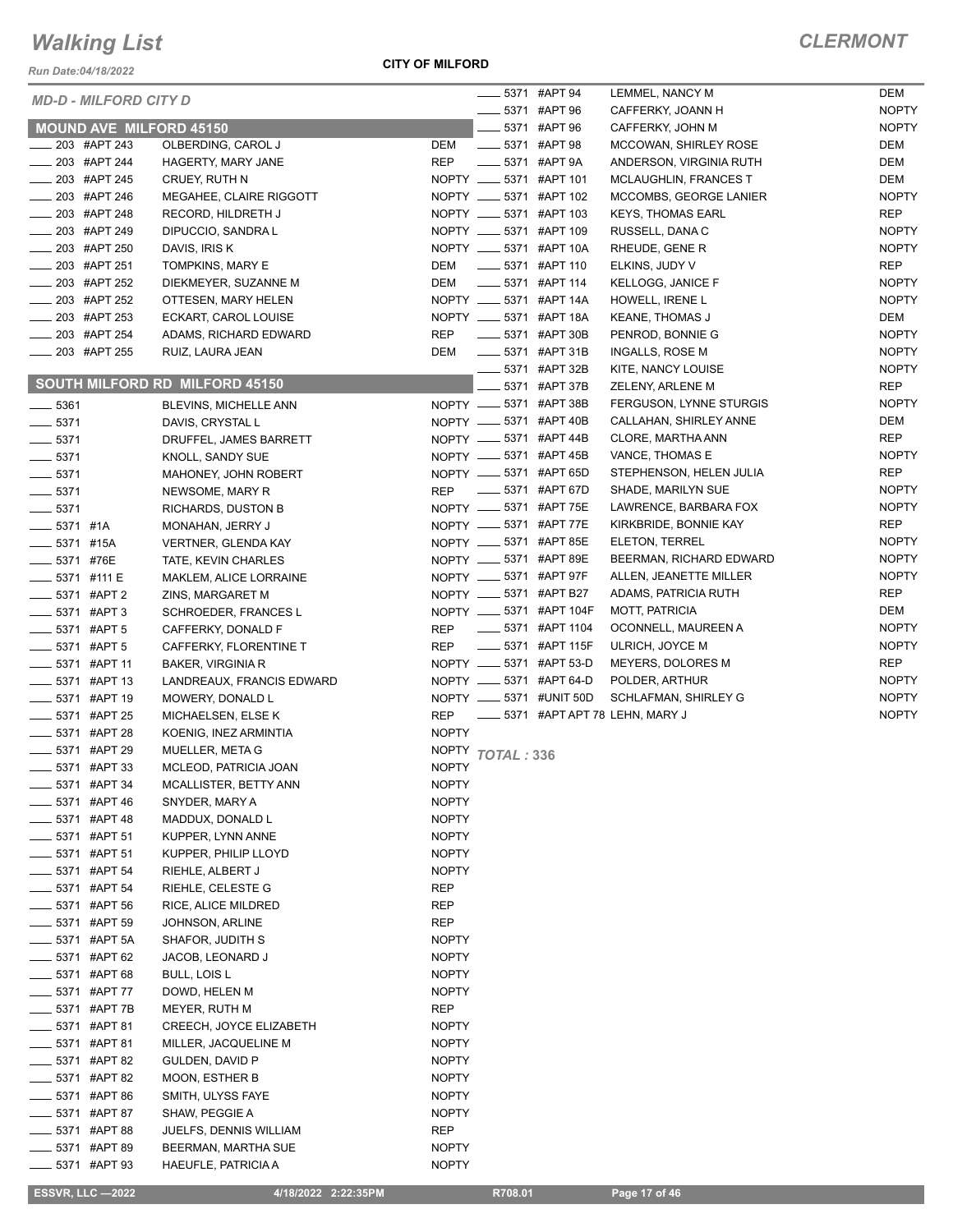*Run Date:04/18/2022*

**CITY OF MILFORD**

| <b>MD-D - MILFORD CITY D</b>             |                                           |              | <b>_____ 5371 #APT 94</b>   |                                                  | LEMMEL, NANCY M                      | DEM                 |
|------------------------------------------|-------------------------------------------|--------------|-----------------------------|--------------------------------------------------|--------------------------------------|---------------------|
|                                          |                                           |              | <b>_____ 5371 #APT 96</b>   |                                                  | CAFFERKY, JOANN H                    | <b>NOPTY</b>        |
| <b>MOUND AVE MILFORD 45150</b>           |                                           |              |                             | 5371 #APT 96                                     | CAFFERKY, JOHN M                     | <b>NOPTY</b>        |
| 203 #APT 243                             | OLBERDING, CAROL J                        | DEM          | <b>LE 5371 #APT 98</b>      |                                                  | MCCOWAN, SHIRLEY ROSE                | DEM                 |
| _ 203 #APT 244                           | HAGERTY, MARY JANE                        | <b>REP</b>   | <b>EXAMPLE 5371 #APT 9A</b> |                                                  | ANDERSON, VIRGINIA RUTH              | DEM                 |
| __ 203 #APT 245                          | CRUEY, RUTH N                             |              | NOPTY __ 5371 #APT 101      |                                                  | MCLAUGHLIN, FRANCES T                | DEM                 |
| 203 #APT 246                             | MEGAHEE, CLAIRE RIGGOTT                   |              |                             | NOPTY _____ 5371 #APT 102                        | MCCOMBS, GEORGE LANIER               | <b>NOPTY</b>        |
| $\frac{1}{203}$ #APT 248                 | RECORD, HILDRETH J                        |              |                             | NOPTY __ 5371 #APT 103<br>NOPTY __ 5371 #APT 109 | <b>KEYS, THOMAS EARL</b>             | <b>REP</b>          |
| $\frac{1}{203}$ #APT 249                 | DIPUCCIO, SANDRA L                        |              |                             |                                                  | RUSSELL, DANA C                      | <b>NOPTY</b>        |
| ____ 203 #APT 250                        | DAVIS, IRIS K                             |              |                             | NOPTY _____ 5371 #APT 10A                        | RHEUDE, GENE R                       | <b>NOPTY</b>        |
| $\frac{1}{203}$ #APT 251                 | TOMPKINS, MARY E                          | DEM          | ____ 5371 #APT 110          |                                                  | ELKINS, JUDY V                       | <b>REP</b>          |
| $-203$ #APT 252                          | DIEKMEYER, SUZANNE M                      | DEM          | <b>LEGGIT 448PT 114</b>     |                                                  | <b>KELLOGG, JANICE F</b>             | <b>NOPTY</b>        |
| $-203$ #APT 252<br>$-203$ #APT 253       | OTTESEN, MARY HELEN                       |              |                             | NOPTY __ 5371 #APT 14A<br>NOPTY __ 5371 #APT 18A | HOWELL, IRENE L                      | <b>NOPTY</b><br>DEM |
| 203 #APT 254                             | ECKART, CAROL LOUISE                      | REP          |                             | -6371 #APT 30B                                   | <b>KEANE, THOMAS J</b>               | <b>NOPTY</b>        |
| $\frac{1}{203}$ #APT 255                 | ADAMS, RICHARD EDWARD<br>RUIZ, LAURA JEAN | DEM          |                             | <b>______ 5371 #APT 31B</b>                      | PENROD, BONNIE G<br>INGALLS, ROSE M  | <b>NOPTY</b>        |
|                                          |                                           |              |                             | -6371 #APT 32B                                   | KITE, NANCY LOUISE                   | <b>NOPTY</b>        |
|                                          | SOUTH MILFORD RD MILFORD 45150            |              |                             | <b>______ 5371 #APT 37B</b>                      | ZELENY, ARLENE M                     | <b>REP</b>          |
| $\frac{1}{2}$ 5361                       | BLEVINS, MICHELLE ANN                     |              |                             | NOPTY __ 5371 #APT 38B                           | FERGUSON, LYNNE STURGIS              | <b>NOPTY</b>        |
| $-5371$                                  |                                           |              |                             | NOPTY __ 5371 #APT 40B                           | CALLAHAN, SHIRLEY ANNE               | DEM                 |
|                                          | DAVIS, CRYSTAL L                          |              |                             | NOPTY __ 5371 #APT 44B                           | CLORE, MARTHA ANN                    | <b>REP</b>          |
| $- 5371$                                 | DRUFFEL, JAMES BARRETT                    |              |                             | NOPTY __ 5371 #APT 45B                           | VANCE, THOMAS E                      | <b>NOPTY</b>        |
| $\frac{1}{2}$ 5371<br>$\frac{1}{2}$ 5371 | KNOLL, SANDY SUE<br>MAHONEY, JOHN ROBERT  |              |                             | NOPTY __ 5371 #APT 65D                           | STEPHENSON, HELEN JULIA              | <b>REP</b>          |
| $\frac{1}{2}$ 5371                       | NEWSOME, MARY R                           |              |                             | REP __ 5371 #APT 67D                             | SHADE, MARILYN SUE                   | <b>NOPTY</b>        |
| $- 5371$                                 | <b>RICHARDS, DUSTON B</b>                 |              |                             | NOPTY __ 5371 #APT 75E                           | LAWRENCE, BARBARA FOX                | <b>NOPTY</b>        |
| $-5371$ #1A                              | MONAHAN, JERRY J                          |              |                             | NOPTY __ 5371 #APT 77E                           | KIRKBRIDE, BONNIE KAY                | <b>REP</b>          |
| $\frac{1}{2}$ 5371 #15A                  | <b>VERTNER, GLENDA KAY</b>                |              |                             | NOPTY __ 5371 #APT 85E                           | ELETON, TERREL                       | <b>NOPTY</b>        |
| __ 5371 #76E                             | TATE, KEVIN CHARLES                       |              |                             | NOPTY __ 5371 #APT 89E                           | BEERMAN, RICHARD EDWARD              | <b>NOPTY</b>        |
| $\frac{1}{2}$ 5371 #111 E                | MAKLEM, ALICE LORRAINE                    |              |                             | NOPTY __ 5371 #APT 97F                           | ALLEN, JEANETTE MILLER               | <b>NOPTY</b>        |
| ____ 5371 #APT 2                         | ZINS, MARGARET M                          |              |                             | NOPTY __ 5371 #APT B27                           | ADAMS, PATRICIA RUTH                 | <b>REP</b>          |
| $\frac{1}{2}$ 5371 #APT 3                | SCHROEDER, FRANCES L                      |              |                             | NOPTY __ 5371 #APT 104F                          | <b>MOTT, PATRICIA</b>                | DEM                 |
| <b>LEGGIT 448PT 5</b>                    | CAFFERKY, DONALD F                        | REP          |                             | -6371 #APT 1104                                  | OCONNELL, MAUREEN A                  | <b>NOPTY</b>        |
| ____ 5371 #APT 5                         | CAFFERKY, FLORENTINE T                    | REP          |                             | <b>______ 5371 #APT 115F</b>                     | ULRICH, JOYCE M                      | <b>NOPTY</b>        |
| ____ 5371 #APT 11                        | <b>BAKER, VIRGINIA R</b>                  |              |                             | NOPTY __ 5371 #APT 53-D                          | MEYERS, DOLORES M                    | REP                 |
| ____ 5371 #APT 13                        | LANDREAUX, FRANCIS EDWARD                 |              |                             | NOPTY __ 5371 #APT 64-D                          | POLDER, ARTHUR                       | <b>NOPTY</b>        |
| __ 5371 #APT 19                          | MOWERY, DONALD L                          |              |                             | NOPTY __ 5371 #UNIT 50D                          | <b>SCHLAFMAN, SHIRLEY G</b>          | <b>NOPTY</b>        |
| <b>______ 5371 #APT 25</b>               | MICHAELSEN, ELSE K                        |              |                             |                                                  | REP __ 5371 #APT APT 78 LEHN, MARY J | <b>NOPTY</b>        |
| <b>_____ 5371 #APT 28</b>                | KOENIG, INEZ ARMINTIA                     | <b>NOPTY</b> |                             |                                                  |                                      |                     |
| ____ 5371 #APT 29                        | MUELLER, META G                           |              | NOPTY TOTAL: 336            |                                                  |                                      |                     |
| 5371 #APT 33                             | MCLEOD, PATRICIA JOAN                     | <b>NOPTY</b> |                             |                                                  |                                      |                     |
| __ 5371 #APT 34                          | MCALLISTER, BETTY ANN                     | <b>NOPTY</b> |                             |                                                  |                                      |                     |
| 5371 #APT 46                             | SNYDER, MARY A                            | <b>NOPTY</b> |                             |                                                  |                                      |                     |
| 5371 #APT 48                             | MADDUX, DONALD L                          | <b>NOPTY</b> |                             |                                                  |                                      |                     |
| _ 5371   #APT 51                         | KUPPER, LYNN ANNE                         | NOPTY        |                             |                                                  |                                      |                     |
| 5371 #APT 51                             | KUPPER, PHILIP LLOYD                      | <b>NOPTY</b> |                             |                                                  |                                      |                     |
| 5371 #APT 54                             | RIEHLE, ALBERT J                          | <b>NOPTY</b> |                             |                                                  |                                      |                     |
| 5371 #APT 54                             | RIEHLE, CELESTE G                         | REP          |                             |                                                  |                                      |                     |
| 5371 #APT 56                             | RICE, ALICE MILDRED                       | REP          |                             |                                                  |                                      |                     |
| 5371 #APT 59                             | JOHNSON, ARLINE                           | REP          |                             |                                                  |                                      |                     |
| 5371 #APT 5A                             | SHAFOR, JUDITH S                          | <b>NOPTY</b> |                             |                                                  |                                      |                     |
| 5371 #APT 62                             | JACOB, LEONARD J                          | <b>NOPTY</b> |                             |                                                  |                                      |                     |
| 5371 #APT 68                             | <b>BULL, LOIS L</b>                       | <b>NOPTY</b> |                             |                                                  |                                      |                     |
| 5371 #APT 77                             | DOWD, HELEN M                             | <b>NOPTY</b> |                             |                                                  |                                      |                     |
| <sub>–</sub> 5371 #APT 7B                | MEYER, RUTH M                             | REP          |                             |                                                  |                                      |                     |
| <sub>—</sub> 5371  #APT 81               | CREECH, JOYCE ELIZABETH                   | <b>NOPTY</b> |                             |                                                  |                                      |                     |
| _ 5371   #APT 81                         | MILLER, JACQUELINE M                      | NOPTY        |                             |                                                  |                                      |                     |
| _ 5371   #APT 82                         | GULDEN, DAVID P                           | <b>NOPTY</b> |                             |                                                  |                                      |                     |
| 5371 #APT 82                             | <b>MOON, ESTHER B</b>                     | <b>NOPTY</b> |                             |                                                  |                                      |                     |
| 5371 #APT 86                             | SMITH, ULYSS FAYE                         | <b>NOPTY</b> |                             |                                                  |                                      |                     |
| 5371 #APT 87                             | SHAW, PEGGIE A                            | <b>NOPTY</b> |                             |                                                  |                                      |                     |
| 5371 #APT 88                             | JUELFS, DENNIS WILLIAM                    | REP          |                             |                                                  |                                      |                     |
| 5371 #APT 89                             | BEERMAN, MARTHA SUE                       | <b>NOPTY</b> |                             |                                                  |                                      |                     |
| 5371 #APT 93                             | <b>HAEUFLE, PATRICIA A</b>                | <b>NOPTY</b> |                             |                                                  |                                      |                     |
|                                          |                                           |              |                             |                                                  |                                      |                     |
| <b>ESSVR, LLC -2022</b>                  | 4/18/2022 2:22:35PM                       |              | R708.01                     |                                                  | Page 17 of 46                        |                     |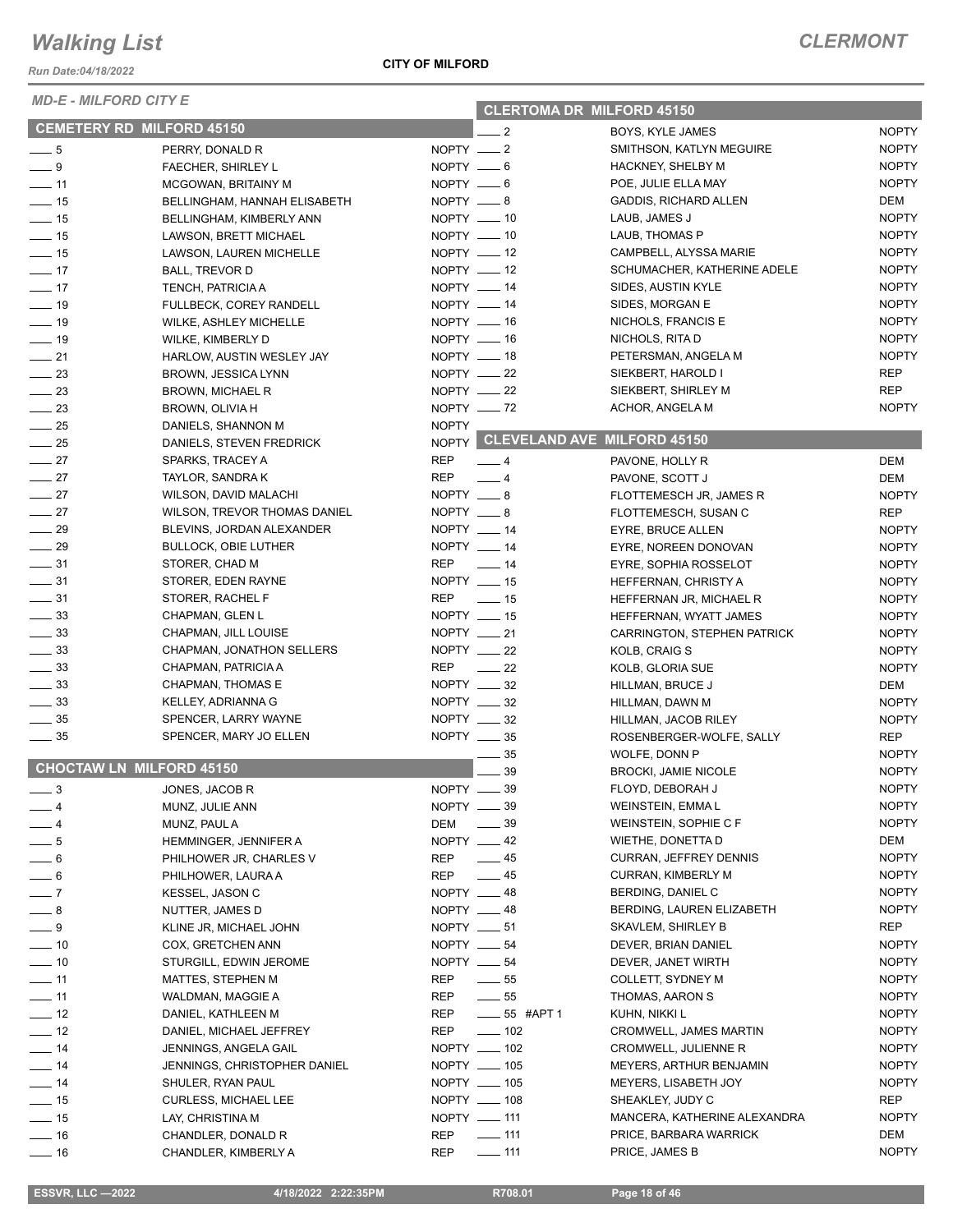*Run Date:04/18/2022*

| <b>MD-E - MILFORD CITY E</b>     |                               |                  | <b>CLERTOMA DR MILFORD 45150</b>  |                              |              |  |
|----------------------------------|-------------------------------|------------------|-----------------------------------|------------------------------|--------------|--|
| <b>CEMETERY RD MILFORD 45150</b> |                               |                  | $\equiv$ 2                        | BOYS, KYLE JAMES             | <b>NOPTY</b> |  |
| $-5$                             | PERRY, DONALD R               | NOPTY $-2$       |                                   | SMITHSON, KATLYN MEGUIRE     | <b>NOPTY</b> |  |
| $-9$                             | <b>FAECHER, SHIRLEY L</b>     | NOPTY -6         |                                   | HACKNEY, SHELBY M            | <b>NOPTY</b> |  |
| $-11$                            | <b>MCGOWAN, BRITAINY M</b>    | $NOPTY = 6$      |                                   | POE, JULIE ELLA MAY          | <b>NOPTY</b> |  |
| $\frac{1}{15}$                   | BELLINGHAM, HANNAH ELISABETH  | $NOPTY = 8$      |                                   | GADDIS, RICHARD ALLEN        | DEM          |  |
| $-15$                            | BELLINGHAM, KIMBERLY ANN      | NOPTY __ 10      |                                   | LAUB, JAMES J                | <b>NOPTY</b> |  |
| $\frac{1}{15}$                   | LAWSON, BRETT MICHAEL         | NOPTY __ 10      |                                   | LAUB, THOMAS P               | <b>NOPTY</b> |  |
| $\frac{1}{2}$ 15                 | LAWSON, LAUREN MICHELLE       | NOPTY $-12$      |                                   | CAMPBELL, ALYSSA MARIE       | <b>NOPTY</b> |  |
| $-17$                            | <b>BALL, TREVOR D</b>         | $NOPTY$ = 12     |                                   | SCHUMACHER, KATHERINE ADELE  | <b>NOPTY</b> |  |
| $\frac{1}{2}$ 17                 | TENCH, PATRICIA A             | NOPTY __ 14      |                                   | SIDES, AUSTIN KYLE           | <b>NOPTY</b> |  |
| $\frac{1}{2}$ 19                 | FULLBECK, COREY RANDELL       | NOPTY __ 14      |                                   | SIDES, MORGAN E              | <b>NOPTY</b> |  |
| $-19$                            | <b>WILKE, ASHLEY MICHELLE</b> | NOPTY __ 16      |                                   | NICHOLS, FRANCIS E           | <b>NOPTY</b> |  |
| $-19$                            | WILKE, KIMBERLY D             | NOPTY __ 16      |                                   | NICHOLS, RITA D              | <b>NOPTY</b> |  |
| $-21$                            | HARLOW, AUSTIN WESLEY JAY     | NOPTY $- 18$     |                                   | PETERSMAN, ANGELA M          | <b>NOPTY</b> |  |
| $\frac{23}{2}$                   | BROWN, JESSICA LYNN           | NOPTY $-22$      |                                   | SIEKBERT, HAROLD I           | REP          |  |
| $\sim$ 23                        | <b>BROWN, MICHAEL R</b>       | $NOPTY$ $22$     |                                   | SIEKBERT, SHIRLEY M          | <b>REP</b>   |  |
| $\frac{1}{2}$ 23                 | BROWN, OLIVIA H               | NOPTY __ 72      |                                   | ACHOR, ANGELA M              | <b>NOPTY</b> |  |
| $\frac{1}{25}$                   | DANIELS, SHANNON M            | <b>NOPTY</b>     |                                   |                              |              |  |
| $\frac{1}{25}$                   | DANIELS, STEVEN FREDRICK      |                  | NOPTY CLEVELAND AVE MILFORD 45150 |                              |              |  |
| $\frac{1}{27}$                   | SPARKS, TRACEY A              | REP              | $-4$                              | PAVONE, HOLLY R              | DEM          |  |
| $-27$                            | TAYLOR, SANDRA K              | REP              | $\frac{1}{2}$                     | PAVONE, SCOTT J              | DEM          |  |
| $-27$                            | WILSON, DAVID MALACHI         | NOPTY $-8$       |                                   | FLOTTEMESCH JR, JAMES R      | <b>NOPTY</b> |  |
| $-27$                            | WILSON, TREVOR THOMAS DANIEL  | NOPTY $-8$       |                                   | FLOTTEMESCH, SUSAN C         | <b>REP</b>   |  |
| $\frac{1}{29}$                   | BLEVINS, JORDAN ALEXANDER     | NOPTY __ 14      |                                   | <b>EYRE, BRUCE ALLEN</b>     | <b>NOPTY</b> |  |
| $\frac{1}{29}$                   | <b>BULLOCK, OBIE LUTHER</b>   | NOPTY __ 14      |                                   | EYRE, NOREEN DONOVAN         | <b>NOPTY</b> |  |
| $\frac{1}{2}$ 31                 | STORER, CHAD M                | REP              | $\sim$ 14                         | EYRE, SOPHIA ROSSELOT        | <b>NOPTY</b> |  |
| $\frac{1}{2}$ 31                 | STORER, EDEN RAYNE            | NOPTY $- 15$     |                                   | HEFFERNAN, CHRISTY A         | <b>NOPTY</b> |  |
| $\frac{1}{2}$ 31                 | STORER, RACHEL F              | REP __ 15        |                                   | HEFFERNAN JR, MICHAEL R      | <b>NOPTY</b> |  |
| $\frac{1}{2}$ 33                 | CHAPMAN, GLEN L               | NOPTY __ 15      |                                   | HEFFERNAN, WYATT JAMES       | <b>NOPTY</b> |  |
| $\frac{1}{2}$ 33                 | CHAPMAN, JILL LOUISE          | NOPTY __ 21      |                                   | CARRINGTON, STEPHEN PATRICK  | <b>NOPTY</b> |  |
| $\frac{1}{2}$ 33                 | CHAPMAN, JONATHON SELLERS     | NOPTY __ 22      |                                   | KOLB, CRAIG S                | <b>NOPTY</b> |  |
| $\frac{1}{2}$ 33                 | CHAPMAN, PATRICIA A           |                  | REP __ 22                         | KOLB, GLORIA SUE             | <b>NOPTY</b> |  |
| $\frac{1}{2}$ 33                 | CHAPMAN, THOMAS E             | NOPTY $\_\_\$ 32 |                                   | HILLMAN, BRUCE J             | DEM          |  |
| $\frac{33}{2}$                   | KELLEY, ADRIANNA G            | NOPTY __ 32      |                                   | HILLMAN, DAWN M              | <b>NOPTY</b> |  |
| $\frac{1}{2}$ 35                 | SPENCER, LARRY WAYNE          | NOPTY __ 32      |                                   | HILLMAN, JACOB RILEY         | <b>NOPTY</b> |  |
| $\frac{1}{2}$ 35                 | SPENCER, MARY JO ELLEN        | NOPTY $-35$      |                                   | ROSENBERGER-WOLFE, SALLY     | REP          |  |
|                                  |                               |                  | 35                                | WOLFE, DONN P                | <b>NOPTY</b> |  |
| <b>CHOCTAW LN MILFORD 45150</b>  |                               |                  | 39                                | <b>BROCKI, JAMIE NICOLE</b>  | <b>NOPTY</b> |  |
| $-3$                             | JONES, JACOB R                | NOPTY -89        |                                   | FLOYD, DEBORAH J             | <b>NOPTY</b> |  |
| $-4$                             | MUNZ, JULIE ANN               | NOPTY __ 39      |                                   | WEINSTEIN, EMMA L            | <b>NOPTY</b> |  |
| $-4$                             | MUNZ, PAUL A                  | DEM ______ 39    |                                   | WEINSTEIN, SOPHIE C F        | <b>NOPTY</b> |  |
| $-5$                             | HEMMINGER, JENNIFER A         |                  | $NOPTY = 42$                      | WIETHE, DONETTA D            | DEM          |  |
| $-6$                             | PHILHOWER JR, CHARLES V       | REP              | $\frac{1}{2}$ 45                  | CURRAN, JEFFREY DENNIS       | <b>NOPTY</b> |  |
| $\overline{\phantom{0}}$ 6       | PHILHOWER, LAURA A            | REP              | $\frac{1}{2}$ 45                  | <b>CURRAN, KIMBERLY M</b>    | <b>NOPTY</b> |  |
| $\overline{\phantom{0}}$ 7       | <b>KESSEL, JASON C</b>        | NOPTY -48        |                                   | BERDING, DANIEL C            | <b>NOPTY</b> |  |
| $\frac{1}{2}$ 8                  | NUTTER, JAMES D               | NOPTY -48        |                                   | BERDING, LAUREN ELIZABETH    | <b>NOPTY</b> |  |
| $-9$                             | KLINE JR, MICHAEL JOHN        | NOPTY __ 51      |                                   | SKAVLEM, SHIRLEY B           | REP          |  |
| $\frac{1}{2}$ 10                 | COX, GRETCHEN ANN             |                  | NOPTY $- 54$                      | DEVER, BRIAN DANIEL          | <b>NOPTY</b> |  |
| $\frac{1}{2}$ 10                 | STURGILL, EDWIN JEROME        | NOPTY $- 54$     |                                   | DEVER, JANET WIRTH           | <b>NOPTY</b> |  |
| $\overline{\phantom{0}}$ 11      | MATTES, STEPHEN M             | REP              | $\frac{1}{2}$ 55                  | COLLETT, SYDNEY M            | <b>NOPTY</b> |  |
| $-11$                            | WALDMAN, MAGGIE A             | REP              | $\frac{1}{2}$ 55                  | THOMAS, AARON S              | <b>NOPTY</b> |  |
| $\frac{1}{2}$                    | DANIEL, KATHLEEN M            | REP              | -65 #APT 1                        | KUHN, NIKKI L                | <b>NOPTY</b> |  |
| $-12$                            | DANIEL, MICHAEL JEFFREY       | REP              | $- 102$                           | CROMWELL, JAMES MARTIN       | <b>NOPTY</b> |  |
| $\frac{1}{2}$ 14                 | JENNINGS, ANGELA GAIL         |                  | NOPTY __ 102                      | CROMWELL, JULIENNE R         | <b>NOPTY</b> |  |
| $\frac{1}{2}$ 14                 | JENNINGS, CHRISTOPHER DANIEL  |                  | NOPTY __ 105                      | MEYERS, ARTHUR BENJAMIN      | <b>NOPTY</b> |  |
| $- 14$                           | SHULER, RYAN PAUL             |                  | NOPTY __ 105                      | MEYERS, LISABETH JOY         | <b>NOPTY</b> |  |
| $\frac{1}{15}$                   | <b>CURLESS, MICHAEL LEE</b>   |                  | NOPTY __ 108                      | SHEAKLEY, JUDY C             | REP          |  |
| $\frac{1}{2}$ 15                 | LAY, CHRISTINA M              |                  | NOPTY __ 111                      | MANCERA, KATHERINE ALEXANDRA | <b>NOPTY</b> |  |
| $-16$                            | CHANDLER, DONALD R            | REP              | $\frac{1}{2}$ 111                 | PRICE, BARBARA WARRICK       | DEM          |  |
| $-16$                            | CHANDLER, KIMBERLY A          | <b>REP</b>       | $\frac{1}{2}$ 111                 | PRICE, JAMES B               | <b>NOPTY</b> |  |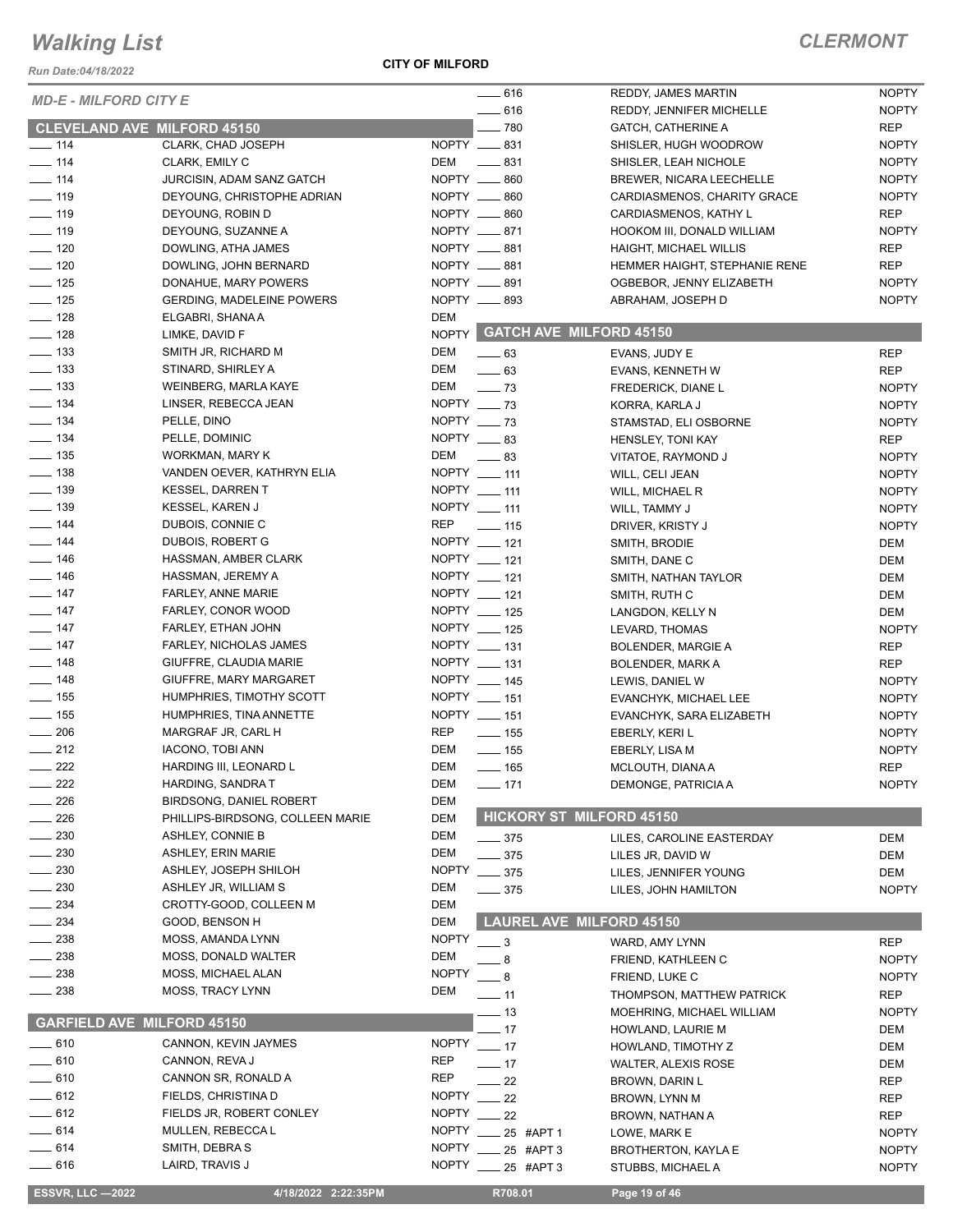*Run Date:04/18/2022*

#### **CITY OF MILFORD**

|                                    |                                  |              | $- 616$                         | REDDY, JAMES MARTIN             | <b>NOPTY</b> |
|------------------------------------|----------------------------------|--------------|---------------------------------|---------------------------------|--------------|
| <b>MD-E - MILFORD CITY E</b>       |                                  |              | $-616$                          | REDDY, JENNIFER MICHELLE        | <b>NOPTY</b> |
| <b>CLEVELAND AVE MILFORD 45150</b> |                                  |              | $-780$                          | <b>GATCH, CATHERINE A</b>       | <b>REP</b>   |
| $\frac{1}{2}$ 114                  | CLARK, CHAD JOSEPH               |              | NOPTY __ 831                    | SHISLER, HUGH WOODROW           | <b>NOPTY</b> |
| $\frac{1}{2}$ 114                  | CLARK, EMILY C                   | DEM          | $\frac{1}{2}$ 831               | SHISLER, LEAH NICHOLE           | <b>NOPTY</b> |
| $\frac{1}{2}$ 114                  | <b>JURCISIN, ADAM SANZ GATCH</b> |              | NOPTY __ 860                    | <b>BREWER, NICARA LEECHELLE</b> | <b>NOPTY</b> |
| $\frac{1}{2}$ 119                  | DEYOUNG, CHRISTOPHE ADRIAN       |              | NOPTY __ 860                    | CARDIASMENOS, CHARITY GRACE     | <b>NOPTY</b> |
| $\frac{1}{2}$ 119                  | DEYOUNG, ROBIN D                 |              | NOPTY __ 860                    | CARDIASMENOS, KATHY L           | <b>REP</b>   |
| $- 119$                            |                                  |              | NOPTY __ 871                    |                                 | <b>NOPTY</b> |
|                                    | DEYOUNG, SUZANNE A               |              |                                 | HOOKOM III, DONALD WILLIAM      |              |
| $\frac{1}{2}$ 120                  | DOWLING, ATHA JAMES              |              | NOPTY __ 881                    | HAIGHT, MICHAEL WILLIS          | <b>REP</b>   |
| $\frac{1}{2}$ 120                  | DOWLING, JOHN BERNARD            |              | NOPTY __ 881                    | HEMMER HAIGHT, STEPHANIE RENE   | <b>REP</b>   |
| $\frac{1}{2}$ 125                  | DONAHUE, MARY POWERS             |              | NOPTY __ 891                    | OGBEBOR, JENNY ELIZABETH        | <b>NOPTY</b> |
| $\frac{1}{2}$ 125                  | <b>GERDING, MADELEINE POWERS</b> |              | NOPTY __ 893                    | ABRAHAM, JOSEPH D               | <b>NOPTY</b> |
| $- 128$                            | ELGABRI, SHANA A                 | <b>DEM</b>   |                                 |                                 |              |
| $- 128$                            | LIMKE, DAVID F                   |              | NOPTY GATCH AVE MILFORD 45150   |                                 |              |
| $\frac{1}{2}$ 133                  | SMITH JR, RICHARD M              | DEM          | $\equiv$ 63                     | EVANS, JUDY E                   | <b>REP</b>   |
| $\frac{1}{2}$ 133                  | STINARD, SHIRLEY A               | <b>DEM</b>   | $\frac{1}{2}$ 63                | EVANS, KENNETH W                | <b>REP</b>   |
| $\frac{1}{2}$ 133                  | <b>WEINBERG, MARLA KAYE</b>      | DEM          | $\frac{1}{2}$ 73                | FREDERICK, DIANE L              | <b>NOPTY</b> |
| $\frac{1}{2}$ 134                  | LINSER, REBECCA JEAN             | NOPTY __ 73  |                                 | KORRA, KARLA J                  | <b>NOPTY</b> |
| $- 134$                            | PELLE, DINO                      | NOPTY ___ 73 |                                 | STAMSTAD, ELI OSBORNE           | <b>NOPTY</b> |
| $\frac{1}{2}$ 134                  | PELLE, DOMINIC                   | NOPTY $-83$  |                                 | HENSLEY, TONI KAY               | <b>REP</b>   |
| $\frac{1}{2}$ 135                  | WORKMAN, MARY K                  | DEM          | $\frac{1}{2}$ 83                | VITATOE, RAYMOND J              | <b>NOPTY</b> |
| $\frac{1}{2}$ 138                  | VANDEN OEVER, KATHRYN ELIA       |              | NOPTY __ 111                    | WILL, CELI JEAN                 | <b>NOPTY</b> |
| $\frac{1}{2}$ 139                  | <b>KESSEL, DARREN T</b>          |              | NOPTY __ 111                    | WILL, MICHAEL R                 | <b>NOPTY</b> |
| $\frac{1}{2}$ 139                  | <b>KESSEL, KAREN J</b>           |              | NOPTY __ 111                    | WILL, TAMMY J                   | <b>NOPTY</b> |
| $\frac{1}{2}$ 144                  | DUBOIS, CONNIE C                 | REP          | $\frac{1}{2}$ 115               |                                 |              |
| $- 144$                            |                                  |              | NOPTY __ 121                    | DRIVER, KRISTY J                | <b>NOPTY</b> |
|                                    | DUBOIS, ROBERT G                 |              |                                 | SMITH, BRODIE                   | DEM          |
| $\frac{1}{2}$ 146                  | HASSMAN, AMBER CLARK             |              | NOPTY __ 121                    | SMITH, DANE C                   | DEM          |
| $- 146$                            | HASSMAN, JEREMY A                |              | NOPTY __ 121                    | SMITH, NATHAN TAYLOR            | <b>DEM</b>   |
| $- 147$                            | FARLEY, ANNE MARIE               |              | NOPTY __ 121                    | SMITH, RUTH C                   | <b>DEM</b>   |
| $\frac{1}{2}$ 147                  | FARLEY, CONOR WOOD               |              | NOPTY __ 125                    | LANGDON, KELLY N                | <b>DEM</b>   |
| $\frac{1}{2}$ 147                  | FARLEY, ETHAN JOHN               |              | NOPTY __ 125                    | LEVARD, THOMAS                  | <b>NOPTY</b> |
| $- 147$                            | <b>FARLEY, NICHOLAS JAMES</b>    |              | NOPTY __ 131                    | <b>BOLENDER, MARGIE A</b>       | <b>REP</b>   |
| $\frac{1}{2}$ 148                  | GIUFFRE, CLAUDIA MARIE           |              | NOPTY __ 131                    | BOLENDER, MARK A                | <b>REP</b>   |
| $\frac{1}{2}$ 148                  | GIUFFRE, MARY MARGARET           |              | NOPTY __ 145                    | LEWIS, DANIEL W                 | <b>NOPTY</b> |
| $\frac{1}{2}$ 155                  | HUMPHRIES, TIMOTHY SCOTT         |              | NOPTY __ 151                    | EVANCHYK, MICHAEL LEE           | <b>NOPTY</b> |
| $- 155$                            | HUMPHRIES, TINA ANNETTE          |              | NOPTY __ 151                    | EVANCHYK, SARA ELIZABETH        | <b>NOPTY</b> |
| $\frac{1}{206}$                    | MARGRAF JR, CARL H               | REP          | $\frac{1}{2}$ 155               | EBERLY, KERI L                  | <b>NOPTY</b> |
| $\frac{1}{2}$ 212                  | IACONO, TOBI ANN                 | DEM          | $\frac{1}{2}$ 155               | EBERLY, LISA M                  | <b>NOPTY</b> |
| $\frac{1}{222}$                    | HARDING III, LEONARD L           | <b>DEM</b>   |                                 |                                 |              |
|                                    |                                  |              | $- 165$                         | MCLOUTH, DIANA A                | <b>REP</b>   |
| 222                                | HARDING, SANDRA T                | <b>DEM</b>   | $-171$                          | DEMONGE, PATRICIA A             | <b>NOPTY</b> |
| 226                                | <b>BIRDSONG, DANIEL ROBERT</b>   | <b>DEM</b>   |                                 |                                 |              |
| 226                                | PHILLIPS-BIRDSONG, COLLEEN MARIE | <b>DEM</b>   | <b>HICKORY ST MILFORD 45150</b> |                                 |              |
| 230                                | ASHLEY, CONNIE B                 | <b>DEM</b>   | $\sim$ 375                      | LILES, CAROLINE EASTERDAY       | <b>DEM</b>   |
| 230                                | ASHLEY, ERIN MARIE               | <b>DEM</b>   | $-375$                          | LILES JR, DAVID W               | <b>DEM</b>   |
| $\frac{1}{230}$                    | ASHLEY, JOSEPH SHILOH            | <b>NOPTY</b> | $-375$                          | LILES, JENNIFER YOUNG           | <b>DEM</b>   |
| $\sim$ 230                         | ASHLEY JR, WILLIAM S             | DEM          | $\frac{1}{2}$ 375               | LILES, JOHN HAMILTON            | <b>NOPTY</b> |
| 234                                | CROTTY-GOOD, COLLEEN M           | DEM          |                                 |                                 |              |
| 234                                | GOOD, BENSON H                   | DEM          | <b>LAUREL AVE MILFORD 45150</b> |                                 |              |
| 238                                | MOSS, AMANDA LYNN                | <b>NOPTY</b> | $\frac{1}{2}$                   | WARD, AMY LYNN                  | <b>REP</b>   |
| 238                                | MOSS, DONALD WALTER              | DEM          | - 8                             |                                 | <b>NOPTY</b> |
| $\equiv$ 238                       | MOSS, MICHAEL ALAN               | <b>NOPTY</b> |                                 | FRIEND, KATHLEEN C              |              |
| $\frac{1}{238}$                    | <b>MOSS, TRACY LYNN</b>          | DEM          | $-8$                            | FRIEND, LUKE C                  | <b>NOPTY</b> |
|                                    |                                  |              | $-11$                           | THOMPSON, MATTHEW PATRICK       | <b>REP</b>   |
| <b>GARFIELD AVE MILFORD 45150</b>  |                                  |              | — 13                            | MOEHRING, MICHAEL WILLIAM       | <b>NOPTY</b> |
|                                    |                                  |              | $-17$                           | HOWLAND, LAURIE M               | DEM          |
| $- 610$                            | CANNON, KEVIN JAYMES             | NOPTY $-17$  |                                 | HOWLAND, TIMOTHY Z              | DEM          |
| $-610$                             | CANNON, REVA J                   | <b>REP</b>   | $\frac{1}{2}$ 17                | <b>WALTER, ALEXIS ROSE</b>      | DEM          |
| $= 610$                            | CANNON SR, RONALD A              | <b>REP</b>   | $\equiv$ 22                     | <b>BROWN, DARIN L</b>           | <b>REP</b>   |
| $-612$                             | FIELDS, CHRISTINA D              | <b>NOPTY</b> | $-22$                           | BROWN, LYNN M                   | REP          |
| $-612$                             | FIELDS JR, ROBERT CONLEY         | NOPTY 22     |                                 | BROWN, NATHAN A                 | REP          |
| $-614$                             | MULLEN, REBECCA L                | <b>NOPTY</b> | 25 #APT 1                       | LOWE, MARK E                    | <b>NOPTY</b> |
| $-614$                             | SMITH, DEBRA S                   | <b>NOPTY</b> | 25 #APT 3                       | <b>BROTHERTON, KAYLA E</b>      | <b>NOPTY</b> |
| $= 616$                            | LAIRD, TRAVIS J                  |              | NOPTY __ 25 #APT 3              | STUBBS, MICHAEL A               | <b>NOPTY</b> |
|                                    |                                  |              |                                 |                                 |              |
| <b>ESSVR, LLC -2022</b>            | 4/18/2022 2:22:35PM              |              | R708.01                         | Page 19 of 46                   |              |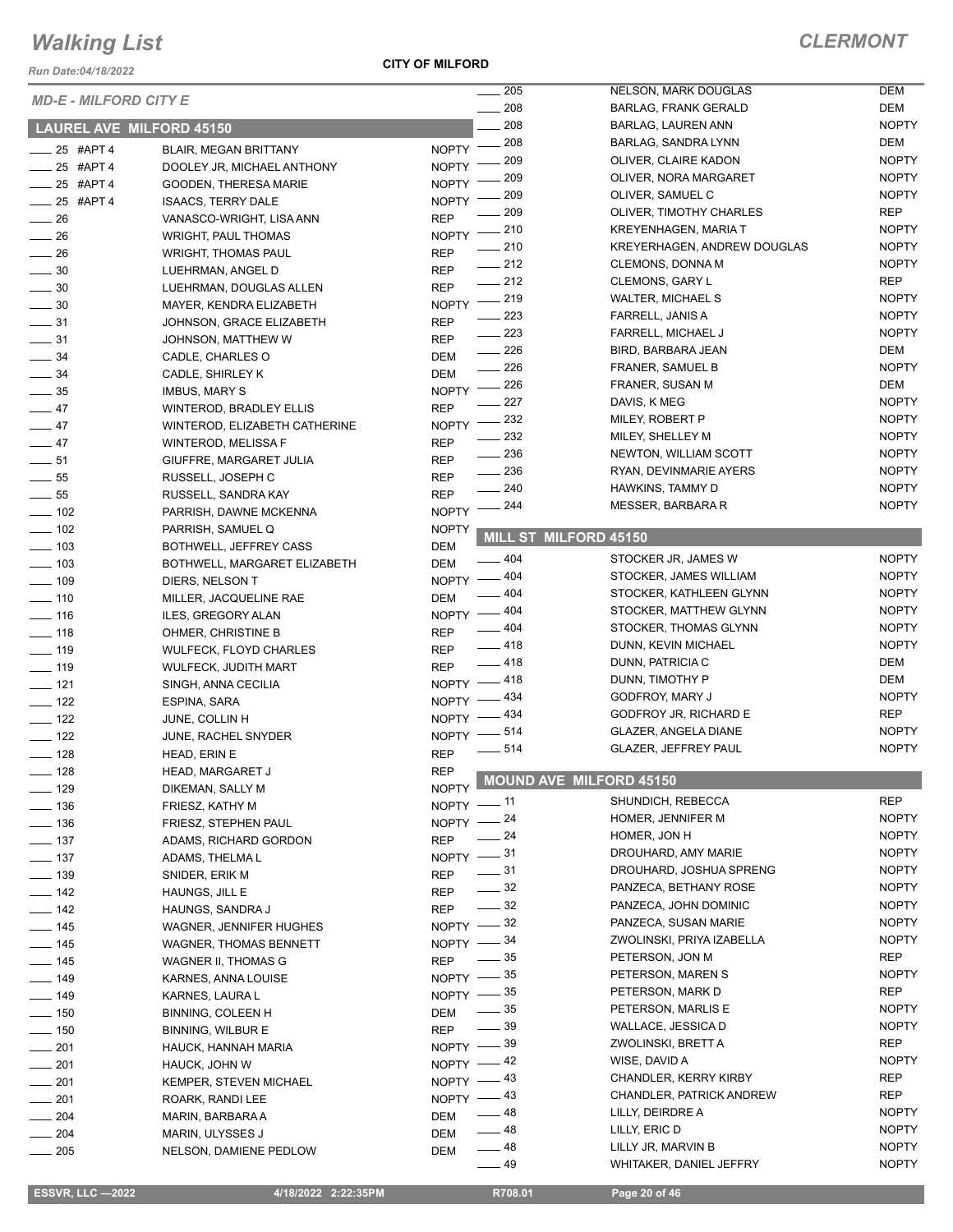*Run Date:04/18/2022*

**CITY OF MILFORD**

|                                 |                                |              | $\sim$ 205        | <b>NELSON, MARK DOUGLAS</b>   | DEM          |
|---------------------------------|--------------------------------|--------------|-------------------|-------------------------------|--------------|
| <b>MD-E - MILFORD CITY E</b>    |                                |              | $\sim$ 208        | <b>BARLAG, FRANK GERALD</b>   | DEM          |
| <b>LAUREL AVE MILFORD 45150</b> |                                |              | 208               | BARLAG, LAUREN ANN            | <b>NOPTY</b> |
|                                 |                                | $N$ OPTY $-$ | 208               | BARLAG, SANDRA LYNN           | DEM          |
| 25 #APT 4<br>25 #APT 4          | <b>BLAIR, MEGAN BRITTANY</b>   | <b>NOPTY</b> | 209               | OLIVER, CLAIRE KADON          | <b>NOPTY</b> |
|                                 | DOOLEY JR, MICHAEL ANTHONY     |              | 209               | OLIVER, NORA MARGARET         | <b>NOPTY</b> |
| _ 25 #APT 4                     | <b>GOODEN, THERESA MARIE</b>   | <b>NOPTY</b> | 209               | OLIVER, SAMUEL C              | <b>NOPTY</b> |
| $-25$ #APT 4                    | <b>ISAACS, TERRY DALE</b>      | <b>NOPTY</b> | 209               | OLIVER, TIMOTHY CHARLES       | REP          |
| $\frac{1}{26}$                  | VANASCO-WRIGHT, LISA ANN       | <b>REP</b>   | $=210$            | KREYENHAGEN, MARIA T          | <b>NOPTY</b> |
| $\frac{1}{26}$                  | WRIGHT, PAUL THOMAS            | <b>NOPTY</b> | $-210$            | KREYERHAGEN, ANDREW DOUGLAS   | <b>NOPTY</b> |
| $\frac{1}{26}$                  | WRIGHT, THOMAS PAUL            | <b>REP</b>   | $\frac{1}{212}$   | <b>CLEMONS, DONNA M</b>       | <b>NOPTY</b> |
| $\frac{1}{2}$ 30                | LUEHRMAN, ANGEL D              | <b>REP</b>   | $\frac{1}{212}$   | <b>CLEMONS, GARY L</b>        | <b>REP</b>   |
| $\frac{1}{2}$ 30                | LUEHRMAN, DOUGLAS ALLEN        | <b>REP</b>   | $-219$            | WALTER, MICHAEL S             | <b>NOPTY</b> |
| $\frac{1}{2}$ 30                | <b>MAYER, KENDRA ELIZABETH</b> | <b>NOPTY</b> | 223               | FARRELL, JANIS A              | <b>NOPTY</b> |
| $-31$                           | JOHNSON, GRACE ELIZABETH       | <b>REP</b>   | $-223$            | FARRELL, MICHAEL J            | <b>NOPTY</b> |
| $\frac{1}{2}$ 31                | JOHNSON, MATTHEW W             | <b>REP</b>   | $\frac{1}{226}$   | BIRD, BARBARA JEAN            | DEM          |
| $\frac{1}{2}$ 34                | CADLE, CHARLES O               | DEM          | $\frac{1}{226}$   | <b>FRANER, SAMUEL B</b>       | <b>NOPTY</b> |
| $\frac{1}{2}$ 34                | CADLE, SHIRLEY K               | DEM          | 226               | FRANER, SUSAN M               | DEM          |
| $\frac{1}{2}$ 35                | <b>IMBUS, MARY S</b>           | <b>NOPTY</b> | 227               | DAVIS, K MEG                  | <b>NOPTY</b> |
| $-47$                           | WINTEROD, BRADLEY ELLIS        | <b>REP</b>   | 232               | MILEY, ROBERT P               | <b>NOPTY</b> |
| $-47$                           | WINTEROD, ELIZABETH CATHERINE  | <b>NOPTY</b> | 232               | MILEY, SHELLEY M              | <b>NOPTY</b> |
| $-47$                           | WINTEROD, MELISSA F            | <b>REP</b>   | $\sim$ 236        | NEWTON, WILLIAM SCOTT         | <b>NOPTY</b> |
| $\frac{1}{2}$ 51                | GIUFFRE, MARGARET JULIA        | <b>REP</b>   | $\frac{1}{2}$ 236 | RYAN, DEVINMARIE AYERS        | <b>NOPTY</b> |
| $\frac{1}{2}$ 55                | RUSSELL, JOSEPH C              | <b>REP</b>   | $\sim$ 240        | HAWKINS, TAMMY D              | <b>NOPTY</b> |
| $\frac{1}{2}$ 55                | RUSSELL, SANDRA KAY            | <b>REP</b>   |                   |                               | <b>NOPTY</b> |
| $- 102$                         | PARRISH, DAWNE MCKENNA         | <b>NOPTY</b> | 244               | MESSER, BARBARA R             |              |
| $- 102$                         | PARRISH, SAMUEL Q              | <b>NOPTY</b> |                   | MILL ST MILFORD 45150         |              |
| $- 103$                         | BOTHWELL, JEFFREY CASS         | DEM          |                   |                               |              |
| $\equiv$ 103                    | BOTHWELL, MARGARET ELIZABETH   | <b>DEM</b>   | $-404$            | STOCKER JR, JAMES W           | <b>NOPTY</b> |
| $- 109$                         | DIERS, NELSON T                | <b>NOPTY</b> | $-404$            | STOCKER, JAMES WILLIAM        | <b>NOPTY</b> |
| $\frac{1}{2}$ 110               | MILLER, JACQUELINE RAE         | DEM          | $-404$            | STOCKER, KATHLEEN GLYNN       | <b>NOPTY</b> |
| $- 116$                         | ILES, GREGORY ALAN             | NOPTY - 404  |                   | STOCKER, MATTHEW GLYNN        | <b>NOPTY</b> |
| $\frac{1}{2}$ 118               | OHMER, CHRISTINE B             | <b>REP</b>   | $-404$            | STOCKER, THOMAS GLYNN         | <b>NOPTY</b> |
| $- 119$                         | <b>WULFECK, FLOYD CHARLES</b>  | <b>REP</b>   | $-418$            | DUNN, KEVIN MICHAEL           | <b>NOPTY</b> |
| $- 119$                         | WULFECK, JUDITH MART           | <b>REP</b>   | $-418$            | DUNN, PATRICIA C              | DEM          |
| $- 121$                         | SINGH, ANNA CECILIA            | NOPTY -418   |                   | DUNN, TIMOTHY P               | DEM          |
| $\frac{1}{2}$ 122               | ESPINA, SARA                   | NOPTY -      | 434               | GODFROY, MARY J               | <b>NOPTY</b> |
| $\frac{1}{2}$ 122               | JUNE, COLLIN H                 | NOPTY $-$    | - 434             | GODFROY JR, RICHARD E         | <b>REP</b>   |
| $\frac{1}{2}$ 122               | JUNE, RACHEL SNYDER            | $NOPTY$ –    | 514               | GLAZER, ANGELA DIANE          | <b>NOPTY</b> |
| $- 128$                         | HEAD, ERIN E                   | <b>REP</b>   | $-514$            | GLAZER, JEFFREY PAUL          | <b>NOPTY</b> |
| $-$ 128                         | <b>HEAD, MARGARET J</b>        | <b>REP</b>   |                   |                               |              |
| $\frac{1}{2}$ 129               | DIKEMAN, SALLY M               |              |                   | NOPTY MOUND AVE MILFORD 45150 |              |
| $\frac{1}{2}$ 136               | FRIESZ, KATHY M                | $NOPTY$ - 11 |                   | SHUNDICH, REBECCA             | REP          |
| $- 136$                         | FRIESZ, STEPHEN PAUL           | NOPTY -24    |                   | HOMER, JENNIFER M             | <b>NOPTY</b> |
| $\frac{1}{2}$ 137               | ADAMS, RICHARD GORDON          | <b>REP</b>   | $\frac{1}{2}$ 24  | HOMER, JON H                  | <b>NOPTY</b> |
| $\frac{1}{2}$ 137               | ADAMS, THELMA L                | NOPTY -31    |                   | DROUHARD, AMY MARIE           | <b>NOPTY</b> |
| $\frac{1}{2}$ 139               | SNIDER, ERIK M                 | <b>REP</b>   | $\frac{1}{2}$ 31  | DROUHARD, JOSHUA SPRENG       | <b>NOPTY</b> |
| $-$ 142                         | HAUNGS, JILL E                 | REP          | $\frac{32}{2}$    | PANZECA, BETHANY ROSE         | <b>NOPTY</b> |
| $-142$                          | HAUNGS, SANDRA J               | <b>REP</b>   | $\frac{1}{2}$ 32  | PANZECA, JOHN DOMINIC         | <b>NOPTY</b> |
| $\frac{1}{145}$                 | WAGNER, JENNIFER HUGHES        | NOPTY $-$ 32 |                   | PANZECA, SUSAN MARIE          | <b>NOPTY</b> |
| $- 145$                         | WAGNER, THOMAS BENNETT         | NOPTY -84    |                   | ZWOLINSKI, PRIYA IZABELLA     | <b>NOPTY</b> |
| $- 145$                         | WAGNER II, THOMAS G            | <b>REP</b>   | 35                | PETERSON, JON M               | REP          |
| $- 149$                         | KARNES, ANNA LOUISE            | NOPTY $-35$  |                   | PETERSON, MAREN S             | <b>NOPTY</b> |
| $- 149$                         | KARNES, LAURA L                | NOPTY -85    |                   | PETERSON, MARK D              | REP          |
| $\frac{1}{2}$ 150               | <b>BINNING, COLEEN H</b>       | DEM          | $\frac{1}{2}$ 35  | PETERSON, MARLIS E            | <b>NOPTY</b> |
| $\frac{1}{2}$ 150               | BINNING, WILBUR E              | <b>REP</b>   | 39                | WALLACE, JESSICA D            | <b>NOPTY</b> |
| $\frac{1}{201}$                 | HAUCK, HANNAH MARIA            | NOPTY -89    |                   | ZWOLINSKI, BRETT A            | REP          |
| $\frac{1}{201}$                 | HAUCK, JOHN W                  | NOPTY $-42$  |                   | WISE, DAVID A                 | <b>NOPTY</b> |
| $-201$                          | KEMPER, STEVEN MICHAEL         | NOPTY -43    |                   | CHANDLER, KERRY KIRBY         | REP          |
| $- 201$                         | ROARK, RANDI LEE               | NOPTY -43    |                   | CHANDLER, PATRICK ANDREW      | REP          |
| $-204$                          | MARIN, BARBARA A               | DEM          | $-48$             | LILLY, DEIRDRE A              | <b>NOPTY</b> |
| $\sim$ 204                      | MARIN, ULYSSES J               | DEM          | $\frac{1}{2}$ 48  | LILLY, ERIC D                 | <b>NOPTY</b> |
| $\frac{1}{205}$                 | NELSON, DAMIENE PEDLOW         | DEM          | $-48$             | LILLY JR, MARVIN B            | <b>NOPTY</b> |
|                                 |                                |              | $-49$             | WHITAKER, DANIEL JEFFRY       | <b>NOPTY</b> |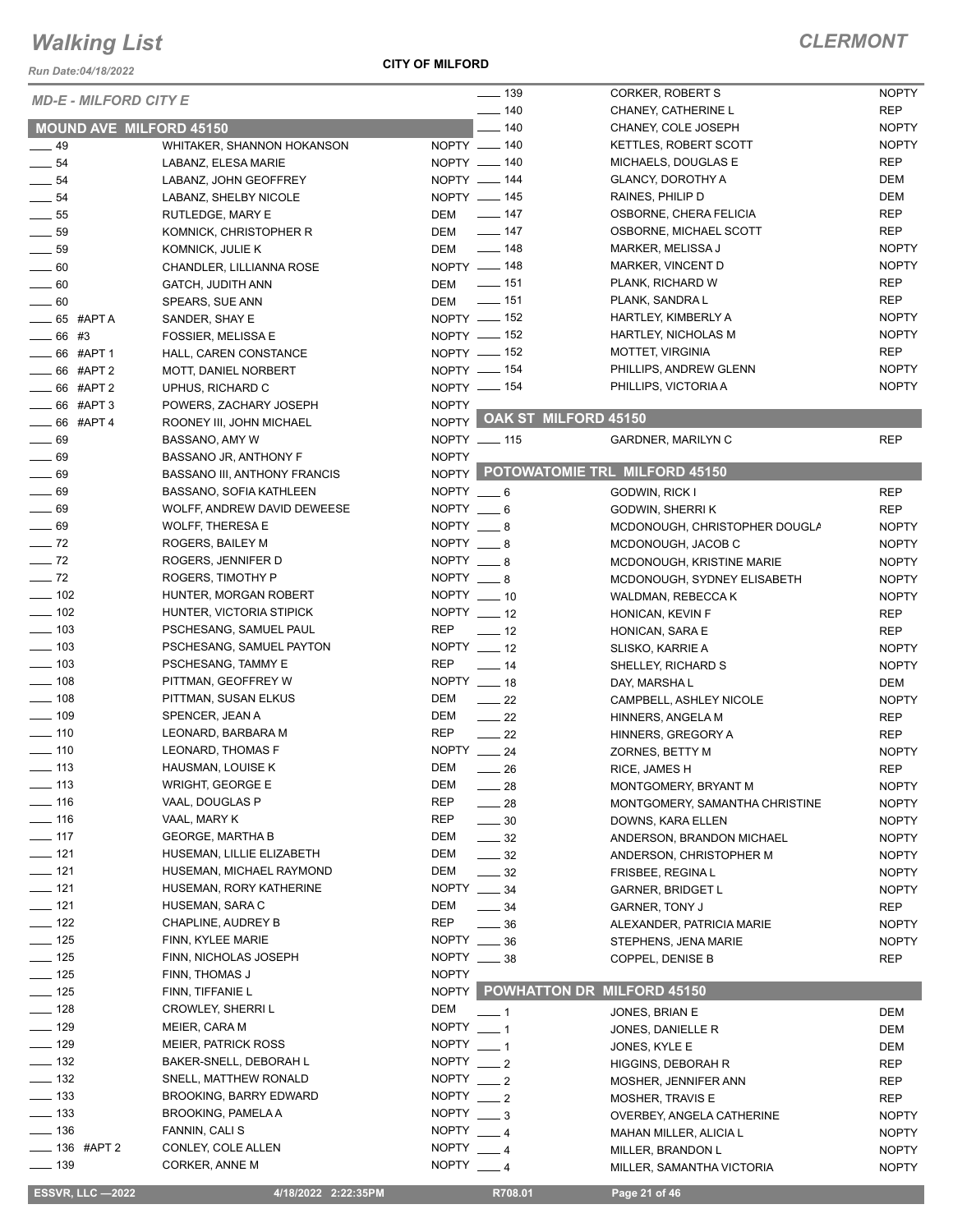*Run Date:04/18/2022*

**CITY OF MILFORD**

|                              |                                                | $\frac{1}{2}$ 139              | CORKER, ROBERT S                    | <b>NOPTY</b> |
|------------------------------|------------------------------------------------|--------------------------------|-------------------------------------|--------------|
| <b>MD-E - MILFORD CITY E</b> |                                                | $\frac{1}{2}$ 140              | CHANEY, CATHERINE L                 | <b>REP</b>   |
| MOUND AVE MILFORD 45150      |                                                | $- 140$                        | CHANEY, COLE JOSEPH                 | <b>NOPTY</b> |
| $\frac{1}{2}$ 49             | WHITAKER, SHANNON HOKANSON                     | NOPTY __ 140                   | KETTLES, ROBERT SCOTT               | <b>NOPTY</b> |
| $\overline{\phantom{0}}$ 54  | LABANZ, ELESA MARIE                            | NOPTY - 140                    | MICHAELS, DOUGLAS E                 | <b>REP</b>   |
| $\frac{1}{2}$ 54             | LABANZ, JOHN GEOFFREY                          | NOPTY - 144                    | <b>GLANCY, DOROTHY A</b>            | <b>DEM</b>   |
| $\frac{1}{2}$ 54             | LABANZ, SHELBY NICOLE                          | NOPTY __ 145                   | RAINES, PHILIP D                    | <b>DEM</b>   |
| $\frac{1}{2}$ 55             | RUTLEDGE, MARY E                               | $\frac{1}{2}$ 147<br>DEM       | OSBORNE, CHERA FELICIA              | <b>REP</b>   |
| $\frac{1}{2}$ 59             | KOMNICK, CHRISTOPHER R                         | $\frac{1}{2}$ 147<br>DEM       | OSBORNE, MICHAEL SCOTT              | <b>REP</b>   |
| $\frac{1}{2}$ 59             | KOMNICK, JULIE K                               | $\frac{1}{2}$ 148<br>DEM       | MARKER, MELISSA J                   | <b>NOPTY</b> |
| $\sim$ 60                    | CHANDLER, LILLIANNA ROSE                       | NOPTY __ 148                   | MARKER, VINCENT D                   | <b>NOPTY</b> |
| $\sim$ 60                    | <b>GATCH, JUDITH ANN</b>                       | $\frac{1}{2}$ 151<br>DEM       | PLANK, RICHARD W                    | <b>REP</b>   |
| $\sim$ 60                    | SPEARS, SUE ANN                                | DEM - 151                      | PLANK, SANDRA L                     | <b>REP</b>   |
| $\frac{1}{2}$ 65 #APT A      | SANDER, SHAY E                                 | NOPTY __ 152                   | HARTLEY, KIMBERLY A                 | <b>NOPTY</b> |
| $-66$ #3                     | FOSSIER, MELISSA E                             | NOPTY - 152                    | HARTLEY, NICHOLAS M                 | <b>NOPTY</b> |
| $-66$ #APT 1                 | HALL, CAREN CONSTANCE                          | NOPTY - 152                    | <b>MOTTET, VIRGINIA</b>             | <b>REP</b>   |
| $-66$ #APT 2                 |                                                | NOPTY __ 154                   | PHILLIPS, ANDREW GLENN              | <b>NOPTY</b> |
|                              | <b>MOTT, DANIEL NORBERT</b>                    |                                | PHILLIPS, VICTORIA A                | <b>NOPTY</b> |
| $-66$ #APT 2                 | UPHUS, RICHARD C                               | NOPTY __ 154<br><b>NOPTY</b>   |                                     |              |
| $-66$ #APT 3                 | POWERS, ZACHARY JOSEPH                         | NOPTY OAK ST_MILFORD 45150     |                                     |              |
| $-66$ #APT 4                 | ROONEY III, JOHN MICHAEL                       |                                |                                     |              |
| $\frac{1}{1}$ 69             | BASSANO, AMY W                                 | NOPTY __ 115                   | GARDNER, MARILYN C                  | <b>REP</b>   |
| $\frac{1}{2}$ 69             | BASSANO JR, ANTHONY F                          | <b>NOPTY</b>                   |                                     |              |
| $\frac{1}{2}$ 69             | <b>BASSANO III, ANTHONY FRANCIS</b>            |                                | NOPTY POTOWATOMIE TRL MILFORD 45150 |              |
| $\frac{1}{2}$ 69             | BASSANO, SOFIA KATHLEEN                        | $NOPTY = 6$                    | GODWIN, RICK I                      | <b>REP</b>   |
| $\frac{1}{2}$ 69             | WOLFF, ANDREW DAVID DEWEESE                    | NOPTY $-6$                     | <b>GODWIN, SHERRI K</b>             | <b>REP</b>   |
| $\frac{1}{2}$ 69             | <b>WOLFF, THERESA E</b>                        | NOPTY $-8$                     | MCDONOUGH, CHRISTOPHER DOUGLA       | <b>NOPTY</b> |
| $\sim$ 72                    | ROGERS, BAILEY M                               | NOPTY $\_\_\$ 8                | MCDONOUGH, JACOB C                  | <b>NOPTY</b> |
| $\frac{1}{2}$                | ROGERS, JENNIFER D                             | NOPTY $-8$                     | MCDONOUGH, KRISTINE MARIE           | <b>NOPTY</b> |
| $\frac{1}{2}$                | ROGERS, TIMOTHY P                              | NOPTY $-8$                     | MCDONOUGH, SYDNEY ELISABETH         | <b>NOPTY</b> |
| $\frac{1}{2}$ 102            | HUNTER, MORGAN ROBERT                          | NOPTY $-10$                    | WALDMAN, REBECCA K                  | <b>NOPTY</b> |
| $\frac{1}{2}$ 102            | HUNTER, VICTORIA STIPICK                       | NOPTY $-12$                    | HONICAN, KEVIN F                    | REP          |
| $\frac{1}{2}$ 103            | PSCHESANG, SAMUEL PAUL                         | REP<br>$\frac{1}{2}$ 12        | HONICAN, SARA E                     | <b>REP</b>   |
| $\frac{1}{2}$ 103            | PSCHESANG, SAMUEL PAYTON                       | NOPTY __ 12                    | SLISKO, KARRIE A                    | <b>NOPTY</b> |
| $\frac{1}{2}$ 103            | PSCHESANG, TAMMY E                             | <b>REP</b><br>$\frac{1}{2}$ 14 | SHELLEY, RICHARD S                  | <b>NOPTY</b> |
| $- 108$                      | PITTMAN, GEOFFREY W                            | NOPTY __ 18                    | DAY, MARSHA L                       | <b>DEM</b>   |
| $\frac{1}{2}$ 108            | PITTMAN, SUSAN ELKUS                           | $\frac{1}{22}$<br>DEM          | CAMPBELL, ASHLEY NICOLE             | <b>NOPTY</b> |
| $- 109$                      | SPENCER, JEAN A                                | DEM<br>$\frac{1}{22}$          |                                     |              |
| $\frac{1}{2}$ 110            |                                                | <b>REP</b><br>$\sim$ 22        | HINNERS, ANGELA M                   | <b>REP</b>   |
|                              | LEONARD, BARBARA M<br><b>LEONARD, THOMAS F</b> |                                | HINNERS, GREGORY A                  | <b>REP</b>   |
| $- 110$                      |                                                | NOPTY __ 24                    | ZORNES, BETTY M                     | <b>NOPTY</b> |
| $\frac{1}{2}$ 113            | HAUSMAN, LOUISE K                              | DEM<br>$-26$                   | RICE, JAMES H                       | <b>REP</b>   |
| — 113                        | <b>WRIGHT, GEORGE E</b>                        | DEM<br>$\frac{1}{28}$          | MONTGOMERY, BRYANT M                | <b>NOPTY</b> |
| $\frac{1}{16}$               | VAAL, DOUGLAS P                                | <b>REP</b><br>$\frac{1}{28}$   | MONTGOMERY, SAMANTHA CHRISTINE      | <b>NOPTY</b> |
| $- 116$                      | VAAL, MARY K                                   | <b>REP</b><br>$\frac{1}{2}$ 30 | DOWNS, KARA ELLEN                   | <b>NOPTY</b> |
| $\frac{1}{2}$ 117            | <b>GEORGE, MARTHA B</b>                        | DEM<br>$\frac{1}{2}$ 32        | ANDERSON, BRANDON MICHAEL           | <b>NOPTY</b> |
| $- 121$                      | HUSEMAN, LILLIE ELIZABETH                      | DEM<br>$\frac{1}{2}$ 32        | ANDERSON, CHRISTOPHER M             | <b>NOPTY</b> |
| $\equiv$ 121                 | HUSEMAN, MICHAEL RAYMOND                       | DEM<br>$\frac{1}{2}$ 32        | FRISBEE, REGINA L                   | <b>NOPTY</b> |
| $- 121$                      | HUSEMAN, RORY KATHERINE                        | NOPTY __ 34                    | <b>GARNER, BRIDGET L</b>            | <b>NOPTY</b> |
| $- 121$                      | HUSEMAN, SARA C                                | $\frac{1}{2}$ 34<br>DEM        | <b>GARNER, TONY J</b>               | <b>REP</b>   |
| $\frac{1}{2}$ 122            | CHAPLINE, AUDREY B                             | REP<br>$\frac{1}{2}$ 36        | ALEXANDER, PATRICIA MARIE           | <b>NOPTY</b> |
| $- 125$                      | FINN, KYLEE MARIE                              | NOPTY _____ 36                 | STEPHENS, JENA MARIE                | <b>NOPTY</b> |
| $\frac{1}{2}$ 125            | FINN, NICHOLAS JOSEPH                          | NOPTY $-38$                    | COPPEL, DENISE B                    | REP          |
| $\frac{1}{2}$ 125            | FINN, THOMAS J                                 | <b>NOPTY</b>                   |                                     |              |
| $- 125$                      | FINN, TIFFANIE L                               | <b>POWHATTON DR</b><br>NOPTY   | <b>MILFORD 45150</b>                |              |
| $\frac{1}{2}$ 128            | CROWLEY, SHERRI L                              | DEM<br>- 1                     | JONES, BRIAN E                      | DEM          |
| $- 129$                      | MEIER, CARA M                                  | <b>NOPTY</b><br>$-1$           |                                     |              |
| $\frac{1}{2}$ 129            | <b>MEIER, PATRICK ROSS</b>                     | NOPTY $-1$                     | JONES, DANIELLE R                   | DEM          |
| $\frac{1}{2}$ 132            |                                                |                                | JONES, KYLE E                       | DEM          |
|                              | BAKER-SNELL, DEBORAH L                         | NOPTY<br>$\sim$ 2              | HIGGINS, DEBORAH R                  | REP          |
| $\frac{1}{2}$ 132            | SNELL, MATTHEW RONALD                          | NOPTY $\_\_2$                  | MOSHER, JENNIFER ANN                | REP          |
| $\frac{1}{2}$ 133            | <b>BROOKING, BARRY EDWARD</b>                  | NOPTY<br>$\sim$ 2              | <b>MOSHER, TRAVIS E</b>             | REP          |
| $\frac{1}{2}$ 133            | <b>BROOKING, PAMELA A</b>                      | NOPTY $\_\_\_3$                | OVERBEY, ANGELA CATHERINE           | <b>NOPTY</b> |
| $\equiv$ 136                 | FANNIN, CALI S                                 | NOPTY $-4$                     | <b>MAHAN MILLER, ALICIA L</b>       | <b>NOPTY</b> |
| $- 136$ #APT 2               | CONLEY, COLE ALLEN                             | <b>NOPTY</b><br>$-4$           | MILLER, BRANDON L                   | <b>NOPTY</b> |
| $\equiv$ 139                 | CORKER, ANNE M                                 | NOPTY $-4$                     | MILLER, SAMANTHA VICTORIA           | <b>NOPTY</b> |
| <b>ESSVR, LLC -2022</b>      |                                                |                                |                                     |              |
|                              | 4/18/2022 2:22:35PM                            | R708.01                        | Page 21 of 46                       |              |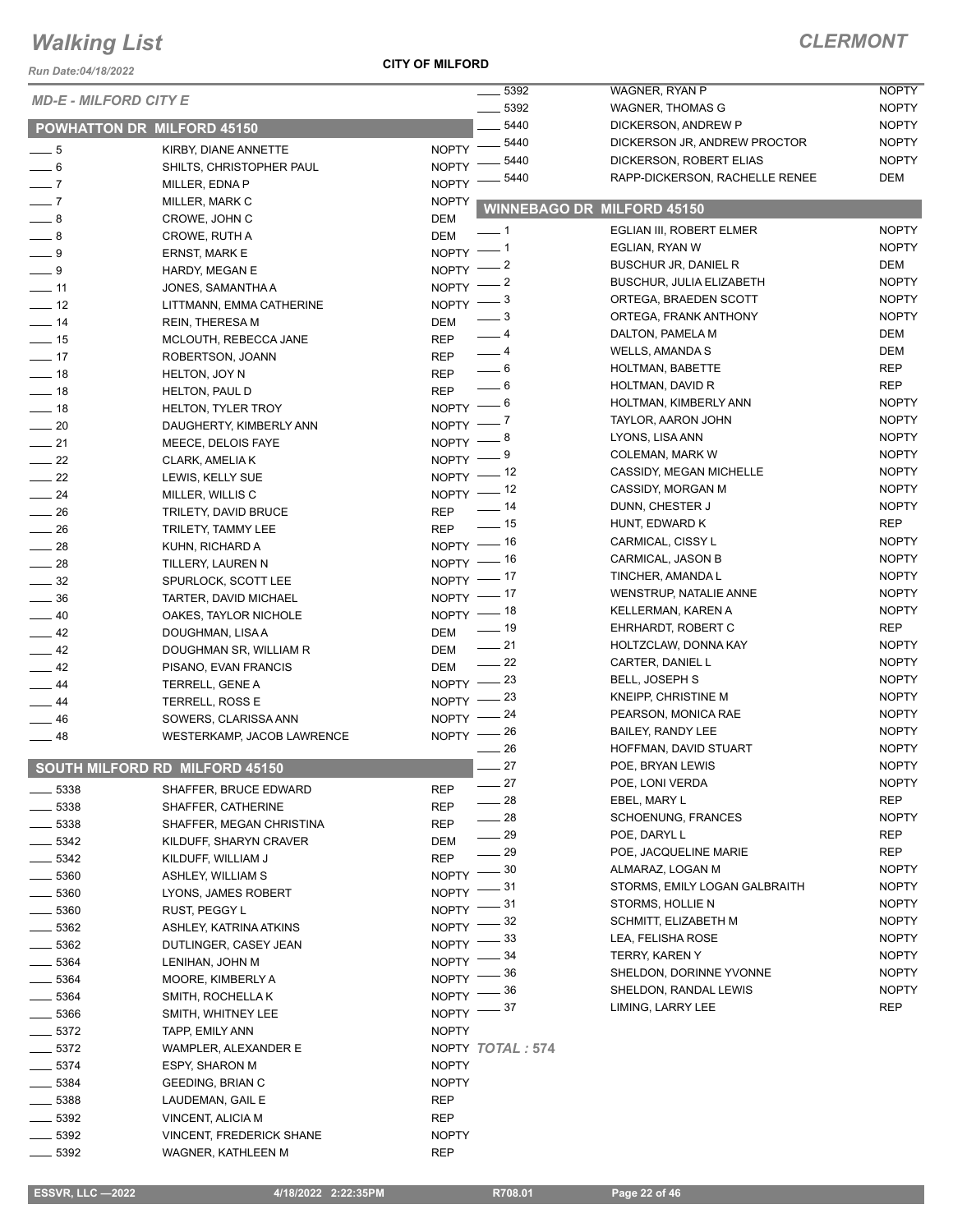*Run Date:04/18/2022*

**CITY OF MILFORD**

| INUII DULG.VT/IU/LVLL<br><b>MD-E - MILFORD CITY E</b> |                                 |                            | $-5392$                    | WAGNER, RYAN P                    | <b>NOPTY</b> |
|-------------------------------------------------------|---------------------------------|----------------------------|----------------------------|-----------------------------------|--------------|
|                                                       |                                 |                            | 5392                       | WAGNER, THOMAS G                  | <b>NOPTY</b> |
|                                                       | POWHATTON DR MILFORD 45150      |                            | 5440                       | DICKERSON, ANDREW P               | <b>NOPTY</b> |
| $\frac{1}{\sqrt{2}}$                                  | KIRBY, DIANE ANNETTE            | $N$ OPTY $-$               | 5440                       | DICKERSON JR, ANDREW PROCTOR      | <b>NOPTY</b> |
| $-6$                                                  | SHILTS, CHRISTOPHER PAUL        | <b>NOPTY</b>               | 5440                       | DICKERSON, ROBERT ELIAS           | <b>NOPTY</b> |
| $\overline{\phantom{0}}$ 7                            |                                 | <b>NOPTY</b>               | 5440                       | RAPP-DICKERSON, RACHELLE RENEE    | DEM          |
| $\overline{\phantom{0}}$ 7                            | MILLER, EDNA P                  |                            |                            |                                   |              |
| $\_\_\$ 8                                             | MILLER, MARK C                  | <b>NOPTY</b><br><b>DEM</b> |                            | <b>WINNEBAGO DR MILFORD 45150</b> |              |
|                                                       | CROWE, JOHN C                   |                            | — 1                        | EGLIAN III, ROBERT ELMER          | <b>NOPTY</b> |
| $\_\_\_$ 8                                            | CROWE, RUTH A                   | DEM                        | - 1                        | EGLIAN, RYAN W                    | <b>NOPTY</b> |
| $-9$                                                  | <b>ERNST, MARK E</b>            | NOPTY -                    | $-2$                       | <b>BUSCHUR JR, DANIEL R</b>       | DEM          |
| $\frac{1}{2}$                                         | HARDY, MEGAN E                  | $NOPTY =$                  | - 2                        | <b>BUSCHUR, JULIA ELIZABETH</b>   | <b>NOPTY</b> |
| $\overline{\phantom{0}}$ 11                           | JONES, SAMANTHA A               | $NOPTY$ -                  |                            | ORTEGA, BRAEDEN SCOTT             | <b>NOPTY</b> |
| $\frac{1}{2}$                                         | LITTMANN, EMMA CATHERINE        | NOPTY $-3$                 | $\frac{1}{2}$              | ORTEGA, FRANK ANTHONY             | <b>NOPTY</b> |
| $\frac{1}{2}$ 14                                      | <b>REIN, THERESA M</b>          | DEM                        |                            | DALTON, PAMELA M                  | DEM          |
| $\frac{1}{2}$ 15                                      | MCLOUTH, REBECCA JANE           | <b>REP</b>                 | $-4$                       |                                   |              |
| $\frac{1}{2}$                                         | ROBERTSON, JOANN                | REP                        | $-4$                       | WELLS, AMANDA S                   | DEM          |
| $- 18$                                                | HELTON, JOY N                   | <b>REP</b>                 | $\overline{\phantom{0}}$ 6 | HOLTMAN, BABETTE                  | REP          |
| $- 18$                                                | HELTON, PAUL D                  | <b>REP</b>                 | $\frac{1}{\sqrt{2}}$ 6     | HOLTMAN, DAVID R                  | REP          |
| $- 18$                                                | <b>HELTON, TYLER TROY</b>       | NOPTY $-6$                 |                            | HOLTMAN, KIMBERLY ANN             | <b>NOPTY</b> |
| $\sim$ 20                                             | DAUGHERTY, KIMBERLY ANN         | $N$ OPTY $-$               |                            | TAYLOR, AARON JOHN                | <b>NOPTY</b> |
| $\frac{1}{21}$                                        | MEECE, DELOIS FAYE              | NOPTY $-8$                 |                            | LYONS, LISA ANN                   | <b>NOPTY</b> |
| $\frac{1}{2}$                                         | <b>CLARK, AMELIA K</b>          | NOPTY $-$ 9                |                            | <b>COLEMAN, MARK W</b>            | <b>NOPTY</b> |
| $\frac{1}{22}$                                        | LEWIS, KELLY SUE                | NOPTY $-$ 12               |                            | CASSIDY, MEGAN MICHELLE           | <b>NOPTY</b> |
| $\frac{1}{24}$                                        | MILLER, WILLIS C                | NOPTY $-$ 12               |                            | CASSIDY, MORGAN M                 | <b>NOPTY</b> |
| $\sim$ 26                                             | TRILETY, DAVID BRUCE            | <b>REP</b>                 | _ 14                       | DUNN, CHESTER J                   | <b>NOPTY</b> |
| $\frac{1}{26}$                                        | TRILETY, TAMMY LEE              | <b>REP</b>                 | $\frac{1}{2}$ 15           | HUNT, EDWARD K                    | REP          |
| $\frac{1}{28}$                                        | KUHN, RICHARD A                 | $NOPTY$ - 16               |                            | CARMICAL, CISSY L                 | <b>NOPTY</b> |
| $\sim$ 28                                             | TILLERY, LAUREN N               | NOPTY $-$ 16               |                            | CARMICAL, JASON B                 | <b>NOPTY</b> |
| $\frac{1}{2}$ 32                                      | SPURLOCK, SCOTT LEE             | NOPTY $-$ 17               |                            | TINCHER, AMANDA L                 | <b>NOPTY</b> |
| $\frac{1}{2}$ 36                                      |                                 | NOPTY $-$ 17               |                            | <b>WENSTRUP, NATALIE ANNE</b>     | <b>NOPTY</b> |
|                                                       | TARTER, DAVID MICHAEL           | NOPTY $-$ 18               |                            | KELLERMAN, KAREN A                | <b>NOPTY</b> |
| $-40$                                                 | OAKES, TAYLOR NICHOLE           |                            | $-19$                      | EHRHARDT, ROBERT C                | REP          |
| $\frac{1}{2}$ 42                                      | DOUGHMAN, LISA A                | DEM                        | $\frac{1}{21}$             | HOLTZCLAW, DONNA KAY              | <b>NOPTY</b> |
| $\frac{1}{2}$ 42                                      | DOUGHMAN SR, WILLIAM R          | DEM                        | $\frac{22}{2}$             | CARTER, DANIEL L                  | <b>NOPTY</b> |
| $\frac{1}{2}$ 42                                      | PISANO, EVAN FRANCIS            | DEM                        | - 23                       | <b>BELL, JOSEPH S</b>             | <b>NOPTY</b> |
| $-44$                                                 | TERRELL, GENE A                 | $NOPTY =$                  | 23                         | KNEIPP, CHRISTINE M               | <b>NOPTY</b> |
| $\frac{44}{1}$                                        | TERRELL, ROSS E                 | NOPTY -                    | 24                         | PEARSON, MONICA RAE               | <b>NOPTY</b> |
| $-46$                                                 | SOWERS, CLARISSA ANN            | NOPTY -                    |                            | BAILEY, RANDY LEE                 | <b>NOPTY</b> |
| $-48$                                                 | WESTERKAMP, JACOB LAWRENCE      | $NOPTY =$                  | 26<br>26                   | HOFFMAN, DAVID STUART             | <b>NOPTY</b> |
|                                                       |                                 |                            |                            |                                   | <b>NOPTY</b> |
|                                                       | SOUTH MILFORD RD MILFORD 45150  |                            | 27                         | POE, BRYAN LEWIS                  |              |
| $= 5338$                                              | SHAFFER, BRUCE EDWARD           | <b>REP</b>                 | $-27$                      | POE, LONI VERDA                   | <b>NOPTY</b> |
| $- 5338$                                              | SHAFFER, CATHERINE              | <b>REP</b>                 | 28                         | EBEL, MARY L                      | REP          |
| $\frac{1}{2}$ 5338                                    | SHAFFER, MEGAN CHRISTINA        | <b>REP</b>                 | - 28                       | <b>SCHOENUNG, FRANCES</b>         | <b>NOPTY</b> |
| $\frac{1}{2}$ 5342                                    | KILDUFF, SHARYN CRAVER          | DEM                        | $-29$                      | POE, DARYL L                      | <b>REP</b>   |
| 5342                                                  | KILDUFF, WILLIAM J              | <b>REP</b>                 | 29                         | POE, JACQUELINE MARIE             | <b>REP</b>   |
| $\frac{1}{2}$ 5360                                    | ASHLEY, WILLIAM S               | <b>NOPTY</b>               | 30                         | ALMARAZ, LOGAN M                  | <b>NOPTY</b> |
| 5360                                                  | LYONS, JAMES ROBERT             | <b>NOPTY</b>               | 31                         | STORMS, EMILY LOGAN GALBRAITH     | <b>NOPTY</b> |
| $\frac{1}{2}$ 5360                                    | RUST, PEGGY L                   | <b>NOPTY</b>               | 31                         | STORMS, HOLLIE N                  | <b>NOPTY</b> |
| $- 5362$                                              | ASHLEY, KATRINA ATKINS          | <b>NOPTY</b>               | 32                         | SCHMITT, ELIZABETH M              | <b>NOPTY</b> |
| 5362                                                  | DUTLINGER, CASEY JEAN           | <b>NOPTY</b>               | 33                         | LEA, FELISHA ROSE                 | <b>NOPTY</b> |
| $\frac{1}{2}$ 5364                                    | LENIHAN, JOHN M                 | <b>NOPTY</b>               | 34                         | TERRY, KAREN Y                    | <b>NOPTY</b> |
| 5364                                                  | MOORE, KIMBERLY A               | <b>NOPTY</b>               | 36                         | SHELDON, DORINNE YVONNE           | <b>NOPTY</b> |
| $\frac{1}{2}$ 5364                                    | SMITH, ROCHELLAK                | <b>NOPTY</b>               | 36                         | SHELDON, RANDAL LEWIS             | <b>NOPTY</b> |
| $- 5366$                                              | SMITH, WHITNEY LEE              | <b>NOPTY</b>               | 37                         | LIMING, LARRY LEE                 | REP          |
| $-5372$                                               |                                 | <b>NOPTY</b>               |                            |                                   |              |
|                                                       | TAPP, EMILY ANN                 |                            |                            |                                   |              |
| $- 5372$                                              | WAMPLER, ALEXANDER E            |                            | NOPTY TOTAL: 574           |                                   |              |
| $- 5374$                                              | ESPY, SHARON M                  | <b>NOPTY</b>               |                            |                                   |              |
| $\frac{1}{2}$ 5384                                    | GEEDING, BRIAN C                | <b>NOPTY</b>               |                            |                                   |              |
| $- 5388$                                              | LAUDEMAN, GAIL E                | REP                        |                            |                                   |              |
| 5392                                                  | VINCENT, ALICIA M               | REP                        |                            |                                   |              |
| $- 5392$                                              | <b>VINCENT, FREDERICK SHANE</b> | <b>NOPTY</b>               |                            |                                   |              |
| 5392                                                  | WAGNER, KATHLEEN M              | <b>REP</b>                 |                            |                                   |              |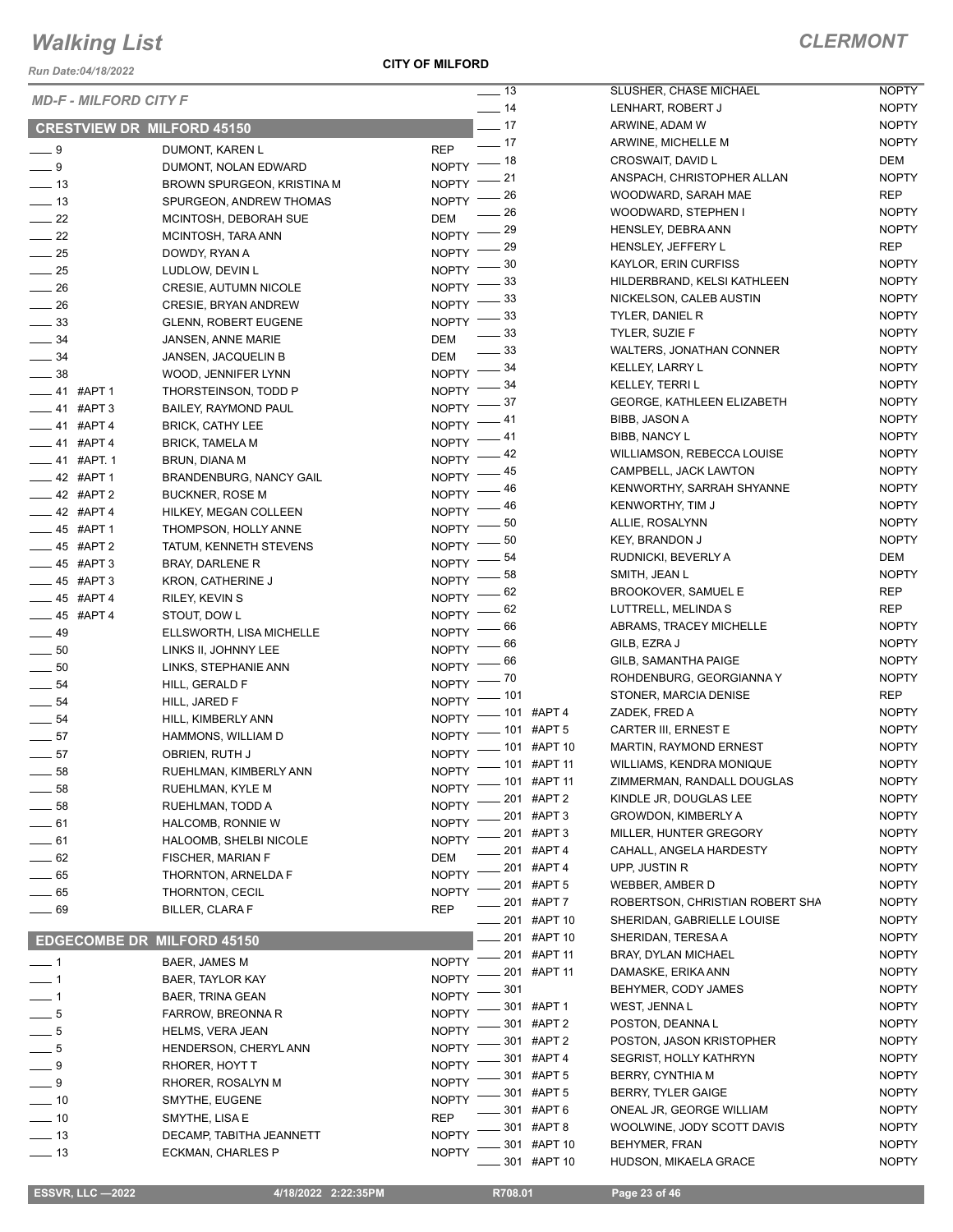*Run Date:04/18/2022*

|                            | <b>MD-F - MILFORD CITY F</b> |                                             |                              | ____ 13                   |                           |
|----------------------------|------------------------------|---------------------------------------------|------------------------------|---------------------------|---------------------------|
|                            |                              |                                             |                              | $-14$                     |                           |
|                            |                              | <b>CRESTVIEW DR MILFORD 45150</b>           |                              | $-17$<br>$\frac{1}{2}$ 17 |                           |
| $-9$                       |                              | DUMONT, KAREN L                             | <b>REP</b>                   | $-18$                     |                           |
| $-9$                       |                              | DUMONT, NOLAN EDWARD                        | NOPTY                        | $-21$                     |                           |
| $\equiv$ 13                |                              | BROWN SPURGEON, KRISTINA M                  | <b>NOPTY</b>                 | 26                        |                           |
| $\equiv$ 13<br>$-22$       |                              | SPURGEON, ANDREW THOMAS                     | <b>NOPTY</b>                 | $-26$                     |                           |
| $\frac{1}{22}$             |                              | MCINTOSH, DEBORAH SUE<br>MCINTOSH, TARA ANN | DEM<br><b>NOPTY</b>          | $-29$                     |                           |
| $-25$                      |                              | DOWDY, RYAN A                               | <b>NOPTY</b>                 | - 29                      |                           |
| $\frac{1}{25}$             |                              | LUDLOW, DEVIN L                             | <b>NOPTY</b>                 | _ 30                      |                           |
| $\frac{1}{26}$             |                              | <b>CRESIE, AUTUMN NICOLE</b>                | <b>NOPTY</b>                 | - 33                      |                           |
| $\frac{1}{26}$             |                              | <b>CRESIE, BRYAN ANDREW</b>                 | <b>NOPTY</b>                 | $-33$                     |                           |
| $-33$                      |                              | <b>GLENN, ROBERT EUGENE</b>                 | <b>NOPTY</b>                 | $=$ 33                    |                           |
| $\frac{1}{2}$ 34           |                              | JANSEN, ANNE MARIE                          | DEM                          | $-33$                     |                           |
| $\frac{1}{2}$ 34           |                              | JANSEN, JACQUELIN B                         | DEM                          | $-33$                     |                           |
| $\frac{1}{2}$ 38           |                              | WOOD, JENNIFER LYNN                         | <b>NOPTY</b>                 | 34                        |                           |
| $-41$ #APT 1               |                              | THORSTEINSON, TODD P                        | <b>NOPTY</b>                 | 34                        |                           |
| $-41$ #APT 3               |                              | <b>BAILEY. RAYMOND PAUL</b>                 | <b>NOPTY</b>                 | $-37$                     |                           |
| $-41$ #APT 4               |                              | <b>BRICK, CATHY LEE</b>                     | NOPTY <sup>-</sup>           | $-41$                     |                           |
| $-41$ #APT 4               |                              | <b>BRICK, TAMELA M</b>                      | NOPTY $-41$                  |                           |                           |
| $-41$ #APT. 1              |                              | BRUN, DIANA M                               | NOPTY -                      | $-42$                     |                           |
| -42 #APT 1                 |                              | <b>BRANDENBURG, NANCY GAIL</b>              | NOPTY                        | $-45$                     |                           |
| -42 #APT 2                 |                              | <b>BUCKNER, ROSE M</b>                      | <b>NOPTY</b>                 | $-46$                     |                           |
| $-42$ #APT 4               |                              | HILKEY, MEGAN COLLEEN                       | NOPTY <sup>-</sup>           | $-46$                     |                           |
| $-45$ #APT 1               |                              | THOMPSON, HOLLY ANNE                        | NOPTY -                      | $-50$                     |                           |
| $-45$ #APT 2               |                              | TATUM, KENNETH STEVENS                      | <b>NOPTY</b>                 | $-50$                     |                           |
| — 45 #APT 3                |                              | BRAY, DARLENE R                             | <b>NOPTY</b>                 | $-54$                     |                           |
| $-45$ #APT 3               |                              | <b>KRON, CATHERINE J</b>                    | NOPTY                        | $-58$<br>$-62$            |                           |
| $-45$ #APT 4               |                              | RILEY, KEVIN S                              | NOPTY                        | _ 62                      |                           |
| -45 #APT 4                 |                              | STOUT, DOW L                                | <b>NOPTY</b>                 | $-66$                     |                           |
| $\frac{1}{2}$ 49           |                              | ELLSWORTH, LISA MICHELLE                    | <b>NOPTY</b>                 | $-66$                     |                           |
| $\sim$ 50                  |                              | LINKS II, JOHNNY LEE                        | NOPTY -                      |                           |                           |
| $-50$                      |                              | LINKS, STEPHANIE ANN                        | NOPTY $-66$                  |                           |                           |
| $\frac{1}{2}$ 54           |                              | HILL, GERALD F                              | NOPTY $-$ 70                 |                           |                           |
| $-54$                      |                              | HILL, JARED F                               |                              | NOPTY - 101               | _ 101   #APT <sub>*</sub> |
| $\frac{1}{2}$ 54           |                              | HILL, KIMBERLY ANN                          | NOPTY -                      |                           | _ 101   #APT :            |
| $\frac{1}{2}$ 57           |                              | HAMMONS, WILLIAM D                          | NOPTY <sup>-</sup>           | NOPTY - 101 #APT          |                           |
| $\frac{1}{2}$ 57           |                              | OBRIEN, RUTH J                              |                              | NOPTY - 101 #APT          |                           |
| $- 58$                     |                              | RUEHLMAN, KIMBERLY ANN                      |                              | — 101                     | #APT                      |
| $=$ 58<br>$-58$            |                              | RUEHLMAN, KYLE M                            | NOPTY                        | . 201                     | #APT:                     |
| $-61$                      |                              | RUEHLMAN, TODD A                            | <b>NOPTY</b><br><b>NOPTY</b> |                           | .201 #APT                 |
| $-61$                      |                              | HALCOMB, RONNIE W<br>HALOOMB, SHELBI NICOLE | <b>NOPTY</b>                 |                           | _ 201 #APT:               |
| $-62$                      |                              | FISCHER, MARIAN F                           | DEM                          |                           | 201 #APT                  |
| $-65$                      |                              | THORNTON, ARNELDA F                         | <b>NOPTY</b>                 | . 201                     | #APT                      |
| $=$ 65                     |                              | THORNTON, CECIL                             | <b>NOPTY</b>                 | 201                       | #APT                      |
| — 69                       |                              | <b>BILLER, CLARA F</b>                      | REP                          | 201                       | #APT                      |
|                            |                              |                                             |                              | 201                       | #APT                      |
|                            |                              | <b>EDGECOMBE DR MILFORD 45150</b>           |                              | 201                       | #APT                      |
| $=$ 1                      |                              | BAER, JAMES M                               | <b>NOPTY</b>                 |                           | 201 #APT                  |
| $\overline{\phantom{0}}$ 1 |                              | BAER, TAYLOR KAY                            | NOPTY                        | 201                       | #APT                      |
| $-1$                       |                              | <b>BAER, TRINA GEAN</b>                     | <b>NOPTY</b>                 | 301                       |                           |
| $-5$                       |                              | FARROW, BREONNA R                           | <b>NOPTY</b>                 | 301                       | #APT                      |
| $-5$                       |                              | HELMS, VERA JEAN                            | <b>NOPTY</b>                 | 301                       | #APT:                     |
| $-5$                       |                              | HENDERSON, CHERYL ANN                       | NOPTY                        |                           | 301 #APT                  |
| $-9$                       |                              | RHORER, HOYT T                              | <b>NOPTY</b>                 | 301                       | #APT                      |
| - 9                        |                              | RHORER, ROSALYN M                           | <b>NOPTY</b>                 | 301                       | #APT                      |
| $-10$                      |                              | SMYTHE, EUGENE                              | <b>NOPTY</b>                 | 301                       | #APT                      |
| $-10$                      |                              | SMYTHE, LISA E                              | REP                          | 301                       | #APT                      |
| $=$ 13                     |                              | DECAMP, TABITHA JEANNETT                    | <b>NOPTY</b>                 | 301                       | #APT                      |
| $-13$                      |                              | ECKMAN, CHARLES P                           | NOPTY                        | 301                       | #APT                      |
|                            |                              |                                             |                              | 301                       | #APT                      |

| 13         |         | SLUSHER, CHASE MICHAEL                                 | <b>NOPTY</b>                 |
|------------|---------|--------------------------------------------------------|------------------------------|
| 14         |         | LENHART, ROBERT J                                      | <b>NOPTY</b>                 |
| 17         |         | ARWINE, ADAM W                                         | <b>NOPTY</b>                 |
| 17         |         | ARWINE, MICHELLE M                                     | <b>NOPTY</b>                 |
| 18         |         | CROSWAIT, DAVID L                                      | DEM                          |
| 21         |         | ANSPACH, CHRISTOPHER ALLAN                             | <b>NOPTY</b>                 |
| 26         |         | WOODWARD, SARAH MAE                                    | REP                          |
| 26         |         | WOODWARD, STEPHEN I                                    | <b>NOPTY</b>                 |
| 29         |         | <b>HENSLEY, DEBRA ANN</b>                              | <b>NOPTY</b>                 |
| 29         |         | HENSLEY, JEFFERY L                                     | <b>REP</b>                   |
| 30         |         | <b>KAYLOR, ERIN CURFISS</b>                            | <b>NOPTY</b>                 |
| 33         |         | HILDERBRAND, KELSI KATHLEEN                            | <b>NOPTY</b>                 |
| 33         |         | NICKELSON, CALEB AUSTIN                                | <b>NOPTY</b>                 |
| 33         |         | <b>TYLER, DANIEL R</b>                                 | <b>NOPTY</b>                 |
| 33         |         | <b>TYLER, SUZIE F</b>                                  | <b>NOPTY</b>                 |
| 33         |         | WALTERS, JONATHAN CONNER                               | <b>NOPTY</b>                 |
| 34         |         | <b>KELLEY, LARRY L</b>                                 | <b>NOPTY</b>                 |
| 34         |         | <b>KELLEY, TERRI L</b>                                 | <b>NOPTY</b>                 |
| 37         |         | <b>GEORGE, KATHLEEN ELIZABETH</b>                      | <b>NOPTY</b>                 |
| 41         |         | BIBB, JASON A                                          | <b>NOPTY</b>                 |
| 41         |         | <b>BIBB, NANCY L</b>                                   | <b>NOPTY</b>                 |
| 42         |         | <b>WILLIAMSON, REBECCA LOUISE</b>                      | <b>NOPTY</b>                 |
| 45         |         | CAMPBELL, JACK LAWTON                                  | <b>NOPTY</b>                 |
| 46         |         | KENWORTHY, SARRAH SHYANNE                              | <b>NOPTY</b>                 |
| 46         |         | <b>KENWORTHY, TIM J</b>                                | <b>NOPTY</b>                 |
| 50         |         | ALLIE, ROSALYNN                                        | <b>NOPTY</b>                 |
| 50         |         | <b>KEY, BRANDON J</b>                                  | <b>NOPTY</b>                 |
| 54         |         | RUDNICKI, BEVERLY A                                    | DEM                          |
| 58         |         | SMITH, JEAN L                                          | <b>NOPTY</b>                 |
| 62         |         | <b>BROOKOVER, SAMUEL E</b>                             | REP                          |
| 62         |         | LUTTRELL, MELINDA S                                    | <b>REP</b>                   |
| 66         |         | ABRAMS, TRACEY MICHELLE                                | <b>NOPTY</b>                 |
| 66         |         | GILB, EZRA J                                           | <b>NOPTY</b>                 |
| 66         |         | GILB, SAMANTHA PAIGE                                   | <b>NOPTY</b>                 |
| 70         |         | ROHDENBURG, GEORGIANNA Y                               | <b>NOPTY</b>                 |
| 101        |         | STONER, MARCIA DENISE                                  | <b>REP</b>                   |
| 101        | #APT 4  | ZADEK, FRED A                                          | <b>NOPTY</b>                 |
| 101        | #APT 5  | CARTER III, ERNEST E                                   | <b>NOPTY</b>                 |
| 101        | #APT 10 | <b>MARTIN, RAYMOND ERNEST</b>                          | <b>NOPTY</b>                 |
| 101        | #APT 11 | WILLIAMS, KENDRA MONIQUE                               | <b>NOPTY</b>                 |
| 101        | #APT 11 | ZIMMERMAN, RANDALL DOUGLAS                             | <b>NOPTY</b>                 |
| 201        | #APT 2  | KINDLE JR, DOUGLAS LEE                                 | <b>NOPTY</b>                 |
| 201        | #APT 3  | <b>GROWDON, KIMBERLY A</b>                             | <b>NOPTY</b>                 |
| 201        | #APT 3  | MILLER, HUNTER GREGORY                                 | <b>NOPTY</b>                 |
| 201        | #APT 4  | CAHALL, ANGELA HARDESTY                                | <b>NOPTY</b>                 |
| 201        | #APT 4  | UPP, JUSTIN R                                          | <b>NOPTY</b>                 |
| 201        | #APT 5  | WEBBER, AMBER D                                        | <b>NOPTY</b>                 |
| 201        | #APT 7  | ROBERTSON, CHRISTIAN ROBERT SHA                        | <b>NOPTY</b>                 |
| 201        | #APT 10 | SHERIDAN, GABRIELLE LOUISE                             | <b>NOPTY</b>                 |
| 201        | #APT 10 | SHERIDAN, TERESA A                                     | <b>NOPTY</b>                 |
| 201        | #APT 11 | BRAY, DYLAN MICHAEL                                    | <b>NOPTY</b>                 |
| 201        | #APT 11 | DAMASKE, ERIKA ANN                                     | <b>NOPTY</b>                 |
| 301        |         | BEHYMER, CODY JAMES                                    | <b>NOPTY</b>                 |
| 301        | #APT 1  | WEST, JENNA L                                          | <b>NOPTY</b>                 |
|            | #APT 2  | POSTON, DEANNAL                                        | <b>NOPTY</b>                 |
| 301<br>301 | #APT 2  | POSTON, JASON KRISTOPHER                               | <b>NOPTY</b>                 |
| 301        | #APT 4  | SEGRIST, HOLLY KATHRYN                                 | <b>NOPTY</b>                 |
| 301        | #APT 5  | BERRY, CYNTHIA M                                       | <b>NOPTY</b>                 |
|            | #APT 5  | <b>BERRY, TYLER GAIGE</b>                              |                              |
| 301        | #APT 6  |                                                        | <b>NOPTY</b><br><b>NOPTY</b> |
| 301<br>301 | #APT 8  | ONEAL JR, GEORGE WILLIAM<br>WOOLWINE, JODY SCOTT DAVIS | <b>NOPTY</b>                 |
|            |         |                                                        |                              |
| 301        | #APT 10 | BEHYMER, FRAN                                          | <b>NOPTY</b>                 |
| 301        | #APT 10 | HUDSON, MIKAELA GRACE                                  | <b>NOPTY</b>                 |

 **ESSVR, LLC —2022 4/18/2022 2:22:35PM R708.01 Page 23 of 46**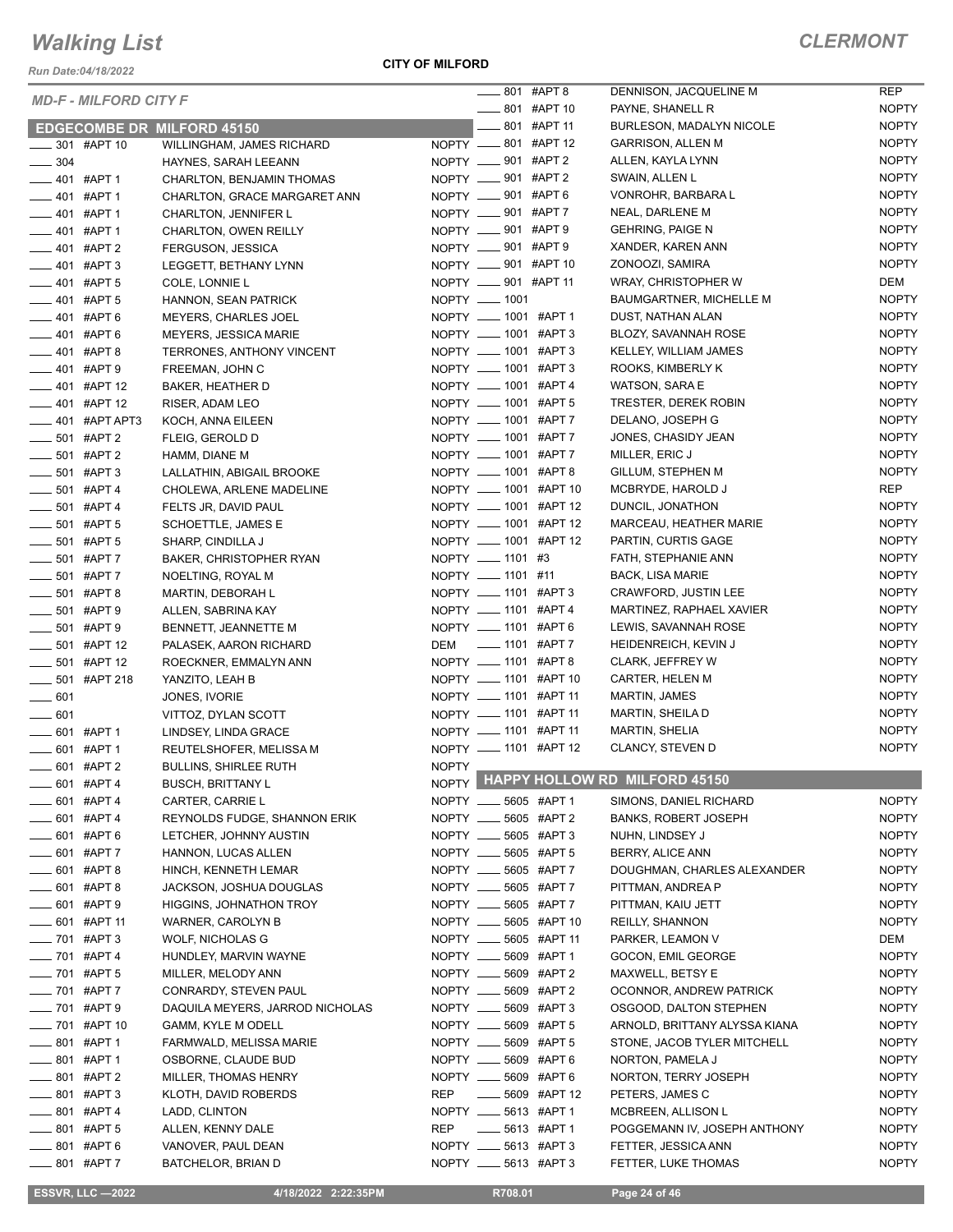*Run Date:04/18/2022*

#### **CITY OF MILFORD**

|                           | <b>MD-F - MILFORD CITY F</b> |                                   |              | $\frac{1}{2}$ 801 #APT 8  |                            | DENNISON, JACQUELINE M              | <b>REP</b>   |
|---------------------------|------------------------------|-----------------------------------|--------------|---------------------------|----------------------------|-------------------------------------|--------------|
|                           |                              |                                   |              |                           | ____ 801 #APT 10           | PAYNE, SHANELL R                    | <b>NOPTY</b> |
|                           |                              | <b>EDGECOMBE DR MILFORD 45150</b> |              | ____ 801 #APT 11          |                            | BURLESON, MADALYN NICOLE            | <b>NOPTY</b> |
|                           | ____ 301 #APT 10             | WILLINGHAM, JAMES RICHARD         |              | NOPTY __ 801 #APT 12      |                            | <b>GARRISON, ALLEN M</b>            | <b>NOPTY</b> |
| $\frac{1}{2}$ 304         |                              | HAYNES, SARAH LEEANN              |              | NOPTY __ 901 #APT 2       |                            | ALLEN, KAYLA LYNN                   | <b>NOPTY</b> |
|                           | $-401$ #APT 1                | CHARLTON, BENJAMIN THOMAS         |              | NOPTY __ 901 #APT 2       |                            | SWAIN, ALLEN L                      | <b>NOPTY</b> |
|                           | __ 401 #APT 1                | CHARLTON, GRACE MARGARET ANN      |              | NOPTY __ 901 #APT 6       |                            | VONROHR, BARBARA L                  | <b>NOPTY</b> |
| ____ 401 #APT 1           |                              | <b>CHARLTON, JENNIFER L</b>       |              | NOPTY __ 901 #APT 7       |                            | NEAL, DARLENE M                     | <b>NOPTY</b> |
| $-401$ #APT 1             |                              | CHARLTON, OWEN REILLY             |              | NOPTY __ 901 #APT 9       |                            | <b>GEHRING, PAIGE N</b>             | <b>NOPTY</b> |
| $-401$ #APT 2             |                              | <b>FERGUSON, JESSICA</b>          |              | NOPTY __ 901 #APT 9       |                            | XANDER, KAREN ANN                   | <b>NOPTY</b> |
| $-401$ #APT 3             |                              | LEGGETT, BETHANY LYNN             |              | NOPTY __ 901 #APT 10      |                            | ZONOOZI, SAMIRA                     | <b>NOPTY</b> |
| $-401$ #APT 5             |                              | COLE, LONNIE L                    |              | NOPTY __ 901 #APT 11      |                            | WRAY, CHRISTOPHER W                 | DEM          |
|                           | $-401$ #APT 5                | <b>HANNON, SEAN PATRICK</b>       |              | NOPTY - 1001              |                            | BAUMGARTNER, MICHELLE M             | <b>NOPTY</b> |
|                           | $-401$ #APT 6                | <b>MEYERS, CHARLES JOEL</b>       |              | NOPTY __ 1001 #APT 1      |                            | DUST, NATHAN ALAN                   | <b>NOPTY</b> |
|                           | _401 #APT6                   | <b>MEYERS, JESSICA MARIE</b>      |              | NOPTY __ 1001 #APT 3      |                            | BLOZY, SAVANNAH ROSE                | <b>NOPTY</b> |
|                           | $-401$ #APT 8                | TERRONES, ANTHONY VINCENT         |              | NOPTY __ 1001 #APT 3      |                            | KELLEY, WILLIAM JAMES               | <b>NOPTY</b> |
| $-401$ #APT 9             |                              | FREEMAN, JOHN C                   |              | NOPTY __ 1001 #APT 3      |                            | ROOKS, KIMBERLY K                   | <b>NOPTY</b> |
|                           | $-401$ #APT 12               | BAKER, HEATHER D                  |              | NOPTY __ 1001 #APT 4      |                            | WATSON, SARA E                      | <b>NOPTY</b> |
| $\frac{1}{2}$ 401 #APT 12 |                              | <b>RISER, ADAM LEO</b>            |              | NOPTY __ 1001 #APT 5      |                            | TRESTER, DEREK ROBIN                | <b>NOPTY</b> |
|                           | $\equiv$ 401 #APT APT3       | KOCH, ANNA EILEEN                 |              | NOPTY __ 1001 #APT 7      |                            | DELANO, JOSEPH G                    | <b>NOPTY</b> |
| $\frac{1}{2}$ 501 #APT 2  |                              | FLEIG, GEROLD D                   |              | NOPTY __ 1001 #APT 7      |                            | JONES, CHASIDY JEAN                 | <b>NOPTY</b> |
| $- 501$ #APT 2            |                              | HAMM, DIANE M                     |              | NOPTY __ 1001 #APT 7      |                            | MILLER, ERIC J                      | <b>NOPTY</b> |
| $\frac{1}{2}$ 501 #APT 3  |                              | LALLATHIN, ABIGAIL BROOKE         |              | NOPTY __ 1001 #APT 8      |                            | GILLUM, STEPHEN M                   | <b>NOPTY</b> |
| $-501$ #APT 4             |                              | CHOLEWA, ARLENE MADELINE          |              |                           | NOPTY __ 1001 #APT 10      | MCBRYDE, HAROLD J                   | <b>REP</b>   |
| $-501$ #APT 4             |                              | FELTS JR, DAVID PAUL              |              |                           | NOPTY __ 1001 #APT 12      | DUNCIL, JONATHON                    | <b>NOPTY</b> |
|                           | $-501$ #APT 5                | SCHOETTLE, JAMES E                |              |                           | NOPTY __ 1001 #APT 12      | MARCEAU, HEATHER MARIE              | <b>NOPTY</b> |
| $\frac{1}{2}$ 501 #APT 5  |                              | SHARP, CINDILLA J                 |              |                           | NOPTY __ 1001 #APT 12      | PARTIN, CURTIS GAGE                 | <b>NOPTY</b> |
| $-501$ #APT 7             |                              | BAKER, CHRISTOPHER RYAN           |              | NOPTY __ 1101 #3          |                            | FATH, STEPHANIE ANN                 | <b>NOPTY</b> |
| _____ 501 #APT 7          |                              | NOELTING, ROYAL M                 |              | NOPTY __ 1101 #11         |                            | <b>BACK, LISA MARIE</b>             | <b>NOPTY</b> |
| $-501$ #APT 8             |                              | MARTIN, DEBORAH L                 |              | NOPTY __ 1101 #APT 3      |                            | <b>CRAWFORD, JUSTIN LEE</b>         | <b>NOPTY</b> |
| $-501$ #APT 9             |                              | ALLEN, SABRINA KAY                |              | NOPTY __ 1101 #APT 4      |                            | MARTINEZ, RAPHAEL XAVIER            | <b>NOPTY</b> |
| <b>____ 501 #APT 9</b>    |                              | BENNETT, JEANNETTE M              |              | NOPTY __ 1101 #APT 6      |                            | LEWIS, SAVANNAH ROSE                | <b>NOPTY</b> |
|                           | ____ 501 #APT 12             | PALASEK, AARON RICHARD            | DEM          | $\frac{1}{2}$ 1101 #APT 7 |                            | HEIDENREICH, KEVIN J                | <b>NOPTY</b> |
|                           | ____ 501 #APT 12             | ROECKNER, EMMALYN ANN             |              | NOPTY __ 1101 #APT 8      |                            | CLARK, JEFFREY W                    | <b>NOPTY</b> |
|                           | ____ 501 #APT 218            | YANZITO, LEAH B                   |              | NOPTY __ 1101 #APT 10     |                            | CARTER, HELEN M                     | <b>NOPTY</b> |
| $\frac{1}{2}$ 601         |                              | JONES, IVORIE                     |              | NOPTY __ 1101 #APT 11     |                            | <b>MARTIN, JAMES</b>                | <b>NOPTY</b> |
| $\frac{1}{2}$ 601         |                              | VITTOZ, DYLAN SCOTT               |              | NOPTY __ 1101 #APT 11     |                            | <b>MARTIN, SHEILA D</b>             | <b>NOPTY</b> |
| $\frac{1}{2}$ 601 #APT 1  |                              | LINDSEY, LINDA GRACE              |              | NOPTY __ 1101 #APT 11     |                            | <b>MARTIN, SHELIA</b>               | <b>NOPTY</b> |
| $\frac{1}{2}$ 601 #APT 1  |                              | REUTELSHOFER, MELISSA M           |              |                           | NOPTY __ 1101 #APT 12      | CLANCY, STEVEN D                    | <b>NOPTY</b> |
| $-601$ #APT 2             |                              | <b>BULLINS, SHIRLEE RUTH</b>      | <b>NOPTY</b> |                           |                            |                                     |              |
|                           | $-601$ #APT 4                | <b>BUSCH, BRITTANY L</b>          |              |                           |                            | NOPTY HAPPY HOLLOW RD MILFORD 45150 |              |
| $\frac{1}{2}$ 601 #APT 4  |                              | CARTER, CARRIE L                  |              | NOPTY _____ 5605 #APT 1   |                            | SIMONS, DANIEL RICHARD              | <b>NOPTY</b> |
| $-601$ #APT4              |                              | REYNOLDS FUDGE, SHANNON ERIK      |              | NOPTY __ 5605 #APT 2      |                            | <b>BANKS, ROBERT JOSEPH</b>         | <b>NOPTY</b> |
| $\frac{1}{2}$ 601 #APT 6  |                              | LETCHER, JOHNNY AUSTIN            |              | NOPTY _____ 5605 #APT 3   |                            | NUHN, LINDSEY J                     | <b>NOPTY</b> |
| $\frac{1}{2}$ 601 #APT 7  |                              | HANNON, LUCAS ALLEN               |              | NOPTY __ 5605 #APT 5      |                            | <b>BERRY, ALICE ANN</b>             | <b>NOPTY</b> |
| $\frac{1}{2}$ 601 #APT 8  |                              | HINCH, KENNETH LEMAR              |              | NOPTY _____ 5605 #APT 7   |                            | DOUGHMAN, CHARLES ALEXANDER         | <b>NOPTY</b> |
| $-601$ #APT 8             |                              | JACKSON, JOSHUA DOUGLAS           |              | NOPTY _____ 5605 #APT 7   |                            | PITTMAN, ANDREA P                   | <b>NOPTY</b> |
| ____ 601 #APT 9           |                              | <b>HIGGINS, JOHNATHON TROY</b>    |              | NOPTY _____ 5605 #APT 7   |                            | PITTMAN, KAIU JETT                  | <b>NOPTY</b> |
| _____ 601 #APT 11         |                              | WARNER, CAROLYN B                 |              |                           | NOPTY _____ 5605 #APT 10   | <b>REILLY, SHANNON</b>              | <b>NOPTY</b> |
| -8701 #APT 3              |                              | <b>WOLF, NICHOLAS G</b>           |              | NOPTY __ 5605 #APT 11     |                            | PARKER, LEAMON V                    | DEM          |
| $\frac{1}{2}$ 701 #APT 4  |                              | HUNDLEY, MARVIN WAYNE             |              | NOPTY __ 5609 #APT 1      |                            | GOCON, EMIL GEORGE                  | <b>NOPTY</b> |
| $\frac{1}{2}$ 701 #APT 5  |                              | MILLER, MELODY ANN                |              | NOPTY _____ 5609 #APT 2   |                            | MAXWELL, BETSY E                    | <b>NOPTY</b> |
| ____ 701 #APT 7           |                              | CONRARDY, STEVEN PAUL             |              | NOPTY _____ 5609 #APT 2   |                            | OCONNOR, ANDREW PATRICK             | <b>NOPTY</b> |
| - 701 #APT 9              |                              | DAQUILA MEYERS, JARROD NICHOLAS   |              | NOPTY _____ 5609 #APT 3   |                            | OSGOOD, DALTON STEPHEN              | <b>NOPTY</b> |
|                           | ____ 701 #APT 10             | GAMM, KYLE M ODELL                |              | NOPTY _____ 5609 #APT 5   |                            | ARNOLD, BRITTANY ALYSSA KIANA       | <b>NOPTY</b> |
| ____ 801 #APT 1           |                              | FARMWALD, MELISSA MARIE           |              | NOPTY __ 5609 #APT 5      |                            | STONE, JACOB TYLER MITCHELL         | <b>NOPTY</b> |
| $\frac{1}{2}$ 801 #APT 1  |                              | OSBORNE, CLAUDE BUD               |              | NOPTY _____ 5609 #APT 6   |                            | NORTON, PAMELA J                    | <b>NOPTY</b> |
| $\frac{1}{2}$ 801 #APT 2  |                              | MILLER, THOMAS HENRY              |              | NOPTY _____ 5609 #APT 6   |                            | NORTON, TERRY JOSEPH                | <b>NOPTY</b> |
| $\frac{1}{2}$ 801 #APT 3  |                              | KLOTH, DAVID ROBERDS              | <b>REP</b>   |                           | $\frac{1}{2}$ 5609 #APT 12 | PETERS, JAMES C                     | <b>NOPTY</b> |
| <b>____ 801 #APT 4</b>    |                              | LADD, CLINTON                     |              | NOPTY _____ 5613 #APT 1   |                            | MCBREEN, ALLISON L                  | <b>NOPTY</b> |
|                           | $-801$ #APT 5                | ALLEN, KENNY DALE                 | <b>REP</b>   | ____ 5613 #APT 1          |                            | POGGEMANN IV, JOSEPH ANTHONY        | <b>NOPTY</b> |
| _____ 801 #APT 6          |                              | VANOVER, PAUL DEAN                |              | NOPTY __ 5613 #APT 3      |                            | FETTER, JESSICA ANN                 | <b>NOPTY</b> |
| _____ 801 #APT 7          |                              | BATCHELOR, BRIAN D                |              | NOPTY ____ 5613 #APT 3    |                            | FETTER, LUKE THOMAS                 | <b>NOPTY</b> |
|                           |                              |                                   |              |                           |                            |                                     |              |

**ESSVR, LLC -2022 4/18/2022 2:22:35PM** R708.01 **Page 24 of 46**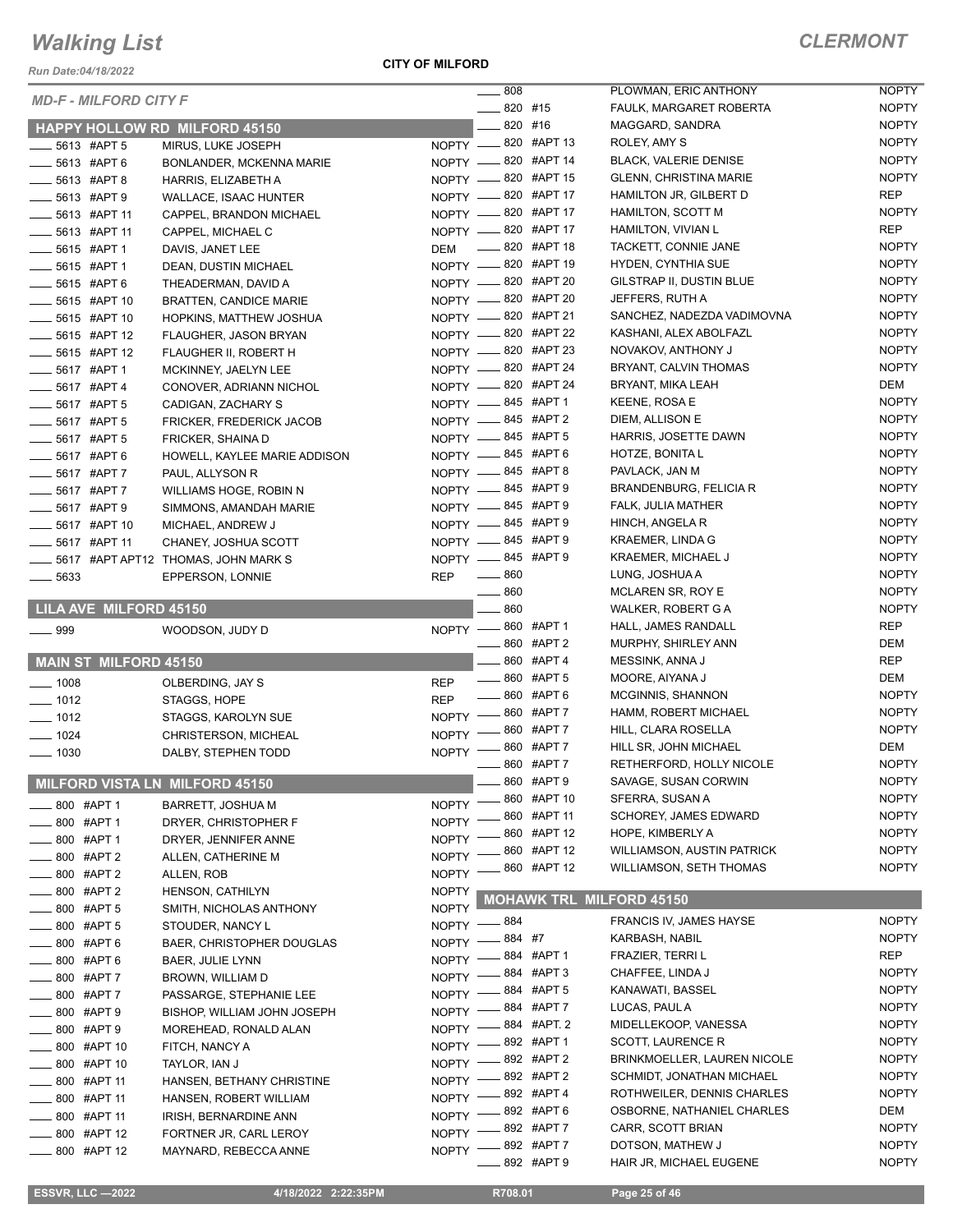*Run Date:04/18/2022*

**CITY OF MILFORD**

|                                |                                                 |              | $\frac{1}{2}$ 808      |               | PLOWMAN, ERIC ANTHONY              | <b>NOPTY</b> |
|--------------------------------|-------------------------------------------------|--------------|------------------------|---------------|------------------------------------|--------------|
| <b>MD-F - MILFORD CITY F</b>   |                                                 |              | $-820$ #15             |               | FAULK, MARGARET ROBERTA            | <b>NOPTY</b> |
|                                | <b>HAPPY HOLLOW RD MILFORD 45150</b>            |              | $- 820$ #16            |               | MAGGARD, SANDRA                    | <b>NOPTY</b> |
| 5613 #APT 5                    | MIRUS, LUKE JOSEPH                              |              | $NOPTY$ -820 #APT 13   |               | ROLEY, AMY S                       | <b>NOPTY</b> |
| 5613 #APT 6                    | BONLANDER, MCKENNA MARIE                        |              | NOPTY -820 #APT 14     |               | BLACK, VALERIE DENISE              | <b>NOPTY</b> |
| 5613 #APT 8                    | HARRIS, ELIZABETH A                             |              | NOPTY -820 #APT 15     |               | <b>GLENN, CHRISTINA MARIE</b>      | <b>NOPTY</b> |
| 5613 #APT 9                    | <b>WALLACE, ISAAC HUNTER</b>                    |              | NOPTY -820 #APT 17     |               | HAMILTON JR, GILBERT D             | <b>REP</b>   |
| 5613 #APT 11                   | CAPPEL, BRANDON MICHAEL                         |              | NOPTY -820 #APT 17     |               | HAMILTON, SCOTT M                  | <b>NOPTY</b> |
| 5613 #APT 11                   | CAPPEL, MICHAEL C                               |              | NOPTY -820 #APT 17     |               | HAMILTON, VIVIAN L                 | <b>REP</b>   |
| 5615 #APT 1                    | DAVIS, JANET LEE                                | DEM          | <b>EXAMPLE 18</b>      |               | TACKETT, CONNIE JANE               | <b>NOPTY</b> |
| 5615 #APT 1                    | DEAN, DUSTIN MICHAEL                            |              | NOPTY -820 #APT 19     |               | <b>HYDEN, CYNTHIA SUE</b>          | <b>NOPTY</b> |
| 5615 #APT 6                    | THEADERMAN, DAVID A                             |              | NOPTY -820 #APT 20     |               | GILSTRAP II, DUSTIN BLUE           | <b>NOPTY</b> |
| 5615 #APT 10                   | <b>BRATTEN, CANDICE MARIE</b>                   |              | NOPTY -820 #APT 20     |               | JEFFERS, RUTH A                    | <b>NOPTY</b> |
| 5615 #APT 10                   | HOPKINS, MATTHEW JOSHUA                         |              | NOPTY -820 #APT 21     |               | SANCHEZ, NADEZDA VADIMOVNA         | <b>NOPTY</b> |
| 5615 #APT 12                   | FLAUGHER, JASON BRYAN                           |              | NOPTY -820 #APT 22     |               | KASHANI, ALEX ABOLFAZL             | <b>NOPTY</b> |
| 5615 #APT 12                   | FLAUGHER II, ROBERT H                           |              | NOPTY -820 #APT 23     |               | NOVAKOV, ANTHONY J                 | <b>NOPTY</b> |
| 5617 #APT 1                    | MCKINNEY, JAELYN LEE                            |              | NOPTY -820 #APT 24     |               | BRYANT, CALVIN THOMAS              | <b>NOPTY</b> |
| 5617 #APT 4                    | CONOVER, ADRIANN NICHOL                         |              | NOPTY -820 #APT 24     |               | BRYANT, MIKA LEAH                  | DEM          |
| 5617 #APT 5                    | CADIGAN, ZACHARY S                              |              | NOPTY -845 #APT 1      |               | KEENE, ROSA E                      | <b>NOPTY</b> |
| 5617 #APT 5                    | FRICKER, FREDERICK JACOB                        |              | NOPTY -845 #APT 2      |               | DIEM, ALLISON E                    | <b>NOPTY</b> |
| 5617 #APT 5                    | FRICKER, SHAINA D                               |              | NOPTY -845 #APT 5      |               | HARRIS, JOSETTE DAWN               | <b>NOPTY</b> |
| 5617 #APT 6                    | HOWELL, KAYLEE MARIE ADDISON                    |              | NOPTY -845 #APT6       |               | HOTZE, BONITA L                    | <b>NOPTY</b> |
| 5617 #APT 7                    | PAUL, ALLYSON R                                 |              | NOPTY -845 #APT 8      |               | PAVLACK, JAN M                     | <b>NOPTY</b> |
| 5617 #APT 7                    | WILLIAMS HOGE, ROBIN N                          |              | NOPTY -845 #APT 9      |               | <b>BRANDENBURG, FELICIA R</b>      | <b>NOPTY</b> |
| 5617 #APT 9                    | SIMMONS, AMANDAH MARIE                          |              | NOPTY -845 #APT 9      |               | FALK, JULIA MATHER                 | <b>NOPTY</b> |
| 5617 #APT 10                   | MICHAEL, ANDREW J                               |              | NOPTY -845 #APT 9      |               | HINCH, ANGELA R                    | <b>NOPTY</b> |
| 5617 #APT 11                   | CHANEY, JOSHUA SCOTT                            |              | NOPTY -845 #APT 9      |               | KRAEMER, LINDA G                   | <b>NOPTY</b> |
|                                | 5617 #APT APT12 THOMAS, JOHN MARK S             |              | NOPTY -845 #APT 9      |               | <b>KRAEMER, MICHAEL J</b>          | <b>NOPTY</b> |
| 5633                           | EPPERSON, LONNIE                                | <b>REP</b>   | $\frac{1}{2}$ 860      |               | LUNG, JOSHUA A                     | <b>NOPTY</b> |
|                                |                                                 |              | $-860$                 |               | MCLAREN SR, ROY E                  | <b>NOPTY</b> |
| LILA AVE MILFORD 45150         |                                                 |              | 860                    |               | WALKER, ROBERT G A                 | <b>NOPTY</b> |
| $\_\_$ 999                     | WOODSON, JUDY D                                 |              | NOPTY -860 #APT 1      |               | HALL, JAMES RANDALL                | <b>REP</b>   |
|                                |                                                 |              |                        | 860 #APT 2    | MURPHY, SHIRLEY ANN                | DEM          |
| <b>MAIN ST MILFORD 45150</b>   |                                                 |              |                        | 860 #APT 4    | MESSINK, ANNA J                    | <b>REP</b>   |
| $- 1008$                       | OLBERDING, JAY S                                | <b>REP</b>   | <b>____ 860 #APT 5</b> |               | MOORE, AIYANA J                    | DEM          |
| $- 1012$                       | STAGGS, HOPE                                    | <b>REP</b>   | ____ 860 #APT 6        |               | <b>MCGINNIS, SHANNON</b>           | <b>NOPTY</b> |
| $- 1012$                       | STAGGS, KAROLYN SUE                             |              | NOPTY -860 #APT 7      |               | HAMM, ROBERT MICHAEL               | <b>NOPTY</b> |
| $- 1024$                       | CHRISTERSON, MICHEAL                            |              | NOPTY -860 #APT 7      |               | HILL, CLARA ROSELLA                | <b>NOPTY</b> |
| $- 1030$                       | DALBY, STEPHEN TODD                             | $N$ OPTY $-$ |                        | 860 #APT 7    | HILL SR, JOHN MICHAEL              | DEM          |
|                                |                                                 |              |                        | 860 #APT 7    | RETHERFORD, HOLLY NICOLE           | <b>NOPTY</b> |
| MILFORD VISTA LN MILFORD 45150 |                                                 |              |                        | $-860$ #APT 9 | SAVAGE, SUSAN CORWIN               | <b>NOPTY</b> |
| 800 #APT 1                     | <b>BARRETT, JOSHUA M</b>                        | <b>NOPTY</b> |                        | 860 #APT 10   | SFERRA, SUSAN A                    | <b>NOPTY</b> |
| 800 #APT 1                     | DRYER, CHRISTOPHER F                            | <b>NOPTY</b> |                        | 860 #APT 11   | <b>SCHOREY, JAMES EDWARD</b>       | <b>NOPTY</b> |
| __800 #APT 1                   | DRYER, JENNIFER ANNE                            | <b>NOPTY</b> |                        | 860 #APT 12   | HOPE, KIMBERLY A                   | <b>NOPTY</b> |
| _800 #APT 2                    | ALLEN, CATHERINE M                              | <b>NOPTY</b> |                        | 860 #APT 12   | <b>WILLIAMSON, AUSTIN PATRICK</b>  | <b>NOPTY</b> |
| $-800$ #APT 2                  | ALLEN, ROB                                      | NOPTY -      |                        | 860 #APT 12   | <b>WILLIAMSON, SETH THOMAS</b>     | <b>NOPTY</b> |
| $-800$ #APT 2                  | <b>HENSON, CATHILYN</b>                         | <b>NOPTY</b> |                        |               |                                    |              |
| __ 800 #APT 5                  | SMITH, NICHOLAS ANTHONY                         | <b>NOPTY</b> |                        |               | <b>MOHAWK TRL MILFORD 45150</b>    |              |
| $-800$ #APT 5                  | STOUDER, NANCY L                                | <b>NOPTY</b> | _ 884                  |               | <b>FRANCIS IV, JAMES HAYSE</b>     | <b>NOPTY</b> |
| $-800$ #APT 6                  | BAER, CHRISTOPHER DOUGLAS                       | NOPTY -      | $-884$ #7              |               | KARBASH, NABIL                     | <b>NOPTY</b> |
| $= 800$ #APT 6                 | BAER, JULIE LYNN                                | $N$ OPTY $-$ |                        | $-884$ #APT 1 | FRAZIER, TERRI L                   | <b>REP</b>   |
| 800 #APT 7                     | BROWN, WILLIAM D                                | $N$ OPTY $-$ |                        | 884 #APT 3    | CHAFFEE, LINDA J                   | <b>NOPTY</b> |
| .800 #APT 7                    | PASSARGE, STEPHANIE LEE                         | $NOPTY =$    |                        | 884 #APT 5    | KANAWATI, BASSEL                   | <b>NOPTY</b> |
| - 800 #APT 9                   | BISHOP, WILLIAM JOHN JOSEPH                     |              | NOPTY -884 #APT 7      |               | LUCAS, PAUL A                      | <b>NOPTY</b> |
| _800 #APT 9                    | MOREHEAD, RONALD ALAN                           | $N$ OPTY $-$ |                        | 884 #APT. 2   | MIDELLEKOOP, VANESSA               | <b>NOPTY</b> |
| $-800$ #APT 10                 | FITCH, NANCY A                                  | $N$ OPTY $-$ |                        | _892 #APT 1   | SCOTT, LAURENCE R                  | <b>NOPTY</b> |
| $-800$ #APT 10                 | TAYLOR, IAN J                                   |              | NOPTY -892 #APT 2      |               | <b>BRINKMOELLER, LAUREN NICOLE</b> | <b>NOPTY</b> |
| $=$ 800 #APT 11                | HANSEN, BETHANY CHRISTINE                       | $N$ OPTY $-$ |                        | $-892$ #APT 2 | SCHMIDT, JONATHAN MICHAEL          | <b>NOPTY</b> |
| <b>_____ 800 #APT 11</b>       | HANSEN, ROBERT WILLIAM                          |              | NOPTY -892 #APT 4      |               | ROTHWEILER, DENNIS CHARLES         | <b>NOPTY</b> |
| _800 #APT 11                   |                                                 | $N$ OPTY $-$ |                        | 892 #APT 6    | OSBORNE, NATHANIEL CHARLES         | DEM          |
| $-800$ #APT 12                 | IRISH, BERNARDINE ANN<br>FORTNER JR, CARL LEROY | $NOPTY$ –    |                        | 892 #APT 7    | CARR, SCOTT BRIAN                  | <b>NOPTY</b> |
| _800 #APT 12                   |                                                 |              | NOPTY -892 #APT 7      |               | DOTSON, MATHEW J                   | <b>NOPTY</b> |
|                                | MAYNARD, REBECCA ANNE                           |              |                        | 892 #APT 9    | HAIR JR, MICHAEL EUGENE            | <b>NOPTY</b> |
|                                |                                                 |              |                        |               |                                    |              |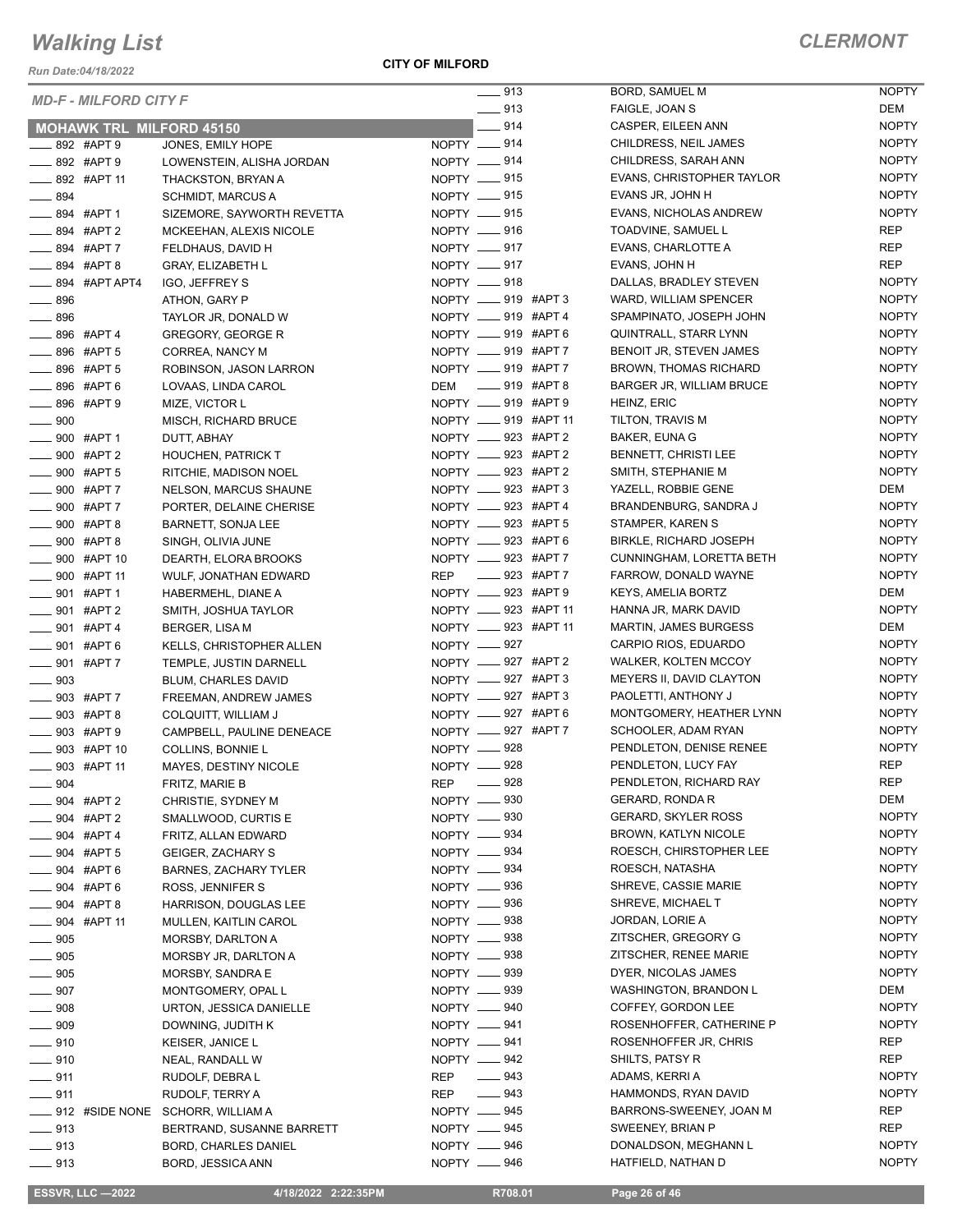*Run Date:04/18/2022*

#### **CITY OF MILFORD**

### *CLERMONT*

| <b>MD-F - MILFORD CITY F</b>                                |                                                   | $- 913$                          | <b>BORD, SAMUEL M</b>                    | <b>NOPTY</b>               |
|-------------------------------------------------------------|---------------------------------------------------|----------------------------------|------------------------------------------|----------------------------|
|                                                             |                                                   | $- 913$                          | FAIGLE, JOAN S                           | DEM                        |
| <b>MOHAWK TRL MILFORD 45150</b>                             |                                                   | $-914$                           | CASPER, EILEEN ANN                       | <b>NOPTY</b>               |
| ____ 892 #APT 9                                             | JONES, EMILY HOPE                                 | $NOPTY$ __ 914                   | CHILDRESS, NEIL JAMES                    | <b>NOPTY</b>               |
| ____ 892 #APT 9                                             | LOWENSTEIN, ALISHA JORDAN                         | NOPTY -814                       | CHILDRESS, SARAH ANN                     | <b>NOPTY</b>               |
| $- 892$ #APT 11                                             | THACKSTON, BRYAN A                                | NOPTY -815                       | EVANS, CHRISTOPHER TAYLOR                | <b>NOPTY</b>               |
| $-894$                                                      | <b>SCHMIDT, MARCUS A</b>                          | NOPTY __ 915                     | EVANS JR, JOHN H                         | <b>NOPTY</b>               |
| ____ 894 #APT 1                                             | SIZEMORE, SAYWORTH REVETTA                        | NOPTY __ 915                     | EVANS, NICHOLAS ANDREW                   | <b>NOPTY</b>               |
| $\frac{1}{2}$ 894 #APT 2                                    | MCKEEHAN, ALEXIS NICOLE                           | NOPTY __ 916                     | TOADVINE, SAMUEL L                       | REP                        |
| ____ 894 #APT 7                                             | FELDHAUS, DAVID H                                 | NOPTY __ 917                     | EVANS, CHARLOTTE A                       | <b>REP</b>                 |
| $\frac{1}{2}$ 894 #APT 8                                    | <b>GRAY, ELIZABETH L</b>                          | NOPTY -817                       | EVANS, JOHN H                            | <b>REP</b>                 |
| $\frac{1}{2}$ 894 #APT APT4                                 | IGO, JEFFREY S                                    | NOPTY __ 918                     | DALLAS, BRADLEY STEVEN                   | <b>NOPTY</b>               |
| $\frac{1}{2}$ 896                                           | ATHON, GARY P                                     | NOPTY __ 919 #APT 3              | WARD, WILLIAM SPENCER                    | <b>NOPTY</b>               |
| $- 896$                                                     | TAYLOR JR, DONALD W                               | NOPTY __ 919 #APT 4              | SPAMPINATO, JOSEPH JOHN                  | <b>NOPTY</b>               |
| <b>_____ 896 #APT 4</b>                                     | GREGORY, GEORGE R                                 | NOPTY __ 919 #APT 6              | QUINTRALL, STARR LYNN                    | <b>NOPTY</b>               |
| $- 896$ #APT 5                                              | CORREA, NANCY M                                   | NOPTY __ 919 #APT 7              | BENOIT JR, STEVEN JAMES                  | <b>NOPTY</b>               |
| $\frac{1}{2}$ 896 #APT 5                                    | ROBINSON, JASON LARRON                            | NOPTY __ 919 #APT 7              | <b>BROWN, THOMAS RICHARD</b>             | <b>NOPTY</b>               |
| __896 #APT6                                                 | LOVAAS, LINDA CAROL                               | DEM _____ 919 #APT 8             | BARGER JR, WILLIAM BRUCE                 | <b>NOPTY</b>               |
| ____ 896 #APT 9                                             | MIZE, VICTOR L                                    | NOPTY __ 919 #APT 9              | HEINZ, ERIC                              | <b>NOPTY</b>               |
| $\frac{1}{2}$ 900                                           | MISCH, RICHARD BRUCE                              | NOPTY __ 919 #APT 11             | TILTON, TRAVIS M                         | <b>NOPTY</b>               |
| _____ 900 #APT 1                                            | DUTT, ABHAY                                       | NOPTY __ 923 #APT 2              | <b>BAKER, EUNA G</b>                     | <b>NOPTY</b>               |
| ____ 900 #APT 2                                             | <b>HOUCHEN, PATRICK T</b>                         | NOPTY __ 923 #APT 2              | BENNETT, CHRISTI LEE                     | <b>NOPTY</b>               |
|                                                             |                                                   | NOPTY __ 923 #APT 2              | SMITH, STEPHANIE M                       | <b>NOPTY</b>               |
| ____ 900 #APT 5                                             | RITCHIE, MADISON NOEL                             | NOPTY __ 923 #APT 3              | YAZELL, ROBBIE GENE                      | DEM                        |
| ____ 900 #APT 7                                             | NELSON, MARCUS SHAUNE                             |                                  |                                          | <b>NOPTY</b>               |
| _____ 900 #APT 7                                            | PORTER, DELAINE CHERISE                           | NOPTY __ 923 #APT 4              | BRANDENBURG, SANDRA J                    |                            |
| $- 900$ #APT 8                                              | BARNETT, SONJA LEE                                | NOPTY __ 923 #APT 5              | STAMPER, KAREN S                         | <b>NOPTY</b>               |
| ____ 900 #APT 8                                             | SINGH, OLIVIA JUNE                                | NOPTY __ 923 #APT 6              | <b>BIRKLE, RICHARD JOSEPH</b>            | <b>NOPTY</b>               |
| _____ 900 #APT 10                                           | DEARTH, ELORA BROOKS                              | NOPTY __ 923 #APT 7              | <b>CUNNINGHAM, LORETTA BETH</b>          | <b>NOPTY</b>               |
| $\frac{1}{2}$ 900 #APT 11                                   | WULF, JONATHAN EDWARD                             | ____ 923 #APT 7<br><b>REP</b>    | FARROW, DONALD WAYNE                     | <b>NOPTY</b>               |
| _____ 901 #APT 1                                            | HABERMEHL, DIANE A                                | NOPTY __ 923 #APT 9              | KEYS, AMELIA BORTZ                       | DEM                        |
| _____ 901 #APT 2                                            | SMITH, JOSHUA TAYLOR                              | NOPTY __ 923 #APT 11             | HANNA JR, MARK DAVID                     | <b>NOPTY</b>               |
| $\frac{1}{2}$ 901 #APT 4                                    | BERGER, LISA M                                    | NOPTY __ 923 #APT 11             | <b>MARTIN, JAMES BURGESS</b>             | DEM                        |
| ____ 901 #APT 6                                             | KELLS, CHRISTOPHER ALLEN                          | NOPTY -827                       | CARPIO RIOS, EDUARDO                     | <b>NOPTY</b>               |
| ____ 901 #APT 7                                             | TEMPLE, JUSTIN DARNELL                            | NOPTY __ 927 #APT 2              | WALKER, KOLTEN MCCOY                     | <b>NOPTY</b>               |
| $\frac{1}{2}$ 903                                           | <b>BLUM, CHARLES DAVID</b>                        | NOPTY __ 927 #APT 3              | MEYERS II, DAVID CLAYTON                 | <b>NOPTY</b>               |
| $- 903$ #APT 7                                              | FREEMAN, ANDREW JAMES                             | NOPTY __ 927 #APT 3              | PAOLETTI, ANTHONY J                      | <b>NOPTY</b>               |
| _____ 903 #APT 8                                            | COLQUITT, WILLIAM J                               | NOPTY __ 927 #APT 6              | MONTGOMERY, HEATHER LYNN                 | <b>NOPTY</b>               |
| $= 903$ #APT 9                                              | CAMPBELL, PAULINE DENEACE                         | NOPTY __ 927 #APT 7              | SCHOOLER, ADAM RYAN                      | <b>NOPTY</b>               |
| $\frac{1}{2}$ 903 #APT 10                                   | COLLINS, BONNIE L                                 | NOPTY __ 928                     | PENDLETON, DENISE RENEE                  | <b>NOPTY</b>               |
| $\frac{1}{2}$ 903 #APT 11                                   | MAYES, DESTINY NICOLE                             | NOPTY -828                       | PENDLETON, LUCY FAY                      | <b>REP</b>                 |
| 904                                                         | FRITZ, MARIE B                                    | $- 928$<br>REP                   | PENDLETON, RICHARD RAY                   | <b>REP</b>                 |
| __ 904 #APT 2                                               | CHRISTIE, SYDNEY M                                | NOPTY -830                       | GERARD, RONDA R                          | DEM                        |
| 904 #APT 2                                                  | SMALLWOOD, CURTIS E                               | NOPTY -830                       | <b>GERARD, SKYLER ROSS</b>               | <b>NOPTY</b>               |
| $-904$ #APT 4                                               | FRITZ, ALLAN EDWARD                               | NOPTY __ 934                     | BROWN, KATLYN NICOLE                     | <b>NOPTY</b>               |
| $-904$ #APT 5                                               | GEIGER, ZACHARY S                                 | NOPTY -834                       | ROESCH, CHIRSTOPHER LEE                  | <b>NOPTY</b>               |
|                                                             |                                                   | NOPTY -834                       | ROESCH, NATASHA                          | <b>NOPTY</b>               |
| ____ 904 #APT 6                                             | <b>BARNES, ZACHARY TYLER</b>                      |                                  |                                          |                            |
| ____ 904 #APT 6                                             | ROSS, JENNIFER S                                  | NOPTY __ 936                     | SHREVE, CASSIE MARIE                     | <b>NOPTY</b>               |
| __ 904 #APT 8                                               | HARRISON, DOUGLAS LEE                             | NOPTY <u>_</u> 936               | SHREVE, MICHAEL T                        | <b>NOPTY</b>               |
| $\frac{1}{2}$ 904 #APT 11                                   | MULLEN, KAITLIN CAROL                             | NOPTY __ 938                     | JORDAN, LORIE A                          | <b>NOPTY</b>               |
| $\_\_\_\$ 905                                               | MORSBY, DARLTON A                                 | NOPTY -838                       | ZITSCHER, GREGORY G                      | <b>NOPTY</b>               |
| $-905$                                                      | MORSBY JR, DARLTON A                              | NOPTY -838                       | ZITSCHER, RENEE MARIE                    | <b>NOPTY</b>               |
| $\_\_$ 905                                                  | <b>MORSBY, SANDRA E</b>                           | NOPTY __ 939                     | DYER, NICOLAS JAMES                      | <b>NOPTY</b>               |
| $-907$                                                      | MONTGOMERY, OPAL L                                | NOPTY -839                       | <b>WASHINGTON, BRANDON L</b>             | DEM                        |
| $\_\_$ 908                                                  | URTON, JESSICA DANIELLE                           | NOPTY __ 940                     | COFFEY, GORDON LEE                       | <b>NOPTY</b>               |
| $\frac{1}{2}$ 909                                           | DOWNING, JUDITH K                                 | NOPTY -841                       | ROSENHOFFER, CATHERINE P                 | <b>NOPTY</b>               |
| $- 910$                                                     | <b>KEISER, JANICE L</b>                           | NOPTY -841                       | ROSENHOFFER JR, CHRIS                    | REP                        |
| $- 910$                                                     | NEAL, RANDALL W                                   | NOPTY __ 942                     | SHILTS, PATSY R                          | REP                        |
|                                                             | RUDOLF, DEBRA L                                   | $- 943$<br>REP                   | ADAMS, KERRI A                           | <b>NOPTY</b>               |
|                                                             |                                                   | $- 943$<br>REP                   | HAMMONDS, RYAN DAVID                     | <b>NOPTY</b>               |
|                                                             |                                                   |                                  |                                          |                            |
| $-911$<br>$\frac{1}{2}$ 911                                 | RUDOLF, TERRY A                                   |                                  |                                          |                            |
|                                                             |                                                   | NOPTY -845                       | BARRONS-SWEENEY, JOAN M                  | REP                        |
| ____ 912 #SIDE NONE SCHORR, WILLIAM A<br>$- 913$<br>$- 913$ | BERTRAND, SUSANNE BARRETT<br>BORD, CHARLES DANIEL | NOPTY -845<br>NOPTY <u>_</u> 946 | SWEENEY, BRIAN P<br>DONALDSON, MEGHANN L | <b>REP</b><br><b>NOPTY</b> |

 **ESSVR, LLC —2022 4/18/2022 2:22:35PM R708.01 Page 26 of 46**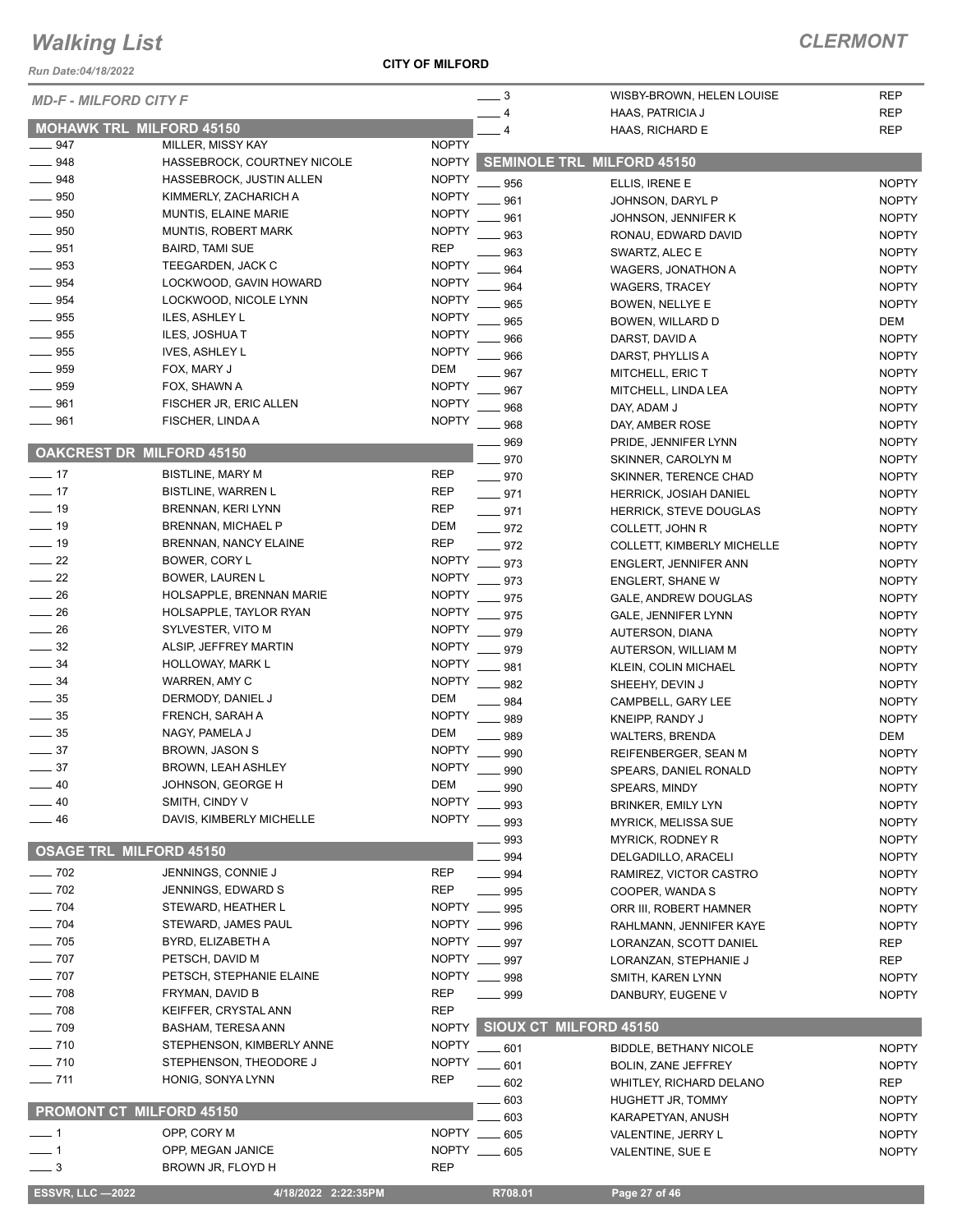*Run Date:04/18/2022*

**CITY OF MILFORD**

| <b>MD-F - MILFORD CITY F</b>    |                             |              | $\overline{\phantom{0}}$ 3 | WISBY-BROWN, HELEN LOUISE         | <b>REP</b>   |
|---------------------------------|-----------------------------|--------------|----------------------------|-----------------------------------|--------------|
|                                 |                             |              | . 4                        | HAAS, PATRICIA J                  | <b>REP</b>   |
| MOHAWK TRL MILFORD 45150        |                             |              | $\overline{4}$             | HAAS, RICHARD E                   | <b>REP</b>   |
| ____ 947                        | MILLER, MISSY KAY           | <b>NOPTY</b> |                            |                                   |              |
| $-948$                          | HASSEBROCK, COURTNEY NICOLE | <b>NOPTY</b> |                            | <b>SEMINOLE TRL MILFORD 45150</b> |              |
| 948                             | HASSEBROCK, JUSTIN ALLEN    | <b>NOPTY</b> | 956                        | ELLIS, IRENE E                    | <b>NOPTY</b> |
| $\frac{1}{2}$ 950               | KIMMERLY, ZACHARICH A       | <b>NOPTY</b> | 961                        | JOHNSON, DARYL P                  | <b>NOPTY</b> |
| $\frac{1}{2}$ 950               | MUNTIS, ELAINE MARIE        | <b>NOPTY</b> | 961                        | JOHNSON, JENNIFER K               | <b>NOPTY</b> |
| $-950$                          | MUNTIS, ROBERT MARK         | <b>NOPTY</b> | 963                        | RONAU, EDWARD DAVID               | <b>NOPTY</b> |
| $- 951$                         | <b>BAIRD, TAMI SUE</b>      | <b>REP</b>   | 963                        | SWARTZ, ALEC E                    | <b>NOPTY</b> |
| 953                             | TEEGARDEN, JACK C           | <b>NOPTY</b> | 964                        | <b>WAGERS, JONATHON A</b>         | <b>NOPTY</b> |
| $-954$                          | LOCKWOOD, GAVIN HOWARD      | <b>NOPTY</b> | 964                        | <b>WAGERS, TRACEY</b>             | <b>NOPTY</b> |
| $-954$                          | LOCKWOOD, NICOLE LYNN       | <b>NOPTY</b> | 965                        | BOWEN, NELLYE E                   | <b>NOPTY</b> |
| $-955$                          | ILES, ASHLEY L              | <b>NOPTY</b> | 965                        | BOWEN, WILLARD D                  | <b>DEM</b>   |
| $- 955$                         | ILES, JOSHUAT               | <b>NOPTY</b> | 966                        | DARST, DAVID A                    | <b>NOPTY</b> |
| $\frac{1}{2}$ 955               | <b>IVES, ASHLEY L</b>       | <b>NOPTY</b> | 966                        |                                   |              |
| $-959$                          | FOX, MARY J                 | DEM          |                            | DARST, PHYLLIS A                  | <b>NOPTY</b> |
| $-959$                          | FOX, SHAWN A                | <b>NOPTY</b> | 967                        | MITCHELL, ERIC T                  | <b>NOPTY</b> |
| $-961$                          | FISCHER JR, ERIC ALLEN      | <b>NOPTY</b> | 967                        | MITCHELL, LINDA LEA               | <b>NOPTY</b> |
|                                 |                             |              | 968                        | DAY, ADAM J                       | <b>NOPTY</b> |
| $- 961$                         | FISCHER, LINDA A            | <b>NOPTY</b> | 968                        | DAY, AMBER ROSE                   | <b>NOPTY</b> |
| OAKCREST DR MILFORD 45150       |                             |              | 969                        | PRIDE, JENNIFER LYNN              | <b>NOPTY</b> |
|                                 |                             |              | 970                        | SKINNER, CAROLYN M                | <b>NOPTY</b> |
| $\frac{1}{2}$ 17                | <b>BISTLINE, MARY M</b>     | REP          | $-970$                     | SKINNER, TERENCE CHAD             | <b>NOPTY</b> |
| $\frac{1}{2}$ 17                | <b>BISTLINE, WARREN L</b>   | <b>REP</b>   | $-971$                     | <b>HERRICK, JOSIAH DANIEL</b>     | <b>NOPTY</b> |
| ____ 19                         | BRENNAN, KERI LYNN          | <b>REP</b>   | $-971$                     | <b>HERRICK, STEVE DOUGLAS</b>     | <b>NOPTY</b> |
| $\frac{1}{2}$ 19                | <b>BRENNAN, MICHAEL P</b>   | DEM          | $-972$                     | COLLETT, JOHN R                   | <b>NOPTY</b> |
| $\equiv$ 19                     | BRENNAN, NANCY ELAINE       | <b>REP</b>   | 972                        | <b>COLLETT, KIMBERLY MICHELLE</b> | <b>NOPTY</b> |
| $-22$                           | BOWER, CORY L               | <b>NOPTY</b> | 973                        | <b>ENGLERT, JENNIFER ANN</b>      | <b>NOPTY</b> |
| $\frac{1}{2}$                   | BOWER, LAUREN L             | <b>NOPTY</b> | 973                        | <b>ENGLERT, SHANE W</b>           | <b>NOPTY</b> |
| $\frac{1}{26}$                  | HOLSAPPLE, BRENNAN MARIE    | <b>NOPTY</b> |                            |                                   |              |
| $\frac{1}{26}$                  | HOLSAPPLE, TAYLOR RYAN      | <b>NOPTY</b> | 975                        | GALE, ANDREW DOUGLAS              | <b>NOPTY</b> |
| $\frac{1}{26}$                  | SYLVESTER, VITO M           | <b>NOPTY</b> | 975                        | GALE, JENNIFER LYNN               | <b>NOPTY</b> |
|                                 |                             |              | 979                        | AUTERSON, DIANA                   | <b>NOPTY</b> |
| $-32$                           | ALSIP, JEFFREY MARTIN       | <b>NOPTY</b> | 979                        | AUTERSON, WILLIAM M               | <b>NOPTY</b> |
| $-34$                           | <b>HOLLOWAY, MARK L</b>     | <b>NOPTY</b> | 981                        | KLEIN, COLIN MICHAEL              | <b>NOPTY</b> |
| $-34$                           | WARREN, AMY C               | <b>NOPTY</b> | 982                        | SHEEHY, DEVIN J                   | <b>NOPTY</b> |
| $\frac{1}{2}$ 35                | DERMODY, DANIEL J           | <b>DEM</b>   | 984                        | CAMPBELL, GARY LEE                | <b>NOPTY</b> |
| $\frac{1}{2}$ 35                | FRENCH, SARAH A             | <b>NOPTY</b> | 989                        | KNEIPP, RANDY J                   | <b>NOPTY</b> |
| $\frac{1}{2}$ 35                | NAGY, PAMELA J              | DEM          | 989                        | <b>WALTERS, BRENDA</b>            | <b>DEM</b>   |
| $\frac{1}{2}$ 37                | BROWN, JASON S              | <b>NOPTY</b> | 990                        | REIFENBERGER, SEAN M              | <b>NOPTY</b> |
| $-37$                           | <b>BROWN, LEAH ASHLEY</b>   | <b>NOPTY</b> | 990                        | SPEARS, DANIEL RONALD             | <b>NOPTY</b> |
| $-40$                           | JOHNSON, GEORGE H           | <b>DEM</b>   | 990                        | SPEARS, MINDY                     | <b>NOPTY</b> |
| 40                              | SMITH, CINDY V              | <b>NOPTY</b> | 993                        | <b>BRINKER, EMILY LYN</b>         | <b>NOPTY</b> |
| $-46$                           | DAVIS, KIMBERLY MICHELLE    | <b>NOPTY</b> | 993                        | <b>MYRICK, MELISSA SUE</b>        | <b>NOPTY</b> |
|                                 |                             |              |                            |                                   |              |
| <b>OSAGE TRL MILFORD 45150</b>  |                             |              | 993                        | <b>MYRICK, RODNEY R</b>           | <b>NOPTY</b> |
|                                 |                             |              | 994                        | DELGADILLO, ARACELI               | <b>NOPTY</b> |
| $\sim$ 702                      | JENNINGS, CONNIE J          | REP          | 994                        | RAMIREZ, VICTOR CASTRO            | <b>NOPTY</b> |
| $\sim$ 702                      | JENNINGS, EDWARD S          | <b>REP</b>   | 995                        | COOPER, WANDA S                   | <b>NOPTY</b> |
| $- 704$                         | STEWARD, HEATHER L          | <b>NOPTY</b> | 995                        | ORR III, ROBERT HAMNER            | <b>NOPTY</b> |
| $- 704$                         | STEWARD, JAMES PAUL         | <b>NOPTY</b> | 996                        | RAHLMANN, JENNIFER KAYE           | <b>NOPTY</b> |
| $\sim$ 705                      | BYRD, ELIZABETH A           | <b>NOPTY</b> | 997                        | LORANZAN, SCOTT DANIEL            | REP          |
| $\frac{1}{2}$ 707               | PETSCH, DAVID M             | NOPTY ___    | 997                        | LORANZAN, STEPHANIE J             | <b>REP</b>   |
| $\sim$ 707                      | PETSCH, STEPHANIE ELAINE    | <b>NOPTY</b> | 998                        | SMITH, KAREN LYNN                 | <b>NOPTY</b> |
| $\sim$ 708                      | FRYMAN, DAVID B             | <b>REP</b>   | 999                        | DANBURY, EUGENE V                 | <b>NOPTY</b> |
| $-708$                          | KEIFFER, CRYSTAL ANN        | <b>REP</b>   |                            |                                   |              |
| $- 709$                         | BASHAM, TERESA ANN          | NOPTY        |                            | SIOUX CT MILFORD 45150            |              |
| $- 710$                         | STEPHENSON, KIMBERLY ANNE   | <b>NOPTY</b> | $-601$                     | <b>BIDDLE, BETHANY NICOLE</b>     | <b>NOPTY</b> |
| $- 710$                         | STEPHENSON, THEODORE J      | <b>NOPTY</b> | 601                        |                                   |              |
| $- 711$                         | HONIG, SONYA LYNN           | <b>REP</b>   |                            | BOLIN, ZANE JEFFREY               | <b>NOPTY</b> |
|                                 |                             |              | 602                        | WHITLEY, RICHARD DELANO           | <b>REP</b>   |
| <b>PROMONT CT MILFORD 45150</b> |                             |              | 603                        | HUGHETT JR, TOMMY                 | <b>NOPTY</b> |
|                                 |                             |              | 603                        | KARAPETYAN, ANUSH                 | <b>NOPTY</b> |
| $-1$                            | OPP, CORY M                 | NOPTY ___    | 605                        | VALENTINE, JERRY L                | <b>NOPTY</b> |
| __ 1                            | OPP, MEGAN JANICE           | <b>NOPTY</b> | 605                        | VALENTINE, SUE E                  | <b>NOPTY</b> |
| $\_\_$ 3                        | BROWN JR, FLOYD H           | REP          |                            |                                   |              |
| <b>ESSVR, LLC -2022</b>         | 4/18/2022 2:22:35PM         |              | R708.01                    | Page 27 of 46                     |              |
|                                 |                             |              |                            |                                   |              |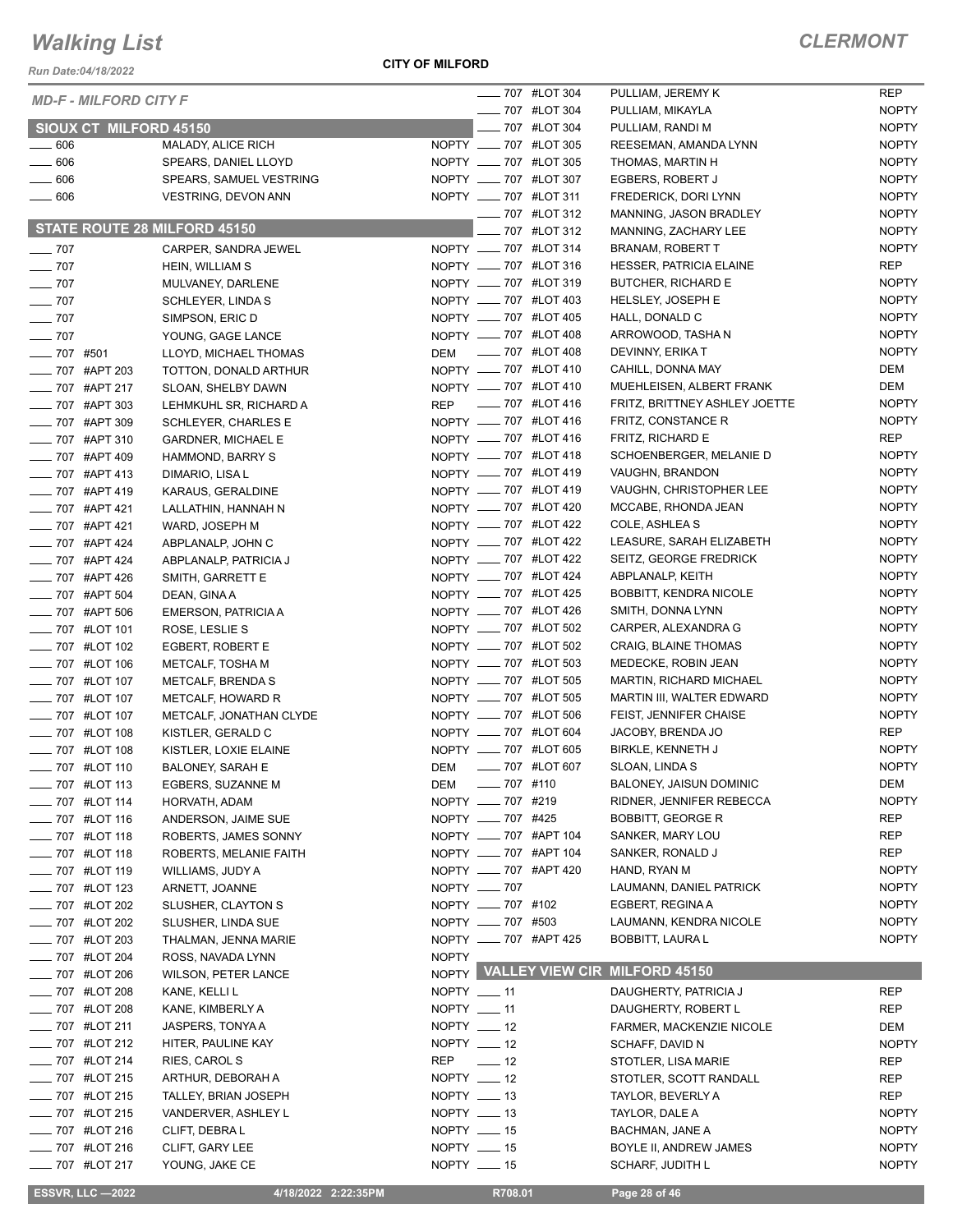*Run Date:04/18/2022*

**CITY OF MILFORD**

| <b>MD-F - MILFORD CITY F</b>        |                                      |              | <b>_____ 707 #LOT 304</b>                      | PULLIAM, JEREMY K                                    | <b>REP</b>                 |
|-------------------------------------|--------------------------------------|--------------|------------------------------------------------|------------------------------------------------------|----------------------------|
|                                     |                                      |              | ____ 707 #LOT 304                              | PULLIAM, MIKAYLA                                     | <b>NOPTY</b>               |
| <b>SIOUX CT MILFORD 45150</b>       |                                      |              | _ 707 #LOT 304                                 | PULLIAM, RANDI M                                     | <b>NOPTY</b>               |
| $\frac{1}{2}$ 606                   | MALADY, ALICE RICH                   |              | NOPTY ____ 707 #LOT 305                        | REESEMAN, AMANDA LYNN                                | <b>NOPTY</b>               |
| $\frac{1}{2}$ 606                   | SPEARS, DANIEL LLOYD                 |              | NOPTY __ 707 #LOT 305                          | THOMAS, MARTIN H                                     | <b>NOPTY</b>               |
| .606                                | SPEARS, SAMUEL VESTRING              |              | NOPTY ____ 707 #LOT 307                        | EGBERS, ROBERT J                                     | <b>NOPTY</b>               |
| $- 606$                             | VESTRING, DEVON ANN                  |              | NOPTY ____ 707 #LOT 311                        | FREDERICK, DORI LYNN                                 | <b>NOPTY</b>               |
| STATE ROUTE 28 MILFORD 45150        |                                      |              | <b>_____ 707 #LOT 312</b>                      | MANNING, JASON BRADLEY                               | <b>NOPTY</b>               |
|                                     |                                      |              | 707 #LOT 312                                   | MANNING, ZACHARY LEE                                 | <b>NOPTY</b>               |
| $- 707$                             | CARPER, SANDRA JEWEL                 |              | NOPTY __ 707 #LOT 314<br>NOPTY __ 707 #LOT 316 | <b>BRANAM, ROBERT T</b>                              | <b>NOPTY</b>               |
| $\sim$ 707                          | HEIN, WILLIAM S                      |              | NOPTY __ 707 #LOT 319                          | HESSER, PATRICIA ELAINE<br><b>BUTCHER, RICHARD E</b> | <b>REP</b><br><b>NOPTY</b> |
| $\sim$ 707                          | MULVANEY, DARLENE                    |              | NOPTY __ 707 #LOT 403                          |                                                      | <b>NOPTY</b>               |
| $- 707$<br>$- 707$                  | SCHLEYER, LINDA S                    |              | NOPTY __ 707 #LOT 405                          | HELSLEY, JOSEPH E<br>HALL, DONALD C                  | <b>NOPTY</b>               |
| $- 707$                             | SIMPSON, ERIC D<br>YOUNG, GAGE LANCE |              | NOPTY __ 707 #LOT 408                          | ARROWOOD, TASHA N                                    | <b>NOPTY</b>               |
| $- 707$ #501                        | LLOYD, MICHAEL THOMAS                |              | DEM - 707 #LOT 408                             | DEVINNY, ERIKA T                                     | <b>NOPTY</b>               |
| _ 707 #APT 203                      | TOTTON, DONALD ARTHUR                |              | NOPTY __ 707 #LOT 410                          | CAHILL, DONNA MAY                                    | DEM                        |
| __ 707 #APT 217                     | SLOAN, SHELBY DAWN                   |              | NOPTY __ 707 #LOT 410                          | MUEHLEISEN, ALBERT FRANK                             | <b>DEM</b>                 |
| $- 707$ #APT 303                    | LEHMKUHL SR, RICHARD A               |              | REP __ 707 #LOT 416                            | FRITZ, BRITTNEY ASHLEY JOETTE                        | <b>NOPTY</b>               |
| -807 #APT 309                       | <b>SCHLEYER, CHARLES E</b>           |              | NOPTY __ 707 #LOT 416                          | FRITZ, CONSTANCE R                                   | <b>NOPTY</b>               |
| ____ 707 #APT 310                   | <b>GARDNER, MICHAEL E</b>            |              | NOPTY __ 707 #LOT 416                          | <b>FRITZ, RICHARD E</b>                              | <b>REP</b>                 |
| <b>______ 707 #APT 409</b>          | HAMMOND, BARRY S                     |              | NOPTY __ 707 #LOT 418                          | SCHOENBERGER, MELANIE D                              | <b>NOPTY</b>               |
| ____ 707 #APT 413                   | DIMARIO, LISA L                      |              | NOPTY __ 707 #LOT 419                          | VAUGHN, BRANDON                                      | <b>NOPTY</b>               |
| $- 707$ #APT 419                    | KARAUS, GERALDINE                    |              | NOPTY __ 707 #LOT 419                          | VAUGHN, CHRISTOPHER LEE                              | <b>NOPTY</b>               |
| ____ 707 #APT 421                   | LALLATHIN, HANNAH N                  |              | NOPTY __ 707 #LOT 420                          | MCCABE, RHONDA JEAN                                  | <b>NOPTY</b>               |
| $- 707$ #APT 421                    | WARD, JOSEPH M                       |              | NOPTY __ 707 #LOT 422                          | COLE, ASHLEA S                                       | <b>NOPTY</b>               |
| ____ 707 #APT 424                   | ABPLANALP, JOHN C                    |              | NOPTY __ 707 #LOT 422                          | LEASURE, SARAH ELIZABETH                             | <b>NOPTY</b>               |
| ____ 707 #APT 424                   | ABPLANALP, PATRICIA J                |              | NOPTY __ 707 #LOT 422                          | SEITZ, GEORGE FREDRICK                               | <b>NOPTY</b>               |
| _707 #APT 426                       | SMITH, GARRETT E                     |              | NOPTY __ 707 #LOT 424                          | ABPLANALP, KEITH                                     | <b>NOPTY</b>               |
| _707 #APT 504                       | DEAN, GINA A                         |              | NOPTY __ 707 #LOT 425                          | <b>BOBBITT, KENDRA NICOLE</b>                        | <b>NOPTY</b>               |
| _707 #APT 506                       | <b>EMERSON, PATRICIA A</b>           |              | NOPTY __ 707 #LOT 426                          | SMITH, DONNA LYNN                                    | <b>NOPTY</b>               |
| __ 707 #LOT 101                     | ROSE, LESLIE S                       |              | NOPTY __ 707 #LOT 502                          | CARPER, ALEXANDRA G                                  | <b>NOPTY</b>               |
| <b>______ 707 #LOT 102</b>          | EGBERT, ROBERT E                     |              | NOPTY __ 707 #LOT 502                          | CRAIG, BLAINE THOMAS                                 | <b>NOPTY</b>               |
| <b>____ 707 #LOT 106</b>            | METCALF, TOSHA M                     |              | NOPTY __ 707 #LOT 503                          | MEDECKE, ROBIN JEAN                                  | <b>NOPTY</b>               |
| <b>______ 707 #LOT 107</b>          | METCALF, BRENDA S                    |              | NOPTY __ 707 #LOT 505                          | MARTIN, RICHARD MICHAEL                              | <b>NOPTY</b>               |
| <b>______ 707 #LOT 107</b>          | METCALF, HOWARD R                    |              | NOPTY __ 707 #LOT 505                          | MARTIN III, WALTER EDWARD                            | <b>NOPTY</b>               |
| __ 707 #LOT 107                     | METCALF, JONATHAN CLYDE              |              | NOPTY __ 707 #LOT 506                          | FEIST, JENNIFER CHAISE                               | <b>NOPTY</b>               |
| <b>_____ 707 #LOT 108</b>           | KISTLER, GERALD C                    |              | NOPTY __ 707 #LOT 604<br>NOPTY __ 707 #LOT 605 | JACOBY, BRENDA JO                                    | <b>REP</b><br><b>NOPTY</b> |
| ___ 707 #LOT 108                    | KISTLER, LOXIE ELAINE                |              | <b>COLORED THE 707 #LOT 607</b>                | BIRKLE, KENNETH J                                    | <b>NOPTY</b>               |
| <b>_____ 707 #LOT 110</b>           | <b>BALONEY, SARAH E</b>              | DEM          |                                                | SLOAN, LINDA S                                       |                            |
| _707 #LOT 113                       | EGBERS, SUZANNE M                    | DEM          | —— 707 #110<br>NOPTY __ 707 #219               | BALONEY, JAISUN DOMINIC<br>RIDNER, JENNIFER REBECCA  | DEM<br><b>NOPTY</b>        |
| __ 707   #LOT 114<br>_ 707 #LOT 116 | HORVATH, ADAM<br>ANDERSON, JAIME SUE |              | NOPTY __ 707 #425                              | <b>BOBBITT, GEORGE R</b>                             | REP                        |
| __ 707 #LOT 118                     | ROBERTS, JAMES SONNY                 |              | NOPTY __ 707 #APT 104                          | SANKER, MARY LOU                                     | REP                        |
| __ 707 #LOT 118                     | ROBERTS, MELANIE FAITH               |              | NOPTY __ 707 #APT 104                          | SANKER, RONALD J                                     | <b>REP</b>                 |
| <b>____ 707 #LOT 119</b>            | WILLIAMS, JUDY A                     |              | NOPTY __ 707 #APT 420                          | HAND, RYAN M                                         | <b>NOPTY</b>               |
| <b>_____ 707 #LOT 123</b>           | ARNETT, JOANNE                       | NOPTY __ 707 |                                                | LAUMANN, DANIEL PATRICK                              | <b>NOPTY</b>               |
| <b>______ 707 #LOT 202</b>          | SLUSHER, CLAYTON S                   |              | NOPTY __ 707 #102                              | EGBERT, REGINA A                                     | <b>NOPTY</b>               |
| _707 #LOT 202                       | SLUSHER, LINDA SUE                   |              | NOPTY ____ 707 #503                            | LAUMANN, KENDRA NICOLE                               | <b>NOPTY</b>               |
| _707 #LOT 203                       | THALMAN, JENNA MARIE                 |              | NOPTY __ 707 #APT 425                          | <b>BOBBITT, LAURA L</b>                              | <b>NOPTY</b>               |
| _ 707 #LOT 204                      | ROSS, NAVADA LYNN                    | <b>NOPTY</b> |                                                |                                                      |                            |
| _ 707 #LOT 206                      | <b>WILSON, PETER LANCE</b>           |              |                                                | NOPTY VALLEY VIEW CIR MILFORD 45150                  |                            |
| _ 707 #LOT 208                      | KANE, KELLI L                        | NOPTY $-11$  |                                                | DAUGHERTY, PATRICIA J                                | <b>REP</b>                 |
| ____ 707 #LOT 208                   | KANE, KIMBERLY A                     | NOPTY __ 11  |                                                | DAUGHERTY, ROBERT L                                  | <b>REP</b>                 |
| __ 707 #LOT 211                     | JASPERS, TONYA A                     | NOPTY __ 12  |                                                | FARMER, MACKENZIE NICOLE                             | DEM                        |
| <b>_____ 707 #LOT 212</b>           | HITER, PAULINE KAY                   | NOPTY $-12$  |                                                | SCHAFF, DAVID N                                      | <b>NOPTY</b>               |
| _ 707 #LOT 214                      | RIES, CAROL S                        | <b>REP</b>   | $\frac{1}{2}$                                  | STOTLER, LISA MARIE                                  | REP                        |
| <b>______ 707 #LOT 215</b>          | ARTHUR, DEBORAH A                    | NOPTY __ 12  |                                                | STOTLER, SCOTT RANDALL                               | REP                        |
| ____ 707 #LOT 215                   | TALLEY, BRIAN JOSEPH                 | NOPTY __ 13  |                                                | TAYLOR, BEVERLY A                                    | <b>REP</b>                 |
| __ 707 #LOT 215                     | VANDERVER, ASHLEY L                  | NOPTY $-13$  |                                                | TAYLOR, DALE A                                       | <b>NOPTY</b>               |
| <b>_____ 707 #LOT 216</b>           | CLIFT, DEBRA L                       | NOPTY $- 15$ |                                                | <b>BACHMAN, JANE A</b>                               | <b>NOPTY</b>               |
| __ 707 #LOT 216                     | CLIFT, GARY LEE                      | NOPTY __ 15  |                                                | BOYLE II, ANDREW JAMES                               | <b>NOPTY</b>               |
| ____ 707 #LOT 217                   | YOUNG, JAKE CE                       | NOPTY $- 15$ |                                                | SCHARF, JUDITH L                                     | <b>NOPTY</b>               |
| <b>ESSVR, LLC -2022</b>             | 4/18/2022 2:22:35PM                  |              | R708.01                                        | Page 28 of 46                                        |                            |
|                                     |                                      |              |                                                |                                                      |                            |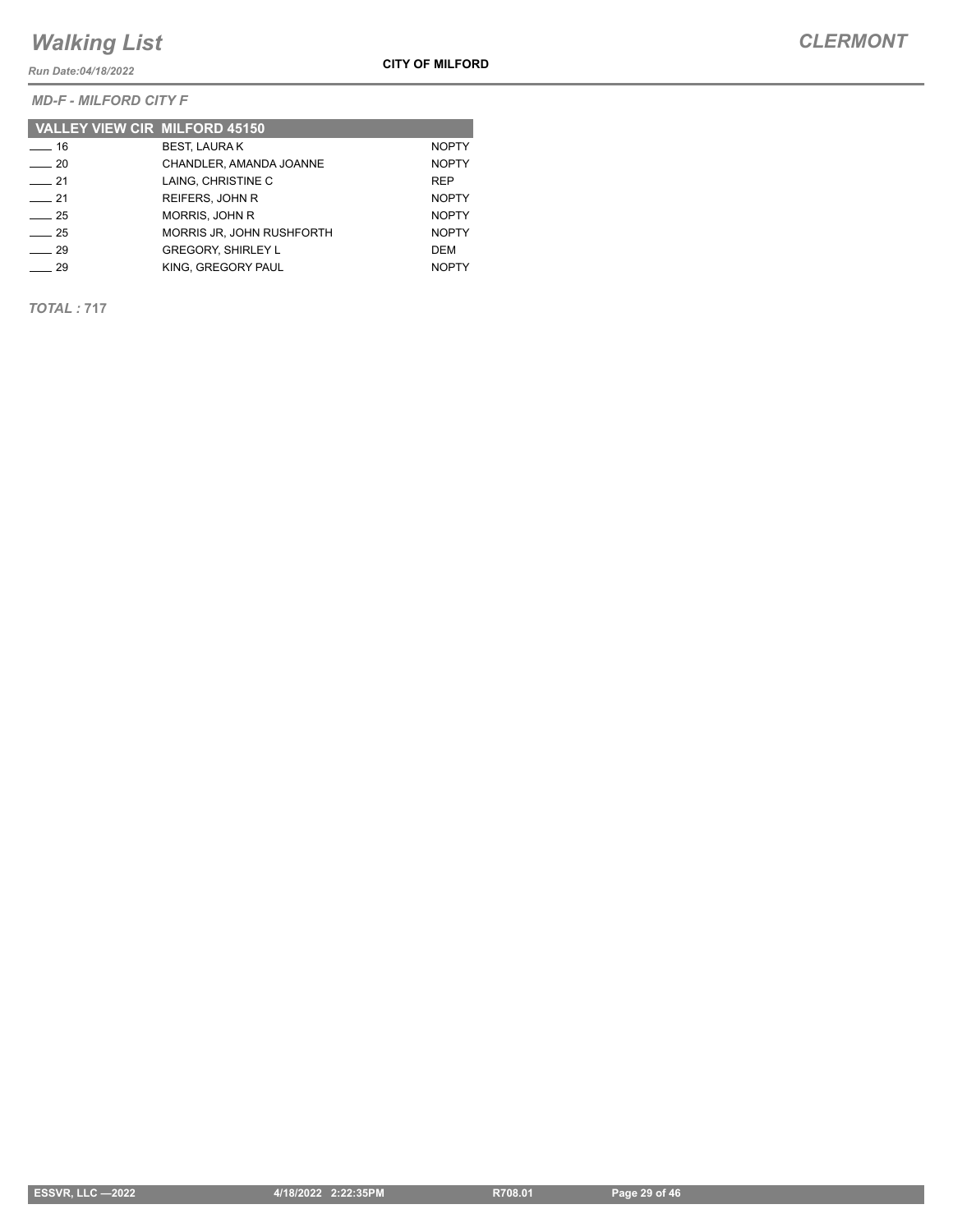*Run Date:04/18/2022*

*MD-F - MILFORD CITY F*

| <b>VALLEY VIEW CIR MILFORD 45150</b> |                                  |              |
|--------------------------------------|----------------------------------|--------------|
| $-16$                                | <b>BEST, LAURA K</b>             | <b>NOPTY</b> |
| $\sim$ 20                            | CHANDLER, AMANDA JOANNE          | <b>NOPTY</b> |
| 21                                   | LAING. CHRISTINE C               | <b>REP</b>   |
| 21                                   | <b>REIFERS, JOHN R</b>           | <b>NOPTY</b> |
| $\frac{1}{25}$                       | MORRIS, JOHN R                   | <b>NOPTY</b> |
| 25                                   | <b>MORRIS JR. JOHN RUSHFORTH</b> | <b>NOPTY</b> |
| - 29                                 | <b>GREGORY, SHIRLEY L</b>        | DEM          |
| 29                                   | KING. GREGORY PAUL               | <b>NOPTY</b> |

*TOTAL :* **717**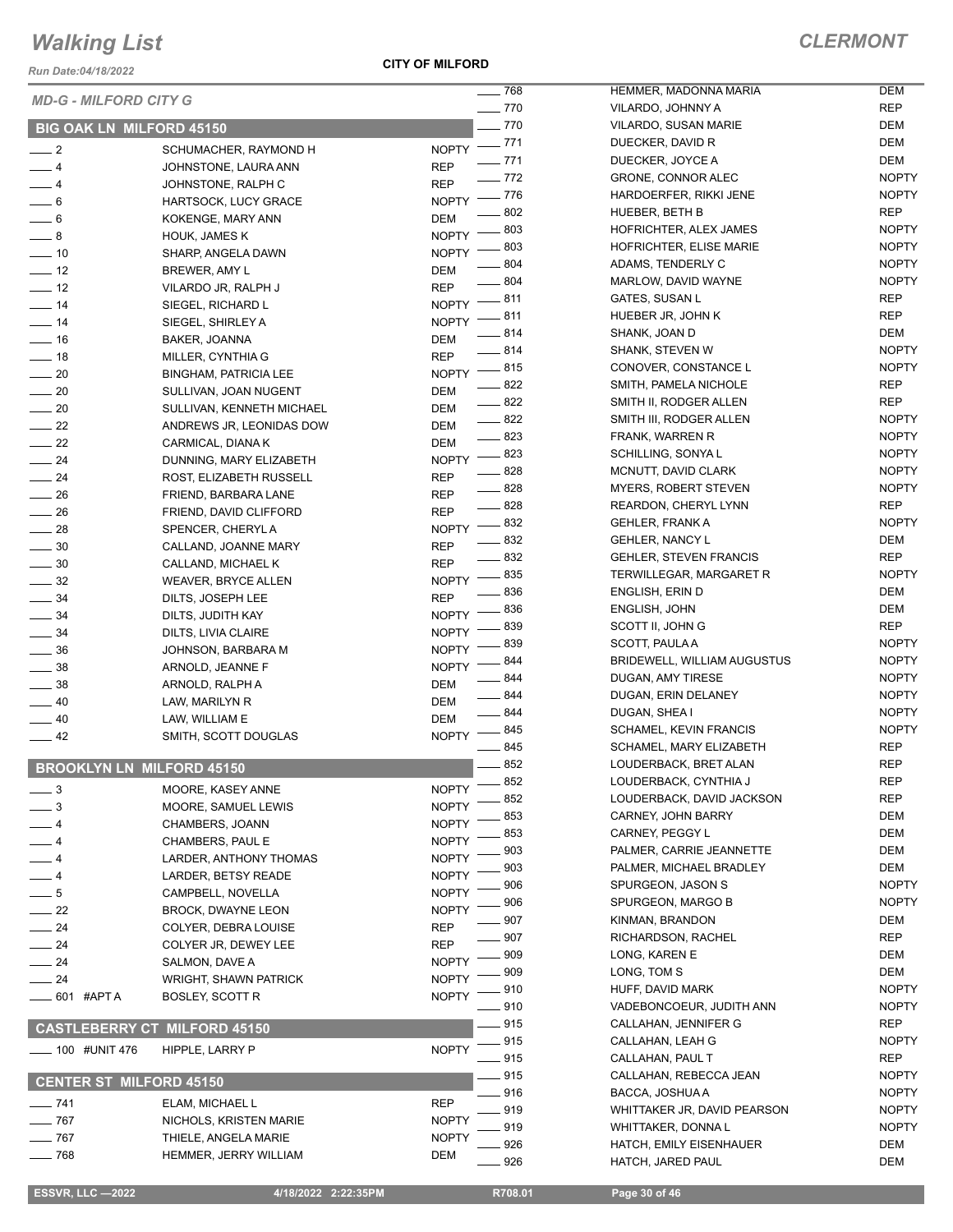*Run Date:04/18/2022*

**CITY OF MILFORD**

|                                     |                                        |                              | —— 768       |  |  |  |
|-------------------------------------|----------------------------------------|------------------------------|--------------|--|--|--|
| <b>MD-G - MILFORD CITY G</b>        |                                        |                              |              |  |  |  |
|                                     |                                        |                              | $-770$       |  |  |  |
| <b>BIG OAK LN MILFORD 45150</b>     |                                        |                              | $-770$       |  |  |  |
| $\overline{\phantom{0}}$ 2          | SCHUMACHER, RAYMOND H                  | <b>NOPTY</b>                 | _ 771        |  |  |  |
| $-4$                                | JOHNSTONE, LAURA ANN                   | REP                          | _ 771        |  |  |  |
| $-4$                                | JOHNSTONE, RALPH C                     | REP                          | $-772$       |  |  |  |
| $-6$                                | HARTSOCK, LUCY GRACE                   | <b>NOPTY</b>                 | $-776$       |  |  |  |
| ___ 6                               | KOKENGE, MARY ANN                      | DEM                          | $=$ 802      |  |  |  |
| $-8$                                | <b>HOUK, JAMES K</b>                   | <b>NOPTY</b>                 | 803          |  |  |  |
| $\frac{1}{2}$ 10                    | SHARP, ANGELA DAWN                     | <b>NOPTY</b>                 | $-803$       |  |  |  |
| $-12$                               | BREWER, AMY L                          | DEM                          | _ 804        |  |  |  |
| $-12$                               | VILARDO JR, RALPH J                    | REP                          | $=804$       |  |  |  |
| $-14$                               | SIEGEL, RICHARD L                      | <b>NOPTY</b>                 | $-811$       |  |  |  |
| $-14$                               | SIEGEL, SHIRLEY A                      | <b>NOPTY</b>                 | $-811$       |  |  |  |
| ___ 16                              | BAKER, JOANNA                          | DEM                          | $\equiv$ 814 |  |  |  |
| $-18$                               | MILLER, CYNTHIA G                      | REP                          | $-814$       |  |  |  |
| $-20$                               | BINGHAM, PATRICIA LEE                  | <b>NOPTY</b>                 | $=$ 815      |  |  |  |
| $\sim$ 20                           | SULLIVAN. JOAN NUGENT                  | DEM                          | $=$ 822      |  |  |  |
| $\sim$ 20                           | SULLIVAN, KENNETH MICHAEL              | DEM                          | $-822$       |  |  |  |
| $\equiv$ 22                         | ANDREWS JR, LEONIDAS DOW               | DEM                          | $-822$       |  |  |  |
| $-22$                               | CARMICAL, DIANA K                      | DEM                          | $\equiv$ 823 |  |  |  |
| $-24$                               | DUNNING, MARY ELIZABETH                | <b>NOPTY</b>                 | $=$ 823      |  |  |  |
| $-24$                               | ROST, ELIZABETH RUSSELL                | REP                          | $-828$       |  |  |  |
| $-26$                               | FRIEND, BARBARA LANE                   | REP                          | _ 828        |  |  |  |
| $-26$                               | FRIEND, DAVID CLIFFORD                 | REP                          | $=$ 828      |  |  |  |
| $-28$                               | SPENCER, CHERYL A                      | <b>NOPTY</b>                 | $-832$       |  |  |  |
| $\equiv$ 30                         | CALLAND, JOANNE MARY                   | REP                          | $-832$       |  |  |  |
| $\equiv$ 30                         | CALLAND, MICHAEL K                     | REP                          | $-832$       |  |  |  |
| $-32$                               | <b>WEAVER, BRYCE ALLEN</b>             | <b>NOPTY</b>                 | $=$ 835      |  |  |  |
| $\frac{1}{2}$ 34                    | DILTS, JOSEPH LEE                      | REP                          | _ 836        |  |  |  |
| $-34$                               | DILTS, JUDITH KAY                      | <b>NOPTY</b>                 | $-836$       |  |  |  |
| $\frac{1}{2}$ 34                    | DILTS, LIVIA CLAIRE                    | <b>NOPTY</b>                 | - 839        |  |  |  |
| $\equiv$ 36                         | JOHNSON, BARBARA M                     | <b>NOPTY</b>                 | $-839$       |  |  |  |
| $-38$                               | ARNOLD, JEANNE F                       | <b>NOPTY</b>                 | - 844        |  |  |  |
| $-38$                               | ARNOLD, RALPH A                        | DEM                          | $-844$       |  |  |  |
| $-40$                               | LAW, MARILYN R                         | DEM                          | __ 844       |  |  |  |
| $-40$                               | LAW, WILLIAM E                         | DEM                          | _ 844        |  |  |  |
| $-42$                               | SMITH, SCOTT DOUGLAS                   | <b>NOPTY</b>                 | _ 845        |  |  |  |
|                                     |                                        |                              | _ 845        |  |  |  |
| <b>BROOKLYN LN MILFORD 45150</b>    |                                        |                              | $-852$       |  |  |  |
| $=$ 3                               | MOORE, KASEY ANNE                      |                              | 852          |  |  |  |
| $-3$                                |                                        | <b>NOPTY</b>                 | 852          |  |  |  |
| $-4$                                | MOORE, SAMUEL LEWIS<br>CHAMBERS, JOANN | <b>NOPTY</b><br><b>NOPTY</b> | 853          |  |  |  |
|                                     |                                        |                              | 853          |  |  |  |
| $= 4$<br>$-4$                       | CHAMBERS, PAUL E                       | <b>NOPTY</b>                 | 903          |  |  |  |
|                                     | LARDER, ANTHONY THOMAS                 | <b>NOPTY</b>                 | 903          |  |  |  |
| — 4                                 | LARDER, BETSY READE                    | <b>NOPTY</b>                 | 906          |  |  |  |
| $-5$                                | CAMPBELL, NOVELLA                      | <b>NOPTY</b>                 | 906          |  |  |  |
| $-22$                               | <b>BROCK, DWAYNE LEON</b>              | <b>NOPTY</b>                 | 907          |  |  |  |
| $-24$                               | COLYER, DEBRA LOUISE                   | REP                          | 907          |  |  |  |
| $-24$                               | COLYER JR, DEWEY LEE                   | REP                          | 909          |  |  |  |
| $-24$                               | SALMON, DAVE A                         | <b>NOPTY</b>                 | 909          |  |  |  |
| $-24$                               | WRIGHT, SHAWN PATRICK                  | <b>NOPTY</b>                 | 910          |  |  |  |
| _ 601<br>#APT A                     | <b>BOSLEY, SCOTT R</b>                 | <b>NOPTY</b>                 | 910          |  |  |  |
| <b>CASTLEBERRY CT MILFORD 45150</b> |                                        |                              |              |  |  |  |
|                                     |                                        |                              | - 915<br>915 |  |  |  |
| 100 #UNIT 476                       | HIPPLE, LARRY P                        | <b>NOPTY</b>                 | 915          |  |  |  |
|                                     |                                        |                              | 915          |  |  |  |
| <b>CENTER ST MILFORD 45150</b>      |                                        |                              | 916          |  |  |  |
| $-741$                              |                                        |                              |              |  |  |  |
|                                     | ELAM, MICHAEL L                        | REP                          |              |  |  |  |
| 767                                 | NICHOLS, KRISTEN MARIE                 | <b>NOPTY</b>                 | 919          |  |  |  |
| 767                                 | THIELE, ANGELA MARIE                   | <b>NOPTY</b>                 | 919<br>926   |  |  |  |

| $\frac{1}{2}$ 768      | HEMMER, MADONNA MARIA                                | DEM                          |
|------------------------|------------------------------------------------------|------------------------------|
| $-770$                 | VILARDO, JOHNNY A                                    | <b>REP</b>                   |
| $-770$                 | VILARDO, SUSAN MARIE                                 | DEM                          |
| $-771$                 | DUECKER, DAVID R                                     | DEM                          |
| $-771$                 | DUECKER, JOYCE A                                     | DEM                          |
| $-772$                 | <b>GRONE, CONNOR ALEC</b>                            | <b>NOPTY</b>                 |
| $- 776$                | HARDOERFER, RIKKI JENE                               | <b>NOPTY</b>                 |
| $\frac{1}{2}$ 802      | <b>HUEBER, BETH B</b>                                | REP                          |
| ___ 803                | HOFRICHTER, ALEX JAMES                               | <b>NOPTY</b>                 |
| $\equiv$ 803           | HOFRICHTER, ELISE MARIE                              | <b>NOPTY</b>                 |
| $-804$<br>$-804$       | ADAMS, TENDERLY C<br>MARLOW, DAVID WAYNE             | <b>NOPTY</b><br><b>NOPTY</b> |
| $\frac{1}{2}$ 811      | <b>GATES, SUSAN L</b>                                | <b>REP</b>                   |
| —— 811                 | HUEBER JR, JOHN K                                    | REP                          |
| $-814$                 | SHANK, JOAN D                                        | DEM                          |
| $\frac{1}{2}$ 814      | SHANK, STEVEN W                                      | <b>NOPTY</b>                 |
| $-815$                 | CONOVER, CONSTANCE L                                 | <b>NOPTY</b>                 |
| $\frac{1}{2}$ 822      | SMITH, PAMELA NICHOLE                                | REP                          |
| $-822$                 | SMITH II. RODGER ALLEN                               | <b>REP</b>                   |
| $\frac{1}{2}$ 822      | SMITH III, RODGER ALLEN                              | <b>NOPTY</b>                 |
| $\frac{1}{2}$ 823      | FRANK, WARREN R                                      | <b>NOPTY</b>                 |
| $-823$                 | SCHILLING, SONYA L                                   | <b>NOPTY</b>                 |
| $\_\_828$              | MCNUTT, DAVID CLARK                                  | <b>NOPTY</b>                 |
| $-828$                 | <b>MYERS, ROBERT STEVEN</b>                          | <b>NOPTY</b>                 |
| $-828$                 | REARDON, CHERYL LYNN                                 | REP                          |
| $\frac{1}{2}$ 832      | <b>GEHLER, FRANK A</b>                               | <b>NOPTY</b>                 |
| $-832$                 | <b>GEHLER, NANCY L</b>                               | DEM                          |
| $\frac{1}{2}$ 832      | <b>GEHLER, STEVEN FRANCIS</b>                        | REP                          |
| __ 835                 | TERWILLEGAR, MARGARET R                              | <b>NOPTY</b>                 |
| ____ 836               | <b>ENGLISH, ERIN D</b>                               | DEM                          |
| $\frac{1}{2}$ 836      | <b>ENGLISH, JOHN</b>                                 | DEM                          |
| $- 839$                | SCOTT II, JOHN G                                     | REP                          |
| $-839$<br>$-844$       | SCOTT, PAULA A<br><b>BRIDEWELL, WILLIAM AUGUSTUS</b> | <b>NOPTY</b><br><b>NOPTY</b> |
| $-844$                 | DUGAN, AMY TIRESE                                    | <b>NOPTY</b>                 |
| ____ 844               | DUGAN, ERIN DELANEY                                  | <b>NOPTY</b>                 |
| ___ 844                | DUGAN, SHEA I                                        | <b>NOPTY</b>                 |
| $\frac{1}{2}$ 845      | <b>SCHAMEL, KEVIN FRANCIS</b>                        | <b>NOPTY</b>                 |
| $\frac{1}{2}$ 845      | SCHAMEL, MARY ELIZABETH                              | <b>REP</b>                   |
| $\sim$ 852             | LOUDERBACK, BRET ALAN                                | REP                          |
| $\equiv$ 852           | LOUDERBACK, CYNTHIA J                                | REP                          |
| $-852$                 | LOUDERBACK, DAVID JACKSON                            | <b>REP</b>                   |
| $\frac{1}{2}$ 853      | CARNEY, JOHN BARRY                                   | DEM                          |
| $-853$                 | CARNEY, PEGGY L                                      | DEM                          |
| $-903$                 | PALMER. CARRIE JEANNETTE                             | DEM                          |
| $\frac{1}{2}$ 903      | PALMER, MICHAEL BRADLEY                              | DEM                          |
| $\equiv$ 906           | SPURGEON, JASON S                                    | <b>NOPTY</b>                 |
| ____ 906               | SPURGEON, MARGO B                                    | <b>NOPTY</b>                 |
| $-907$                 | KINMAN, BRANDON                                      | DEM                          |
| $- 907$                | RICHARDSON, RACHEL                                   | REP                          |
| $\_\_$ 909             | LONG, KAREN E                                        | DEM                          |
| $\equiv$ 909<br>$-910$ | LONG, TOM S<br>HUFF, DAVID MARK                      | DEM<br><b>NOPTY</b>          |
| $-910$                 | VADEBONCOEUR, JUDITH ANN                             | <b>NOPTY</b>                 |
| $-915$                 | CALLAHAN, JENNIFER G                                 | REP                          |
| $-915$                 | CALLAHAN, LEAH G                                     | <b>NOPTY</b>                 |
| $-915$                 | CALLAHAN, PAUL T                                     | REP                          |
| $-915$                 | CALLAHAN, REBECCA JEAN                               | <b>NOPTY</b>                 |
| $-916$                 | BACCA, JOSHUA A                                      | <b>NOPTY</b>                 |
| $-919$                 | WHITTAKER JR, DAVID PEARSON                          | <b>NOPTY</b>                 |
| $\frac{1}{2}$ 919      | <b>WHITTAKER, DONNAL</b>                             | <b>NOPTY</b>                 |
| $\equiv$ 926           | HATCH, EMILY EISENHAUER                              | DEM                          |
| _ 926                  | HATCH, JARED PAUL                                    | DEM                          |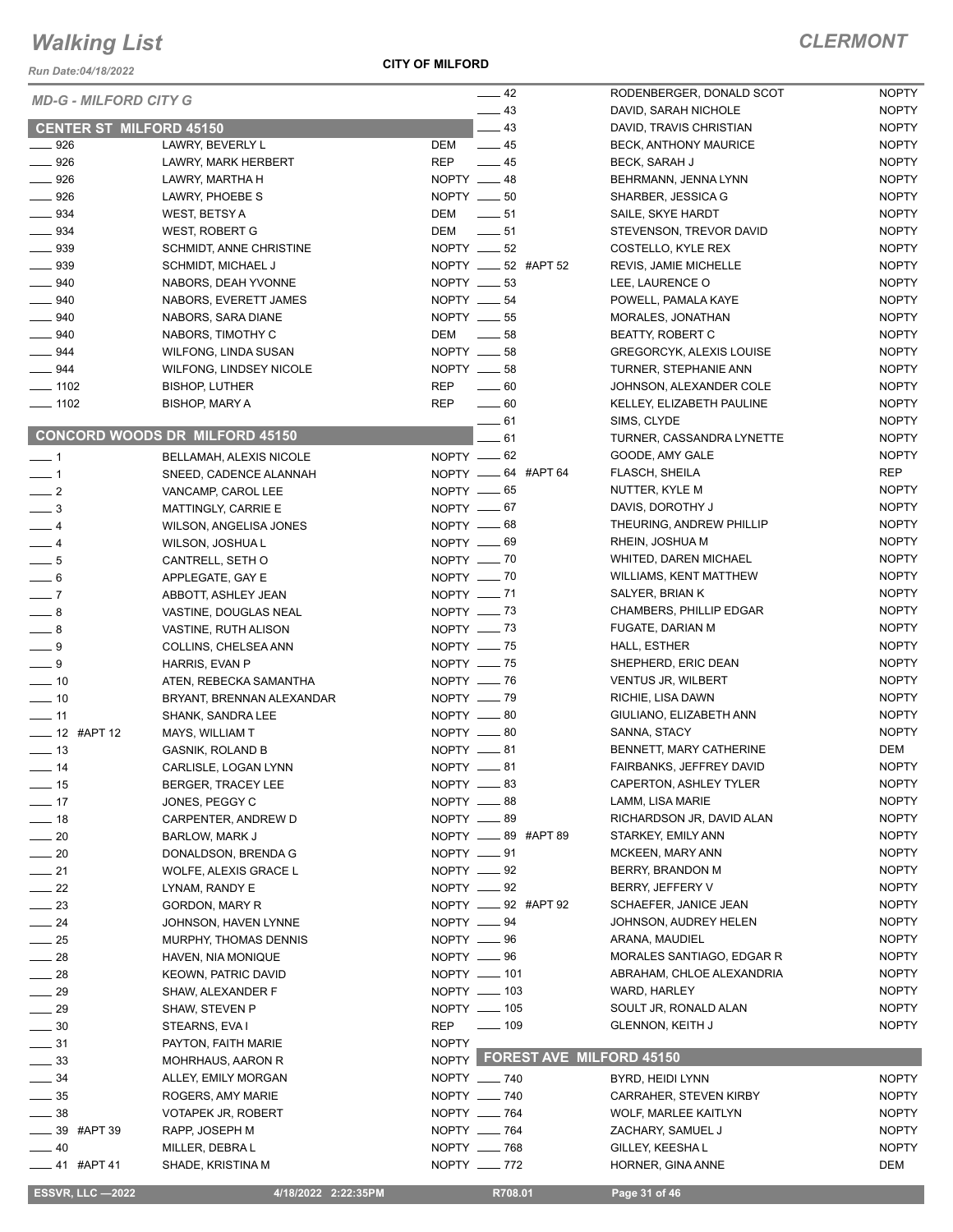*Run Date:04/18/2022*

**CITY OF MILFORD**

### *CLERMONT*

NOPTY

| <b>MD-G - MILFORD CITY G</b>          |                                           | $\frac{1}{2}$ 42                          |                                | RODENBERGER, DONALD SCOT                               | <b>NOPTY</b>                 |
|---------------------------------------|-------------------------------------------|-------------------------------------------|--------------------------------|--------------------------------------------------------|------------------------------|
|                                       |                                           | $\frac{1}{2}$ 43                          |                                | DAVID, SARAH NICHOLE                                   | <b>NOPTY</b>                 |
| <b>CENTER ST MILFORD 45150</b>        |                                           | $\frac{1}{2}$ 43                          |                                | DAVID, TRAVIS CHRISTIAN                                | <b>NOPTY</b>                 |
| 926                                   | LAWRY, BEVERLY L                          | DEM<br>$\frac{1}{2}$ 45                   |                                | <b>BECK, ANTHONY MAURICE</b>                           | <b>NOPTY</b>                 |
| $\frac{1}{2}$ 926                     | LAWRY, MARK HERBERT                       | REP<br>$\equiv$ 45                        |                                | <b>BECK, SARAH J</b>                                   | <b>NOPTY</b>                 |
| $\frac{1}{2}$ 926                     | LAWRY, MARTHA H                           | NOPTY __ 48                               |                                | BEHRMANN, JENNA LYNN                                   | <b>NOPTY</b>                 |
| $- 926$                               | LAWRY, PHOEBE S                           | NOPTY __ 50                               |                                | SHARBER, JESSICA G                                     | <b>NOPTY</b>                 |
| $\frac{1}{2}$ 934<br>$- 934$          | WEST, BETSY A                             | DEM ________ 51<br>DEM ________ 51        |                                | SAILE, SKYE HARDT                                      | <b>NOPTY</b><br><b>NOPTY</b> |
| $\frac{1}{2}$ 939                     | WEST, ROBERT G<br>SCHMIDT, ANNE CHRISTINE | NOPTY $- 52$                              |                                | STEVENSON, TREVOR DAVID<br>COSTELLO, KYLE REX          | <b>NOPTY</b>                 |
| $- 939$                               | <b>SCHMIDT, MICHAEL J</b>                 | NOPTY ______ 52 #APT 52                   |                                | REVIS, JAMIE MICHELLE                                  | <b>NOPTY</b>                 |
| $- 940$                               | NABORS, DEAH YVONNE                       | NOPTY $- 53$                              |                                | LEE, LAURENCE O                                        | <b>NOPTY</b>                 |
| $- 940$                               | NABORS, EVERETT JAMES                     | NOPTY __ 54                               |                                | POWELL, PAMALA KAYE                                    | <b>NOPTY</b>                 |
| $- 940$                               | NABORS, SARA DIANE                        | NOPTY __ 55                               |                                | MORALES, JONATHAN                                      | <b>NOPTY</b>                 |
| $- 940$                               | NABORS, TIMOTHY C                         | DEM _______ 58                            |                                | <b>BEATTY, ROBERT C</b>                                | <b>NOPTY</b>                 |
| $-944$                                | <b>WILFONG, LINDA SUSAN</b>               | NOPTY __ 58                               |                                | <b>GREGORCYK, ALEXIS LOUISE</b>                        | <b>NOPTY</b>                 |
| $-944$                                | <b>WILFONG, LINDSEY NICOLE</b>            | NOPTY __ 58                               |                                | TURNER, STEPHANIE ANN                                  | <b>NOPTY</b>                 |
| $\frac{1}{2}$ 1102                    | <b>BISHOP, LUTHER</b>                     | <b>REP</b><br>$\sim$ 60                   |                                | JOHNSON, ALEXANDER COLE                                | <b>NOPTY</b>                 |
| $- 1102$                              | <b>BISHOP, MARY A</b>                     | <b>REP</b><br>$\overline{\phantom{0}}$ 60 |                                | KELLEY, ELIZABETH PAULINE                              | <b>NOPTY</b>                 |
|                                       |                                           | $= 61$                                    |                                | SIMS, CLYDE                                            | <b>NOPTY</b>                 |
|                                       | <b>CONCORD WOODS DR MILFORD 45150</b>     | $-61$                                     |                                | TURNER, CASSANDRA LYNETTE                              | <b>NOPTY</b>                 |
| $\overline{\phantom{0}}$ 1            | BELLAMAH, ALEXIS NICOLE                   | $NOPTY = 62$                              |                                | GOODE, AMY GALE                                        | <b>NOPTY</b>                 |
| $-1$                                  | SNEED, CADENCE ALANNAH                    | NOPTY __ 64 #APT 64                       |                                | <b>FLASCH, SHEILA</b>                                  | <b>REP</b>                   |
| $\frac{1}{2}$                         | VANCAMP, CAROL LEE                        | NOPTY __ 65                               |                                | NUTTER, KYLE M                                         | <b>NOPTY</b>                 |
| $\frac{1}{2}$                         | MATTINGLY, CARRIE E                       | NOPTY $-67$                               |                                | DAVIS, DOROTHY J                                       | <b>NOPTY</b>                 |
| $-4$                                  | <b>WILSON, ANGELISA JONES</b>             | NOPTY $-68$                               |                                | THEURING, ANDREW PHILLIP                               | <b>NOPTY</b>                 |
| $-4$                                  | WILSON, JOSHUA L                          | $NOPTY = 69$                              |                                | RHEIN, JOSHUA M                                        | <b>NOPTY</b><br><b>NOPTY</b> |
| $\frac{1}{2}$<br>$\frac{1}{2}$ 6      | CANTRELL, SETH O                          | NOPTY - 70<br>NOPTY __ 70                 |                                | <b>WHITED, DAREN MICHAEL</b><br>WILLIAMS, KENT MATTHEW | <b>NOPTY</b>                 |
| $\overline{\phantom{0}}$ 7            | APPLEGATE, GAY E<br>ABBOTT, ASHLEY JEAN   | NOPTY -71                                 |                                | SALYER, BRIAN K                                        | <b>NOPTY</b>                 |
| $\frac{1}{2}$ 8                       | VASTINE, DOUGLAS NEAL                     | $NOPTY$ = 73                              |                                | CHAMBERS, PHILLIP EDGAR                                | <b>NOPTY</b>                 |
| $\rule{1em}{0.15mm}$ $\boldsymbol{8}$ | VASTINE, RUTH ALISON                      | NOPTY $-$ 73                              |                                | FUGATE, DARIAN M                                       | <b>NOPTY</b>                 |
| $-9$                                  | COLLINS, CHELSEA ANN                      | NOPTY $- 75$                              |                                | HALL, ESTHER                                           | <b>NOPTY</b>                 |
| $-9$                                  | HARRIS, EVAN P                            | NOPTY __ 75                               |                                | SHEPHERD, ERIC DEAN                                    | <b>NOPTY</b>                 |
| $\frac{1}{2}$ 10                      | ATEN, REBECKA SAMANTHA                    | NOPTY - 76                                |                                | <b>VENTUS JR, WILBERT</b>                              | <b>NOPTY</b>                 |
| $\sim$ 10                             | BRYANT, BRENNAN ALEXANDAR                 | NOPTY - 79                                |                                | RICHIE, LISA DAWN                                      | <b>NOPTY</b>                 |
| $\frac{1}{2}$ 11                      | SHANK, SANDRA LEE                         | NOPTY __ 80                               |                                | GIULIANO, ELIZABETH ANN                                | <b>NOPTY</b>                 |
| $- 12$ #APT 12                        | MAYS, WILLIAM T                           | $NOPTY = 80$                              |                                | SANNA, STACY                                           | <b>NOPTY</b>                 |
| $\frac{1}{2}$ 13                      | <b>GASNIK, ROLAND B</b>                   | $NOPTY = 81$                              |                                | BENNETT, MARY CATHERINE                                | DEM                          |
| $\overline{\phantom{0}}$ 14           | CARLISLE, LOGAN LYNN                      | $NOPTY = 81$                              |                                | FAIRBANKS, JEFFREY DAVID                               | <b>NOPTY</b>                 |
| $\frac{1}{2}$ 15                      | BERGER, TRACEY LEE                        | NOPTY $-83$                               |                                | CAPERTON, ASHLEY TYLER                                 | <b>NOPTY</b>                 |
| $\frac{1}{2}$ 17                      | JONES, PEGGY C                            | NOPTY $-88$                               |                                | LAMM, LISA MARIE                                       | <b>NOPTY</b>                 |
| $-18$                                 | CARPENTER, ANDREW D                       | NOPTY __ 89                               |                                | RICHARDSON JR, DAVID ALAN                              | <b>NOPTY</b>                 |
| $\frac{1}{20}$                        | <b>BARLOW, MARK J</b>                     | NOPTY __ 89 #APT 89                       |                                | STARKEY, EMILY ANN                                     | <b>NOPTY</b>                 |
| $\sim$ 20                             | DONALDSON, BRENDA G                       | NOPTY -81                                 |                                | MCKEEN, MARY ANN                                       | <b>NOPTY</b>                 |
| $\frac{1}{21}$                        | WOLFE, ALEXIS GRACE L                     | NOPTY $-$ 92                              |                                | BERRY, BRANDON M                                       | <b>NOPTY</b>                 |
| $\frac{1}{22}$                        | LYNAM, RANDY E                            | NOPTY $-$ 92<br>NOPTY __ 92 #APT 92       |                                | BERRY, JEFFERY V<br>SCHAEFER, JANICE JEAN              | <b>NOPTY</b><br><b>NOPTY</b> |
| $\frac{1}{2}$<br>$\frac{1}{2}$ 24     | GORDON, MARY R<br>JOHNSON, HAVEN LYNNE    | NOPTY __ 94                               |                                | JOHNSON, AUDREY HELEN                                  | <b>NOPTY</b>                 |
| $\frac{1}{25}$                        | MURPHY, THOMAS DENNIS                     | NOPTY -86                                 |                                | ARANA, MAUDIEL                                         | <b>NOPTY</b>                 |
| $\frac{1}{28}$                        | HAVEN, NIA MONIQUE                        | $NOPTY = 96$                              |                                | MORALES SANTIAGO, EDGAR R                              | <b>NOPTY</b>                 |
| $\frac{1}{28}$                        | <b>KEOWN, PATRIC DAVID</b>                | NOPTY <u>__</u> 101                       |                                | ABRAHAM, CHLOE ALEXANDRIA                              | <b>NOPTY</b>                 |
| $\_\_$ 29                             | SHAW, ALEXANDER F                         | NOPTY - 103                               |                                | WARD, HARLEY                                           | <b>NOPTY</b>                 |
| $-29$                                 | SHAW, STEVEN P                            | NOPTY __ 105                              |                                | SOULT JR, RONALD ALAN                                  | <b>NOPTY</b>                 |
| $\frac{1}{2}$ 30                      | STEARNS, EVA I                            | $\frac{1}{2}$ 109<br><b>REP</b>           |                                | <b>GLENNON, KEITH J</b>                                | <b>NOPTY</b>                 |
| $\frac{1}{2}$ 31                      | PAYTON, FAITH MARIE                       | <b>NOPTY</b>                              |                                |                                                        |                              |
| $\frac{1}{2}$ 33                      | MOHRHAUS, AARON R                         |                                           | NOPTY FOREST AVE MILFORD 45150 |                                                        |                              |
| $\frac{1}{2}$ 34                      | ALLEY, EMILY MORGAN                       | NOPTY __ 740                              |                                | BYRD, HEIDI LYNN                                       | <b>NOPTY</b>                 |
| $\frac{1}{2}$ 35                      | ROGERS, AMY MARIE                         | NOPTY __ 740                              |                                | CARRAHER, STEVEN KIRBY                                 | <b>NOPTY</b>                 |
| $-38$                                 | VOTAPEK JR, ROBERT                        | NOPTY __ 764                              |                                | <b>WOLF, MARLEE KAITLYN</b>                            | <b>NOPTY</b>                 |
| <b>_____ 39 #APT 39</b>               | RAPP, JOSEPH M                            | NOPTY __ 764                              |                                | ZACHARY, SAMUEL J                                      | <b>NOPTY</b>                 |
| $-40$                                 | MILLER, DEBRAL                            | NOPTY __ 768                              |                                | GILLEY, KEESHA L                                       | <b>NOPTY</b>                 |
| ____ 41 #APT 41                       | SHADE, KRISTINA M                         | NOPTY __ 772                              |                                | HORNER, GINA ANNE                                      | DEM                          |
| <b>ESSVR, LLC -2022</b>               | 4/18/2022 2:22:35PM                       | R708.01                                   |                                | Page 31 of 46                                          |                              |
|                                       |                                           |                                           |                                |                                                        |                              |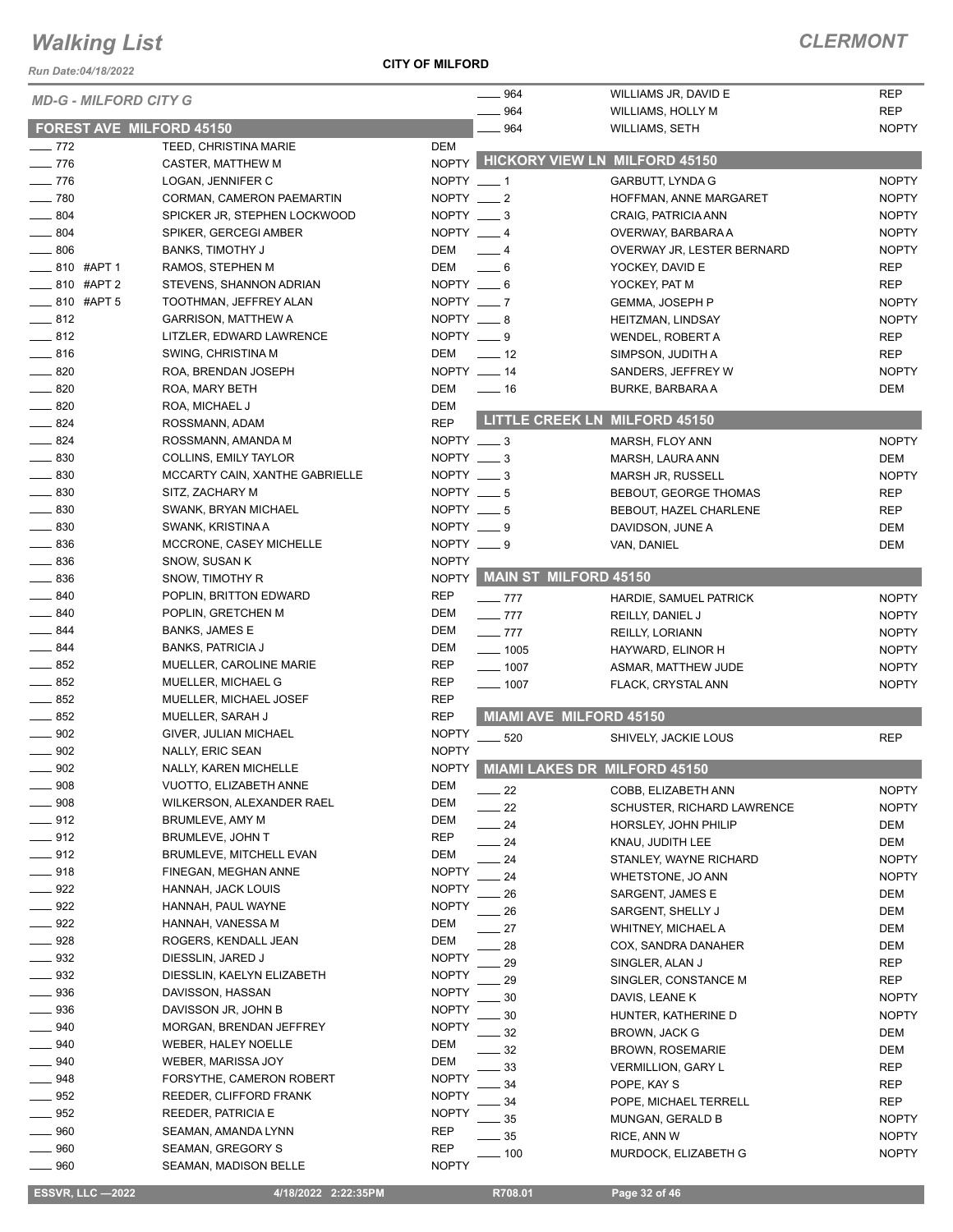*Run Date:04/18/2022*

#### **CITY OF MILFORD**

| <b>MD-G - MILFORD CITY G</b>           |                                                |                              | 964                     | WILLIAMS JR, DAVID E                     | <b>REP</b>                   |
|----------------------------------------|------------------------------------------------|------------------------------|-------------------------|------------------------------------------|------------------------------|
|                                        |                                                |                              | 964                     | <b>WILLIAMS, HOLLY M</b>                 | <b>REP</b>                   |
| <b>FOREST AVE MILFORD 45150</b>        |                                                |                              | 964                     | <b>WILLIAMS, SETH</b>                    | <b>NOPTY</b>                 |
| $\frac{1}{2}$ 772<br>$\frac{1}{2}$ 776 | TEED, CHRISTINA MARIE                          | DEM<br><b>NOPTY</b>          |                         | HICKORY VIEW LN MILFORD 45150            |                              |
| $- 776$                                | CASTER, MATTHEW M<br>LOGAN, JENNIFER C         | NOPTY $-1$                   |                         | <b>GARBUTT, LYNDA G</b>                  | <b>NOPTY</b>                 |
| $-780$                                 | CORMAN, CAMERON PAEMARTIN                      | NOPTY $-2$                   |                         | HOFFMAN, ANNE MARGARET                   | <b>NOPTY</b>                 |
| $- 804$                                | SPICKER JR, STEPHEN LOCKWOOD                   | NOPTY $-3$                   |                         | CRAIG, PATRICIA ANN                      | <b>NOPTY</b>                 |
| 804                                    | SPIKER, GERCEGI AMBER                          | NOPTY __ 4                   |                         | OVERWAY, BARBARA A                       | <b>NOPTY</b>                 |
| $\frac{1}{2}$ 806                      | <b>BANKS, TIMOTHY J</b>                        | DEM                          | $\frac{1}{2}$           | OVERWAY JR, LESTER BERNARD               | <b>NOPTY</b>                 |
| $- 810$ #APT 1                         | RAMOS, STEPHEN M                               | DEM                          | $\frac{1}{2}$ 6         | YOCKEY, DAVID E                          | <b>REP</b>                   |
| __ 810 #APT 2                          | STEVENS, SHANNON ADRIAN                        | NOPTY $-6$                   |                         | YOCKEY, PAT M                            | <b>REP</b>                   |
| $- 810$ #APT 5                         | TOOTHMAN, JEFFREY ALAN                         | NOPTY $- 7$                  |                         | <b>GEMMA, JOSEPH P</b>                   | <b>NOPTY</b>                 |
| $\frac{1}{2}$ 812                      | <b>GARRISON, MATTHEW A</b>                     | NOPTY $-8$                   |                         | HEITZMAN, LINDSAY                        | <b>NOPTY</b>                 |
| $-812$                                 | LITZLER, EDWARD LAWRENCE                       | NOPTY __ 9                   |                         | WENDEL, ROBERT A                         | <b>REP</b>                   |
| $-816$                                 | SWING, CHRISTINA M                             | DEM                          | $\frac{1}{2}$ 12        | SIMPSON, JUDITH A                        | <b>REP</b>                   |
| $-820$                                 | ROA, BRENDAN JOSEPH                            |                              | NOPTY __ 14             | SANDERS, JEFFREY W                       | <b>NOPTY</b>                 |
| $-820$                                 | ROA, MARY BETH                                 | DEM                          | $\frac{1}{16}$          | <b>BURKE, BARBARA A</b>                  | <b>DEM</b>                   |
| 820                                    | ROA, MICHAEL J                                 | DEM                          |                         |                                          |                              |
| $\frac{1}{2}$ 824                      | ROSSMANN, ADAM                                 | <b>REP</b>                   |                         | LITTLE CREEK LN MILFORD 45150            |                              |
| $\frac{1}{2}$ 824                      | ROSSMANN, AMANDA M                             | NOPTY $\_\_\$ 3              |                         | MARSH, FLOY ANN                          | <b>NOPTY</b>                 |
| $\frac{1}{2}$ 830                      | <b>COLLINS, EMILY TAYLOR</b>                   | $NOPTY = 3$                  |                         | MARSH, LAURA ANN                         | <b>DEM</b>                   |
| $-830$                                 | MCCARTY CAIN, XANTHE GABRIELLE                 | NOPTY $\_\_\$ 3              |                         | <b>MARSH JR, RUSSELL</b>                 | <b>NOPTY</b>                 |
| $\frac{1}{2}$ 830                      | SITZ, ZACHARY M                                | NOPTY $-5$                   |                         | <b>BEBOUT, GEORGE THOMAS</b>             | <b>REP</b>                   |
| $\frac{1}{2}$ 830                      | <b>SWANK, BRYAN MICHAEL</b>                    | NOPTY $-5$                   |                         | BEBOUT, HAZEL CHARLENE                   | <b>REP</b>                   |
| $- 830$                                | SWANK, KRISTINA A                              | NOPTY $\_\_\$ 9              |                         | DAVIDSON, JUNE A                         | <b>DEM</b>                   |
| $\frac{1}{2}$ 836                      | MCCRONE, CASEY MICHELLE                        | NOPTY $\_\_\$ 9              |                         | VAN, DANIEL                              | <b>DEM</b>                   |
| $\frac{1}{2}$ 836                      | SNOW, SUSAN K                                  | <b>NOPTY</b><br><b>NOPTY</b> | MAIN ST MILFORD 45150   |                                          |                              |
| $\frac{1}{2}$ 836<br>$-840$            | SNOW, TIMOTHY R                                | <b>REP</b>                   |                         |                                          |                              |
| $- 840$                                | POPLIN, BRITTON EDWARD<br>POPLIN, GRETCHEN M   | DEM                          | $\frac{1}{2}$ 777       | HARDIE, SAMUEL PATRICK                   | <b>NOPTY</b>                 |
| 844                                    | BANKS, JAMES E                                 | <b>DEM</b>                   | $-777$                  | REILLY, DANIEL J                         | <b>NOPTY</b>                 |
| $-844$                                 | <b>BANKS, PATRICIA J</b>                       | <b>DEM</b>                   | $-777$<br>$- 1005$      | <b>REILLY, LORIANN</b>                   | <b>NOPTY</b><br><b>NOPTY</b> |
| $\frac{1}{2}$ 852                      | MUELLER, CAROLINE MARIE                        | <b>REP</b>                   | $\frac{1}{2}$ 1007      | HAYWARD, ELINOR H<br>ASMAR, MATTHEW JUDE | <b>NOPTY</b>                 |
| $\frac{1}{2}$ 852                      | MUELLER, MICHAEL G                             | <b>REP</b>                   | $- 1007$                | FLACK, CRYSTAL ANN                       | <b>NOPTY</b>                 |
| $\frac{1}{2}$ 852                      | MUELLER, MICHAEL JOSEF                         | <b>REP</b>                   |                         |                                          |                              |
| $-852$                                 | MUELLER, SARAH J                               | <b>REP</b>                   | MIAMI AVE MILFORD 45150 |                                          |                              |
| $- 902$                                | GIVER, JULIAN MICHAEL                          | <b>NOPTY</b>                 | $-520$                  | SHIVELY, JACKIE LOUS                     | <b>REP</b>                   |
| $\frac{1}{2}$ 902                      | NALLY, ERIC SEAN                               | <b>NOPTY</b>                 |                         |                                          |                              |
| $-902$                                 | NALLY, KAREN MICHELLE                          | <b>NOPTY</b>                 |                         | MIAMI LAKES DR MILFORD 45150             |                              |
| 908                                    | VUOTTO, ELIZABETH ANNE                         | <b>DEM</b>                   | 22                      | COBB, ELIZABETH ANN                      | <b>NOPTY</b>                 |
| 908                                    | WILKERSON, ALEXANDER RAEL                      | DEM                          | 22                      | SCHUSTER, RICHARD LAWRENCE               | <b>NOPTY</b>                 |
| $-912$                                 | BRUMLEVE, AMY M                                | DEM                          | $-24$                   | HORSLEY, JOHN PHILIP                     | DEM                          |
| $- 912$                                | <b>BRUMLEVE, JOHN T</b>                        | <b>REP</b>                   | 24                      | KNAU, JUDITH LEE                         | <b>DEM</b>                   |
| $- 912$                                | BRUMLEVE, MITCHELL EVAN                        | DEM                          | 24                      | STANLEY, WAYNE RICHARD                   | <b>NOPTY</b>                 |
| $- 918$                                | FINEGAN, MEGHAN ANNE                           | <b>NOPTY</b>                 | 24                      | WHETSTONE, JO ANN                        | <b>NOPTY</b>                 |
| $-922$                                 | HANNAH, JACK LOUIS                             | <b>NOPTY</b>                 | 26                      | SARGENT, JAMES E                         | DEM                          |
| $- 922$                                | HANNAH, PAUL WAYNE                             | <b>NOPTY</b>                 | 26                      | SARGENT, SHELLY J                        | DEM                          |
| $-922$                                 | HANNAH, VANESSA M                              | DEM                          | 27                      | <b>WHITNEY, MICHAEL A</b>                | DEM                          |
| $\equiv$ 928                           | ROGERS, KENDALL JEAN                           | DEM                          | 28                      | COX, SANDRA DANAHER                      | DEM                          |
| $\equiv$ 932                           | DIESSLIN, JARED J                              | <b>NOPTY</b>                 | 29                      | SINGLER, ALAN J                          | <b>REP</b>                   |
| 932                                    | DIESSLIN, KAELYN ELIZABETH                     | <b>NOPTY</b>                 | 29                      | SINGLER, CONSTANCE M                     | REP                          |
| 936<br>936                             | DAVISSON, HASSAN                               | <b>NOPTY</b>                 | 30                      | DAVIS, LEANE K                           | <b>NOPTY</b>                 |
| 940                                    | DAVISSON JR, JOHN B                            | <b>NOPTY</b><br><b>NOPTY</b> | 30                      | HUNTER, KATHERINE D                      | <b>NOPTY</b>                 |
| 940                                    | MORGAN, BRENDAN JEFFREY<br>WEBER, HALEY NOELLE | DEM                          | 32                      | BROWN, JACK G                            | DEM                          |
| 940                                    | WEBER, MARISSA JOY                             | DEM                          | 32                      | <b>BROWN, ROSEMARIE</b>                  | DEM                          |
| 948                                    | FORSYTHE, CAMERON ROBERT                       | <b>NOPTY</b>                 | 33                      | <b>VERMILLION, GARY L</b>                | <b>REP</b>                   |
| 952                                    | REEDER, CLIFFORD FRANK                         | <b>NOPTY</b>                 | 34                      | POPE, KAY S                              | <b>REP</b>                   |
| 952                                    | REEDER, PATRICIA E                             | <b>NOPTY</b>                 | 34                      | POPE, MICHAEL TERRELL                    | <b>REP</b>                   |
| 960                                    | SEAMAN, AMANDA LYNN                            | REP                          | 35                      | MUNGAN, GERALD B                         | <b>NOPTY</b>                 |
| 960                                    | SEAMAN, GREGORY S                              | <b>REP</b>                   | 35<br>. 100             | RICE, ANN W                              | <b>NOPTY</b><br><b>NOPTY</b> |
| _ 960                                  | SEAMAN, MADISON BELLE                          | <b>NOPTY</b>                 |                         | MURDOCK, ELIZABETH G                     |                              |
|                                        |                                                |                              |                         |                                          |                              |
| <b>ESSVR, LLC -2022</b>                | 4/18/2022 2:22:35PM                            |                              | R708.01                 | Page 32 of 46                            |                              |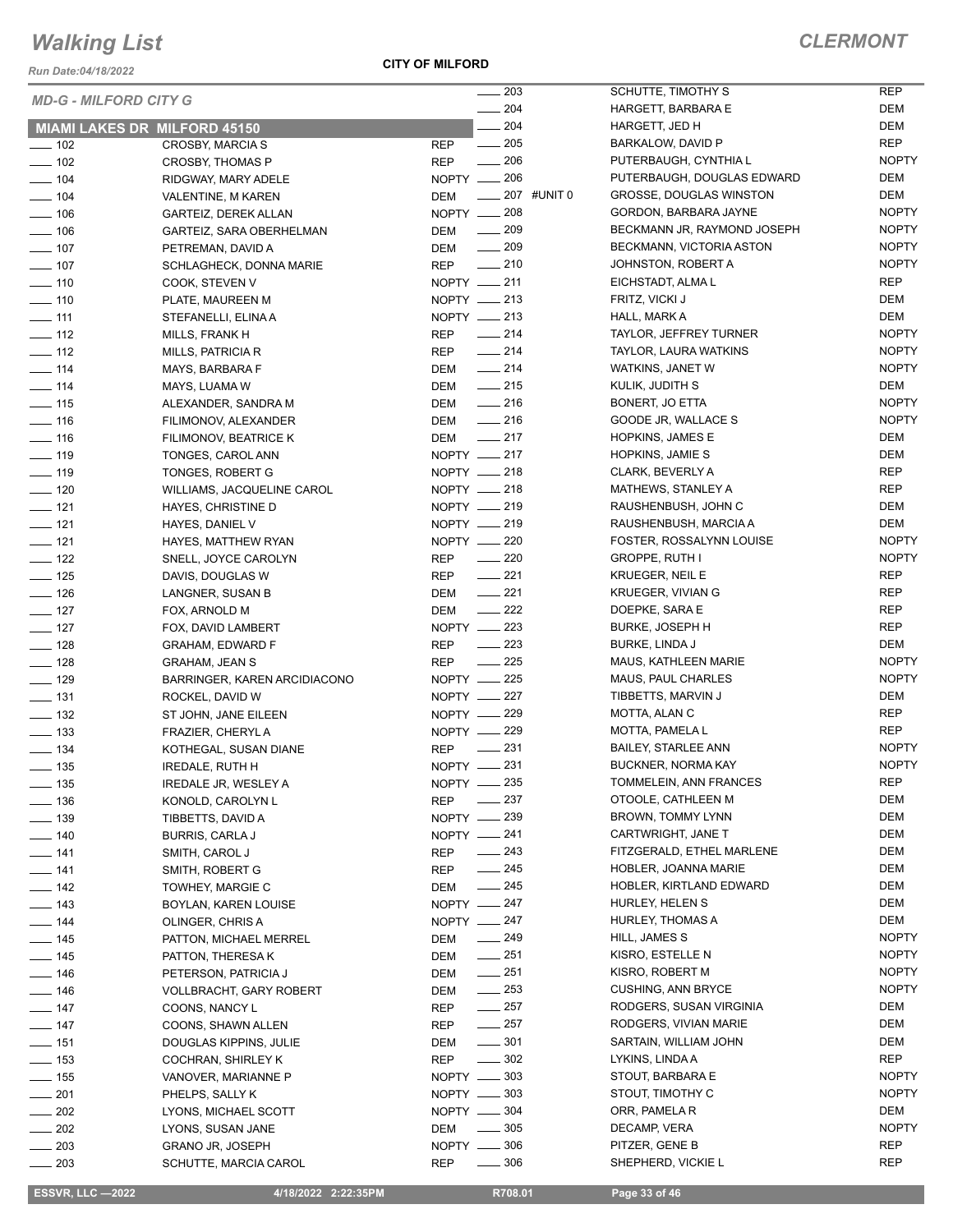*Run Date:04/18/2022*

# *MD-G - MILFORD CITY G*

| <b>MD-G - MILFORD CITY G</b>        |                                |                    |                   | 203    |                         | <b>SCH</b>       |
|-------------------------------------|--------------------------------|--------------------|-------------------|--------|-------------------------|------------------|
|                                     |                                |                    |                   | 204    |                         | <b>HAR</b>       |
| <b>MIAMI LAKES DR MILFORD 45150</b> |                                |                    |                   | $-204$ |                         | <b>HAR</b>       |
| $\equiv$ 102                        | CROSBY, MARCIA S               | <b>REP</b>         | $\frac{1}{205}$   |        |                         | <b>BAR</b>       |
| $-102$                              | CROSBY, THOMAS P               | <b>REP</b>         | $\frac{1}{206}$   |        |                         | <b>PUTI</b>      |
| $- 104$                             | RIDGWAY, MARY ADELE            | NOPTY __ 206       |                   |        |                         | <b>PUTI</b>      |
| $- 104$                             | VALENTINE, M KAREN             | <b>DEM</b>         |                   |        | $\frac{1}{207}$ #UNIT 0 | <b>GRO</b>       |
| $- 106$                             | GARTEIZ, DEREK ALLAN           | NOPTY - 208        |                   |        |                         | GOR              |
| $- 106$                             | GARTEIZ, SARA OBERHELMAN       | DEM                | $-209$            |        |                         | <b>BECI</b>      |
| $-107$                              | PETREMAN, DAVID A              | DEM                | $\frac{1}{209}$   |        |                         | <b>BECI</b>      |
| $\overline{\phantom{0}}$ 107        | SCHLAGHECK, DONNA MARIE        | REP                | $\sim$ 210        |        |                         | JOHI             |
| $- 110$                             | COOK, STEVEN V                 | NOPTY -211         |                   |        |                         | <b>EICH</b>      |
| $\frac{1}{2}$ 110                   | PLATE, MAUREEN M               | NOPTY -213         |                   |        |                         | <b>FRIT</b>      |
| $\overline{\phantom{0}}$ 111        | STEFANELLI, ELINA A            | NOPTY __ 213       |                   |        |                         | HALI             |
| $- 112$                             | MILLS, FRANK H                 | <b>REP</b>         | $-214$            |        |                         | <b>TAYL</b>      |
| $-112$                              | MILLS, PATRICIA R              | REP                | $\frac{214}{2}$   |        |                         | <b>TAYL</b>      |
| $- 114$                             | MAYS, BARBARA F                | DEM                | $\frac{1}{214}$   |        |                         | <b>WAT</b>       |
| $- 114$                             | MAYS, LUAMA W                  | DEM                | $\frac{1}{215}$   |        |                         | <b>KULI</b>      |
| $- 115$                             | ALEXANDER, SANDRA M            | DEM                | $-216$            |        |                         | <b>BON</b>       |
| $- 116$                             | FILIMONOV, ALEXANDER           | DEM                | $-216$            |        |                         | GOO              |
| $\frac{1}{16}$                      | FILIMONOV, BEATRICE K          | DEM                | $\frac{1}{217}$   |        |                         | <b>HOP</b>       |
| $- 119$                             | TONGES, CAROL ANN              | NOPTY -217         |                   |        |                         | <b>HOP</b>       |
| $- 119$                             | TONGES, ROBERT G               | NOPTY - 218        |                   |        |                         | <b>CLAR</b>      |
| $- 120$                             | WILLIAMS, JACQUELINE CAROL     | NOPTY __ 218       |                   |        |                         | <b>MATI</b>      |
| $-121$                              | HAYES, CHRISTINE D             | NOPTY -219         |                   |        |                         | <b>RAU</b>       |
| $-121$                              | HAYES, DANIEL V                | NOPTY __ 219       |                   |        |                         | <b>RAU</b>       |
| $-121$                              | HAYES, MATTHEW RYAN            | NOPTY -220         |                   |        |                         | FOS <sup>-</sup> |
| $\frac{1}{2}$ 122                   | SNELL, JOYCE CAROLYN           | REP                | $\sim$ 220        |        |                         | <b>GRO</b>       |
| $\frac{1}{2}$ 125                   | DAVIS, DOUGLAS W               | REP                | $-221$            |        |                         | <b>KRU</b>       |
| $- 126$                             | LANGNER, SUSAN B               | DEM                | $-221$            |        |                         | <b>KRU</b>       |
| $-$ 127                             | FOX, ARNOLD M                  | DEM                | $\frac{222}{2}$   |        |                         | <b>DOE</b>       |
| $-127$                              | FOX, DAVID LAMBERT             | NOPTY -223         |                   |        |                         | <b>BUR</b>       |
| $- 128$                             | <b>GRAHAM, EDWARD F</b>        | <b>REP</b>         | $-223$            |        |                         | <b>BUR</b>       |
| $\frac{1}{2}$ 128                   | <b>GRAHAM, JEAN S</b>          | <b>REP</b>         | $-225$            |        |                         | <b>MAU</b>       |
| $\frac{1}{2}$ 129                   | BARRINGER, KAREN ARCIDIACONO   | NOPTY __ 225       |                   |        |                         | <b>MAU</b>       |
| $\frac{1}{2}$ 131                   | ROCKEL, DAVID W                | NOPTY __ 227       |                   |        |                         | <b>TIBB</b>      |
| $\frac{1}{2}$ 132                   | ST JOHN, JANE EILEEN           | NOPTY __ 229       |                   |        |                         | MOT              |
| $\frac{1}{2}$ 133                   | FRAZIER, CHERYLA               | NOPTY -229         |                   |        |                         | <b>MOT</b>       |
| $- 134$                             | KOTHEGAL, SUSAN DIANE          | <b>REP</b>         | $-231$            |        |                         | <b>BAIL</b>      |
| $\frac{1}{2}$ 135                   | <b>IREDALE, RUTH H</b>         | NOPTY -231         |                   |        |                         | <b>BUC</b>       |
| $\frac{1}{2}$ 135                   | IREDALE JR, WESLEY A           | NOPTY __ 235       |                   |        |                         | <b>TOM</b>       |
| $- 136$                             | KONOLD, CAROLYN L              | <b>REP</b>         | $\sim$ 237        |        |                         | OTO              |
| $- 139$                             | TIBBETTS, DAVID A              | NOPTY -239         |                   |        |                         | <b>BRO</b>       |
| ____ 140                            | <b>BURRIS, CARLA J</b>         | NOPTY __ 241       |                   |        |                         | <b>CAR</b>       |
| $-141$                              | SMITH, CAROL J                 | REP                | $\frac{1}{243}$   |        |                         | <b>FITZ</b>      |
| $\overline{\phantom{0}}$ 141        | SMITH, ROBERT G                | REP                | $\frac{1}{245}$   |        |                         | HOB              |
| $\frac{1}{2}$ 142                   | TOWHEY, MARGIE C               | DEM                | $\frac{1}{245}$   |        |                         | HOB              |
| $-$ 143                             | BOYLAN, KAREN LOUISE           | NOPTY -247         |                   |        |                         | HUR              |
| $- 144$                             | OLINGER, CHRIS A               | NOPTY $-247$       |                   |        |                         | HUR              |
| $- 145$                             | PATTON, MICHAEL MERREL         | DEM                | $-249$            |        |                         | HILL             |
| ___ 145                             | PATTON, THERESA K              | DEM                | $\frac{1}{251}$   |        |                         | <b>KISR</b>      |
| $- 146$                             | PETERSON, PATRICIA J           | DEM                | $-251$            |        |                         | <b>KISR</b>      |
| $- 146$                             | <b>VOLLBRACHT, GARY ROBERT</b> | DEM                | $-253$            |        |                         | <b>CUS</b>       |
| $\frac{1}{2}$ 147                   | COONS, NANCY L                 | REP                | $\frac{1}{257}$   |        |                         | ROD              |
| $- 147$                             | COONS, SHAWN ALLEN             | REP                | $\frac{1}{257}$   |        |                         | <b>ROD</b>       |
| $- 151$                             | DOUGLAS KIPPINS, JULIE         | DEM                | $\frac{1}{2}$ 301 |        |                         | SAR <sup>®</sup> |
| $\equiv$ 153                        | COCHRAN, SHIRLEY K             | <b>REP</b>         | $\frac{1}{2}$ 302 |        |                         | <b>LYKI</b>      |
| $\equiv$ 155                        | VANOVER, MARIANNE P            | NOPTY -803         |                   |        |                         | <b>STO</b>       |
| $\frac{1}{201}$                     | PHELPS, SALLY K                | NOPTY <u>- 303</u> |                   |        |                         | <b>STO</b>       |
| $-202$                              | LYONS, MICHAEL SCOTT           | NOPTY -804         |                   |        |                         | <b>ORR</b>       |
| $\frac{1}{202}$                     | LYONS, SUSAN JANE              | DEM                | $\frac{1}{2}$ 305 |        |                         | DEC.             |
| $\equiv$ 203                        | <b>GRANO JR, JOSEPH</b>        | NOPTY -806         |                   |        |                         | <b>PITZ</b>      |
| 203                                 | SCHUTTE, MARCIA CAROL          | <b>REP</b>         |                   | - 306  |                         | <b>SHEI</b>      |
|                                     |                                |                    |                   |        |                         |                  |

| 203        |         | SCHUTTE, TIMOTHY S                               | REP          |
|------------|---------|--------------------------------------------------|--------------|
| 204        |         | HARGETT, BARBARA E                               | DEM          |
| 204        |         | HARGETT, JED H                                   | DEM          |
| 205        |         | BARKALOW, DAVID P                                | REP          |
| 206        |         | PUTERBAUGH, CYNTHIA L                            | <b>NOPTY</b> |
| 206        |         | PUTERBAUGH, DOUGLAS EDWARD                       | DEM          |
| 207        | #UNIT 0 | <b>GROSSE, DOUGLAS WINSTON</b>                   | DEM          |
| 208        |         | GORDON, BARBARA JAYNE                            | <b>NOPTY</b> |
| 209        |         | BECKMANN JR, RAYMOND JOSEPH                      | <b>NOPTY</b> |
| 209        |         | BECKMANN, VICTORIA ASTON                         | <b>NOPTY</b> |
| 210        |         | JOHNSTON, ROBERT A                               | <b>NOPTY</b> |
| 211        |         | EICHSTADT, ALMA L                                | REP          |
| 213        |         | FRITZ, VICKI J                                   | DEM          |
| 213        |         | HALL, MARK A                                     | DEM          |
| 214        |         | <b>TAYLOR, JEFFREY TURNER</b>                    | <b>NOPTY</b> |
| 214        |         | TAYLOR, LAURA WATKINS                            | <b>NOPTY</b> |
| 214        |         | WATKINS, JANET W                                 | <b>NOPTY</b> |
| 215        |         | KULIK, JUDITH S                                  | DEM          |
| 216        |         | BONERT, JO ETTA                                  | <b>NOPTY</b> |
| 216        |         | GOODE JR, WALLACE S                              | <b>NOPTY</b> |
| 217        |         | <b>HOPKINS, JAMES E</b>                          | DEM          |
| 217        |         | <b>HOPKINS, JAMIE S</b>                          |              |
|            |         |                                                  | DEM          |
| 218<br>218 |         | CLARK, BEVERLY A                                 | REP          |
|            |         | <b>MATHEWS, STANLEY A</b><br>RAUSHENBUSH, JOHN C | REP          |
| 219        |         |                                                  | DEM          |
| 219        |         | RAUSHENBUSH, MARCIA A                            | DEM          |
| 220        |         | FOSTER, ROSSALYNN LOUISE                         | <b>NOPTY</b> |
| 220        |         | <b>GROPPE, RUTH I</b>                            | <b>NOPTY</b> |
| 221        |         | KRUEGER, NEIL E                                  | REP          |
| 221        |         | <b>KRUEGER, VIVIAN G</b>                         | REP          |
| 222        |         | DOEPKE, SARA E                                   | REP          |
| 223        |         | <b>BURKE, JOSEPH H</b>                           | REP          |
| 223        |         | <b>BURKE, LINDA J</b>                            | DEM          |
| 225        |         | <b>MAUS, KATHLEEN MARIE</b>                      | <b>NOPTY</b> |
| 225        |         | <b>MAUS, PAUL CHARLES</b>                        | <b>NOPTY</b> |
| 227        |         | TIBBETTS, MARVIN J                               | DEM          |
| 229        |         | <b>MOTTA, ALAN C</b>                             | REP          |
| 229<br>231 |         | <b>MOTTA, PAMELA L</b>                           | REP          |
|            |         | <b>BAILEY, STARLEE ANN</b>                       | <b>NOPTY</b> |
| 231        |         | <b>BUCKNER, NORMA KAY</b>                        | <b>NOPTY</b> |
| 235        |         | TOMMELEIN, ANN FRANCES                           | <b>REP</b>   |
| 237        |         | OTOOLE, CATHLEEN M                               | DEM          |
| 239        |         | <b>BROWN. TOMMY LYNN</b>                         | DEM          |
| 241        |         | CARTWRIGHT, JANE T                               | DEM          |
| 243        |         | FITZGERALD, ETHEL MARLENE                        | DEM          |
| 245        |         | HOBLER, JOANNA MARIE                             | DEM          |
| 245        |         | HOBLER, KIRTLAND EDWARD                          | DEM          |
| 247        |         | HURLEY, HELEN S                                  | DEM          |
| 247        |         | HURLEY, THOMAS A                                 | DEM          |
| 249        |         | HILL, JAMES S                                    | <b>NOPTY</b> |
| 251        |         | KISRO, ESTELLE N                                 | <b>NOPTY</b> |
| 251        |         | KISRO, ROBERT M                                  | <b>NOPTY</b> |
| 253        |         | <b>CUSHING, ANN BRYCE</b>                        | <b>NOPTY</b> |
| 257        |         | RODGERS, SUSAN VIRGINIA                          | DEM          |
| 257        |         | RODGERS, VIVIAN MARIE                            | DEM          |
| 301        |         | SARTAIN, WILLIAM JOHN                            | DEM          |
| 302        |         | LYKINS, LINDA A                                  | REP          |
| 303        |         | STOUT, BARBARA E                                 | <b>NOPTY</b> |
| 303        |         | STOUT, TIMOTHY C                                 | <b>NOPTY</b> |
| 304        |         | ORR, PAMELA R                                    | DEM          |
| 305        |         | DECAMP, VERA                                     | <b>NOPTY</b> |
| 306        |         | PITZER, GENE B                                   | REP          |
| 306        |         | SHEPHERD, VICKIE L                               | REP          |

 **ESSVR, LLC —2022 4/18/2022 2:22:35PM R708.01 Page 33 of 46**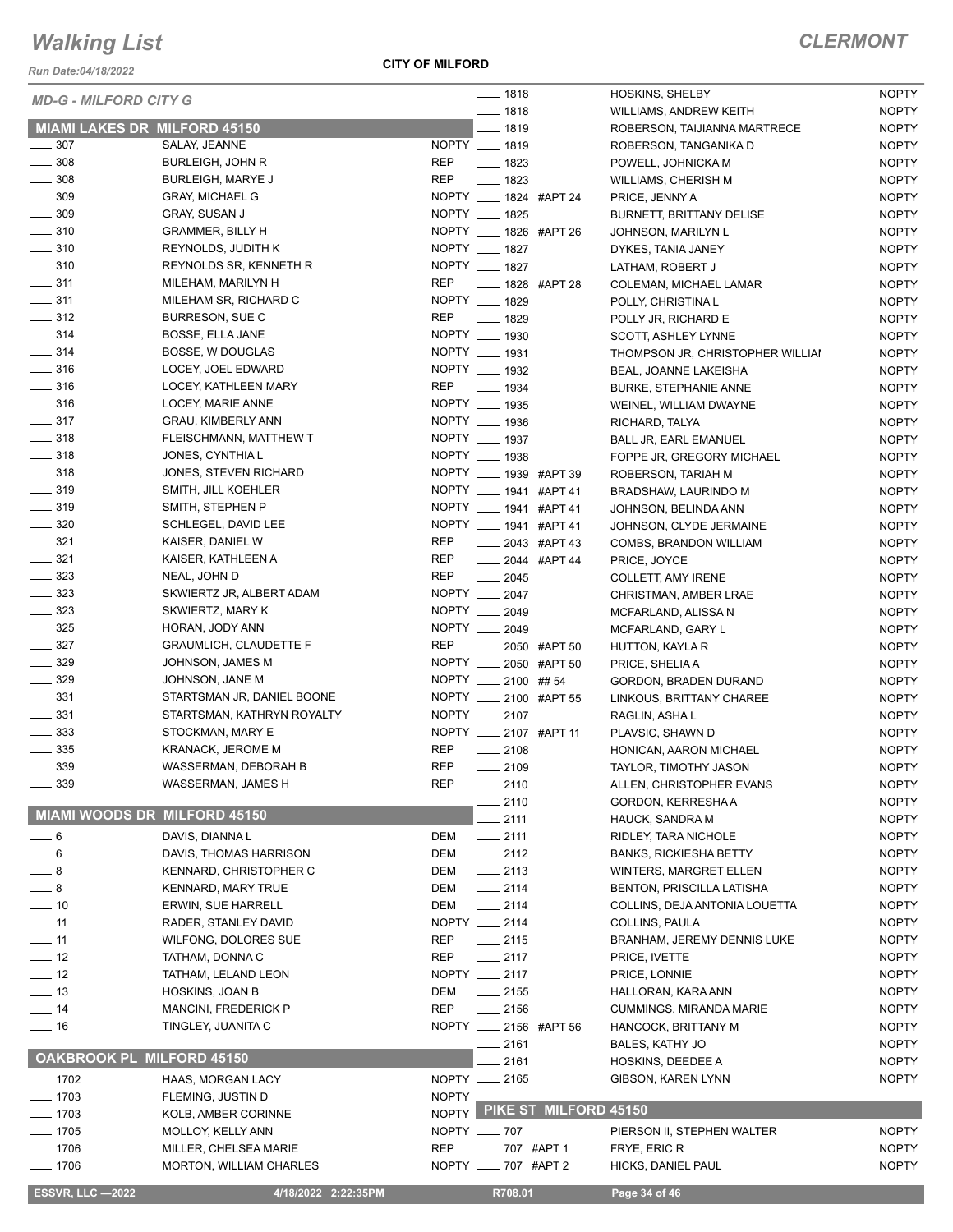*Run Date:04/18/2022*

### **CITY OF MILFORD**

| <b>MD-G - MILFORD CITY G</b> |                                     |              | $- 1818$                 | <b>HOSKINS, SHELBY</b>             | <b>NOPTY</b> |
|------------------------------|-------------------------------------|--------------|--------------------------|------------------------------------|--------------|
|                              |                                     |              | $- 1818$                 | WILLIAMS, ANDREW KEITH             | <b>NOPTY</b> |
|                              | <b>MIAMI LAKES DR MILFORD 45150</b> |              | $-1819$                  | ROBERSON, TAIJIANNA MARTRECE       | <b>NOPTY</b> |
| $\frac{1}{2}$ 307            | SALAY, JEANNE                       |              | NOPTY __ 1819            | ROBERSON, TANGANIKA D              | <b>NOPTY</b> |
| 308                          | <b>BURLEIGH, JOHN R</b>             | REP          | $- 1823$                 | POWELL, JOHNICKA M                 | <b>NOPTY</b> |
| $-308$                       | <b>BURLEIGH, MARYE J</b>            | <b>REP</b>   | $- 1823$                 | <b>WILLIAMS, CHERISH M</b>         | <b>NOPTY</b> |
| $-309$                       | <b>GRAY, MICHAEL G</b>              |              | NOPTY ____ 1824 #APT 24  | PRICE, JENNY A                     | <b>NOPTY</b> |
| $\frac{1}{2}$ 309            | <b>GRAY, SUSAN J</b>                |              | NOPTY __ 1825            | <b>BURNETT, BRITTANY DELISE</b>    | <b>NOPTY</b> |
| $\frac{1}{2}$ 310            | <b>GRAMMER, BILLY H</b>             |              | NOPTY __ 1826 #APT 26    | JOHNSON, MARILYN L                 | <b>NOPTY</b> |
| $\frac{1}{2}$ 310            | REYNOLDS, JUDITH K                  |              | NOPTY __ 1827            | DYKES, TANIA JANEY                 | <b>NOPTY</b> |
| $\frac{1}{2}$ 310            | REYNOLDS SR, KENNETH R              |              | NOPTY __ 1827            | LATHAM, ROBERT J                   | <b>NOPTY</b> |
| $\frac{1}{2}$ 311            | MILEHAM, MARILYN H                  | <b>REP</b>   | $- 1828$ #APT 28         | COLEMAN, MICHAEL LAMAR             | <b>NOPTY</b> |
| $\frac{1}{2}$ 311            | MILEHAM SR, RICHARD C               |              | NOPTY __ 1829            | POLLY, CHRISTINA L                 | <b>NOPTY</b> |
| $\frac{1}{2}$ 312            | <b>BURRESON, SUE C</b>              | <b>REP</b>   | $- 1829$                 | POLLY JR, RICHARD E                | <b>NOPTY</b> |
| $\frac{1}{2}$ 314            | BOSSE, ELLA JANE                    |              | NOPTY __ 1930            | SCOTT, ASHLEY LYNNE                | <b>NOPTY</b> |
| $\frac{314}{2}$              | BOSSE, W DOUGLAS                    |              | NOPTY __ 1931            | THOMPSON JR, CHRISTOPHER WILLIAN   | <b>NOPTY</b> |
| $\frac{1}{2}$ 316            | LOCEY, JOEL EDWARD                  |              | NOPTY __ 1932            | BEAL, JOANNE LAKEISHA              | <b>NOPTY</b> |
| $\frac{1}{2}$ 316            | LOCEY, KATHLEEN MARY                | <b>REP</b>   | $\frac{1}{2}$ 1934       | <b>BURKE, STEPHANIE ANNE</b>       | <b>NOPTY</b> |
| $\frac{1}{2}$ 316            | LOCEY, MARIE ANNE                   |              | NOPTY __ 1935            | WEINEL, WILLIAM DWAYNE             | <b>NOPTY</b> |
| $- 317$                      | <b>GRAU, KIMBERLY ANN</b>           |              | NOPTY __ 1936            | RICHARD, TALYA                     | <b>NOPTY</b> |
| $\frac{1}{2}$ 318            | FLEISCHMANN, MATTHEW T              |              | NOPTY __ 1937            | <b>BALL JR, EARL EMANUEL</b>       | <b>NOPTY</b> |
| $\frac{1}{2}$ 318            | JONES, CYNTHIA L                    |              | NOPTY __ 1938            | FOPPE JR, GREGORY MICHAEL          | <b>NOPTY</b> |
| $\frac{1}{2}$ 318            | JONES, STEVEN RICHARD               |              | NOPTY __ 1939 #APT 39    | ROBERSON, TARIAH M                 | <b>NOPTY</b> |
| $\frac{1}{2}$ 319            | SMITH, JILL KOEHLER                 |              | NOPTY __ 1941 #APT 41    | BRADSHAW, LAURINDO M               | <b>NOPTY</b> |
| $\frac{1}{2}$ 319            | SMITH, STEPHEN P                    |              | NOPTY __ 1941 #APT 41    | JOHNSON, BELINDA ANN               | <b>NOPTY</b> |
| $\frac{1}{2}$ 320            | SCHLEGEL, DAVID LEE                 |              | NOPTY __ 1941 #APT 41    | JOHNSON, CLYDE JERMAINE            | <b>NOPTY</b> |
| $\frac{321}{2}$              | KAISER, DANIEL W                    | <b>REP</b>   | $\frac{1}{2043}$ #APT 43 | COMBS, BRANDON WILLIAM             | <b>NOPTY</b> |
| $\frac{1}{2}$ 321            | KAISER, KATHLEEN A                  | <b>REP</b>   | 2044 #APT 44             | PRICE, JOYCE                       | <b>NOPTY</b> |
| $\frac{1}{2}$ 323            | NEAL, JOHN D                        | <b>REP</b>   | $-2045$                  | COLLETT, AMY IRENE                 | <b>NOPTY</b> |
| $\frac{1}{2}$ 323            | SKWIERTZ JR, ALBERT ADAM            |              | NOPTY __ 2047            | CHRISTMAN, AMBER LRAE              | <b>NOPTY</b> |
| $\frac{1}{2}$ 323            | SKWIERTZ, MARY K                    |              | NOPTY __ 2049            | MCFARLAND, ALISSA N                | <b>NOPTY</b> |
| $\frac{1}{2}$ 325            | HORAN, JODY ANN                     |              | NOPTY __ 2049            | MCFARLAND, GARY L                  | <b>NOPTY</b> |
| $-327$                       | <b>GRAUMLICH, CLAUDETTE F</b>       | <b>REP</b>   | 2050 #APT 50             | HUTTON, KAYLA R                    | <b>NOPTY</b> |
| $\frac{1}{2}$ 329            | JOHNSON, JAMES M                    | NOPTY        | 2050 #APT 50             | PRICE, SHELIAA                     | <b>NOPTY</b> |
| $-329$                       | JOHNSON, JANE M                     |              | NOPTY __ 2100 ## 54      | GORDON, BRADEN DURAND              | <b>NOPTY</b> |
| $\frac{1}{2}$ 331            | STARTSMAN JR, DANIEL BOONE          |              | NOPTY __ 2100 #APT 55    |                                    | <b>NOPTY</b> |
| $\frac{1}{2}$ 331            | STARTSMAN, KATHRYN ROYALTY          |              | NOPTY __ 2107            | LINKOUS, BRITTANY CHAREE           | <b>NOPTY</b> |
| $\frac{1}{2}$ 333            | STOCKMAN, MARY E                    |              | NOPTY __ 2107 #APT 11    | RAGLIN, ASHA L                     |              |
| 335                          | <b>KRANACK, JEROME M</b>            | <b>REP</b>   |                          | PLAVSIC, SHAWN D                   | <b>NOPTY</b> |
| $-339$                       | WASSERMAN, DEBORAH B                | <b>REP</b>   | $-2108$                  | HONICAN, AARON MICHAEL             | <b>NOPTY</b> |
| 339                          | WASSERMAN, JAMES H                  | <b>REP</b>   | $-2109$                  | TAYLOR, TIMOTHY JASON              | <b>NOPTY</b> |
|                              |                                     |              | __ 2110                  | ALLEN, CHRISTOPHER EVANS           | <b>NOPTY</b> |
|                              | MIAMI WOODS DR MILFORD 45150        |              | 2110                     | GORDON, KERRESHA A                 | <b>NOPTY</b> |
|                              |                                     |              | 2111                     | HAUCK, SANDRA M                    | <b>NOPTY</b> |
| $= 6$                        | DAVIS, DIANNA L                     | DEM          | $-2111$                  | RIDLEY, TARA NICHOLE               | <b>NOPTY</b> |
| $= 6$                        | DAVIS, THOMAS HARRISON              | DEM          | $-2112$                  | <b>BANKS, RICKIESHA BETTY</b>      | <b>NOPTY</b> |
| $-8$                         | KENNARD, CHRISTOPHER C              | DEM          | $-2113$                  | WINTERS, MARGRET ELLEN             | <b>NOPTY</b> |
| $-8$                         | <b>KENNARD, MARY TRUE</b>           | DEM          | $-2114$                  | <b>BENTON, PRISCILLA LATISHA</b>   | <b>NOPTY</b> |
| $-10$                        | ERWIN, SUE HARRELL                  | DEM          | $-2114$                  | COLLINS, DEJA ANTONIA LOUETTA      | <b>NOPTY</b> |
| $-11$                        | RADER, STANLEY DAVID                |              | NOPTY __ 2114            | COLLINS, PAULA                     | <b>NOPTY</b> |
| $\frac{1}{2}$ 11             | WILFONG, DOLORES SUE                | <b>REP</b>   | $-2115$                  | <b>BRANHAM, JEREMY DENNIS LUKE</b> | <b>NOPTY</b> |
| $\frac{1}{2}$ 12             | TATHAM, DONNA C                     | <b>REP</b>   | $-2117$                  | PRICE, IVETTE                      | <b>NOPTY</b> |
| $\frac{1}{2}$ 12             | TATHAM, LELAND LEON                 |              | NOPTY __ 2117            | PRICE, LONNIE                      | <b>NOPTY</b> |
| $\equiv$ 13                  | HOSKINS, JOAN B                     | DEM          | $-2155$                  | HALLORAN, KARA ANN                 | <b>NOPTY</b> |
| $-14$                        | MANCINI, FREDERICK P                | <b>REP</b>   | 2156                     | <b>CUMMINGS, MIRANDA MARIE</b>     | <b>NOPTY</b> |
| — 16                         | TINGLEY, JUANITA C                  |              | NOPTY __ 2156 #APT 56    | HANCOCK, BRITTANY M                | <b>NOPTY</b> |
|                              |                                     |              | 2161                     | BALES, KATHY JO                    | <b>NOPTY</b> |
|                              | <b>OAKBROOK PL MILFORD 45150</b>    |              | 2161                     | HOSKINS, DEEDEE A                  | <b>NOPTY</b> |
| $- 1702$                     | HAAS, MORGAN LACY                   |              | NOPTY __ 2165            | GIBSON, KAREN LYNN                 | <b>NOPTY</b> |
| $- 1703$                     | FLEMING, JUSTIN D                   | <b>NOPTY</b> |                          |                                    |              |
| $- 1703$                     | KOLB, AMBER CORINNE                 | <b>NOPTY</b> | PIKE ST MILFORD 45150    |                                    |              |
| $- 1705$                     | MOLLOY, KELLY ANN                   |              | NOPTY __ 707             | PIERSON II, STEPHEN WALTER         | <b>NOPTY</b> |
| $-1706$                      | MILLER, CHELSEA MARIE               | <b>REP</b>   | _ 707 #APT 1             | FRYE, ERIC R                       | <b>NOPTY</b> |
| $- 1706$                     | <b>MORTON, WILLIAM CHARLES</b>      |              | NOPTY ____ 707 #APT 2    | HICKS, DANIEL PAUL                 | <b>NOPTY</b> |
|                              |                                     |              |                          |                                    |              |
| <b>ESSVR, LLC -2022</b>      | 4/18/2022 2:22:35PM                 |              | R708.01                  | Page 34 of 46                      |              |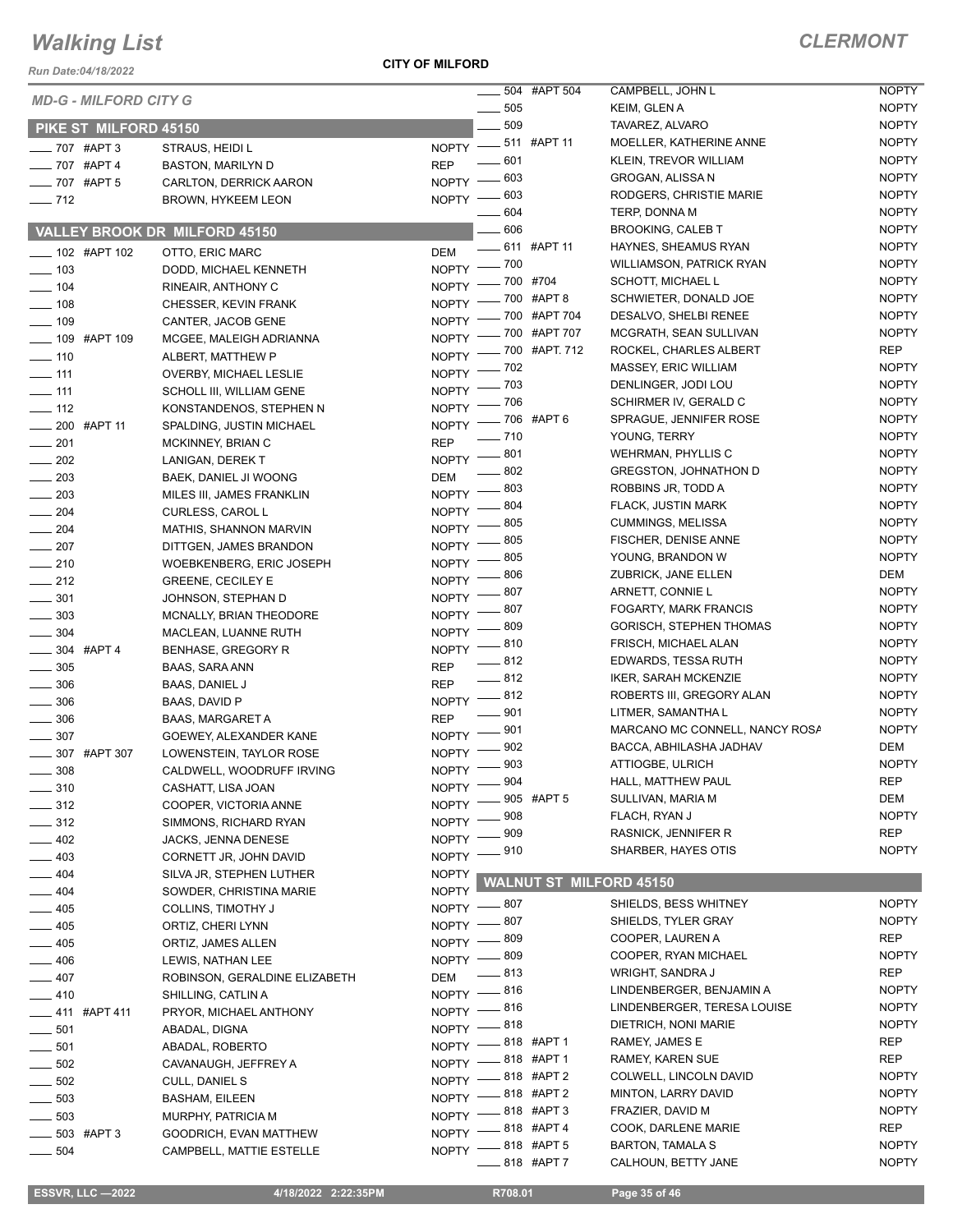*Run Date:04/18/2022*

**CITY OF MILFORD**

|                         | <b>MD-G - MILFORD CITY G</b> |                                      |                    |              |         | 504 #APT 504                   | CAMPBELL, JOHN L                | <b>NOPTY</b> |
|-------------------------|------------------------------|--------------------------------------|--------------------|--------------|---------|--------------------------------|---------------------------------|--------------|
|                         |                              |                                      |                    | $\equiv$ 505 |         |                                | KEIM, GLEN A                    | <b>NOPTY</b> |
|                         | PIKE ST MILFORD 45150        |                                      |                    |              | 509     |                                | TAVAREZ, ALVARO                 | <b>NOPTY</b> |
|                         | _707 #APT 3                  | STRAUS, HEIDI L                      |                    |              |         | NOPTY -811 #APT 11             | MOELLER, KATHERINE ANNE         | <b>NOPTY</b> |
|                         | $-707$ #APT 4                | <b>BASTON, MARILYN D</b>             | <b>REP</b>         | $- 601$      |         |                                | KLEIN, TREVOR WILLIAM           | <b>NOPTY</b> |
| $- 707$ #APT 5          |                              | CARLTON, DERRICK AARON               | $N$ OPTY -         |              | $=603$  |                                | GROGAN, ALISSA N                | <b>NOPTY</b> |
| $- 712$                 |                              | BROWN, HYKEEM LEON                   | $NOPTY =$          |              | $= 603$ |                                | RODGERS, CHRISTIE MARIE         | <b>NOPTY</b> |
|                         |                              |                                      |                    |              | 604     |                                | TERP, DONNA M                   | <b>NOPTY</b> |
|                         |                              | <b>VALLEY BROOK DR MILFORD 45150</b> |                    |              | $-606$  |                                | <b>BROOKING, CALEB T</b>        | <b>NOPTY</b> |
|                         | $\frac{1}{2}$ 102 #APT 102   | OTTO, ERIC MARC                      | DEM                |              |         | -611 #APT 11                   | HAYNES, SHEAMUS RYAN            | <b>NOPTY</b> |
| $\frac{1}{2}$ 103       |                              | DODD, MICHAEL KENNETH                | NOPTY - 700        |              |         |                                | <b>WILLIAMSON, PATRICK RYAN</b> | <b>NOPTY</b> |
| $-104$                  |                              | RINEAIR, ANTHONY C                   | NOPTY - 700 #704   |              |         |                                | SCHOTT, MICHAEL L               | <b>NOPTY</b> |
| $\frac{1}{2}$ 108       |                              | CHESSER, KEVIN FRANK                 | NOPTY - 700 #APT 8 |              |         |                                | SCHWIETER, DONALD JOE           | <b>NOPTY</b> |
| $\frac{1}{2}$ 109       |                              | CANTER, JACOB GENE                   | <b>NOPTY</b>       |              |         | _700 #APT 704                  | DESALVO, SHELBI RENEE           | <b>NOPTY</b> |
|                         | <b>_____ 109 #APT 109</b>    | MCGEE, MALEIGH ADRIANNA              | <b>NOPTY</b>       |              |         | _700 #APT 707                  | MCGRATH, SEAN SULLIVAN          | <b>NOPTY</b> |
| $- 110$                 |                              | ALBERT, MATTHEW P                    | NOPTY <sup>-</sup> |              |         | _700 #APT.712                  | ROCKEL, CHARLES ALBERT          | <b>REP</b>   |
| $\frac{1}{2}$ 111       |                              | <b>OVERBY, MICHAEL LESLIE</b>        | NOPTY <sup>-</sup> |              | _ 702   |                                | <b>MASSEY, ERIC WILLIAM</b>     | <b>NOPTY</b> |
| $-111$                  |                              | SCHOLL III, WILLIAM GENE             | NOPTY -            |              | . 703   |                                | DENLINGER, JODI LOU             | <b>NOPTY</b> |
| $\frac{1}{2}$ 112       |                              | KONSTANDENOS, STEPHEN N              | NOPTY -            |              | _ 706   |                                | SCHIRMER IV, GERALD C           | <b>NOPTY</b> |
| $\frac{1}{200}$ #APT 11 |                              | SPALDING, JUSTIN MICHAEL             | <b>NOPTY</b>       |              |         | $-706$ #APT 6                  | SPRAGUE, JENNIFER ROSE          | <b>NOPTY</b> |
| $-201$                  |                              | MCKINNEY, BRIAN C                    | <b>REP</b>         |              | _ 710   |                                | YOUNG, TERRY                    | <b>NOPTY</b> |
| $\sim$ 202              |                              | LANIGAN, DEREK T                     | NOPTY <sup>-</sup> |              | $-801$  |                                | <b>WEHRMAN, PHYLLIS C</b>       | <b>NOPTY</b> |
| $\frac{1}{203}$         |                              | BAEK, DANIEL JI WOONG                | <b>DEM</b>         |              | $-802$  |                                | <b>GREGSTON, JOHNATHON D</b>    | <b>NOPTY</b> |
| $\sim$ 203              |                              | MILES III, JAMES FRANKLIN            | NOPTY -            |              | $=803$  |                                | ROBBINS JR, TODD A              | <b>NOPTY</b> |
| $\frac{1}{204}$         |                              | CURLESS, CAROL L                     | NOPTY -            |              | - 804   |                                | FLACK, JUSTIN MARK              | <b>NOPTY</b> |
| $\frac{1}{204}$         |                              | MATHIS, SHANNON MARVIN               | NOPTY <sup>-</sup> |              | 805     |                                | <b>CUMMINGS, MELISSA</b>        | <b>NOPTY</b> |
| $-207$                  |                              | DITTGEN, JAMES BRANDON               | <b>NOPTY</b>       |              | 805     |                                | FISCHER, DENISE ANNE            | <b>NOPTY</b> |
| $\frac{1}{210}$         |                              | WOEBKENBERG, ERIC JOSEPH             | <b>NOPTY</b>       |              | 805     |                                | YOUNG, BRANDON W                | <b>NOPTY</b> |
| $\frac{1}{212}$         |                              | <b>GREENE, CECILEY E</b>             | <b>NOPTY</b>       |              | 806     |                                | ZUBRICK, JANE ELLEN             | DEM          |
| $\frac{1}{2}$ 301       |                              | JOHNSON, STEPHAN D                   | <b>NOPTY</b>       |              | 807     |                                | ARNETT, CONNIE L                | <b>NOPTY</b> |
| $\frac{1}{2}$ 303       |                              | MCNALLY, BRIAN THEODORE              | <b>NOPTY</b>       |              | 807     |                                | <b>FOGARTY, MARK FRANCIS</b>    | <b>NOPTY</b> |
| $-304$                  |                              | MACLEAN, LUANNE RUTH                 | NOPTY <sup>-</sup> |              | - 809   |                                | <b>GORISCH, STEPHEN THOMAS</b>  | <b>NOPTY</b> |
|                         | $-304$ #APT 4                | BENHASE, GREGORY R                   | NOPTY -810         |              |         |                                | FRISCH, MICHAEL ALAN            | <b>NOPTY</b> |
| $\frac{1}{2}$ 305       |                              | BAAS, SARA ANN                       | <b>REP</b>         |              | __ 812  |                                | EDWARDS, TESSA RUTH             | <b>NOPTY</b> |
| $\frac{1}{2}$ 306       |                              | BAAS, DANIEL J                       | <b>REP</b>         | $-812$       |         |                                | <b>IKER, SARAH MCKENZIE</b>     | <b>NOPTY</b> |
| 306                     |                              | BAAS, DAVID P                        | $NOPTY =$          |              | $-812$  |                                | ROBERTS III, GREGORY ALAN       | <b>NOPTY</b> |
| 306                     |                              | <b>BAAS, MARGARET A</b>              | <b>REP</b>         |              | $-901$  |                                | LITMER, SAMANTHA L              | <b>NOPTY</b> |
| $\frac{1}{2}$ 307       |                              | GOEWEY, ALEXANDER KANE               | NOPTY -            |              | 901     |                                | MARCANO MC CONNELL, NANCY ROSA  | <b>NOPTY</b> |
|                         | ____ 307 #APT 307            | LOWENSTEIN, TAYLOR ROSE              | <b>NOPTY</b>       |              | 902     |                                | BACCA, ABHILASHA JADHAV         | DEM          |
| $\frac{1}{2}$ 308       |                              | CALDWELL, WOODRUFF IRVING            | <b>NOPTY</b>       |              | $-903$  |                                | ATTIOGBE, ULRICH                | <b>NOPTY</b> |
| $\frac{1}{2}$ 310       |                              | CASHATT, LISA JOAN                   | $NOPTY$ - 904      |              |         |                                | HALL, MATTHEW PAUL              | <b>REP</b>   |
| $- 312$                 |                              | COOPER, VICTORIA ANNE                | NOPTY -805 #APT 5  |              |         |                                | SULLIVAN, MARIA M               | DEM          |
| $\frac{312}{2}$         |                              | SIMMONS, RICHARD RYAN                | NOPTY <sup>-</sup> |              | $-908$  |                                | FLACH, RYAN J                   | <b>NOPTY</b> |
| $-402$                  |                              | JACKS, JENNA DENESE                  | NOPTY <sup>-</sup> |              | - 909   |                                | <b>RASNICK, JENNIFER R</b>      | <b>REP</b>   |
| $- 403$                 |                              | CORNETT JR, JOHN DAVID               | NOPTY -            |              | __ 910  |                                | SHARBER, HAYES OTIS             | <b>NOPTY</b> |
| $-404$                  |                              | SILVA JR, STEPHEN LUTHER             | <b>NOPTY</b>       |              |         |                                |                                 |              |
| — 404                   |                              | SOWDER, CHRISTINA MARIE              | <b>NOPTY</b>       |              |         | <b>WALNUT ST MILFORD 45150</b> |                                 |              |
| $-405$                  |                              | <b>COLLINS, TIMOTHY J</b>            | NOPTY -807         |              |         |                                | SHIELDS, BESS WHITNEY           | <b>NOPTY</b> |
| —— 405                  |                              | ORTIZ, CHERI LYNN                    | NOPTY -            |              | _ 807   |                                | SHIELDS, TYLER GRAY             | <b>NOPTY</b> |
| $- 405$                 |                              | ORTIZ, JAMES ALLEN                   | NOPTY -            |              | - 809   |                                | COOPER, LAUREN A                | REP          |
| $=$ 406                 |                              | LEWIS, NATHAN LEE                    | NOPTY -            |              | _ 809   |                                | COOPER, RYAN MICHAEL            | <b>NOPTY</b> |
| $-407$                  |                              | ROBINSON, GERALDINE ELIZABETH        | <b>DEM</b>         |              | _ 813   |                                | WRIGHT, SANDRA J                | <b>REP</b>   |
| $-410$                  |                              | SHILLING, CATLIN A                   | NOPTY -816         |              |         |                                | LINDENBERGER, BENJAMIN A        | <b>NOPTY</b> |
|                         | $-411$ #APT 411              | PRYOR, MICHAEL ANTHONY               | NOPTY -816         |              |         |                                | LINDENBERGER, TERESA LOUISE     | <b>NOPTY</b> |
| $\frac{1}{2}$ 501       |                              | ABADAL, DIGNA                        | $NOPTY =$          |              | $= 818$ |                                | DIETRICH, NONI MARIE            | <b>NOPTY</b> |
| $\frac{1}{2}$ 501       |                              | ABADAL, ROBERTO                      | NOPTY -818 #APT 1  |              |         |                                | RAMEY, JAMES E                  | <b>REP</b>   |
| $-502$                  |                              | CAVANAUGH, JEFFREY A                 | NOPTY -818 #APT 1  |              |         |                                | RAMEY, KAREN SUE                | <b>REP</b>   |
| $\frac{1}{2}$ 502       |                              | CULL, DANIEL S                       | NOPTY -818 #APT 2  |              |         |                                | COLWELL, LINCOLN DAVID          | <b>NOPTY</b> |
| $-503$                  |                              | <b>BASHAM, EILEEN</b>                | NOPTY -818 #APT 2  |              |         |                                | MINTON, LARRY DAVID             | <b>NOPTY</b> |
| $\frac{1}{2}$ 503       |                              | <b>MURPHY, PATRICIA M</b>            | NOPTY -818 #APT 3  |              |         |                                | FRAZIER, DAVID M                | <b>NOPTY</b> |
| _____ 503 #APT 3        |                              | GOODRICH, EVAN MATTHEW               | NOPTY -818 #APT 4  |              |         |                                | COOK, DARLENE MARIE             | <b>REP</b>   |
| $- 504$                 |                              | CAMPBELL, MATTIE ESTELLE             | NOPTY -818 #APT 5  |              |         |                                | <b>BARTON, TAMALA S</b>         | <b>NOPTY</b> |
|                         |                              |                                      |                    |              |         | 818 #APT 7                     | CALHOUN, BETTY JANE             | <b>NOPTY</b> |

 **ESSVR, LLC —2022 4/18/2022 2:22:35PM R708.01 Page 35 of 46**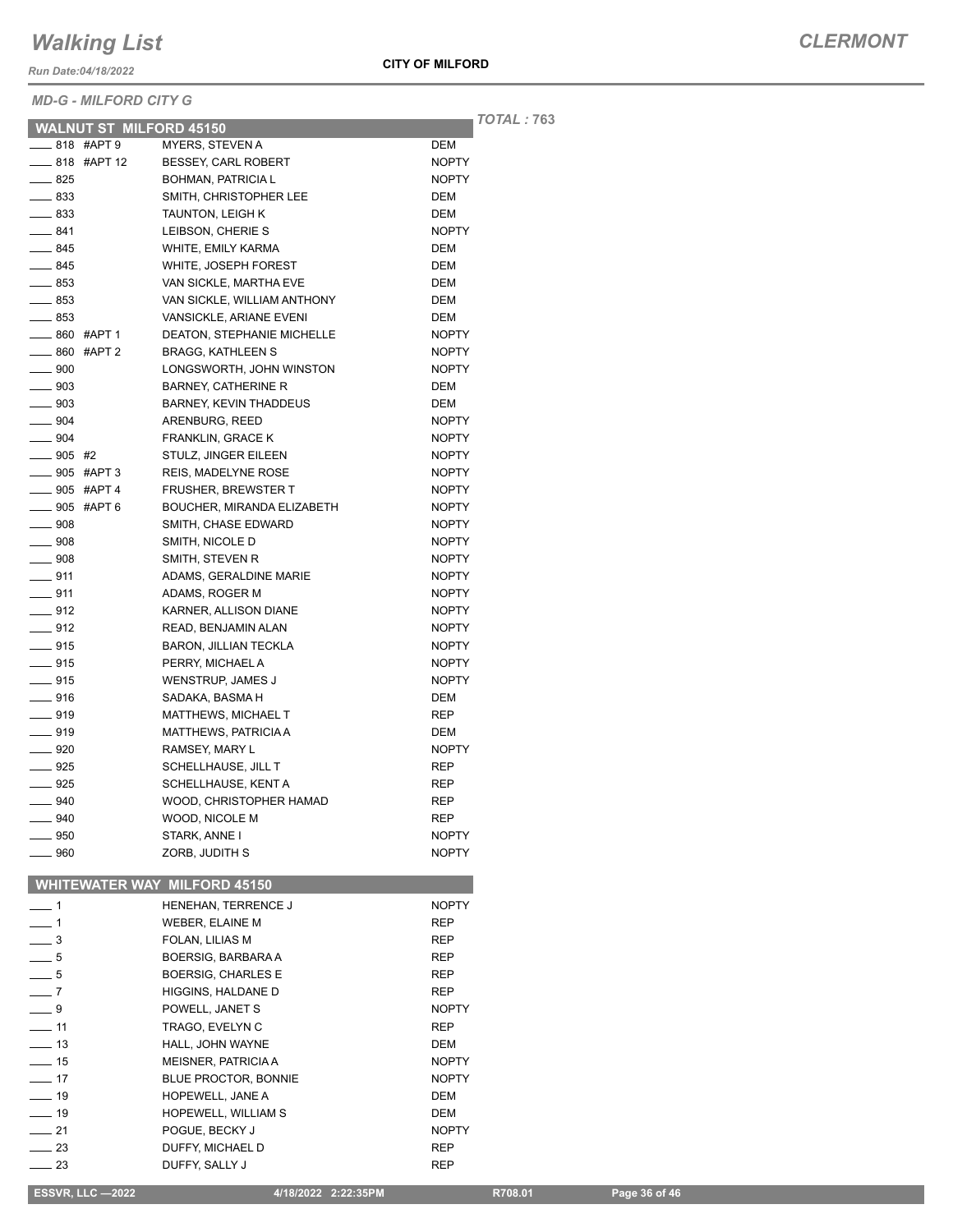*Run Date:04/18/2022*

*MD-G - MILFORD CITY G*

*TOTAL :* **763**

|                            | <b>WALNUT ST MILFORD 45150</b> |                                                     |                              | <b>TOTAL:</b> |
|----------------------------|--------------------------------|-----------------------------------------------------|------------------------------|---------------|
|                            | — 818 #АРТ 9                   | MYERS, STEVEN A                                     | DEM                          |               |
|                            | ____ 818 #APT 12               | BESSEY, CARL ROBERT                                 | <b>NOPTY</b>                 |               |
| ___ 825                    |                                | <b>BOHMAN, PATRICIA L</b>                           | <b>NOPTY</b>                 |               |
| $\equiv$ 833               |                                | SMITH, CHRISTOPHER LEE                              | DEM                          |               |
| ____ 833                   |                                | TAUNTON, LEIGH K                                    | <b>DEM</b>                   |               |
| $-841$                     |                                | LEIBSON, CHERIE S                                   | <b>NOPTY</b>                 |               |
| ___ 845                    |                                | WHITE, EMILY KARMA                                  | DEM                          |               |
| $-845$                     |                                | WHITE, JOSEPH FOREST                                | <b>DEM</b>                   |               |
| ____ 853                   |                                | VAN SICKLE, MARTHA EVE                              | DEM                          |               |
| $-853$                     |                                | VAN SICKLE, WILLIAM ANTHONY                         | <b>DEM</b>                   |               |
| $\equiv$ 853               |                                | <b>VANSICKLE, ARIANE EVENI</b>                      | DEM                          |               |
| $- 860$ #APT 1             |                                | DEATON, STEPHANIE MICHELLE                          | <b>NOPTY</b>                 |               |
| ____ 860 #APT 2            |                                | <b>BRAGG, KATHLEEN S</b>                            | <b>NOPTY</b>                 |               |
| ___ 900                    |                                | LONGSWORTH, JOHN WINSTON                            | <b>NOPTY</b>                 |               |
| $-903$                     |                                | <b>BARNEY, CATHERINE R</b>                          | DEM                          |               |
| $-903$                     |                                | BARNEY, KEVIN THADDEUS                              | DEM                          |               |
| $\equiv$ 904               |                                | ARENBURG, REED                                      | <b>NOPTY</b>                 |               |
| $\frac{1}{2}$ 904          |                                | <b>FRANKLIN, GRACE K</b>                            | <b>NOPTY</b>                 |               |
| $- 905$ #2                 |                                | STULZ, JINGER EILEEN                                | <b>NOPTY</b>                 |               |
| ____ 905 #APT 3            |                                | REIS, MADELYNE ROSE                                 | <b>NOPTY</b>                 |               |
|                            | — 905 #APT 4                   | FRUSHER, BREWSTER T                                 | <b>NOPTY</b>                 |               |
| _____ 905 #APT 6           |                                | BOUCHER, MIRANDA ELIZABETH                          | <b>NOPTY</b>                 |               |
| $-908$                     |                                | SMITH, CHASE EDWARD                                 | <b>NOPTY</b>                 |               |
| $\equiv$ 908               |                                | SMITH, NICOLE D                                     | <b>NOPTY</b>                 |               |
| $-908$                     |                                | SMITH, STEVEN R                                     | <b>NOPTY</b>                 |               |
| $-911$                     |                                | ADAMS, GERALDINE MARIE                              | <b>NOPTY</b>                 |               |
| ___ 911                    |                                | ADAMS, ROGER M                                      | <b>NOPTY</b>                 |               |
| $-912$                     |                                | KARNER, ALLISON DIANE                               | <b>NOPTY</b>                 |               |
| ___ 912<br>$-915$          |                                | READ, BENJAMIN ALAN<br><b>BARON, JILLIAN TECKLA</b> | <b>NOPTY</b><br><b>NOPTY</b> |               |
| $-915$                     |                                | PERRY, MICHAEL A                                    | <b>NOPTY</b>                 |               |
| —— 915                     |                                | WENSTRUP, JAMES J                                   | <b>NOPTY</b>                 |               |
| ___ 916                    |                                | SADAKA, BASMA H                                     | DEM                          |               |
| ___ 919                    |                                | MATTHEWS, MICHAEL T                                 | <b>REP</b>                   |               |
| $-919$                     |                                | MATTHEWS, PATRICIA A                                | DEM                          |               |
| $-920$                     |                                | RAMSEY, MARY L                                      | <b>NOPTY</b>                 |               |
| $-925$                     |                                | SCHELLHAUSE, JILL T                                 | <b>REP</b>                   |               |
| $\equiv$ 925               |                                | SCHELLHAUSE, KENT A                                 | <b>REP</b>                   |               |
| $-940$                     |                                | WOOD, CHRISTOPHER HAMAD                             | REP                          |               |
| _ 940                      |                                | WOOD, NICOLE M                                      | REP                          |               |
| _ 950                      |                                | STARK, ANNE I                                       | <b>NOPTY</b>                 |               |
| $\equiv$ 960               |                                | ZORB, JUDITH S                                      | <b>NOPTY</b>                 |               |
|                            |                                | <b>WHITEWATER WAY MILFORD 45150</b>                 |                              |               |
| $\overline{\phantom{0}}$ 1 |                                | HENEHAN, TERRENCE J                                 | <b>NOPTY</b>                 |               |
| $-1$                       |                                | WEBER, ELAINE M                                     | REP                          |               |
| $\frac{1}{2}$              |                                | FOLAN, LILIAS M                                     | REP                          |               |
| $-5$                       |                                | BOERSIG, BARBARA A                                  | REP                          |               |
| $-5$                       |                                | <b>BOERSIG, CHARLES E</b>                           | REP                          |               |
| $\overline{\phantom{0}}$ 7 |                                | HIGGINS, HALDANE D                                  | REP                          |               |
| $-9$                       |                                | POWELL, JANET S                                     | <b>NOPTY</b>                 |               |
| $-11$                      |                                | TRAGO, EVELYN C                                     | REP                          |               |
| $\frac{1}{2}$ 13           |                                | HALL, JOHN WAYNE                                    | DEM                          |               |
| $-15$                      |                                | MEISNER, PATRICIA A                                 | <b>NOPTY</b>                 |               |
| $-17$                      |                                | <b>BLUE PROCTOR, BONNIE</b>                         | <b>NOPTY</b>                 |               |
| $-19$                      |                                | HOPEWELL, JANE A                                    | DEM                          |               |
| $-19$<br>$-21$             |                                | <b>HOPEWELL, WILLIAM S</b>                          | DEM                          |               |
| $\equiv$ 23                |                                | POGUE, BECKY J                                      | <b>NOPTY</b>                 |               |
| $= 23$                     |                                | DUFFY, MICHAEL D<br>DUFFY, SALLY J                  | REP<br>REP                   |               |
|                            |                                |                                                     |                              |               |

**ESSVR, LLC -2022 4/18/2022 2:22:35PM** R708.01 **Page 36 of 46**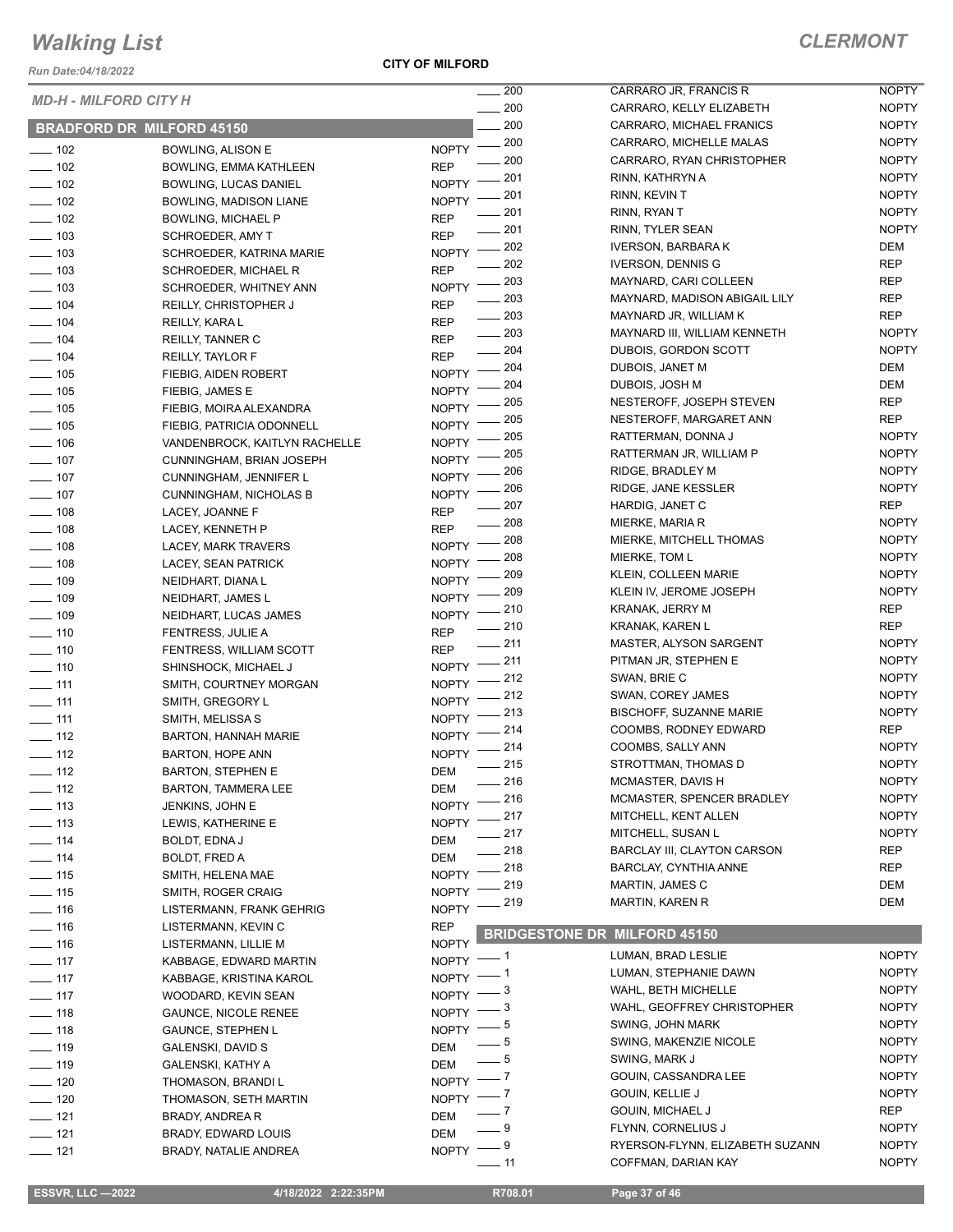*Run Date:04/18/2022*

#### **CITY OF MILFORD**

| <b>BRADFORD DR MILFORD 45150</b><br>$\frac{1}{2}$ 102<br><b>BOWLING, ALISON E</b><br><b>NOPTY</b><br>$\frac{1}{2}$ 102<br><b>REP</b><br>BOWLING, EMMA KATHLEEN<br>$\frac{1}{2}$ 102<br><b>BOWLING, LUCAS DANIEL</b><br><b>NOPTY</b><br>$\frac{1}{2}$ 102<br><b>BOWLING, MADISON LIANE</b><br><b>NOPTY</b><br>$- 102$<br><b>BOWLING, MICHAEL P</b><br>REP<br>— 103<br>SCHROEDER, AMY T<br>REP<br>$\equiv$ 103<br>SCHROEDER, KATRINA MARIE<br><b>NOPTY</b><br>$-103$<br>SCHROEDER, MICHAEL R<br>REP<br>$- 103$<br>SCHROEDER, WHITNEY ANN<br><b>NOPTY</b><br>$- 104$<br>REP<br>REILLY, CHRISTOPHER J<br>$- 104$<br>REILLY, KARA L<br>REP<br>$- 104$<br>REILLY, TANNER C<br><b>REP</b><br>$-104$<br>REILLY, TAYLOR F<br><b>REP</b><br>$\frac{1}{2}$ 105<br><b>FIEBIG, AIDEN ROBERT</b><br><b>NOPTY</b><br>$-105$<br>FIEBIG, JAMES E<br><b>NOPTY</b><br>$\frac{1}{105}$<br>FIEBIG. MOIRA ALEXANDRA<br><b>NOPTY</b><br>$- 105$<br>FIEBIG, PATRICIA ODONNELL<br><b>NOPTY</b><br>$- 106$<br>VANDENBROCK, KAITLYN RACHELLE<br><b>NOPTY</b><br>$\equiv$ 107<br><b>CUNNINGHAM, BRIAN JOSEPH</b><br>NOPTY<br>CUNNINGHAM, JENNIFER L<br>$-107$<br><b>NOPTY</b><br>$- 107$<br>CUNNINGHAM, NICHOLAS B<br><b>NOPTY</b><br>$\frac{1}{2}$ 108<br>REP<br>LACEY, JOANNE F<br>$- 108$<br>LACEY, KENNETH P<br>REP<br>$\frac{1}{2}$ 108<br>LACEY, MARK TRAVERS<br><b>NOPTY</b><br>$- 108$<br>LACEY, SEAN PATRICK<br><b>NOPTY</b><br>— 109<br>NEIDHART, DIANA L<br><b>NOPTY</b><br>NEIDHART, JAMES L<br>____ 109<br><b>NOPTY</b><br>$-109$<br>NEIDHART, LUCAS JAMES<br><b>NOPTY</b><br>$\frac{1}{2}$ 110<br>FENTRESS, JULIE A<br>REP<br>$- 110$<br>FENTRESS, WILLIAM SCOTT<br><b>REP</b><br>$- 110$<br>SHINSHOCK, MICHAEL J<br>NOPTY<br>$-111$<br>SMITH, COURTNEY MORGAN<br>NOPTY<br>$\equiv$ 111<br>SMITH, GREGORY L<br><b>NOPTY</b><br>$\frac{1}{2}$ 111<br>SMITH, MELISSA S<br><b>NOPTY</b><br>$-112$<br>BARTON, HANNAH MARIE<br><b>NOPTY</b><br>$-112$<br><b>BARTON, HOPE ANN</b><br><b>NOPTY</b><br>$\frac{1}{2}$ 112<br><b>BARTON, STEPHEN E</b><br>DEM<br>$-112$<br><b>BARTON, TAMMERA LEE</b><br>DEM<br>$-113$<br>JENKINS, JOHN E<br><b>NOPTY</b><br>$-$ 113<br>LEWIS, KATHERINE E<br><b>NOPTY</b><br>$\frac{1}{2}$ 114<br>BOLDT, EDNA J<br>DEM<br>$- 114$<br>BOLDT, FRED A<br>DEM<br>$\overline{\phantom{0}}$ 115<br>SMITH. HELENA MAE<br><b>NOPTY</b><br>$\frac{1}{15}$<br>SMITH, ROGER CRAIG<br><b>NOPTY</b><br>$- 116$<br>LISTERMANN, FRANK GEHRIG<br><b>NOPTY</b><br>LISTERMANN, KEVIN C<br>— 116<br>REP<br>$\mathbf{B}$<br>$-116$<br>LISTERMANN, LILLIE M<br><b>NOPTY</b><br>$-117$<br>KABBAGE, EDWARD MARTIN<br><b>NOPTY</b><br>$\frac{1}{2}$ 117<br>KABBAGE, KRISTINA KAROL<br>NOPTY<br>$-117$<br>WOODARD, KEVIN SEAN<br>NOPTY<br>$\frac{1}{2}$ 118<br><b>GAUNCE, NICOLE RENEE</b><br>NOPTY<br>$\frac{1}{18}$<br><b>GAUNCE, STEPHEN L</b><br>NOPTY<br>$-119$<br><b>GALENSKI, DAVID S</b><br>DEM<br>$- 119$<br>GALENSKI, KATHY A<br>DEM<br>$-120$<br>THOMASON, BRANDI L<br><b>NOPTY</b><br>$-120$<br>THOMASON, SETH MARTIN<br><b>NOPTY</b><br>$-121$<br>BRADY, ANDREA R<br>DEM<br>___ 121<br>BRADY, EDWARD LOUIS<br>DEM<br>BRADY, NATALIE ANDREA<br>___ 121<br>NOPTY | <b>MD-H - MILFORD CITY H</b> |  |  |  |  |  |  |  |
|-------------------------------------------------------------------------------------------------------------------------------------------------------------------------------------------------------------------------------------------------------------------------------------------------------------------------------------------------------------------------------------------------------------------------------------------------------------------------------------------------------------------------------------------------------------------------------------------------------------------------------------------------------------------------------------------------------------------------------------------------------------------------------------------------------------------------------------------------------------------------------------------------------------------------------------------------------------------------------------------------------------------------------------------------------------------------------------------------------------------------------------------------------------------------------------------------------------------------------------------------------------------------------------------------------------------------------------------------------------------------------------------------------------------------------------------------------------------------------------------------------------------------------------------------------------------------------------------------------------------------------------------------------------------------------------------------------------------------------------------------------------------------------------------------------------------------------------------------------------------------------------------------------------------------------------------------------------------------------------------------------------------------------------------------------------------------------------------------------------------------------------------------------------------------------------------------------------------------------------------------------------------------------------------------------------------------------------------------------------------------------------------------------------------------------------------------------------------------------------------------------------------------------------------------------------------------------------------------------------------------------------------------------------------------------------------------------------------------------------------------------------------------------------------------------------------------------------------------------------------------------------------------------------------------------------------------------------------------------------------------------------------------------------------------------------------------------------------------------------------------------------------------------------|------------------------------|--|--|--|--|--|--|--|
|                                                                                                                                                                                                                                                                                                                                                                                                                                                                                                                                                                                                                                                                                                                                                                                                                                                                                                                                                                                                                                                                                                                                                                                                                                                                                                                                                                                                                                                                                                                                                                                                                                                                                                                                                                                                                                                                                                                                                                                                                                                                                                                                                                                                                                                                                                                                                                                                                                                                                                                                                                                                                                                                                                                                                                                                                                                                                                                                                                                                                                                                                                                                                             |                              |  |  |  |  |  |  |  |
|                                                                                                                                                                                                                                                                                                                                                                                                                                                                                                                                                                                                                                                                                                                                                                                                                                                                                                                                                                                                                                                                                                                                                                                                                                                                                                                                                                                                                                                                                                                                                                                                                                                                                                                                                                                                                                                                                                                                                                                                                                                                                                                                                                                                                                                                                                                                                                                                                                                                                                                                                                                                                                                                                                                                                                                                                                                                                                                                                                                                                                                                                                                                                             |                              |  |  |  |  |  |  |  |
|                                                                                                                                                                                                                                                                                                                                                                                                                                                                                                                                                                                                                                                                                                                                                                                                                                                                                                                                                                                                                                                                                                                                                                                                                                                                                                                                                                                                                                                                                                                                                                                                                                                                                                                                                                                                                                                                                                                                                                                                                                                                                                                                                                                                                                                                                                                                                                                                                                                                                                                                                                                                                                                                                                                                                                                                                                                                                                                                                                                                                                                                                                                                                             |                              |  |  |  |  |  |  |  |
|                                                                                                                                                                                                                                                                                                                                                                                                                                                                                                                                                                                                                                                                                                                                                                                                                                                                                                                                                                                                                                                                                                                                                                                                                                                                                                                                                                                                                                                                                                                                                                                                                                                                                                                                                                                                                                                                                                                                                                                                                                                                                                                                                                                                                                                                                                                                                                                                                                                                                                                                                                                                                                                                                                                                                                                                                                                                                                                                                                                                                                                                                                                                                             |                              |  |  |  |  |  |  |  |
|                                                                                                                                                                                                                                                                                                                                                                                                                                                                                                                                                                                                                                                                                                                                                                                                                                                                                                                                                                                                                                                                                                                                                                                                                                                                                                                                                                                                                                                                                                                                                                                                                                                                                                                                                                                                                                                                                                                                                                                                                                                                                                                                                                                                                                                                                                                                                                                                                                                                                                                                                                                                                                                                                                                                                                                                                                                                                                                                                                                                                                                                                                                                                             |                              |  |  |  |  |  |  |  |
|                                                                                                                                                                                                                                                                                                                                                                                                                                                                                                                                                                                                                                                                                                                                                                                                                                                                                                                                                                                                                                                                                                                                                                                                                                                                                                                                                                                                                                                                                                                                                                                                                                                                                                                                                                                                                                                                                                                                                                                                                                                                                                                                                                                                                                                                                                                                                                                                                                                                                                                                                                                                                                                                                                                                                                                                                                                                                                                                                                                                                                                                                                                                                             |                              |  |  |  |  |  |  |  |
|                                                                                                                                                                                                                                                                                                                                                                                                                                                                                                                                                                                                                                                                                                                                                                                                                                                                                                                                                                                                                                                                                                                                                                                                                                                                                                                                                                                                                                                                                                                                                                                                                                                                                                                                                                                                                                                                                                                                                                                                                                                                                                                                                                                                                                                                                                                                                                                                                                                                                                                                                                                                                                                                                                                                                                                                                                                                                                                                                                                                                                                                                                                                                             |                              |  |  |  |  |  |  |  |
|                                                                                                                                                                                                                                                                                                                                                                                                                                                                                                                                                                                                                                                                                                                                                                                                                                                                                                                                                                                                                                                                                                                                                                                                                                                                                                                                                                                                                                                                                                                                                                                                                                                                                                                                                                                                                                                                                                                                                                                                                                                                                                                                                                                                                                                                                                                                                                                                                                                                                                                                                                                                                                                                                                                                                                                                                                                                                                                                                                                                                                                                                                                                                             |                              |  |  |  |  |  |  |  |
|                                                                                                                                                                                                                                                                                                                                                                                                                                                                                                                                                                                                                                                                                                                                                                                                                                                                                                                                                                                                                                                                                                                                                                                                                                                                                                                                                                                                                                                                                                                                                                                                                                                                                                                                                                                                                                                                                                                                                                                                                                                                                                                                                                                                                                                                                                                                                                                                                                                                                                                                                                                                                                                                                                                                                                                                                                                                                                                                                                                                                                                                                                                                                             |                              |  |  |  |  |  |  |  |
|                                                                                                                                                                                                                                                                                                                                                                                                                                                                                                                                                                                                                                                                                                                                                                                                                                                                                                                                                                                                                                                                                                                                                                                                                                                                                                                                                                                                                                                                                                                                                                                                                                                                                                                                                                                                                                                                                                                                                                                                                                                                                                                                                                                                                                                                                                                                                                                                                                                                                                                                                                                                                                                                                                                                                                                                                                                                                                                                                                                                                                                                                                                                                             |                              |  |  |  |  |  |  |  |
|                                                                                                                                                                                                                                                                                                                                                                                                                                                                                                                                                                                                                                                                                                                                                                                                                                                                                                                                                                                                                                                                                                                                                                                                                                                                                                                                                                                                                                                                                                                                                                                                                                                                                                                                                                                                                                                                                                                                                                                                                                                                                                                                                                                                                                                                                                                                                                                                                                                                                                                                                                                                                                                                                                                                                                                                                                                                                                                                                                                                                                                                                                                                                             |                              |  |  |  |  |  |  |  |
|                                                                                                                                                                                                                                                                                                                                                                                                                                                                                                                                                                                                                                                                                                                                                                                                                                                                                                                                                                                                                                                                                                                                                                                                                                                                                                                                                                                                                                                                                                                                                                                                                                                                                                                                                                                                                                                                                                                                                                                                                                                                                                                                                                                                                                                                                                                                                                                                                                                                                                                                                                                                                                                                                                                                                                                                                                                                                                                                                                                                                                                                                                                                                             |                              |  |  |  |  |  |  |  |
|                                                                                                                                                                                                                                                                                                                                                                                                                                                                                                                                                                                                                                                                                                                                                                                                                                                                                                                                                                                                                                                                                                                                                                                                                                                                                                                                                                                                                                                                                                                                                                                                                                                                                                                                                                                                                                                                                                                                                                                                                                                                                                                                                                                                                                                                                                                                                                                                                                                                                                                                                                                                                                                                                                                                                                                                                                                                                                                                                                                                                                                                                                                                                             |                              |  |  |  |  |  |  |  |
|                                                                                                                                                                                                                                                                                                                                                                                                                                                                                                                                                                                                                                                                                                                                                                                                                                                                                                                                                                                                                                                                                                                                                                                                                                                                                                                                                                                                                                                                                                                                                                                                                                                                                                                                                                                                                                                                                                                                                                                                                                                                                                                                                                                                                                                                                                                                                                                                                                                                                                                                                                                                                                                                                                                                                                                                                                                                                                                                                                                                                                                                                                                                                             |                              |  |  |  |  |  |  |  |
|                                                                                                                                                                                                                                                                                                                                                                                                                                                                                                                                                                                                                                                                                                                                                                                                                                                                                                                                                                                                                                                                                                                                                                                                                                                                                                                                                                                                                                                                                                                                                                                                                                                                                                                                                                                                                                                                                                                                                                                                                                                                                                                                                                                                                                                                                                                                                                                                                                                                                                                                                                                                                                                                                                                                                                                                                                                                                                                                                                                                                                                                                                                                                             |                              |  |  |  |  |  |  |  |
|                                                                                                                                                                                                                                                                                                                                                                                                                                                                                                                                                                                                                                                                                                                                                                                                                                                                                                                                                                                                                                                                                                                                                                                                                                                                                                                                                                                                                                                                                                                                                                                                                                                                                                                                                                                                                                                                                                                                                                                                                                                                                                                                                                                                                                                                                                                                                                                                                                                                                                                                                                                                                                                                                                                                                                                                                                                                                                                                                                                                                                                                                                                                                             |                              |  |  |  |  |  |  |  |
|                                                                                                                                                                                                                                                                                                                                                                                                                                                                                                                                                                                                                                                                                                                                                                                                                                                                                                                                                                                                                                                                                                                                                                                                                                                                                                                                                                                                                                                                                                                                                                                                                                                                                                                                                                                                                                                                                                                                                                                                                                                                                                                                                                                                                                                                                                                                                                                                                                                                                                                                                                                                                                                                                                                                                                                                                                                                                                                                                                                                                                                                                                                                                             |                              |  |  |  |  |  |  |  |
|                                                                                                                                                                                                                                                                                                                                                                                                                                                                                                                                                                                                                                                                                                                                                                                                                                                                                                                                                                                                                                                                                                                                                                                                                                                                                                                                                                                                                                                                                                                                                                                                                                                                                                                                                                                                                                                                                                                                                                                                                                                                                                                                                                                                                                                                                                                                                                                                                                                                                                                                                                                                                                                                                                                                                                                                                                                                                                                                                                                                                                                                                                                                                             |                              |  |  |  |  |  |  |  |
|                                                                                                                                                                                                                                                                                                                                                                                                                                                                                                                                                                                                                                                                                                                                                                                                                                                                                                                                                                                                                                                                                                                                                                                                                                                                                                                                                                                                                                                                                                                                                                                                                                                                                                                                                                                                                                                                                                                                                                                                                                                                                                                                                                                                                                                                                                                                                                                                                                                                                                                                                                                                                                                                                                                                                                                                                                                                                                                                                                                                                                                                                                                                                             |                              |  |  |  |  |  |  |  |
|                                                                                                                                                                                                                                                                                                                                                                                                                                                                                                                                                                                                                                                                                                                                                                                                                                                                                                                                                                                                                                                                                                                                                                                                                                                                                                                                                                                                                                                                                                                                                                                                                                                                                                                                                                                                                                                                                                                                                                                                                                                                                                                                                                                                                                                                                                                                                                                                                                                                                                                                                                                                                                                                                                                                                                                                                                                                                                                                                                                                                                                                                                                                                             |                              |  |  |  |  |  |  |  |
|                                                                                                                                                                                                                                                                                                                                                                                                                                                                                                                                                                                                                                                                                                                                                                                                                                                                                                                                                                                                                                                                                                                                                                                                                                                                                                                                                                                                                                                                                                                                                                                                                                                                                                                                                                                                                                                                                                                                                                                                                                                                                                                                                                                                                                                                                                                                                                                                                                                                                                                                                                                                                                                                                                                                                                                                                                                                                                                                                                                                                                                                                                                                                             |                              |  |  |  |  |  |  |  |
|                                                                                                                                                                                                                                                                                                                                                                                                                                                                                                                                                                                                                                                                                                                                                                                                                                                                                                                                                                                                                                                                                                                                                                                                                                                                                                                                                                                                                                                                                                                                                                                                                                                                                                                                                                                                                                                                                                                                                                                                                                                                                                                                                                                                                                                                                                                                                                                                                                                                                                                                                                                                                                                                                                                                                                                                                                                                                                                                                                                                                                                                                                                                                             |                              |  |  |  |  |  |  |  |
|                                                                                                                                                                                                                                                                                                                                                                                                                                                                                                                                                                                                                                                                                                                                                                                                                                                                                                                                                                                                                                                                                                                                                                                                                                                                                                                                                                                                                                                                                                                                                                                                                                                                                                                                                                                                                                                                                                                                                                                                                                                                                                                                                                                                                                                                                                                                                                                                                                                                                                                                                                                                                                                                                                                                                                                                                                                                                                                                                                                                                                                                                                                                                             |                              |  |  |  |  |  |  |  |
|                                                                                                                                                                                                                                                                                                                                                                                                                                                                                                                                                                                                                                                                                                                                                                                                                                                                                                                                                                                                                                                                                                                                                                                                                                                                                                                                                                                                                                                                                                                                                                                                                                                                                                                                                                                                                                                                                                                                                                                                                                                                                                                                                                                                                                                                                                                                                                                                                                                                                                                                                                                                                                                                                                                                                                                                                                                                                                                                                                                                                                                                                                                                                             |                              |  |  |  |  |  |  |  |
|                                                                                                                                                                                                                                                                                                                                                                                                                                                                                                                                                                                                                                                                                                                                                                                                                                                                                                                                                                                                                                                                                                                                                                                                                                                                                                                                                                                                                                                                                                                                                                                                                                                                                                                                                                                                                                                                                                                                                                                                                                                                                                                                                                                                                                                                                                                                                                                                                                                                                                                                                                                                                                                                                                                                                                                                                                                                                                                                                                                                                                                                                                                                                             |                              |  |  |  |  |  |  |  |
|                                                                                                                                                                                                                                                                                                                                                                                                                                                                                                                                                                                                                                                                                                                                                                                                                                                                                                                                                                                                                                                                                                                                                                                                                                                                                                                                                                                                                                                                                                                                                                                                                                                                                                                                                                                                                                                                                                                                                                                                                                                                                                                                                                                                                                                                                                                                                                                                                                                                                                                                                                                                                                                                                                                                                                                                                                                                                                                                                                                                                                                                                                                                                             |                              |  |  |  |  |  |  |  |
|                                                                                                                                                                                                                                                                                                                                                                                                                                                                                                                                                                                                                                                                                                                                                                                                                                                                                                                                                                                                                                                                                                                                                                                                                                                                                                                                                                                                                                                                                                                                                                                                                                                                                                                                                                                                                                                                                                                                                                                                                                                                                                                                                                                                                                                                                                                                                                                                                                                                                                                                                                                                                                                                                                                                                                                                                                                                                                                                                                                                                                                                                                                                                             |                              |  |  |  |  |  |  |  |
|                                                                                                                                                                                                                                                                                                                                                                                                                                                                                                                                                                                                                                                                                                                                                                                                                                                                                                                                                                                                                                                                                                                                                                                                                                                                                                                                                                                                                                                                                                                                                                                                                                                                                                                                                                                                                                                                                                                                                                                                                                                                                                                                                                                                                                                                                                                                                                                                                                                                                                                                                                                                                                                                                                                                                                                                                                                                                                                                                                                                                                                                                                                                                             |                              |  |  |  |  |  |  |  |
|                                                                                                                                                                                                                                                                                                                                                                                                                                                                                                                                                                                                                                                                                                                                                                                                                                                                                                                                                                                                                                                                                                                                                                                                                                                                                                                                                                                                                                                                                                                                                                                                                                                                                                                                                                                                                                                                                                                                                                                                                                                                                                                                                                                                                                                                                                                                                                                                                                                                                                                                                                                                                                                                                                                                                                                                                                                                                                                                                                                                                                                                                                                                                             |                              |  |  |  |  |  |  |  |
|                                                                                                                                                                                                                                                                                                                                                                                                                                                                                                                                                                                                                                                                                                                                                                                                                                                                                                                                                                                                                                                                                                                                                                                                                                                                                                                                                                                                                                                                                                                                                                                                                                                                                                                                                                                                                                                                                                                                                                                                                                                                                                                                                                                                                                                                                                                                                                                                                                                                                                                                                                                                                                                                                                                                                                                                                                                                                                                                                                                                                                                                                                                                                             |                              |  |  |  |  |  |  |  |
|                                                                                                                                                                                                                                                                                                                                                                                                                                                                                                                                                                                                                                                                                                                                                                                                                                                                                                                                                                                                                                                                                                                                                                                                                                                                                                                                                                                                                                                                                                                                                                                                                                                                                                                                                                                                                                                                                                                                                                                                                                                                                                                                                                                                                                                                                                                                                                                                                                                                                                                                                                                                                                                                                                                                                                                                                                                                                                                                                                                                                                                                                                                                                             |                              |  |  |  |  |  |  |  |
|                                                                                                                                                                                                                                                                                                                                                                                                                                                                                                                                                                                                                                                                                                                                                                                                                                                                                                                                                                                                                                                                                                                                                                                                                                                                                                                                                                                                                                                                                                                                                                                                                                                                                                                                                                                                                                                                                                                                                                                                                                                                                                                                                                                                                                                                                                                                                                                                                                                                                                                                                                                                                                                                                                                                                                                                                                                                                                                                                                                                                                                                                                                                                             |                              |  |  |  |  |  |  |  |
|                                                                                                                                                                                                                                                                                                                                                                                                                                                                                                                                                                                                                                                                                                                                                                                                                                                                                                                                                                                                                                                                                                                                                                                                                                                                                                                                                                                                                                                                                                                                                                                                                                                                                                                                                                                                                                                                                                                                                                                                                                                                                                                                                                                                                                                                                                                                                                                                                                                                                                                                                                                                                                                                                                                                                                                                                                                                                                                                                                                                                                                                                                                                                             |                              |  |  |  |  |  |  |  |
|                                                                                                                                                                                                                                                                                                                                                                                                                                                                                                                                                                                                                                                                                                                                                                                                                                                                                                                                                                                                                                                                                                                                                                                                                                                                                                                                                                                                                                                                                                                                                                                                                                                                                                                                                                                                                                                                                                                                                                                                                                                                                                                                                                                                                                                                                                                                                                                                                                                                                                                                                                                                                                                                                                                                                                                                                                                                                                                                                                                                                                                                                                                                                             |                              |  |  |  |  |  |  |  |
|                                                                                                                                                                                                                                                                                                                                                                                                                                                                                                                                                                                                                                                                                                                                                                                                                                                                                                                                                                                                                                                                                                                                                                                                                                                                                                                                                                                                                                                                                                                                                                                                                                                                                                                                                                                                                                                                                                                                                                                                                                                                                                                                                                                                                                                                                                                                                                                                                                                                                                                                                                                                                                                                                                                                                                                                                                                                                                                                                                                                                                                                                                                                                             |                              |  |  |  |  |  |  |  |
|                                                                                                                                                                                                                                                                                                                                                                                                                                                                                                                                                                                                                                                                                                                                                                                                                                                                                                                                                                                                                                                                                                                                                                                                                                                                                                                                                                                                                                                                                                                                                                                                                                                                                                                                                                                                                                                                                                                                                                                                                                                                                                                                                                                                                                                                                                                                                                                                                                                                                                                                                                                                                                                                                                                                                                                                                                                                                                                                                                                                                                                                                                                                                             |                              |  |  |  |  |  |  |  |
|                                                                                                                                                                                                                                                                                                                                                                                                                                                                                                                                                                                                                                                                                                                                                                                                                                                                                                                                                                                                                                                                                                                                                                                                                                                                                                                                                                                                                                                                                                                                                                                                                                                                                                                                                                                                                                                                                                                                                                                                                                                                                                                                                                                                                                                                                                                                                                                                                                                                                                                                                                                                                                                                                                                                                                                                                                                                                                                                                                                                                                                                                                                                                             |                              |  |  |  |  |  |  |  |
|                                                                                                                                                                                                                                                                                                                                                                                                                                                                                                                                                                                                                                                                                                                                                                                                                                                                                                                                                                                                                                                                                                                                                                                                                                                                                                                                                                                                                                                                                                                                                                                                                                                                                                                                                                                                                                                                                                                                                                                                                                                                                                                                                                                                                                                                                                                                                                                                                                                                                                                                                                                                                                                                                                                                                                                                                                                                                                                                                                                                                                                                                                                                                             |                              |  |  |  |  |  |  |  |
|                                                                                                                                                                                                                                                                                                                                                                                                                                                                                                                                                                                                                                                                                                                                                                                                                                                                                                                                                                                                                                                                                                                                                                                                                                                                                                                                                                                                                                                                                                                                                                                                                                                                                                                                                                                                                                                                                                                                                                                                                                                                                                                                                                                                                                                                                                                                                                                                                                                                                                                                                                                                                                                                                                                                                                                                                                                                                                                                                                                                                                                                                                                                                             |                              |  |  |  |  |  |  |  |
|                                                                                                                                                                                                                                                                                                                                                                                                                                                                                                                                                                                                                                                                                                                                                                                                                                                                                                                                                                                                                                                                                                                                                                                                                                                                                                                                                                                                                                                                                                                                                                                                                                                                                                                                                                                                                                                                                                                                                                                                                                                                                                                                                                                                                                                                                                                                                                                                                                                                                                                                                                                                                                                                                                                                                                                                                                                                                                                                                                                                                                                                                                                                                             |                              |  |  |  |  |  |  |  |
|                                                                                                                                                                                                                                                                                                                                                                                                                                                                                                                                                                                                                                                                                                                                                                                                                                                                                                                                                                                                                                                                                                                                                                                                                                                                                                                                                                                                                                                                                                                                                                                                                                                                                                                                                                                                                                                                                                                                                                                                                                                                                                                                                                                                                                                                                                                                                                                                                                                                                                                                                                                                                                                                                                                                                                                                                                                                                                                                                                                                                                                                                                                                                             |                              |  |  |  |  |  |  |  |
|                                                                                                                                                                                                                                                                                                                                                                                                                                                                                                                                                                                                                                                                                                                                                                                                                                                                                                                                                                                                                                                                                                                                                                                                                                                                                                                                                                                                                                                                                                                                                                                                                                                                                                                                                                                                                                                                                                                                                                                                                                                                                                                                                                                                                                                                                                                                                                                                                                                                                                                                                                                                                                                                                                                                                                                                                                                                                                                                                                                                                                                                                                                                                             |                              |  |  |  |  |  |  |  |
|                                                                                                                                                                                                                                                                                                                                                                                                                                                                                                                                                                                                                                                                                                                                                                                                                                                                                                                                                                                                                                                                                                                                                                                                                                                                                                                                                                                                                                                                                                                                                                                                                                                                                                                                                                                                                                                                                                                                                                                                                                                                                                                                                                                                                                                                                                                                                                                                                                                                                                                                                                                                                                                                                                                                                                                                                                                                                                                                                                                                                                                                                                                                                             |                              |  |  |  |  |  |  |  |
|                                                                                                                                                                                                                                                                                                                                                                                                                                                                                                                                                                                                                                                                                                                                                                                                                                                                                                                                                                                                                                                                                                                                                                                                                                                                                                                                                                                                                                                                                                                                                                                                                                                                                                                                                                                                                                                                                                                                                                                                                                                                                                                                                                                                                                                                                                                                                                                                                                                                                                                                                                                                                                                                                                                                                                                                                                                                                                                                                                                                                                                                                                                                                             |                              |  |  |  |  |  |  |  |
|                                                                                                                                                                                                                                                                                                                                                                                                                                                                                                                                                                                                                                                                                                                                                                                                                                                                                                                                                                                                                                                                                                                                                                                                                                                                                                                                                                                                                                                                                                                                                                                                                                                                                                                                                                                                                                                                                                                                                                                                                                                                                                                                                                                                                                                                                                                                                                                                                                                                                                                                                                                                                                                                                                                                                                                                                                                                                                                                                                                                                                                                                                                                                             |                              |  |  |  |  |  |  |  |
|                                                                                                                                                                                                                                                                                                                                                                                                                                                                                                                                                                                                                                                                                                                                                                                                                                                                                                                                                                                                                                                                                                                                                                                                                                                                                                                                                                                                                                                                                                                                                                                                                                                                                                                                                                                                                                                                                                                                                                                                                                                                                                                                                                                                                                                                                                                                                                                                                                                                                                                                                                                                                                                                                                                                                                                                                                                                                                                                                                                                                                                                                                                                                             |                              |  |  |  |  |  |  |  |
|                                                                                                                                                                                                                                                                                                                                                                                                                                                                                                                                                                                                                                                                                                                                                                                                                                                                                                                                                                                                                                                                                                                                                                                                                                                                                                                                                                                                                                                                                                                                                                                                                                                                                                                                                                                                                                                                                                                                                                                                                                                                                                                                                                                                                                                                                                                                                                                                                                                                                                                                                                                                                                                                                                                                                                                                                                                                                                                                                                                                                                                                                                                                                             |                              |  |  |  |  |  |  |  |
|                                                                                                                                                                                                                                                                                                                                                                                                                                                                                                                                                                                                                                                                                                                                                                                                                                                                                                                                                                                                                                                                                                                                                                                                                                                                                                                                                                                                                                                                                                                                                                                                                                                                                                                                                                                                                                                                                                                                                                                                                                                                                                                                                                                                                                                                                                                                                                                                                                                                                                                                                                                                                                                                                                                                                                                                                                                                                                                                                                                                                                                                                                                                                             |                              |  |  |  |  |  |  |  |
|                                                                                                                                                                                                                                                                                                                                                                                                                                                                                                                                                                                                                                                                                                                                                                                                                                                                                                                                                                                                                                                                                                                                                                                                                                                                                                                                                                                                                                                                                                                                                                                                                                                                                                                                                                                                                                                                                                                                                                                                                                                                                                                                                                                                                                                                                                                                                                                                                                                                                                                                                                                                                                                                                                                                                                                                                                                                                                                                                                                                                                                                                                                                                             |                              |  |  |  |  |  |  |  |
|                                                                                                                                                                                                                                                                                                                                                                                                                                                                                                                                                                                                                                                                                                                                                                                                                                                                                                                                                                                                                                                                                                                                                                                                                                                                                                                                                                                                                                                                                                                                                                                                                                                                                                                                                                                                                                                                                                                                                                                                                                                                                                                                                                                                                                                                                                                                                                                                                                                                                                                                                                                                                                                                                                                                                                                                                                                                                                                                                                                                                                                                                                                                                             |                              |  |  |  |  |  |  |  |
|                                                                                                                                                                                                                                                                                                                                                                                                                                                                                                                                                                                                                                                                                                                                                                                                                                                                                                                                                                                                                                                                                                                                                                                                                                                                                                                                                                                                                                                                                                                                                                                                                                                                                                                                                                                                                                                                                                                                                                                                                                                                                                                                                                                                                                                                                                                                                                                                                                                                                                                                                                                                                                                                                                                                                                                                                                                                                                                                                                                                                                                                                                                                                             |                              |  |  |  |  |  |  |  |
|                                                                                                                                                                                                                                                                                                                                                                                                                                                                                                                                                                                                                                                                                                                                                                                                                                                                                                                                                                                                                                                                                                                                                                                                                                                                                                                                                                                                                                                                                                                                                                                                                                                                                                                                                                                                                                                                                                                                                                                                                                                                                                                                                                                                                                                                                                                                                                                                                                                                                                                                                                                                                                                                                                                                                                                                                                                                                                                                                                                                                                                                                                                                                             |                              |  |  |  |  |  |  |  |
|                                                                                                                                                                                                                                                                                                                                                                                                                                                                                                                                                                                                                                                                                                                                                                                                                                                                                                                                                                                                                                                                                                                                                                                                                                                                                                                                                                                                                                                                                                                                                                                                                                                                                                                                                                                                                                                                                                                                                                                                                                                                                                                                                                                                                                                                                                                                                                                                                                                                                                                                                                                                                                                                                                                                                                                                                                                                                                                                                                                                                                                                                                                                                             |                              |  |  |  |  |  |  |  |
|                                                                                                                                                                                                                                                                                                                                                                                                                                                                                                                                                                                                                                                                                                                                                                                                                                                                                                                                                                                                                                                                                                                                                                                                                                                                                                                                                                                                                                                                                                                                                                                                                                                                                                                                                                                                                                                                                                                                                                                                                                                                                                                                                                                                                                                                                                                                                                                                                                                                                                                                                                                                                                                                                                                                                                                                                                                                                                                                                                                                                                                                                                                                                             |                              |  |  |  |  |  |  |  |
|                                                                                                                                                                                                                                                                                                                                                                                                                                                                                                                                                                                                                                                                                                                                                                                                                                                                                                                                                                                                                                                                                                                                                                                                                                                                                                                                                                                                                                                                                                                                                                                                                                                                                                                                                                                                                                                                                                                                                                                                                                                                                                                                                                                                                                                                                                                                                                                                                                                                                                                                                                                                                                                                                                                                                                                                                                                                                                                                                                                                                                                                                                                                                             |                              |  |  |  |  |  |  |  |
|                                                                                                                                                                                                                                                                                                                                                                                                                                                                                                                                                                                                                                                                                                                                                                                                                                                                                                                                                                                                                                                                                                                                                                                                                                                                                                                                                                                                                                                                                                                                                                                                                                                                                                                                                                                                                                                                                                                                                                                                                                                                                                                                                                                                                                                                                                                                                                                                                                                                                                                                                                                                                                                                                                                                                                                                                                                                                                                                                                                                                                                                                                                                                             |                              |  |  |  |  |  |  |  |
|                                                                                                                                                                                                                                                                                                                                                                                                                                                                                                                                                                                                                                                                                                                                                                                                                                                                                                                                                                                                                                                                                                                                                                                                                                                                                                                                                                                                                                                                                                                                                                                                                                                                                                                                                                                                                                                                                                                                                                                                                                                                                                                                                                                                                                                                                                                                                                                                                                                                                                                                                                                                                                                                                                                                                                                                                                                                                                                                                                                                                                                                                                                                                             |                              |  |  |  |  |  |  |  |
|                                                                                                                                                                                                                                                                                                                                                                                                                                                                                                                                                                                                                                                                                                                                                                                                                                                                                                                                                                                                                                                                                                                                                                                                                                                                                                                                                                                                                                                                                                                                                                                                                                                                                                                                                                                                                                                                                                                                                                                                                                                                                                                                                                                                                                                                                                                                                                                                                                                                                                                                                                                                                                                                                                                                                                                                                                                                                                                                                                                                                                                                                                                                                             |                              |  |  |  |  |  |  |  |
|                                                                                                                                                                                                                                                                                                                                                                                                                                                                                                                                                                                                                                                                                                                                                                                                                                                                                                                                                                                                                                                                                                                                                                                                                                                                                                                                                                                                                                                                                                                                                                                                                                                                                                                                                                                                                                                                                                                                                                                                                                                                                                                                                                                                                                                                                                                                                                                                                                                                                                                                                                                                                                                                                                                                                                                                                                                                                                                                                                                                                                                                                                                                                             |                              |  |  |  |  |  |  |  |
|                                                                                                                                                                                                                                                                                                                                                                                                                                                                                                                                                                                                                                                                                                                                                                                                                                                                                                                                                                                                                                                                                                                                                                                                                                                                                                                                                                                                                                                                                                                                                                                                                                                                                                                                                                                                                                                                                                                                                                                                                                                                                                                                                                                                                                                                                                                                                                                                                                                                                                                                                                                                                                                                                                                                                                                                                                                                                                                                                                                                                                                                                                                                                             |                              |  |  |  |  |  |  |  |
|                                                                                                                                                                                                                                                                                                                                                                                                                                                                                                                                                                                                                                                                                                                                                                                                                                                                                                                                                                                                                                                                                                                                                                                                                                                                                                                                                                                                                                                                                                                                                                                                                                                                                                                                                                                                                                                                                                                                                                                                                                                                                                                                                                                                                                                                                                                                                                                                                                                                                                                                                                                                                                                                                                                                                                                                                                                                                                                                                                                                                                                                                                                                                             |                              |  |  |  |  |  |  |  |

| 200 | CARRARO JR, FRANCIS R              | <b>NOPTY</b> |
|-----|------------------------------------|--------------|
| 200 | CARRARO, KELLY ELIZABETH           | NOPTY        |
| 200 | CARRARO, MICHAEL FRANICS           | <b>NOPTY</b> |
| 200 | CARRARO, MICHELLE MALAS            | <b>NOPTY</b> |
| 200 | CARRARO, RYAN CHRISTOPHER          | <b>NOPTY</b> |
| 201 | RINN, KATHRYN A                    | <b>NOPTY</b> |
| 201 | RINN, KEVIN T                      | <b>NOPTY</b> |
| 201 | RINN, RYAN T                       | NOPTY        |
| 201 | RINN, TYLER SEAN                   | NOPTY        |
| 202 | <b>IVERSON, BARBARA K</b>          | DEM          |
| 202 | <b>IVERSON, DENNIS G</b>           | REP          |
| 203 | MAYNARD, CARI COLLEEN              | REP          |
| 203 | MAYNARD, MADISON ABIGAIL LILY      | REP          |
| 203 | MAYNARD JR, WILLIAM K              | REP          |
| 203 | MAYNARD III, WILLIAM KENNETH       | <b>NOPTY</b> |
| 204 | DUBOIS, GORDON SCOTT               | <b>NOPTY</b> |
| 204 | DUBOIS, JANET M                    | DEM          |
| 204 | DUBOIS, JOSH M                     | DEM          |
| 205 | NESTEROFF, JOSEPH STEVEN           | REP          |
| 205 | NESTEROFF, MARGARET ANN            | <b>REP</b>   |
| 205 | RATTERMAN, DONNA J                 | NOPTY        |
| 205 | RATTERMAN JR, WILLIAM P            | NOPTY        |
| 206 | RIDGE, BRADLEY M                   | <b>NOPTY</b> |
| 206 | RIDGE, JANE KESSLER                | NOPTY        |
| 207 | HARDIG, JANET C                    | REP          |
| 208 | MIERKE, MARIA R                    | NOPTY        |
| 208 | MIERKE, MITCHELL THOMAS            | <b>NOPTY</b> |
| 208 | MIERKE, TOM L                      | <b>NOPTY</b> |
| 209 | KLEIN, COLLEEN MARIE               | NOPTY        |
| 209 | KLEIN IV, JEROME JOSEPH            | <b>NOPTY</b> |
| 210 | <b>KRANAK, JERRY M</b>             | REP          |
| 210 | KRANAK, KAREN L                    | REP          |
| 211 | <b>MASTER, ALYSON SARGENT</b>      | <b>NOPTY</b> |
| 211 | PITMAN JR, STEPHEN E               | NOPTY        |
| 212 | SWAN, BRIE C                       | <b>NOPTY</b> |
| 212 | SWAN, COREY JAMES                  | <b>NOPTY</b> |
| 213 | <b>BISCHOFF, SUZANNE MARIE</b>     | <b>NOPTY</b> |
| 214 | COOMBS, RODNEY EDWARD              | REP          |
| 214 | COOMBS, SALLY ANN                  | NOPTY        |
| 215 | STROTTMAN, THOMAS D                | <b>NOPTY</b> |
| 216 | MCMASTER, DAVIS H                  | <b>NOPTY</b> |
| 216 | <b>MCMASTER, SPENCER BRADLEY</b>   | <b>NOPTY</b> |
| 217 | MITCHELL, KENT ALLEN               | <b>NOPTY</b> |
| 217 | MITCHELL, SUSAN L                  | NOPTY        |
| 218 | <b>BARCLAY III, CLAYTON CARSON</b> | <b>REP</b>   |
| 218 | <b>BARCLAY, CYNTHIA ANNE</b>       | REP          |
| 219 | MARTIN, JAMES C                    | DEM          |
| 219 | <b>MARTIN, KAREN R</b>             | DEM          |
|     |                                    |              |
|     | <b>IDGESTONE DR MILFORD 45150</b>  |              |

| <b>BRIDGESTONE DR MILFORD 45150</b> |  |
|-------------------------------------|--|
|                                     |  |

| 1  | LUMAN, BRAD LESLIE              | <b>NOPTY</b> |
|----|---------------------------------|--------------|
| 1  | LUMAN, STEPHANIE DAWN           | <b>NOPTY</b> |
| 3  | <b>WAHL, BETH MICHELLE</b>      | <b>NOPTY</b> |
| 3  | WAHL, GEOFFREY CHRISTOPHER      | <b>NOPTY</b> |
| 5  | SWING, JOHN MARK                | <b>NOPTY</b> |
| 5  | SWING, MAKENZIE NICOLE          | <b>NOPTY</b> |
| 5  | SWING, MARK J                   | <b>NOPTY</b> |
| 7  | GOUIN. CASSANDRA LEE            | <b>NOPTY</b> |
| 7  | GOUIN, KELLIE J                 | <b>NOPTY</b> |
| 7  | <b>GOUIN. MICHAEL J</b>         | <b>REP</b>   |
| 9  | FLYNN, CORNELIUS J              | <b>NOPTY</b> |
| 9  | RYERSON-FLYNN, ELIZABETH SUZANN | <b>NOPTY</b> |
| 11 | COFFMAN, DARIAN KAY             | <b>NOPTY</b> |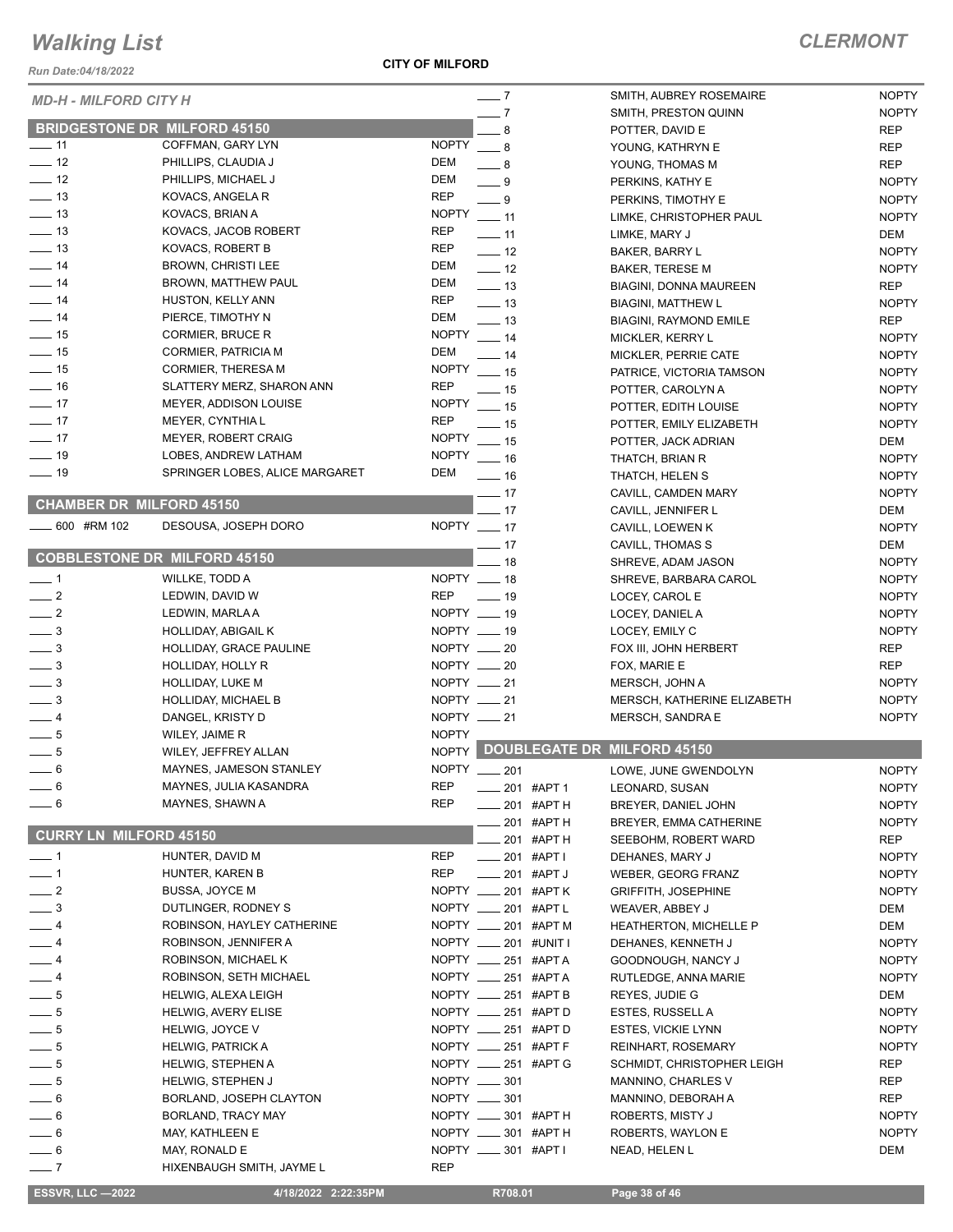*Run Date:04/18/2022*

**CITY OF MILFORD**

### *CLERMONT*

ł,

| <b>MD-H - MILFORD CITY H</b>        |                                                    |              | $\overline{\phantom{0}}$ 7                  |              | SMITH, AUBREY ROSEMAIRE           | <b>NOPTY</b>        |
|-------------------------------------|----------------------------------------------------|--------------|---------------------------------------------|--------------|-----------------------------------|---------------------|
|                                     |                                                    |              | $-7$                                        |              | SMITH, PRESTON QUINN              | <b>NOPTY</b>        |
| <b>BRIDGESTONE DR MILFORD 45150</b> |                                                    |              | $-8$                                        |              | POTTER, DAVID E                   | REP                 |
| $\frac{1}{2}$ 11                    | COFFMAN, GARY LYN                                  | <b>NOPTY</b> | $-8$                                        |              | YOUNG, KATHRYN E                  | REP                 |
| $\frac{1}{2}$ 12                    | PHILLIPS, CLAUDIA J                                | DEM          | $-8$                                        |              | YOUNG, THOMAS M                   | REP                 |
| $\frac{1}{2}$ 12                    | PHILLIPS, MICHAEL J                                | DEM          | $-9$                                        |              | PERKINS, KATHY E                  | <b>NOPTY</b>        |
| $\frac{1}{2}$ 13                    | KOVACS, ANGELA R                                   | <b>REP</b>   | $-9$                                        |              | PERKINS, TIMOTHY E                | <b>NOPTY</b>        |
| $\frac{1}{2}$ 13                    | KOVACS, BRIAN A                                    | NOPTY $-11$  |                                             |              | LIMKE, CHRISTOPHER PAUL           | <b>NOPTY</b>        |
| $\frac{1}{2}$ 13                    | KOVACS, JACOB ROBERT                               | <b>REP</b>   | $\overline{\phantom{0}}$ 11                 |              | LIMKE, MARY J                     | DEM                 |
| $\frac{1}{2}$ 13                    | <b>KOVACS, ROBERT B</b>                            | <b>REP</b>   | $\frac{1}{2}$ 12                            |              | <b>BAKER, BARRY L</b>             | <b>NOPTY</b>        |
| $\frac{1}{2}$ 14                    | <b>BROWN, CHRISTI LEE</b>                          | DEM          | $\frac{1}{2}$                               |              | <b>BAKER, TERESE M</b>            | <b>NOPTY</b>        |
| $\frac{1}{2}$ 14                    | BROWN, MATTHEW PAUL                                | DEM          | $\frac{1}{2}$ 13                            |              | <b>BIAGINI, DONNA MAUREEN</b>     | REP                 |
| $\frac{1}{2}$ 14                    | HUSTON, KELLY ANN                                  | <b>REP</b>   | $\equiv$ 13                                 |              | <b>BIAGINI, MATTHEW L</b>         | <b>NOPTY</b>        |
| $\frac{1}{2}$ 14                    | PIERCE, TIMOTHY N                                  | DEM          | $\frac{1}{2}$ 13                            |              | <b>BIAGINI, RAYMOND EMILE</b>     | REP                 |
| $\frac{1}{2}$ 15                    | <b>CORMIER, BRUCE R</b>                            |              | NOPTY $-14$                                 |              | MICKLER, KERRY L                  | <b>NOPTY</b>        |
| $\frac{1}{15}$                      | CORMIER, PATRICIA M                                | <b>DEM</b>   | $\frac{1}{2}$ 14                            |              | MICKLER, PERRIE CATE              | <b>NOPTY</b>        |
| $\frac{1}{2}$ 15                    | CORMIER, THERESA M                                 |              | NOPTY ___ 15                                |              | PATRICE, VICTORIA TAMSON          | <b>NOPTY</b>        |
| $\frac{1}{16}$                      | SLATTERY MERZ, SHARON ANN                          | <b>REP</b>   | $\equiv$ 15                                 |              | POTTER, CAROLYN A                 | <b>NOPTY</b>        |
| $\frac{1}{2}$ 17                    | MEYER, ADDISON LOUISE                              | <b>NOPTY</b> | $\frac{1}{2}$ 15                            |              | POTTER, EDITH LOUISE              | <b>NOPTY</b>        |
| $\sim$ 17                           | MEYER, CYNTHIA L                                   | <b>REP</b>   | $-15$                                       |              | POTTER, EMILY ELIZABETH           | <b>NOPTY</b>        |
| $\frac{1}{2}$                       | <b>MEYER, ROBERT CRAIG</b>                         | <b>NOPTY</b> | $\frac{1}{2}$ 15                            |              | POTTER, JACK ADRIAN               | DEM                 |
| $\frac{1}{2}$ 19                    | LOBES, ANDREW LATHAM                               |              | NOPTY __ 16                                 |              | THATCH, BRIAN R                   | <b>NOPTY</b>        |
| $\frac{1}{2}$ 19                    | SPRINGER LOBES, ALICE MARGARET                     | DEM          | $\frac{1}{16}$                              |              | THATCH, HELEN S                   | <b>NOPTY</b>        |
|                                     |                                                    |              | $\frac{1}{2}$ 17                            |              | CAVILL, CAMDEN MARY               | <b>NOPTY</b>        |
| <b>CHAMBER DR MILFORD 45150</b>     |                                                    |              | $-17$                                       |              | CAVILL, JENNIFER L                | DEM                 |
| $\frac{1}{2}$ 600 #RM 102           | DESOUSA, JOSEPH DORO                               |              | NOPTY __ 17                                 |              | CAVILL, LOEWEN K                  | <b>NOPTY</b>        |
|                                     |                                                    |              | $-17$                                       |              | CAVILL, THOMAS S                  | DEM                 |
|                                     | COBBLESTONE DR MILFORD 45150                       |              | - 18                                        |              | SHREVE, ADAM JASON                | <b>NOPTY</b>        |
| $\overline{\phantom{0}}$ 1          | WILLKE, TODD A                                     |              | NOPTY __ 18                                 |              | SHREVE, BARBARA CAROL             | <b>NOPTY</b>        |
| $\frac{1}{2}$                       | LEDWIN, DAVID W                                    | REP          | $\sim$ 19                                   |              | LOCEY, CAROL E                    | <b>NOPTY</b>        |
| $\frac{1}{2}$                       | LEDWIN, MARLA A                                    |              | NOPTY __ 19                                 |              | LOCEY, DANIEL A                   | <b>NOPTY</b>        |
| $\frac{1}{2}$                       | HOLLIDAY, ABIGAIL K                                |              | NOPTY __ 19                                 |              | LOCEY, EMILY C                    | <b>NOPTY</b>        |
| $\overline{\phantom{0}}^3$          | HOLLIDAY, GRACE PAULINE                            |              | NOPTY __ 20                                 |              | FOX III, JOHN HERBERT             | REP                 |
| $\frac{1}{2}$                       | HOLLIDAY, HOLLY R                                  |              | NOPTY __ 20                                 |              | FOX, MARIE E                      | REP                 |
| $\frac{1}{2}$                       | HOLLIDAY, LUKE M                                   |              | NOPTY __ 21                                 |              | MERSCH, JOHN A                    | <b>NOPTY</b>        |
| $\overline{\phantom{0}}$ 3          | <b>HOLLIDAY, MICHAEL B</b>                         |              | NOPTY $-21$                                 |              | MERSCH, KATHERINE ELIZABETH       | <b>NOPTY</b>        |
| $-4$                                | DANGEL, KRISTY D                                   |              | NOPTY __ 21                                 |              | MERSCH, SANDRA E                  | <b>NOPTY</b>        |
| $\frac{1}{\sqrt{2}}$                | WILEY, JAIME R                                     | <b>NOPTY</b> |                                             |              |                                   |                     |
| $\frac{1}{\sqrt{2}}$                | WILEY, JEFFREY ALLAN                               |              |                                             |              | NOPTY DOUBLEGATE DR MILFORD 45150 |                     |
| $\frac{1}{\sqrt{2}}$                | MAYNES, JAMESON STANLEY                            | <b>NOPTY</b> | $=201$                                      |              | LOWE. JUNE GWENDOLYN              | <b>NOPTY</b>        |
| $-6$                                | MAYNES, JULIA KASANDRA                             | <b>REP</b>   |                                             | _ 201 #APT 1 | LEONARD, SUSAN                    | <b>NOPTY</b>        |
| $-6$                                | MAYNES, SHAWN A                                    | <b>REP</b>   |                                             | 201 #APT H   | BREYER, DANIEL JOHN               | <b>NOPTY</b>        |
|                                     |                                                    |              |                                             |              |                                   |                     |
| <b>CURRY LN MILFORD 45150</b>       |                                                    |              |                                             | 201 #APT H   | BREYER, EMMA CATHERINE            | <b>NOPTY</b><br>REP |
| $-1$                                | HUNTER, DAVID M                                    | <b>REP</b>   | $-201$ #APT I                               | 201 #APT H   | SEEBOHM, ROBERT WARD              | <b>NOPTY</b>        |
|                                     |                                                    | <b>REP</b>   | $\frac{1}{201}$ #APT J                      |              | DEHANES, MARY J                   |                     |
| $-1$<br>$\frac{1}{2}$               | HUNTER, KAREN B                                    |              |                                             |              | WEBER, GEORG FRANZ                | <b>NOPTY</b>        |
| $\frac{1}{2}$                       | <b>BUSSA, JOYCE M</b><br>DUTLINGER, RODNEY S       |              | NOPTY ____ 201 #APT K                       |              | <b>GRIFFITH, JOSEPHINE</b>        | <b>NOPTY</b>        |
|                                     |                                                    |              | NOPTY __ 201 #APT L                         |              | WEAVER, ABBEY J                   | DEM                 |
| $-4$<br>$-4$                        | ROBINSON, HAYLEY CATHERINE<br>ROBINSON, JENNIFER A |              | NOPTY __ 201 #APT M<br>NOPTY __ 201 #UNIT I |              | <b>HEATHERTON, MICHELLE P</b>     | DEM<br><b>NOPTY</b> |
|                                     |                                                    |              |                                             |              | DEHANES, KENNETH J                |                     |
| $-4$                                | ROBINSON, MICHAEL K                                |              | NOPTY __ 251 #APT A                         |              | GOODNOUGH, NANCY J                | <b>NOPTY</b>        |
| $-4$                                | ROBINSON, SETH MICHAEL                             |              | NOPTY __ 251 #APT A                         |              | RUTLEDGE, ANNA MARIE              | <b>NOPTY</b>        |
| $-5$                                | HELWIG, ALEXA LEIGH                                |              | NOPTY __ 251 #APT B                         |              | REYES, JUDIE G                    | DEM                 |
| $\frac{1}{2}$ 5                     | <b>HELWIG, AVERY ELISE</b>                         |              | NOPTY __ 251 #APT D                         |              | ESTES, RUSSELL A                  | <b>NOPTY</b>        |
| $\frac{1}{2}$ 5                     | HELWIG, JOYCE V                                    |              | NOPTY __ 251 #APT D                         |              | <b>ESTES, VICKIE LYNN</b>         | <b>NOPTY</b>        |
| $\frac{1}{2}$ 5                     | <b>HELWIG, PATRICK A</b>                           |              | NOPTY __ 251 #APT F                         |              | <b>REINHART, ROSEMARY</b>         | <b>NOPTY</b>        |
| $\frac{1}{2}$ 5                     | <b>HELWIG, STEPHEN A</b>                           |              | NOPTY __ 251 #APT G                         |              | SCHMIDT, CHRISTOPHER LEIGH        | REP                 |
| $\frac{1}{2}$ 5                     | <b>HELWIG, STEPHEN J</b>                           |              | NOPTY __ 301                                |              | MANNINO, CHARLES V                | REP                 |
| $-6$                                | BORLAND, JOSEPH CLAYTON                            |              | NOPTY __ 301                                |              | MANNINO, DEBORAH A                | REP                 |
| $-6$                                | BORLAND, TRACY MAY                                 |              | NOPTY _____ 301 #APT H                      |              | ROBERTS, MISTY J                  | <b>NOPTY</b>        |
| $= 6$                               | MAY, KATHLEEN E                                    |              | NOPTY _____ 301 #APT H                      |              | ROBERTS, WAYLON E                 | <b>NOPTY</b>        |
| $-6$                                | MAY, RONALD E                                      |              | NOPTY _____ 301 #APT I                      |              | NEAD, HELEN L                     | DEM                 |
| $-7$                                | HIXENBAUGH SMITH, JAYME L                          | <b>REP</b>   |                                             |              |                                   |                     |
| <b>ESSVR, LLC -2022</b>             | 4/18/2022 2:22:35PM                                |              | R708.01                                     |              | Page 38 of 46                     |                     |
|                                     |                                                    |              |                                             |              |                                   |                     |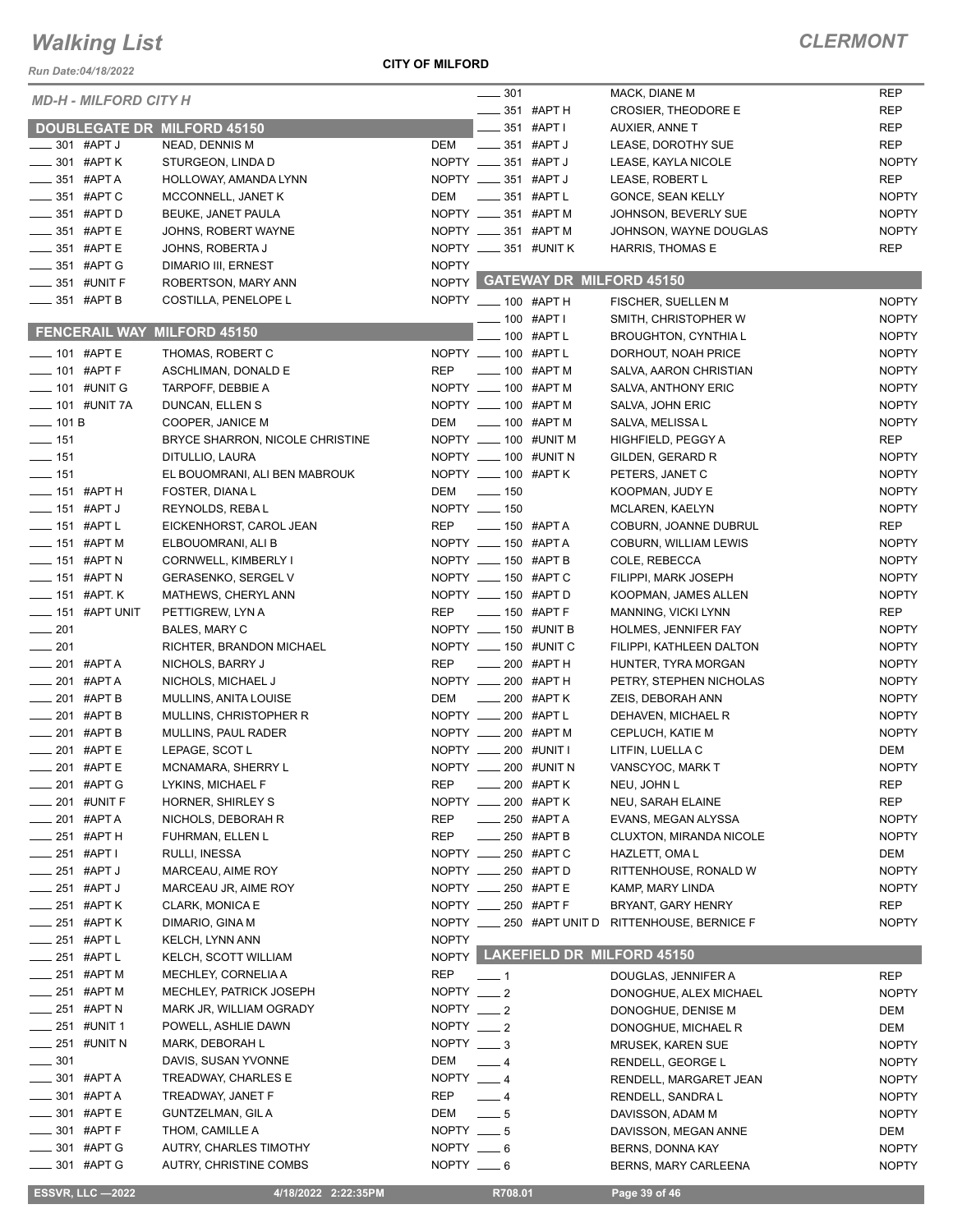*Run Date:04/18/2022*

**CITY OF MILFORD**

|                                                      | <b>MD-H - MILFORD CITY H</b> |                                             |                 | $- 301$                                        |                          | MACK, DIANE M                                       | <b>REP</b>                   |
|------------------------------------------------------|------------------------------|---------------------------------------------|-----------------|------------------------------------------------|--------------------------|-----------------------------------------------------|------------------------------|
|                                                      |                              |                                             |                 | $\frac{1}{2}$ 351 #APT H                       |                          | CROSIER, THEODORE E                                 | <b>REP</b>                   |
|                                                      |                              | <b>DOUBLEGATE DR MILFORD 45150</b>          |                 | $-$ 351 #APT I                                 |                          | AUXIER, ANNE T                                      | <b>REP</b>                   |
| $\_301$ #APT J                                       |                              | <b>NEAD, DENNIS M</b>                       | <b>DEM</b>      | ____ 351 #APT J                                |                          | LEASE, DOROTHY SUE                                  | <b>REP</b>                   |
| $\equiv$ 301 #APT K                                  |                              | STURGEON, LINDA D                           |                 | NOPTY __ 351 #APT J                            |                          | LEASE, KAYLA NICOLE                                 | <b>NOPTY</b>                 |
| $\frac{1}{2}$ 351 #APT A                             |                              | HOLLOWAY, AMANDA LYNN                       |                 | NOPTY __ 351 #APT J                            |                          | LEASE, ROBERT L                                     | <b>REP</b>                   |
| ____ 351 #APT C                                      |                              | MCCONNELL, JANET K                          | DEM             | $\frac{1}{2}$ 351 #APT L                       |                          | GONCE, SEAN KELLY                                   | <b>NOPTY</b>                 |
| $\frac{1}{2}$ 351 #APT D                             |                              | BEUKE, JANET PAULA                          |                 | NOPTY __ 351 #APT M                            |                          | JOHNSON, BEVERLY SUE                                | <b>NOPTY</b>                 |
| <b>______ 351 #APT E</b>                             |                              | JOHNS, ROBERT WAYNE                         |                 | NOPTY _____ 351 #APT M<br>NOPTY __ 351 #UNIT K |                          | JOHNSON, WAYNE DOUGLAS                              | <b>NOPTY</b>                 |
| $\frac{1}{2}$ 351 #APT E                             |                              | JOHNS, ROBERTA J                            | <b>NOPTY</b>    |                                                |                          | <b>HARRIS, THOMAS E</b>                             | <b>REP</b>                   |
| $\frac{1}{2}$ 351 #APT G<br><b>_____ 351 #UNIT F</b> |                              | DIMARIO III, ERNEST                         |                 |                                                |                          | NOPTY GATEWAY DR MILFORD 45150                      |                              |
| $\frac{1}{2}$ 351 #APT B                             |                              | ROBERTSON, MARY ANN<br>COSTILLA, PENELOPE L |                 | NOPTY __ 100 #APT H                            |                          |                                                     |                              |
|                                                      |                              |                                             |                 |                                                |                          | FISCHER, SUELLEN M                                  | <b>NOPTY</b><br><b>NOPTY</b> |
|                                                      |                              | <b>FENCERAIL WAY MILFORD 45150</b>          |                 | $-$ 100 #APT I<br>$\frac{100}{4}$ #APT L       |                          | SMITH, CHRISTOPHER W<br><b>BROUGHTON, CYNTHIA L</b> | <b>NOPTY</b>                 |
| $\frac{1}{2}$ 101 #APT E                             |                              | THOMAS, ROBERT C                            |                 | NOPTY __ 100 #APT L                            |                          | DORHOUT, NOAH PRICE                                 | <b>NOPTY</b>                 |
| $-$ 101 #APT F                                       |                              | ASCHLIMAN, DONALD E                         | <b>REP</b>      | $\frac{1}{2}$ 100 #APT M                       |                          | SALVA, AARON CHRISTIAN                              | <b>NOPTY</b>                 |
|                                                      | $=$ 101 #UNIT G              | TARPOFF, DEBBIE A                           |                 | NOPTY __ 100 #APT M                            |                          | SALVA, ANTHONY ERIC                                 | <b>NOPTY</b>                 |
|                                                      | $\frac{1}{2}$ 101 #UNIT 7A   | DUNCAN, ELLEN S                             |                 | NOPTY __ 100 #APT M                            |                          | SALVA, JOHN ERIC                                    | <b>NOPTY</b>                 |
| $- 101B$                                             |                              | COOPER, JANICE M                            | DEM             | ____ 100 #APT M                                |                          | SALVA, MELISSA L                                    | <b>NOPTY</b>                 |
| $\frac{1}{2}$ 151                                    |                              | BRYCE SHARRON, NICOLE CHRISTINE             |                 | NOPTY __ 100 #UNIT M                           |                          | HIGHFIELD, PEGGY A                                  | <b>REP</b>                   |
| $- 151$                                              |                              | DITULLIO, LAURA                             |                 | NOPTY __ 100 #UNIT N                           |                          | GILDEN, GERARD R                                    | <b>NOPTY</b>                 |
| $\frac{1}{2}$ 151                                    |                              | EL BOUOMRANI, ALI BEN MABROUK               |                 | NOPTY ____ 100 #APT K                          |                          | PETERS, JANET C                                     | <b>NOPTY</b>                 |
| $\frac{1}{2}$ 151 #APT H                             |                              | <b>FOSTER, DIANAL</b>                       | DEM             | $- 150$                                        |                          | KOOPMAN, JUDY E                                     | <b>NOPTY</b>                 |
| <b>____ 151 #APT J</b>                               |                              | REYNOLDS, REBAL                             |                 | NOPTY __ 150                                   |                          | MCLAREN, KAELYN                                     | <b>NOPTY</b>                 |
| $\frac{1}{2}$ 151 #APT L                             |                              | EICKENHORST, CAROL JEAN                     | <b>REP</b>      | $\frac{1}{2}$ 150 #APT A                       |                          | COBURN, JOANNE DUBRUL                               | REP                          |
| $\frac{1}{2}$ 151 #APT M                             |                              | ELBOUOMRANI, ALI B                          |                 | NOPTY __ 150 #APT A                            |                          | COBURN, WILLIAM LEWIS                               | <b>NOPTY</b>                 |
| $\frac{1}{2}$ 151 #APT N                             |                              | CORNWELL, KIMBERLY I                        |                 | NOPTY __ 150 #APT B                            |                          | COLE, REBECCA                                       | <b>NOPTY</b>                 |
| $\frac{1}{2}$ 151 #APT N                             |                              | <b>GERASENKO, SERGEL V</b>                  |                 | NOPTY ____ 150 #APT C                          |                          | FILIPPI, MARK JOSEPH                                | <b>NOPTY</b>                 |
| <b>______ 151 #APT. K</b>                            |                              | MATHEWS, CHERYL ANN                         |                 | NOPTY ____ 150 #APT D                          |                          | KOOPMAN, JAMES ALLEN                                | <b>NOPTY</b>                 |
|                                                      | ____ 151 #APT UNIT           | PETTIGREW, LYN A                            | <b>REP</b>      | <b>_____ 150 #APT F</b>                        |                          | MANNING, VICKI LYNN                                 | REP                          |
| $\frac{1}{201}$                                      |                              | <b>BALES, MARY C</b>                        |                 | NOPTY __ 150 #UNIT B                           |                          | HOLMES, JENNIFER FAY                                | <b>NOPTY</b>                 |
| $\frac{1}{201}$                                      |                              | RICHTER, BRANDON MICHAEL                    |                 | NOPTY __ 150 #UNIT C                           |                          | FILIPPI, KATHLEEN DALTON                            | <b>NOPTY</b>                 |
| $\frac{1}{201}$ #APT A                               |                              | NICHOLS, BARRY J                            | <b>REP</b>      | $\frac{1}{200}$ #APT H                         |                          | HUNTER, TYRA MORGAN                                 | <b>NOPTY</b>                 |
| $\frac{1}{201}$ #APT A                               |                              | NICHOLS, MICHAEL J                          |                 | NOPTY __ 200 #APT H                            |                          | PETRY, STEPHEN NICHOLAS                             | <b>NOPTY</b>                 |
| $\frac{1}{201}$ #APT B                               |                              | MULLINS, ANITA LOUISE                       | DEM             | $\frac{1}{200}$ #APT K                         |                          | ZEIS, DEBORAH ANN                                   | <b>NOPTY</b>                 |
| $\frac{1}{201}$ #APT B                               |                              | MULLINS, CHRISTOPHER R                      |                 | NOPTY __ 200 #APT L                            |                          | DEHAVEN, MICHAEL R                                  | <b>NOPTY</b>                 |
| $\equiv$ 201 #APT B                                  |                              | MULLINS, PAUL RADER                         |                 | NOPTY __ 200 #APT M                            |                          | CEPLUCH, KATIE M                                    | <b>NOPTY</b>                 |
| $\frac{1}{201}$ #APT E                               |                              | LEPAGE, SCOT L                              |                 | NOPTY __ 200 #UNIT I                           |                          | LITFIN, LUELLA C                                    | DEM                          |
| $\frac{1}{201}$ #APT E                               |                              | MCNAMARA, SHERRY L                          |                 | NOPTY __ 200 #UNIT N                           |                          | VANSCYOC, MARK T                                    | <b>NOPTY</b>                 |
|                                                      | 201 #APT G                   | LYKINS, MICHAEL F                           | REP             |                                                | 200 #APT K               | NEU, JOHN L                                         | <b>REP</b>                   |
|                                                      | 201 #UNIT F                  | HORNER, SHIRLEY S                           |                 | NOPTY __ 200 #APT K                            |                          | NEU, SARAH ELAINE                                   | <b>REP</b>                   |
|                                                      | 201 #APT A                   | NICHOLS, DEBORAH R                          | REP             |                                                | 250 #APT A               | EVANS, MEGAN ALYSSA                                 | <b>NOPTY</b>                 |
|                                                      | $-251$ #APT H                | FUHRMAN, ELLEN L                            | <b>REP</b>      |                                                | 250 #APT B               | CLUXTON, MIRANDA NICOLE                             | <b>NOPTY</b>                 |
|                                                      | _ 251 #APT I                 | RULLI, INESSA                               |                 | NOPTY _____ 250 #APT C                         |                          | HAZLETT, OMA L                                      | DEM                          |
| ____ 251 #APT J                                      |                              | MARCEAU, AIME ROY                           |                 | NOPTY _____ 250 #APT D                         |                          | RITTENHOUSE, RONALD W                               | <b>NOPTY</b>                 |
| $\frac{1}{251}$ #APT J                               |                              | MARCEAU JR, AIME ROY                        |                 | NOPTY _____ 250 #APT E                         |                          | KAMP, MARY LINDA                                    | <b>NOPTY</b>                 |
|                                                      | <sub>—</sub> 251 #APT K      | <b>CLARK, MONICA E</b>                      |                 | NOPTY __ 250 #APT F                            |                          | BRYANT, GARY HENRY                                  | REP                          |
|                                                      | <sub>—</sub> 251 #APT K      | DIMARIO, GINA M                             |                 |                                                | NOPTY __ 250 #APT UNIT D | <b>RITTENHOUSE, BERNICE F</b>                       | <b>NOPTY</b>                 |
|                                                      | 251 #APT L                   | KELCH, LYNN ANN                             | <b>NOPTY</b>    |                                                |                          |                                                     |                              |
|                                                      | _ 251 #APT L                 | KELCH, SCOTT WILLIAM                        |                 |                                                |                          | NOPTY LAKEFIELD DR MILFORD 45150                    |                              |
|                                                      | $-251$ #APT M                | MECHLEY, CORNELIA A                         | <b>REP</b>      | $-1$                                           |                          | DOUGLAS, JENNIFER A                                 | <b>REP</b>                   |
|                                                      | 251 #APT M                   | MECHLEY, PATRICK JOSEPH                     | NOPTY $-2$      |                                                |                          | DONOGHUE, ALEX MICHAEL                              | <b>NOPTY</b>                 |
|                                                      | __ 251 #APT N                | MARK JR, WILLIAM OGRADY                     | NOPTY $-2$      |                                                |                          | DONOGHUE, DENISE M                                  | DEM                          |
|                                                      | 251 #UNIT 1                  | POWELL, ASHLIE DAWN                         | NOPTY $\_\_\_2$ |                                                |                          | DONOGHUE, MICHAEL R                                 | DEM                          |
|                                                      | __ 251 #UNIT N               | MARK, DEBORAH L                             | NOPTY $-3$      |                                                |                          | <b>MRUSEK, KAREN SUE</b>                            | <b>NOPTY</b>                 |
| $\frac{1}{2}$ 301                                    |                              | DAVIS, SUSAN YVONNE                         | DEM             | $-4$                                           |                          | RENDELL, GEORGE L                                   | <b>NOPTY</b>                 |
|                                                      | 301 #APT A                   | TREADWAY, CHARLES E                         | NOPTY $-4$      |                                                |                          | RENDELL, MARGARET JEAN                              | <b>NOPTY</b>                 |
|                                                      | __ 301 #APT A                | TREADWAY, JANET F                           | <b>REP</b>      | $-4$                                           |                          | RENDELL, SANDRA L                                   | <b>NOPTY</b>                 |
|                                                      | $=$ 301 #APT E               | GUNTZELMAN, GIL A                           | DEM             | $-5$                                           |                          | DAVISSON, ADAM M                                    | <b>NOPTY</b>                 |
| $\frac{1}{2}$ 301 #APT F                             |                              | THOM, CAMILLE A                             | NOPTY $- 5$     |                                                |                          | DAVISSON, MEGAN ANNE                                | DEM                          |
|                                                      | 301 #APT G                   | AUTRY, CHARLES TIMOTHY                      | NOPTY $-6$      |                                                |                          | <b>BERNS, DONNA KAY</b>                             | <b>NOPTY</b>                 |
|                                                      | 301 #APT G                   | AUTRY, CHRISTINE COMBS                      | NOPTY $-6$      |                                                |                          | BERNS, MARY CARLEENA                                | <b>NOPTY</b>                 |
|                                                      |                              |                                             |                 |                                                |                          |                                                     |                              |
|                                                      | <b>ESSVR, LLC -2022</b>      | 4/18/2022 2:22:35PM                         |                 | R708.01                                        |                          | Page 39 of 46                                       |                              |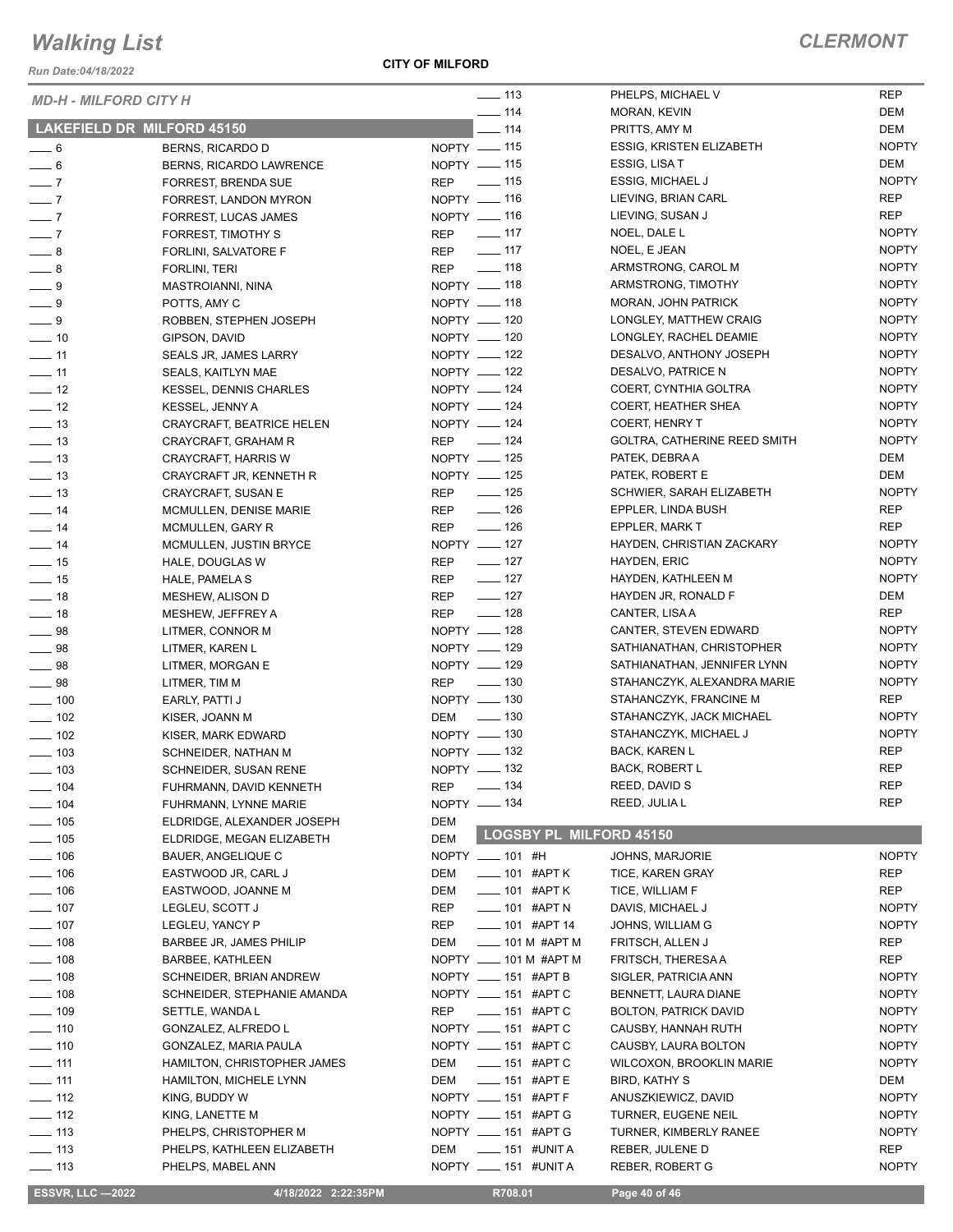*Run Date:04/18/2022*

### **CITY OF MILFORD**

| <b>MD-H - MILFORD CITY H</b>      |                                  | $- 113$                               | PHELPS, MICHAEL V               | <b>REP</b>   |
|-----------------------------------|----------------------------------|---------------------------------------|---------------------------------|--------------|
|                                   |                                  | $- 114$                               | MORAN, KEVIN                    | <b>DEM</b>   |
| <b>LAKEFIELD DR MILFORD 45150</b> |                                  | $-114$                                | PRITTS, AMY M                   | DEM          |
| $\frac{1}{\sqrt{2}}$ 6            | <b>BERNS, RICARDO D</b>          | NOPTY __ 115                          | <b>ESSIG, KRISTEN ELIZABETH</b> | <b>NOPTY</b> |
| $\frac{1}{2}$ 6                   | <b>BERNS, RICARDO LAWRENCE</b>   | NOPTY __ 115                          | ESSIG, LISA T                   | DEM          |
| $-7$                              | <b>FORREST, BRENDA SUE</b>       | REP - 115                             | ESSIG, MICHAEL J                | <b>NOPTY</b> |
| $-7$                              | FORREST, LANDON MYRON            | NOPTY __ 116                          | LIEVING, BRIAN CARL             | <b>REP</b>   |
| $\overline{\phantom{0}}$ 7        | FORREST, LUCAS JAMES             | NOPTY __ 116                          | LIEVING, SUSAN J                | <b>REP</b>   |
| $\overline{\phantom{0}}$ 7        | FORREST, TIMOTHY S               | $\sim$ 117<br>REP                     | NOEL, DALE L                    | <b>NOPTY</b> |
| $-8$                              | FORLINI, SALVATORE F             | $\frac{1}{2}$ 117<br>REP              | NOEL, E JEAN                    | <b>NOPTY</b> |
| $-8$                              | FORLINI, TERI                    | $\frac{1}{2}$ 118<br>REP              | ARMSTRONG, CAROL M              | <b>NOPTY</b> |
| $-9$                              | MASTROIANNI, NINA                | NOPTY __ 118                          | ARMSTRONG, TIMOTHY              | <b>NOPTY</b> |
| $-9$                              | POTTS, AMY C                     | NOPTY __ 118                          | MORAN, JOHN PATRICK             | <b>NOPTY</b> |
| $-9$                              | ROBBEN, STEPHEN JOSEPH           | NOPTY - 120                           | LONGLEY, MATTHEW CRAIG          | <b>NOPTY</b> |
| $\frac{1}{2}$ 10                  | GIPSON, DAVID                    | NOPTY __ 120                          | LONGLEY, RACHEL DEAMIE          | <b>NOPTY</b> |
| $\frac{1}{2}$ 11                  | SEALS JR, JAMES LARRY            | NOPTY - 122                           | DESALVO, ANTHONY JOSEPH         | <b>NOPTY</b> |
| $\frac{1}{2}$ 11                  | <b>SEALS, KAITLYN MAE</b>        | NOPTY - 122                           | DESALVO, PATRICE N              | <b>NOPTY</b> |
| $-12$                             | KESSEL, DENNIS CHARLES           | NOPTY __ 124                          | COERT, CYNTHIA GOLTRA           | <b>NOPTY</b> |
| $\equiv$ 12                       | KESSEL, JENNY A                  | NOPTY - 124                           | COERT, HEATHER SHEA             | <b>NOPTY</b> |
| $\frac{1}{2}$ 13                  | <b>CRAYCRAFT, BEATRICE HELEN</b> | NOPTY __ 124                          | COERT, HENRY T                  | <b>NOPTY</b> |
| $\frac{1}{2}$ 13                  | CRAYCRAFT, GRAHAM R              | REP - 124                             | GOLTRA, CATHERINE REED SMITH    | <b>NOPTY</b> |
| $\frac{1}{2}$ 13                  | <b>CRAYCRAFT, HARRIS W</b>       | NOPTY - 125                           | PATEK, DEBRAA                   | DEM          |
| $\frac{1}{2}$ 13                  | CRAYCRAFT JR, KENNETH R          | NOPTY __ 125                          | PATEK, ROBERT E                 | DEM          |
| $-13$                             | CRAYCRAFT, SUSAN E               | $\frac{1}{2}$ 125<br>REP              | SCHWIER, SARAH ELIZABETH        | <b>NOPTY</b> |
| $-14$                             |                                  | $\frac{1}{2}$ 126<br>REP              | EPPLER, LINDA BUSH              | <b>REP</b>   |
|                                   | MCMULLEN, DENISE MARIE           | $\frac{1}{2}$ 126<br>REP              | EPPLER, MARK T                  | <b>REP</b>   |
| $\frac{1}{2}$ 14                  | MCMULLEN, GARY R                 | NOPTY -127                            |                                 | <b>NOPTY</b> |
| $\frac{1}{2}$ 14                  | MCMULLEN, JUSTIN BRYCE           |                                       | HAYDEN, CHRISTIAN ZACKARY       |              |
| $\frac{1}{2}$ 15                  | HALE, DOUGLAS W                  | $\frac{1}{2}$ 127<br>REP              | HAYDEN, ERIC                    | <b>NOPTY</b> |
| $\frac{1}{2}$ 15                  | HALE, PAMELA S                   | $\sim$ 127<br>REP                     | HAYDEN, KATHLEEN M              | <b>NOPTY</b> |
| $\frac{1}{2}$ 18                  | MESHEW, ALISON D                 | $\frac{1}{2}$ 127<br>REP              | HAYDEN JR, RONALD F             | DEM          |
| $-18$                             | MESHEW, JEFFREY A                | $\frac{1}{2}$ 128<br>REP              | CANTER, LISA A                  | <b>REP</b>   |
| $-98$                             | LITMER, CONNOR M                 | NOPTY - 128                           | CANTER, STEVEN EDWARD           | <b>NOPTY</b> |
| $\frac{1}{2}$ 98                  | LITMER, KAREN L                  | NOPTY __ 129                          | SATHIANATHAN, CHRISTOPHER       | <b>NOPTY</b> |
| $\_\_\_\$ 98                      | LITMER, MORGAN E                 | NOPTY - 129                           | SATHIANATHAN, JENNIFER LYNN     | <b>NOPTY</b> |
| $\frac{1}{2}$ 98                  | LITMER, TIM M                    | $\frac{1}{2}$ 130<br>REP              | STAHANCZYK, ALEXANDRA MARIE     | <b>NOPTY</b> |
| $\frac{1}{2}$ 100                 | EARLY, PATTI J                   | NOPTY - 130                           | STAHANCZYK, FRANCINE M          | <b>REP</b>   |
| $\frac{1}{2}$ 102                 | KISER, JOANN M                   | DEM - 130                             | STAHANCZYK, JACK MICHAEL        | <b>NOPTY</b> |
| $\frac{1}{2}$ 102                 | KISER, MARK EDWARD               | NOPTY __ 130                          | STAHANCZYK, MICHAEL J           | <b>NOPTY</b> |
| $\frac{1}{2}$ 103                 | SCHNEIDER, NATHAN M              | NOPTY - 132                           | <b>BACK, KAREN L</b>            | <b>REP</b>   |
| $\frac{1}{2}$ 103                 | SCHNEIDER, SUSAN RENE            | NOPTY __ 132                          | <b>BACK, ROBERT L</b>           | <b>REP</b>   |
| $- 104$                           | FUHRMANN, DAVID KENNETH          | $\frac{1}{2}$ 134<br>REP              | REED, DAVID S                   | <b>REP</b>   |
| $- 104$                           | FUHRMANN, LYNNE MARIE            | NOPTY - 134                           | REED, JULIA L                   | <b>REP</b>   |
| $\frac{1}{2}$ 105                 | ELDRIDGE, ALEXANDER JOSEPH       | DEM                                   |                                 |              |
| $\frac{1}{2}$ 105                 | ELDRIDGE, MEGAN ELIZABETH        | <b>LOGSBY PL MILFORD 45150</b><br>DEM |                                 |              |
| $- 106$                           | <b>BAUER, ANGELIQUE C</b>        | NOPTY __ 101 #H                       | JOHNS, MARJORIE                 | <b>NOPTY</b> |
| $- 106$                           | EASTWOOD JR, CARL J              | $\frac{1}{2}$ 101 #APT K<br>DEM       | TICE, KAREN GRAY                | REP          |
| $\frac{1}{2}$ 106                 | EASTWOOD, JOANNE M               | $\frac{1}{2}$ 101 #APT K<br>DEM       | TICE, WILLIAM F                 | <b>REP</b>   |
| $- 107$                           | LEGLEU, SCOTT J                  | $\frac{1}{2}$ 101 #APT N<br>REP       | DAVIS, MICHAEL J                | <b>NOPTY</b> |
| $\frac{1}{2}$ 107                 | LEGLEU, YANCY P                  | REP<br>$\frac{1}{2}$ 101 #APT 14      | JOHNS, WILLIAM G                | <b>NOPTY</b> |
| $- 108$                           | BARBEE JR, JAMES PHILIP          | DEM<br>$\frac{1}{2}$ 101 M #APT M     | FRITSCH, ALLEN J                | <b>REP</b>   |
| $\frac{1}{2}$ 108                 | <b>BARBEE, KATHLEEN</b>          | NOPTY __ 101 M #APT M                 | FRITSCH, THERESA A              | REP          |
| $\frac{1}{2}$ 108                 | SCHNEIDER, BRIAN ANDREW          | NOPTY __ 151 #APT B                   | SIGLER, PATRICIA ANN            | <b>NOPTY</b> |
| $- 108$                           | SCHNEIDER, STEPHANIE AMANDA      | NOPTY __ 151 #APT C                   | BENNETT, LAURA DIANE            | <b>NOPTY</b> |
| $- 109$                           | SETTLE, WANDA L                  | -61 #APT C<br><b>REP</b>              | <b>BOLTON, PATRICK DAVID</b>    | <b>NOPTY</b> |
| $\frac{1}{2}$ 110                 | GONZALEZ, ALFREDO L              | NOPTY __ 151 #APT C                   | CAUSBY, HANNAH RUTH             | <b>NOPTY</b> |
| $- 110$                           | GONZALEZ, MARIA PAULA            | NOPTY __ 151 #APT C                   | CAUSBY, LAURA BOLTON            | <b>NOPTY</b> |
| $\frac{1}{111}$                   | HAMILTON, CHRISTOPHER JAMES      | $\frac{1}{2}$ 151 #APT C<br>DEM       | <b>WILCOXON, BROOKLIN MARIE</b> | <b>NOPTY</b> |
| $- 111$                           | <b>HAMILTON, MICHELE LYNN</b>    | $\frac{1}{2}$ 151 #APT E<br>DEM       | BIRD, KATHY S                   | DEM          |
| $- 112$                           | KING, BUDDY W                    | NOPTY __ 151 #APT F                   | ANUSZKIEWICZ, DAVID             | <b>NOPTY</b> |
| $-112$                            | KING, LANETTE M                  | NOPTY __ 151 #APT G                   | <b>TURNER, EUGENE NEIL</b>      | <b>NOPTY</b> |
| —— 113                            | PHELPS, CHRISTOPHER M            | NOPTY __ 151 #APT G                   | TURNER, KIMBERLY RANEE          | <b>NOPTY</b> |
|                                   |                                  | $\frac{1}{2}$ 151 #UNIT A<br>DEM      |                                 | REP          |
| $\frac{1}{2}$ 113                 | PHELPS, KATHLEEN ELIZABETH       | NOPTY _____ 151 #UNIT A               | REBER, JULENE D                 | <b>NOPTY</b> |
| $\frac{1}{2}$ 113                 | PHELPS, MABEL ANN                |                                       | REBER, ROBERT G                 |              |
| <b>ESSVR, LLC -2022</b>           | 4/18/2022 2:22:35PM              | R708.01                               | Page 40 of 46                   |              |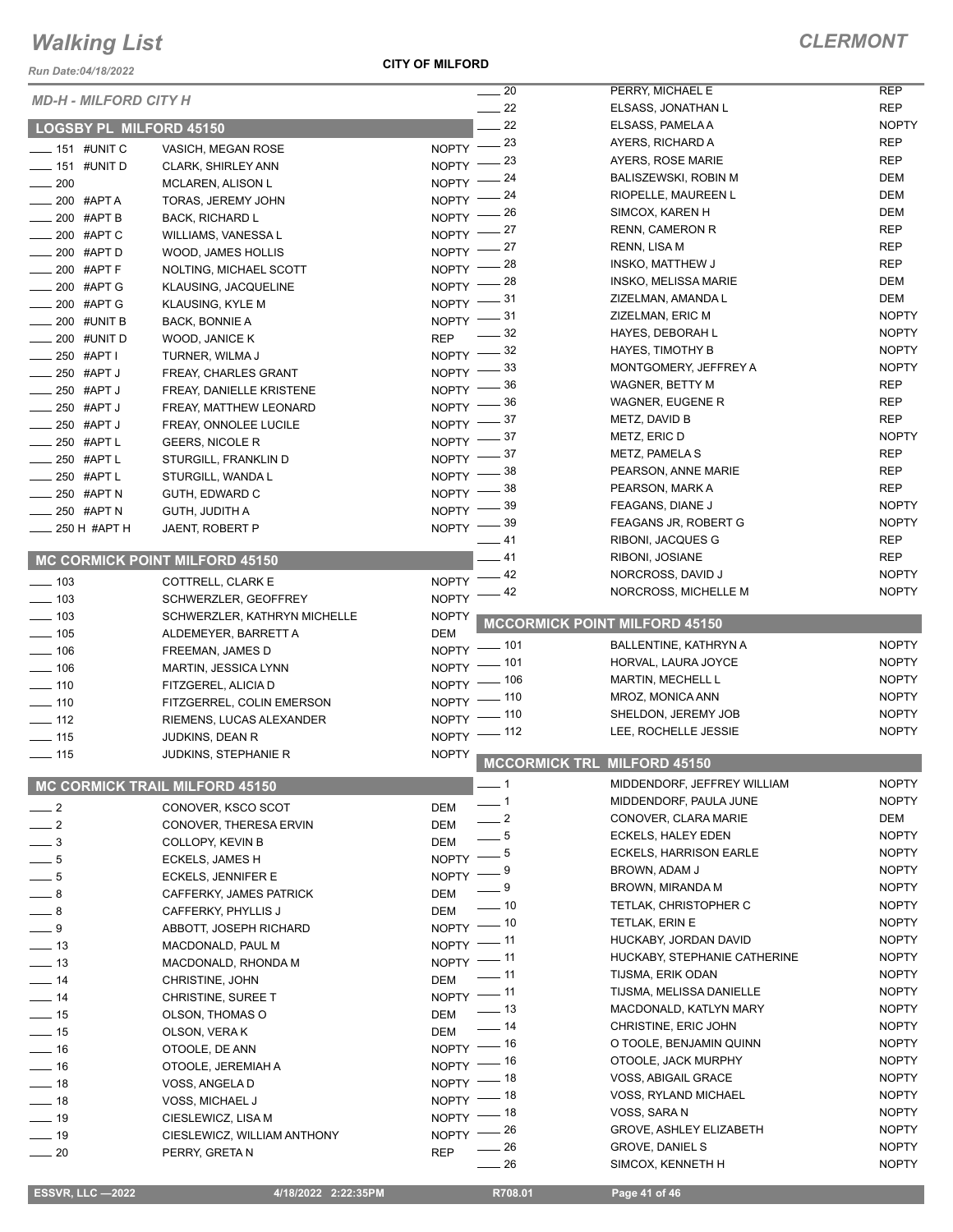*Run Date:04/18/2022*

**CITY OF MILFORD**

|                                |                                       |                            | 20<br>$\overline{\phantom{0}}$ | PERRY, MICHAEL E                     | <b>REP</b>   |
|--------------------------------|---------------------------------------|----------------------------|--------------------------------|--------------------------------------|--------------|
| <b>MD-H - MILFORD CITY H</b>   |                                       |                            | $\frac{1}{22}$                 | ELSASS, JONATHAN L                   | <b>REP</b>   |
| <b>LOGSBY PL MILFORD 45150</b> |                                       |                            | $-22$                          | ELSASS, PAMELA A                     | <b>NOPTY</b> |
|                                |                                       | NOPTY $-23$                |                                | AYERS, RICHARD A                     | <b>REP</b>   |
| $\equiv$ 151 #UNIT C           | VASICH, MEGAN ROSE                    | NOPTY $-$ 23               |                                | AYERS. ROSE MARIE                    | <b>REP</b>   |
| $\frac{1}{2}$ 151 #UNIT D      | <b>CLARK, SHIRLEY ANN</b>             | $NOPTY =$                  | - 24                           | BALISZEWSKI, ROBIN M                 | <b>DEM</b>   |
| $\frac{1}{200}$                | <b>MCLAREN, ALISON L</b>              |                            | - 24                           | RIOPELLE, MAUREEN L                  | <b>DEM</b>   |
| 200 #APT A                     | TORAS, JEREMY JOHN                    | $NOPTY =$                  | 26                             | SIMCOX, KAREN H                      | <b>DEM</b>   |
| $-200$ #APT B                  | <b>BACK, RICHARD L</b>                | $NOPTY =$                  | _ 27                           | <b>RENN, CAMERON R</b>               | <b>REP</b>   |
| $= 200$ #APT C                 | WILLIAMS, VANESSA L                   | $N$ OPTY $-$               |                                | RENN, LISA M                         | <b>REP</b>   |
| _ 200 #APT D                   | <b>WOOD, JAMES HOLLIS</b>             | NOPTY $-27$                | _ 28                           | <b>INSKO, MATTHEW J</b>              | <b>REP</b>   |
| $-$ 200 #APT F                 | NOLTING, MICHAEL SCOTT                | $N$ OPTY $-$               |                                | <b>INSKO, MELISSA MARIE</b>          | <b>DEM</b>   |
| ___ 200 #APT G                 | KLAUSING, JACQUELINE                  | NOPTY $-$ 28               |                                | ZIZELMAN, AMANDA L                   | <b>DEM</b>   |
| $\frac{1}{200}$ #APT G         | KLAUSING, KYLE M                      | NOPTY $-$ 31               |                                | ZIZELMAN, ERIC M                     | <b>NOPTY</b> |
| $\frac{1}{200}$ #UNIT B        | <b>BACK, BONNIE A</b>                 | NOPTY $-31$                |                                | HAYES, DEBORAH L                     | <b>NOPTY</b> |
| __ 200 #UNIT D                 | WOOD, JANICE K                        | <b>REP</b>                 | $\frac{1}{2}$ 32               |                                      | <b>NOPTY</b> |
| $\frac{1}{250}$ #APT I         | TURNER, WILMA J                       | NOPTY $-$ 32               |                                | HAYES, TIMOTHY B                     |              |
| -250 #APT J                    | FREAY, CHARLES GRANT                  | NOPTY $-$ 33               |                                | MONTGOMERY, JEFFREY A                | <b>NOPTY</b> |
| $\frac{1}{250}$ #APT J         | FREAY, DANIELLE KRISTENE              | $N$ OPTY $-$               | _ 36                           | WAGNER, BETTY M                      | <b>REP</b>   |
| $\_\_\_\$ 250 #APT J           | FREAY, MATTHEW LEONARD                | $N$ OPTY -                 | _ 36                           | WAGNER, EUGENE R                     | <b>REP</b>   |
| _ 250 #APT J                   | FREAY, ONNOLEE LUCILE                 | NOPTY $-37$                |                                | METZ, DAVID B                        | <b>REP</b>   |
| _ 250 #APT L                   | GEERS, NICOLE R                       | NOPTY $-$ 37               |                                | METZ, ERIC D                         | <b>NOPTY</b> |
| 250 #APT L                     | STURGILL, FRANKLIN D                  | NOPTY $-37$                |                                | METZ, PAMELA S                       | <b>REP</b>   |
| $-250$ #APT L                  | STURGILL, WANDA L                     | NOPTY $-$ 38               |                                | PEARSON, ANNE MARIE                  | <b>REP</b>   |
| $= 250$ #APT N                 | GUTH, EDWARD C                        | $N$ OPTY $-$               | _ 38                           | PEARSON, MARK A                      | <b>REP</b>   |
| _250 #APT N                    | GUTH, JUDITH A                        | $NOPTY = 39$               |                                | FEAGANS, DIANE J                     | <b>NOPTY</b> |
| 250 H #APT H                   | JAENT, ROBERT P                       | $NOPTY \longrightarrow$ 39 |                                | FEAGANS JR, ROBERT G                 | <b>NOPTY</b> |
|                                |                                       |                            | $-41$                          | RIBONI, JACQUES G                    | <b>REP</b>   |
|                                | <b>MC CORMICK POINT MILFORD 45150</b> |                            | $-41$                          | RIBONI, JOSIANE                      | <b>REP</b>   |
| $\frac{1}{2}$ 103              | COTTRELL, CLARK E                     | NOPTY $-42$                |                                | NORCROSS, DAVID J                    | <b>NOPTY</b> |
| $\sim$ 103                     | SCHWERZLER, GEOFFREY                  | $NOPTY =$                  | _ 42                           | NORCROSS, MICHELLE M                 | <b>NOPTY</b> |
| $\frac{1}{2}$ 103              | SCHWERZLER, KATHRYN MICHELLE          | <b>NOPTY</b>               |                                |                                      |              |
| $\frac{1}{2}$ 105              | ALDEMEYER, BARRETT A                  | <b>DEM</b>                 |                                | <b>MCCORMICK POINT MILFORD 45150</b> |              |
| $\frac{1}{2}$ 106              | FREEMAN, JAMES D                      |                            | NOPTY - 101                    | BALLENTINE, KATHRYN A                | <b>NOPTY</b> |
| $\frac{1}{2}$ 106              | MARTIN, JESSICA LYNN                  |                            | NOPTY - 101                    | HORVAL, LAURA JOYCE                  | <b>NOPTY</b> |
| $- 110$                        | FITZGEREL, ALICIA D                   |                            | NOPTY - 106                    | MARTIN, MECHELL L                    | <b>NOPTY</b> |
| $\frac{1}{2}$ 110              | FITZGERREL, COLIN EMERSON             |                            | NOPTY - 110                    | MROZ, MONICA ANN                     | <b>NOPTY</b> |
| $\frac{1}{2}$ 112              | RIEMENS, LUCAS ALEXANDER              |                            | NOPTY - 110                    | SHELDON, JEREMY JOB                  | <b>NOPTY</b> |
| $\frac{1}{2}$ 115              | JUDKINS, DEAN R                       |                            | NOPTY - 112                    | LEE, ROCHELLE JESSIE                 | <b>NOPTY</b> |
| $\frac{1}{2}$ 115              | <b>JUDKINS, STEPHANIE R</b>           | <b>NOPTY</b>               |                                |                                      |              |
|                                |                                       |                            |                                | <b>MCCORMICK TRL MILFORD 45150</b>   |              |
|                                | <b>MC CORMICK TRAIL MILFORD 45150</b> |                            | $-1$                           | MIDDENDORF, JEFFREY WILLIAM          | <b>NOPTY</b> |
| $\frac{1}{2}$                  | CONOVER, KSCO SCOT                    | DEM                        | $\overline{\phantom{0}}$ 1     | MIDDENDORF, PAULA JUNE               | <b>NOPTY</b> |
| $\equiv$ 2                     | CONOVER, THERESA ERVIN                | DEM                        | $\overline{\phantom{0}}$ 2     | CONOVER, CLARA MARIE                 | DEM          |
| $\frac{1}{2}$                  | COLLOPY, KEVIN B                      | DEM                        | _ 5                            | ECKELS, HALEY EDEN                   | <b>NOPTY</b> |
| $-5$                           |                                       | <b>NOPTY</b>               | - 5                            | <b>ECKELS, HARRISON EARLE</b>        | <b>NOPTY</b> |
|                                | ECKELS, JAMES H                       | <b>NOPTY</b>               | _ 9                            | BROWN, ADAM J                        | <b>NOPTY</b> |
| $-5$                           | ECKELS, JENNIFER E                    |                            | _ 9                            | BROWN, MIRANDA M                     | <b>NOPTY</b> |
| $-8$                           | CAFFERKY, JAMES PATRICK               | <b>DEM</b>                 | $-10$                          | TETLAK, CHRISTOPHER C                | <b>NOPTY</b> |
| $-8$                           | CAFFERKY, PHYLLIS J                   | DEM<br>$NOPTY$ - 10        |                                | TETLAK, ERIN E                       | <b>NOPTY</b> |
| $-9$                           | ABBOTT, JOSEPH RICHARD                | NOPTY -11                  |                                | HUCKABY, JORDAN DAVID                | <b>NOPTY</b> |
| $-13$                          | MACDONALD, PAUL M                     | NOPTY $-$ 11               |                                | HUCKABY, STEPHANIE CATHERINE         | <b>NOPTY</b> |
| $\frac{1}{2}$ 13               | MACDONALD, RHONDA M                   |                            | — 11                           | TIJSMA, ERIK ODAN                    | <b>NOPTY</b> |
| $\frac{1}{2}$ 14               | CHRISTINE, JOHN                       | DEM                        |                                | TIJSMA, MELISSA DANIELLE             | <b>NOPTY</b> |
| $\frac{1}{2}$ 14               | <b>CHRISTINE, SUREE T</b>             | $NOPTY$ - 11               | $\_$ 13                        | MACDONALD, KATLYN MARY               | <b>NOPTY</b> |
| $\frac{1}{2}$ 15               | OLSON, THOMAS O                       | DEM                        | $-14$                          | CHRISTINE, ERIC JOHN                 | <b>NOPTY</b> |
| $\frac{1}{2}$ 15               | OLSON, VERA K                         | DEM                        | _ 16                           | O TOOLE, BENJAMIN QUINN              | <b>NOPTY</b> |
| $-16$                          | OTOOLE, DE ANN                        | $NOPTY =$                  |                                | OTOOLE, JACK MURPHY                  | <b>NOPTY</b> |
| $-16$                          | OTOOLE, JEREMIAH A                    |                            | NOPTY $-$ 16                   | VOSS, ABIGAIL GRACE                  | <b>NOPTY</b> |
| $\frac{1}{2}$ 18               | VOSS, ANGELA D                        | NOPTY $-$ 18               |                                | VOSS, RYLAND MICHAEL                 | <b>NOPTY</b> |
| $\frac{1}{2}$ 18               | VOSS, MICHAEL J                       | NOPTY $-$ 18               |                                | VOSS, SARA N                         | <b>NOPTY</b> |
| $-19$                          | CIESLEWICZ, LISA M                    | $NOPTY$ - 18               | _ 26                           | <b>GROVE, ASHLEY ELIZABETH</b>       | <b>NOPTY</b> |
| $\frac{1}{2}$ 19               | CIESLEWICZ, WILLIAM ANTHONY           | $NOPTY =$                  |                                |                                      | <b>NOPTY</b> |
| $\sim$ 20                      | PERRY, GRETA N                        | <b>REP</b>                 | $-26$                          | GROVE, DANIEL S                      |              |
|                                |                                       |                            | $-26$                          | SIMCOX, KENNETH H                    | <b>NOPTY</b> |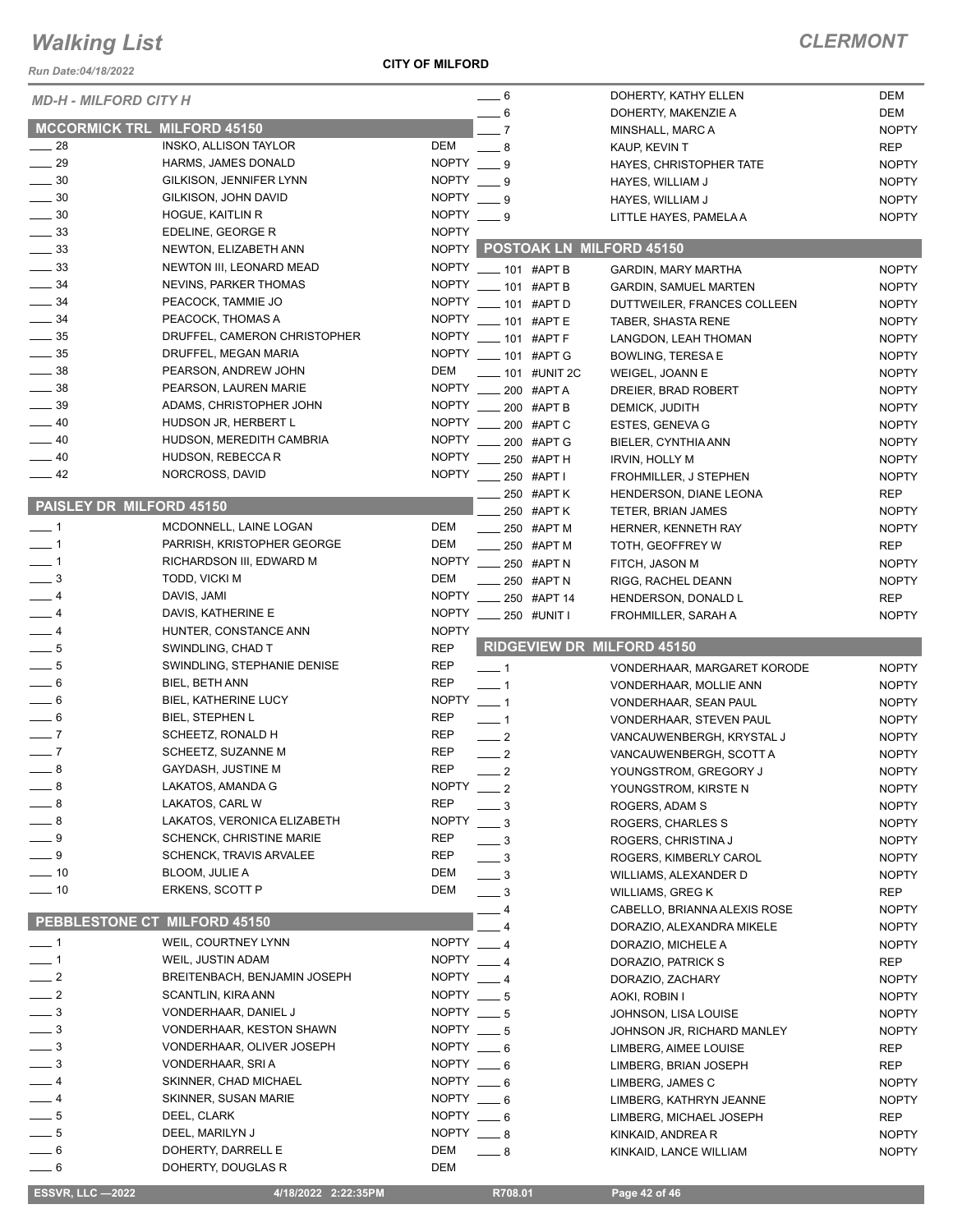*Run Date:04/18/2022*

**CITY OF MILFORD**

|                                     |                                                        |                     |                            |                           |                                             | <b>DEM</b>                 |
|-------------------------------------|--------------------------------------------------------|---------------------|----------------------------|---------------------------|---------------------------------------------|----------------------------|
| <b>MD-H - MILFORD CITY H</b>        |                                                        |                     | $-6$<br>- 6                |                           | DOHERTY, KATHY ELLEN<br>DOHERTY, MAKENZIE A | DEM                        |
| <b>MCCORMICK TRL MILFORD 45150</b>  |                                                        |                     | $=7$                       |                           | MINSHALL, MARC A                            | <b>NOPTY</b>               |
| $\frac{1}{28}$                      | INSKO, ALLISON TAYLOR                                  | <b>DEM</b>          | $-8$                       |                           | KAUP, KEVIN T                               | <b>REP</b>                 |
| $\frac{1}{29}$                      | HARMS, JAMES DONALD                                    | NOPTY ___ 9         |                            |                           | HAYES, CHRISTOPHER TATE                     | <b>NOPTY</b>               |
| $\sim$ 30                           | GILKISON, JENNIFER LYNN                                | NOPTY $\_\_$ 9      |                            |                           | HAYES, WILLIAM J                            | <b>NOPTY</b>               |
| $\frac{1}{2}$ 30                    | GILKISON, JOHN DAVID                                   | NOPTY $\_\_9$       |                            |                           | HAYES, WILLIAM J                            | <b>NOPTY</b>               |
| $-30$                               | <b>HOGUE, KAITLIN R</b>                                | NOPTY $\_\_9$       |                            |                           | LITTLE HAYES, PAMELA A                      | <b>NOPTY</b>               |
| $\equiv$ 33                         | EDELINE, GEORGE R                                      | <b>NOPTY</b>        |                            |                           |                                             |                            |
| $-33$                               | NEWTON, ELIZABETH ANN                                  |                     |                            |                           | NOPTY POSTOAK LN MILFORD 45150              |                            |
| $\frac{1}{2}$ 33                    | NEWTON III, LEONARD MEAD                               | <b>NOPTY</b>        | $\equiv$ 101 #APT B        |                           | <b>GARDIN, MARY MARTHA</b>                  | <b>NOPTY</b>               |
| $\frac{1}{2}$ 34                    | NEVINS, PARKER THOMAS                                  | <b>NOPTY</b>        | $\frac{1}{2}$ 101 #APT B   |                           | <b>GARDIN, SAMUEL MARTEN</b>                | <b>NOPTY</b>               |
| $-34$                               | PEACOCK, TAMMIE JO                                     | <b>NOPTY</b>        | $\frac{1}{2}$ 101 #APT D   |                           | DUTTWEILER, FRANCES COLLEEN                 | <b>NOPTY</b>               |
| $\frac{1}{2}$ 34                    | PEACOCK, THOMAS A                                      | <b>NOPTY</b>        | $- 101$ #APT E             |                           | TABER, SHASTA RENE                          | <b>NOPTY</b>               |
| $-35$                               | DRUFFEL, CAMERON CHRISTOPHER                           | <b>NOPTY</b>        | $- 101$ #APT F             |                           | LANGDON, LEAH THOMAN                        | <b>NOPTY</b>               |
| $\frac{1}{2}$ 35                    | DRUFFEL, MEGAN MARIA                                   | <b>NOPTY</b>        | $\frac{1}{2}$ 101 #APT G   |                           | <b>BOWLING, TERESA E</b>                    | <b>NOPTY</b>               |
| $\frac{1}{2}$ 38                    | PEARSON, ANDREW JOHN                                   | <b>DEM</b>          |                            | 101 #UNIT 2C              | WEIGEL, JOANN E                             | <b>NOPTY</b>               |
| $\frac{1}{2}$ 38                    | PEARSON, LAUREN MARIE                                  | <b>NOPTY</b>        |                            | 200 #APT A                | DREIER, BRAD ROBERT                         | <b>NOPTY</b>               |
| $\frac{1}{2}$ 39                    | ADAMS, CHRISTOPHER JOHN                                | <b>NOPTY</b>        |                            | 200 #APT B                | DEMICK, JUDITH                              | <b>NOPTY</b>               |
| $-40$                               | HUDSON JR, HERBERT L                                   | <b>NOPTY</b>        |                            | 200 #APT C                | <b>ESTES, GENEVA G</b>                      | <b>NOPTY</b>               |
| $-40$                               | HUDSON, MEREDITH CAMBRIA                               | <b>NOPTY</b>        |                            | 200 #APT G                | BIELER, CYNTHIA ANN                         | <b>NOPTY</b>               |
| $\frac{1}{2}$ 40                    | HUDSON, REBECCA R                                      | <b>NOPTY</b>        |                            | 250 #APT H                | <b>IRVIN, HOLLY M</b>                       | <b>NOPTY</b>               |
| $-42$                               | NORCROSS, DAVID                                        | <b>NOPTY</b>        |                            | 250 #APT I                | FROHMILLER, J STEPHEN                       | <b>NOPTY</b>               |
| PAISLEY DR MILFORD 45150            |                                                        |                     |                            | 250 #APT K                | HENDERSON, DIANE LEONA                      | <b>REP</b>                 |
|                                     |                                                        |                     |                            | 250 #APT K                | TETER, BRIAN JAMES                          | <b>NOPTY</b>               |
| $-1$                                | MCDONNELL, LAINE LOGAN                                 | <b>DEM</b>          | $\frac{1}{250}$ #APT M     |                           | HERNER, KENNETH RAY                         | <b>NOPTY</b>               |
| $-1$                                | PARRISH, KRISTOPHER GEORGE<br>RICHARDSON III, EDWARD M | DEM<br><b>NOPTY</b> |                            | 250 #APT M                | TOTH, GEOFFREY W                            | <b>REP</b>                 |
| ___ 1<br>$\overline{\phantom{0}}$ 3 | TODD, VICKI M                                          | <b>DEM</b>          | $\overline{\phantom{a}}$   | 250 #APT N                | FITCH, JASON M                              | <b>NOPTY</b>               |
| $-4$                                | DAVIS, JAMI                                            | <b>NOPTY</b>        |                            | 250 #APT N<br>250 #APT 14 | RIGG, RACHEL DEANN                          | <b>NOPTY</b>               |
| $-4$                                | DAVIS, KATHERINE E                                     | <b>NOPTY</b>        |                            | 250 #UNIT I               | HENDERSON, DONALD L<br>FROHMILLER, SARAH A  | <b>REP</b><br><b>NOPTY</b> |
| $-4$                                | HUNTER, CONSTANCE ANN                                  | <b>NOPTY</b>        |                            |                           |                                             |                            |
| $\frac{1}{2}$ 5                     | SWINDLING, CHAD T                                      | <b>REP</b>          |                            |                           | <b>RIDGEVIEW DR MILFORD 45150</b>           |                            |
| $\overline{\phantom{0}}$ 5          | SWINDLING, STEPHANIE DENISE                            | <b>REP</b>          | $-1$                       |                           | VONDERHAAR, MARGARET KORODE                 | <b>NOPTY</b>               |
| $-6$                                | BIEL, BETH ANN                                         | <b>REP</b>          | $-1$                       |                           | VONDERHAAR, MOLLIE ANN                      | <b>NOPTY</b>               |
| $= 6$                               | BIEL, KATHERINE LUCY                                   | <b>NOPTY</b>        | $-1$                       |                           | VONDERHAAR, SEAN PAUL                       | <b>NOPTY</b>               |
| $\frac{1}{2}$ 6                     | BIEL, STEPHEN L                                        | <b>REP</b>          | $-1$                       |                           | VONDERHAAR, STEVEN PAUL                     | <b>NOPTY</b>               |
| $\overline{\phantom{0}}$ 7          | SCHEETZ, RONALD H                                      | <b>REP</b>          | $\frac{1}{2}$              |                           | VANCAUWENBERGH, KRYSTAL J                   | <b>NOPTY</b>               |
| $-7$                                | SCHEETZ, SUZANNE M                                     | <b>REP</b>          | $\overline{\phantom{0}}$ 2 |                           | VANCAUWENBERGH, SCOTT A                     | <b>NOPTY</b>               |
| - 8<br>$\overline{\phantom{a}}$     | GAYDASH, JUSTINE M                                     | <b>REP</b>          | $\overline{2}$             |                           | YOUNGSTROM, GREGORY J                       | <b>NOPTY</b>               |
| $\_\_8$                             | LAKATOS, AMANDA G                                      | <b>NOPTY</b>        | $\frac{1}{2}$              |                           | YOUNGSTROM, KIRSTE N                        | <b>NOPTY</b>               |
| $-8$                                | LAKATOS, CARL W                                        | <b>REP</b>          | . 3                        |                           | ROGERS, ADAM S                              | <b>NOPTY</b>               |
| $-8$                                | LAKATOS, VERONICA ELIZABETH                            | <b>NOPTY</b>        | $\overline{\phantom{0}}^3$ |                           | ROGERS, CHARLES S                           | <b>NOPTY</b>               |
| $-9$                                | <b>SCHENCK, CHRISTINE MARIE</b>                        | <b>REP</b>          | $\overline{\phantom{0}}$ 3 |                           | ROGERS, CHRISTINA J                         | <b>NOPTY</b>               |
| $-9$                                | <b>SCHENCK, TRAVIS ARVALEE</b>                         | REP                 | $\frac{1}{2}$              |                           | ROGERS, KIMBERLY CAROL                      | <b>NOPTY</b>               |
| $\frac{1}{10}$                      | <b>BLOOM, JULIE A</b>                                  | DEM                 | $\frac{1}{2}$              |                           | WILLIAMS, ALEXANDER D                       | <b>NOPTY</b>               |
| $\frac{1}{2}$ 10                    | ERKENS, SCOTT P                                        | DEM                 | $\frac{1}{2}$              |                           | <b>WILLIAMS, GREG K</b>                     | <b>REP</b>                 |
|                                     |                                                        |                     | — 4                        |                           | CABELLO, BRIANNA ALEXIS ROSE                | <b>NOPTY</b>               |
| PEBBLESTONE CT MILFORD 45150        |                                                        |                     | $-4$                       |                           | DORAZIO, ALEXANDRA MIKELE                   | <b>NOPTY</b>               |
| $-1$                                | WEIL, COURTNEY LYNN                                    | NOPTY $-4$          |                            |                           | DORAZIO, MICHELE A                          | <b>NOPTY</b>               |
| $-1$                                | WEIL, JUSTIN ADAM                                      | NOPTY __ 4          |                            |                           | DORAZIO, PATRICK S                          | REP                        |
| $\frac{1}{2}$                       | BREITENBACH, BENJAMIN JOSEPH                           | NOPTY __ 4          |                            |                           | DORAZIO, ZACHARY                            | <b>NOPTY</b>               |
| $\frac{1}{2}$                       | SCANTLIN, KIRA ANN                                     | NOPTY $-5$          |                            |                           | AOKI, ROBIN I                               | <b>NOPTY</b>               |
| $\frac{1}{2}$                       | VONDERHAAR, DANIEL J                                   | NOPTY $- 5$         |                            |                           | JOHNSON, LISA LOUISE                        | <b>NOPTY</b>               |
| $\frac{1}{2}$                       | <b>VONDERHAAR, KESTON SHAWN</b>                        | NOPTY $-5$          |                            |                           | JOHNSON JR, RICHARD MANLEY                  | <b>NOPTY</b>               |
| $\equiv$ 3                          | VONDERHAAR, OLIVER JOSEPH                              | NOPTY $-6$          |                            |                           | LIMBERG, AIMEE LOUISE                       | REP                        |
| $\frac{1}{2}$                       | VONDERHAAR, SRIA                                       | NOPTY $-6$          |                            |                           | LIMBERG, BRIAN JOSEPH                       | REP                        |
| $-4$                                | SKINNER, CHAD MICHAEL                                  | NOPTY $-6$          |                            |                           | LIMBERG, JAMES C                            | <b>NOPTY</b>               |
| $-4$                                | SKINNER, SUSAN MARIE                                   | NOPTY $-6$          |                            |                           | LIMBERG, KATHRYN JEANNE                     | <b>NOPTY</b>               |
| $-5$                                | DEEL, CLARK                                            | NOPTY $-6$          |                            |                           | LIMBERG, MICHAEL JOSEPH                     | REP                        |
| $-5$                                | DEEL, MARILYN J                                        | NOPTY $-8$          |                            |                           | KINKAID, ANDREA R                           | <b>NOPTY</b>               |
| $-6$<br>$-6$                        | DOHERTY, DARRELL E<br>DOHERTY, DOUGLAS R               | DEM<br>DEM          | $-8$                       |                           | KINKAID, LANCE WILLIAM                      | <b>NOPTY</b>               |
|                                     |                                                        |                     |                            |                           |                                             |                            |
| <b>ESSVR, LLC -2022</b>             | 4/18/2022 2:22:35PM                                    |                     | R708.01                    |                           | Page 42 of 46                               |                            |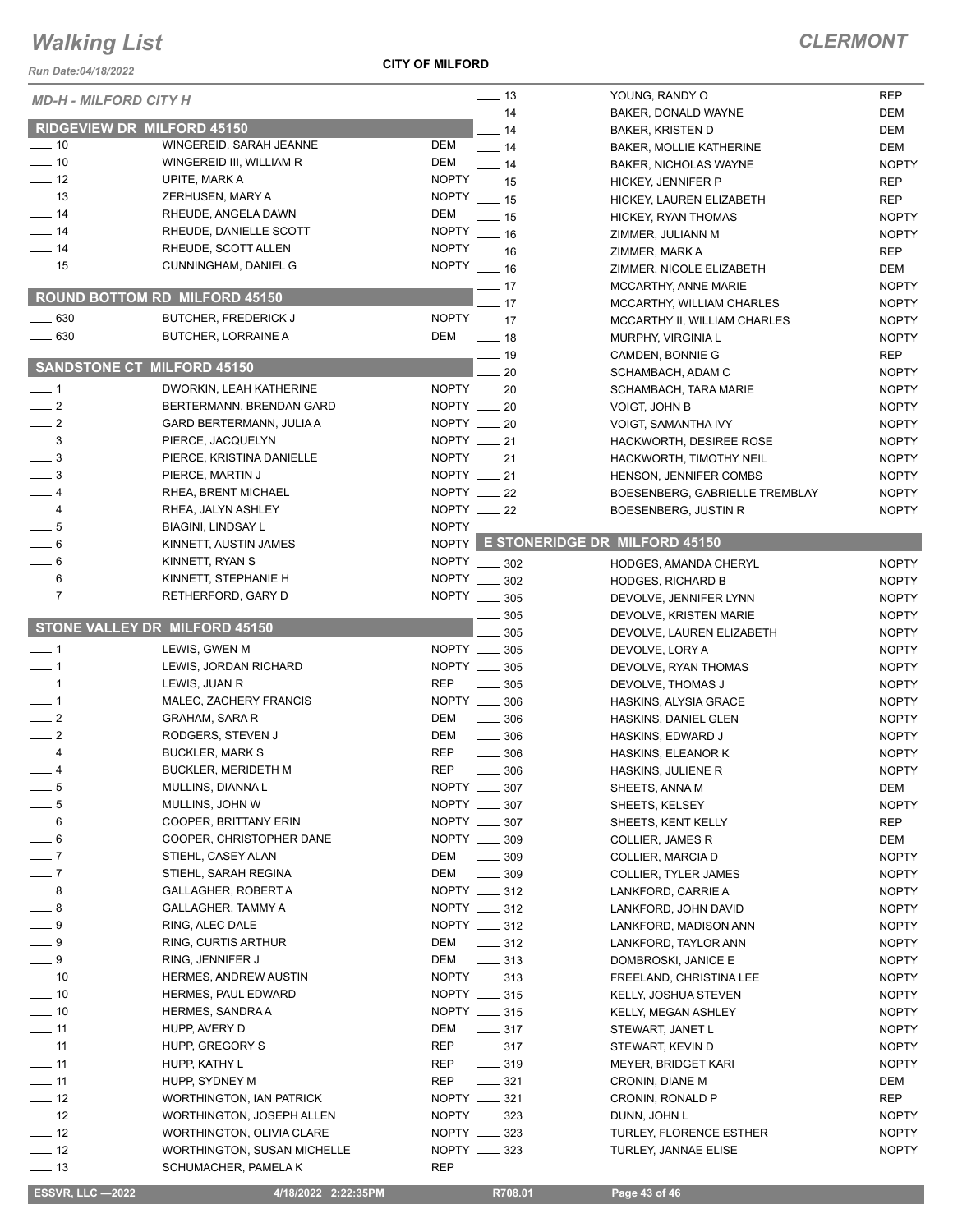*Run Date:04/18/2022*

**CITY OF MILFORD**

### *CLERMONT*

| <b>Run Date:04/10/2022</b>   |                                    |                                    |                                     |              |
|------------------------------|------------------------------------|------------------------------------|-------------------------------------|--------------|
| <b>MD-H - MILFORD CITY H</b> |                                    | $\equiv$ 13                        | YOUNG, RANDY O                      | <b>REP</b>   |
|                              | <b>RIDGEVIEW DR MILFORD 45150</b>  | $-14$                              | BAKER, DONALD WAYNE                 | <b>DEM</b>   |
| $\frac{1}{2}$ 10             | WINGEREID, SARAH JEANNE            | $-14$<br><b>DEM</b>                | <b>BAKER, KRISTEN D</b>             | <b>DEM</b>   |
| $\overline{\phantom{0}}$ 10  | WINGEREID III, WILLIAM R           | $\overline{\phantom{0}}$ 14<br>DEM | <b>BAKER, MOLLIE KATHERINE</b>      | <b>DEM</b>   |
| $\frac{1}{2}$ 12             | UPITE, MARK A                      | $-14$<br><b>NOPTY</b>              | <b>BAKER, NICHOLAS WAYNE</b>        | <b>NOPTY</b> |
|                              |                                    | $\frac{1}{15}$                     | HICKEY, JENNIFER P                  | <b>REP</b>   |
| $\frac{1}{2}$ 13             | ZERHUSEN, MARY A                   | NOPTY ___ 15                       | HICKEY, LAUREN ELIZABETH            | <b>REP</b>   |
| $-14$                        | RHEUDE, ANGELA DAWN                | DEM<br>$\equiv$ 15                 | HICKEY, RYAN THOMAS                 | <b>NOPTY</b> |
| $\frac{1}{2}$ 14             | RHEUDE, DANIELLE SCOTT             | <b>NOPTY</b><br>$-16$              | ZIMMER, JULIANN M                   | <b>NOPTY</b> |
| $-14$                        | RHEUDE, SCOTT ALLEN                | NOPTY __ 16                        | ZIMMER, MARK A                      | <b>REP</b>   |
| $\frac{1}{2}$ 15             | <b>CUNNINGHAM, DANIEL G</b>        | NOPTY $-16$                        | ZIMMER, NICOLE ELIZABETH            | DEM          |
|                              |                                    | $-17$                              | MCCARTHY, ANNE MARIE                | <b>NOPTY</b> |
|                              | ROUND BOTTOM RD MILFORD 45150      | $-17$                              | MCCARTHY, WILLIAM CHARLES           | <b>NOPTY</b> |
| $\frac{1}{2}$ 630            | <b>BUTCHER, FREDERICK J</b>        | NOPTY __ 17                        | MCCARTHY II, WILLIAM CHARLES        | <b>NOPTY</b> |
| $\frac{1}{2}$ 630            | <b>BUTCHER, LORRAINE A</b>         | DEM<br>$\frac{1}{2}$ 18            | MURPHY, VIRGINIA L                  | <b>NOPTY</b> |
|                              |                                    | $\frac{1}{2}$ 19                   | CAMDEN, BONNIE G                    | <b>REP</b>   |
|                              | <b>SANDSTONE CT MILFORD 45150</b>  | 20                                 | SCHAMBACH, ADAM C                   | <b>NOPTY</b> |
| $-1$                         | DWORKIN, LEAH KATHERINE            | $NOPTY$ __ 20                      | SCHAMBACH, TARA MARIE               | <b>NOPTY</b> |
| $\frac{1}{2}$                | BERTERMANN, BRENDAN GARD           | $NOPTY$ $\_\_20$                   | VOIGT, JOHN B                       | <b>NOPTY</b> |
| $\frac{1}{2}$                | GARD BERTERMANN, JULIA A           | NOPTY $-20$                        | <b>VOIGT, SAMANTHA IVY</b>          | <b>NOPTY</b> |
| $\frac{1}{2}$                |                                    | NOPTY $-21$                        |                                     |              |
|                              | PIERCE, JACQUELYN                  |                                    | HACKWORTH, DESIREE ROSE             | <b>NOPTY</b> |
| $\frac{1}{2}$                | PIERCE, KRISTINA DANIELLE          | NOPTY $-21$                        | HACKWORTH, TIMOTHY NEIL             | <b>NOPTY</b> |
| $\equiv$ 3                   | PIERCE, MARTIN J                   | NOPTY __ 21                        | HENSON, JENNIFER COMBS              | <b>NOPTY</b> |
| $-4$                         | RHEA, BRENT MICHAEL                | NOPTY $-22$                        | BOESENBERG, GABRIELLE TREMBLAY      | <b>NOPTY</b> |
| $-4$                         | RHEA, JALYN ASHLEY                 | NOPTY $-22$                        | <b>BOESENBERG, JUSTIN R</b>         | <b>NOPTY</b> |
| $-5$                         | <b>BIAGINI, LINDSAY L</b>          | <b>NOPTY</b>                       |                                     |              |
| $-6$                         | KINNETT, AUSTIN JAMES              |                                    | NOPTY E STONERIDGE DR MILFORD 45150 |              |
| $= 6$                        | KINNETT, RYAN S                    | NOPTY __ 302                       | HODGES, AMANDA CHERYL               | <b>NOPTY</b> |
| $-6$                         | KINNETT, STEPHANIE H               | NOPTY _____ 302                    | <b>HODGES, RICHARD B</b>            | <b>NOPTY</b> |
| $-7$                         | RETHERFORD, GARY D                 | NOPTY __ 305                       | DEVOLVE, JENNIFER LYNN              | <b>NOPTY</b> |
|                              |                                    | 305                                | DEVOLVE, KRISTEN MARIE              | <b>NOPTY</b> |
|                              | STONE VALLEY DR MILFORD 45150      | 305                                | DEVOLVE, LAUREN ELIZABETH           | <b>NOPTY</b> |
| $-1$                         | LEWIS, GWEN M                      | NOPTY __ 305                       | DEVOLVE, LORY A                     | <b>NOPTY</b> |
| $\overline{\phantom{0}}$ 1   | LEWIS, JORDAN RICHARD              | NOPTY __ 305                       | DEVOLVE, RYAN THOMAS                | <b>NOPTY</b> |
| $-1$                         | LEWIS, JUAN R                      | <b>REP</b><br>$\frac{1}{2}$ 305    | DEVOLVE, THOMAS J                   | <b>NOPTY</b> |
| $-1$                         | MALEC, ZACHERY FRANCIS             | NOPTY __ 306                       | HASKINS, ALYSIA GRACE               | <b>NOPTY</b> |
| $\frac{1}{2}$                | <b>GRAHAM, SARA R</b>              | <b>DEM</b><br>$\frac{1}{2}$ 306    |                                     |              |
| $\overline{\phantom{0}}$ 2   |                                    |                                    | HASKINS, DANIEL GLEN                | <b>NOPTY</b> |
|                              | RODGERS, STEVEN J                  | DEM<br>$\frac{1}{2}$ 306           | HASKINS, EDWARD J                   | <b>NOPTY</b> |
| $-4$                         | <b>BUCKLER, MARK S</b>             | <b>REP</b><br>$\frac{1}{2}$ 306    | HASKINS, ELEANOR K                  | <b>NOPTY</b> |
| $-4$                         | <b>BUCKLER, MERIDETH M</b>         | <b>REP</b><br>$\frac{1}{2}$ 306    | HASKINS, JULIENE R                  | <b>NOPTY</b> |
| $-5$                         | MULLINS, DIANNA L                  | NOPTY __ 307                       | SHEETS, ANNA M                      | DEM          |
| $-5$                         | MULLINS, JOHN W                    | NOPTY __ 307                       | SHEETS, KELSEY                      | <b>NOPTY</b> |
| — 6                          | COOPER, BRITTANY ERIN              | NOPTY __ 307                       | SHEETS, KENT KELLY                  | REP          |
| — 6                          | COOPER, CHRISTOPHER DANE           | NOPTY __ 309                       | COLLIER, JAMES R                    | DEM          |
| $\overline{\phantom{0}}$ 7   | STIEHL, CASEY ALAN                 | DEM<br>$\frac{1}{2}$ 309           | COLLIER, MARCIA D                   | <b>NOPTY</b> |
| $-7$                         | STIEHL, SARAH REGINA               | DEM<br>$-309$                      | <b>COLLIER, TYLER JAMES</b>         | <b>NOPTY</b> |
| $-8$                         | GALLAGHER, ROBERT A                | NOPTY __ 312                       | LANKFORD, CARRIE A                  | <b>NOPTY</b> |
| $-8$                         | GALLAGHER, TAMMY A                 | NOPTY __ 312                       | LANKFORD, JOHN DAVID                | <b>NOPTY</b> |
| $-9$                         | RING, ALEC DALE                    | NOPTY __ 312                       | LANKFORD, MADISON ANN               | <b>NOPTY</b> |
| $-9$                         | RING, CURTIS ARTHUR                | DEM<br>$\frac{312}{2}$             | LANKFORD, TAYLOR ANN                | <b>NOPTY</b> |
| $-9$                         | RING, JENNIFER J                   | DEM<br>$\frac{1}{2}$ 313           | DOMBROSKI, JANICE E                 | <b>NOPTY</b> |
| $\frac{1}{2}$ 10             | HERMES, ANDREW AUSTIN              | NOPTY __ 313                       | FREELAND, CHRISTINA LEE             | <b>NOPTY</b> |
| $-10$                        |                                    | NOPTY __ 315                       |                                     |              |
|                              | <b>HERMES, PAUL EDWARD</b>         |                                    | <b>KELLY, JOSHUA STEVEN</b>         | <b>NOPTY</b> |
| $\frac{1}{2}$ 10             | HERMES, SANDRA A                   | NOPTY __ 315                       | KELLY, MEGAN ASHLEY                 | <b>NOPTY</b> |
| $\frac{1}{2}$ 11             | HUPP, AVERY D                      | $\frac{1}{2}$ 317<br>DEM           | STEWART, JANET L                    | <b>NOPTY</b> |
| $\frac{1}{2}$ 11             | HUPP, GREGORY S                    | REP<br>$\frac{1}{2}$ 317           | STEWART, KEVIN D                    | <b>NOPTY</b> |
| $-11$                        | HUPP, KATHY L                      | REP<br>$\frac{1}{2}$ 319           | <b>MEYER, BRIDGET KARI</b>          | <b>NOPTY</b> |
| $-11$                        | HUPP, SYDNEY M                     | REP<br>$\frac{1}{2}$ 321           | CRONIN, DIANE M                     | DEM          |
| $\frac{1}{2}$ 12             | <b>WORTHINGTON, IAN PATRICK</b>    | NOPTY __ 321                       | CRONIN, RONALD P                    | REP          |
| $\frac{1}{2}$ 12             | WORTHINGTON, JOSEPH ALLEN          | NOPTY __ 323                       | DUNN, JOHN L                        | <b>NOPTY</b> |
| $\frac{1}{2}$ 12             | WORTHINGTON, OLIVIA CLARE          | NOPTY __ 323                       | <b>TURLEY, FLORENCE ESTHER</b>      | <b>NOPTY</b> |
| $\frac{1}{2}$ 12             | <b>WORTHINGTON, SUSAN MICHELLE</b> | NOPTY __ 323                       | TURLEY, JANNAE ELISE                | <b>NOPTY</b> |
| $\frac{1}{2}$ 13             | SCHUMACHER, PAMELA K               | <b>REP</b>                         |                                     |              |
|                              |                                    |                                    |                                     |              |

 **ESSVR, LLC —2022 4/18/2022 2:22:35PM R708.01 Page 43 of 46**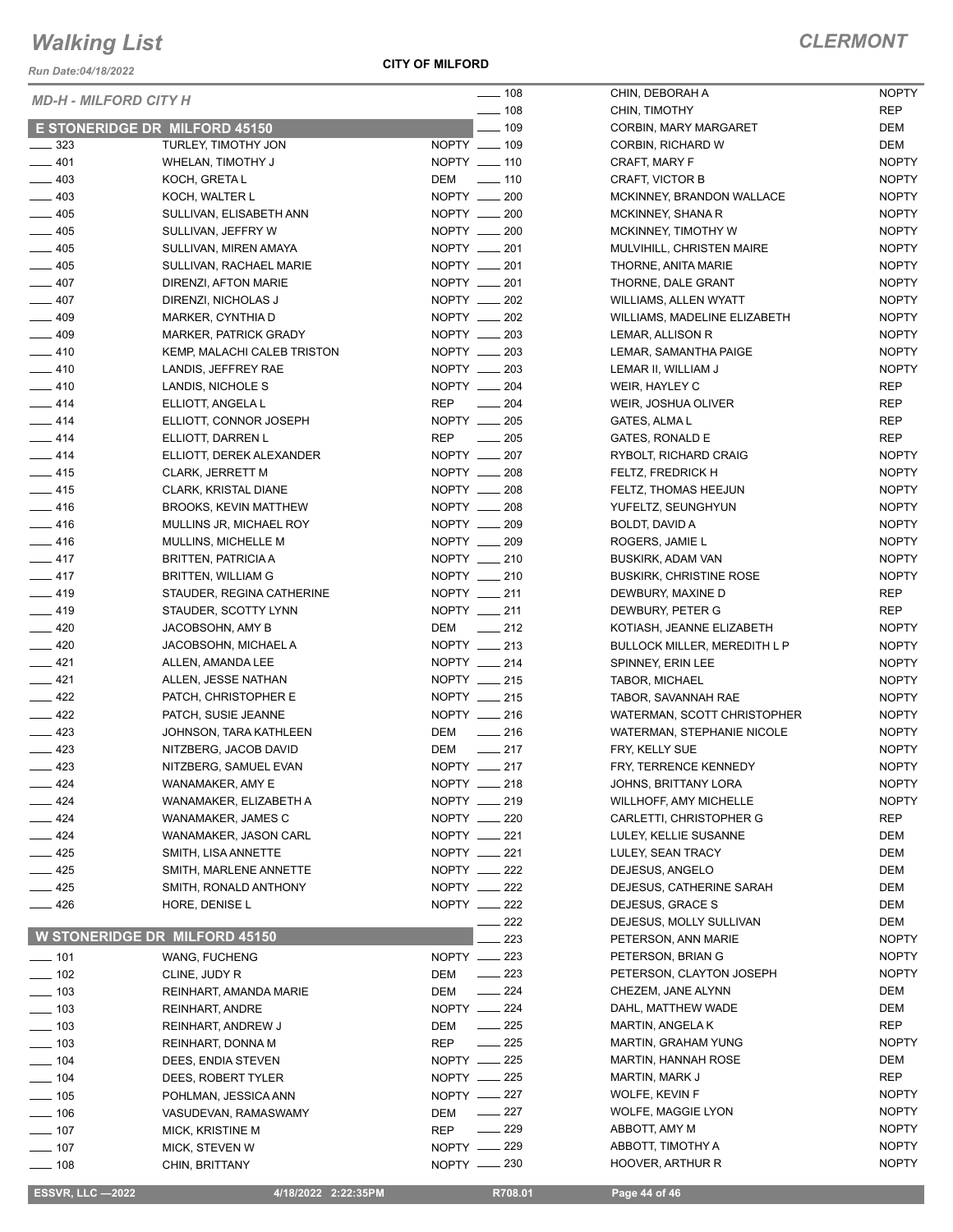*Run Date:04/18/2022*

**CITY OF MILFORD**

| <b>MD-H - MILFORD CITY H</b> |                                      | $- 108$                       | CHIN, DEI       |
|------------------------------|--------------------------------------|-------------------------------|-----------------|
|                              |                                      | $- 108$                       | CHIN, TIM       |
|                              | <b>E STONERIDGE DR MILFORD 45150</b> | $-109$                        | CORBIN, I       |
| $-323$                       | TURLEY, TIMOTHY JON                  | NOPTY __ 109                  | CORBIN, I       |
| $-401$                       | WHELAN, TIMOTHY J                    | NOPTY __ 110                  | CRAFT, M        |
| $-403$                       | KOCH, GRETA L                        | $- 110$<br><b>DEM</b>         | CRAFT, VI       |
| $-403$                       | KOCH, WALTER L                       | NOPTY __ 200                  | <b>MCKINNE</b>  |
| $-405$                       | SULLIVAN, ELISABETH ANN              | NOPTY __ 200                  | <b>MCKINNE</b>  |
| $-405$                       | SULLIVAN, JEFFRY W                   | NOPTY __ 200                  | <b>MCKINNE</b>  |
| $-405$                       | SULLIVAN, MIREN AMAYA                | NOPTY __ 201                  | <b>MULVIHIL</b> |
| $-405$                       | SULLIVAN, RACHAEL MARIE              | NOPTY __ 201                  | THORNE,         |
| $-407$                       | DIRENZI, AFTON MARIE                 | NOPTY __ 201                  | THORNE,         |
| $-407$                       | DIRENZI, NICHOLAS J                  | NOPTY __ 202                  | WILLIAMS        |
| $-409$                       | MARKER, CYNTHIA D                    | NOPTY __ 202                  | WILLIAMS        |
| $-409$                       | <b>MARKER, PATRICK GRADY</b>         | NOPTY __ 203                  | LEMAR, A        |
| $-410$                       | KEMP, MALACHI CALEB TRISTON          | NOPTY __ 203                  | LEMAR, S        |
| $-410$                       | LANDIS, JEFFREY RAE                  | NOPTY __ 203                  | LEMAR II,       |
| $-410$                       | LANDIS, NICHOLE S                    | NOPTY __ 204                  | WEIR, HA'       |
| $-414$                       | ELLIOTT, ANGELA L                    | $-204$<br><b>REP</b>          | WEIR, JO        |
| $-414$                       | ELLIOTT, CONNOR JOSEPH               | NOPTY __ 205                  | GATES, AI       |
| $\frac{1}{2}$ 414            | ELLIOTT, DARREN L                    | <b>REP</b><br>$\frac{1}{205}$ | GATES, R        |
| $-414$                       | ELLIOTT, DEREK ALEXANDER             | NOPTY __ 207                  | RYBOLT, F       |
| $-415$                       | <b>CLARK, JERRETT M</b>              | NOPTY __ 208                  | FELTZ, FF       |
| $-415$                       | CLARK, KRISTAL DIANE                 | NOPTY __ 208                  | FELTZ, TH       |
| $-416$                       | <b>BROOKS, KEVIN MATTHEW</b>         | NOPTY __ 208                  | YUFELTZ,        |
| $-416$                       | MULLINS JR, MICHAEL ROY              | NOPTY __ 209                  | BOLDT, D.       |
| $-416$                       | MULLINS, MICHELLE M                  | NOPTY __ 209                  | ROGERS,         |
| $-417$                       | <b>BRITTEN, PATRICIA A</b>           | NOPTY __ 210                  | <b>BUSKIRK,</b> |
| $-417$                       | <b>BRITTEN, WILLIAM G</b>            | NOPTY __ 210                  | <b>BUSKIRK,</b> |
| $-419$                       | STAUDER, REGINA CATHERINE            | NOPTY __ 211                  | DEWBUR'         |
| $-419$                       | STAUDER, SCOTTY LYNN                 | NOPTY __ 211                  | DEWBUR'         |
|                              |                                      | $-212$<br>DEM                 |                 |
| $-420$<br>$-420$             | JACOBSOHN, AMY B                     | NOPTY __ 213                  | KOTIASH,        |
|                              | JACOBSOHN, MICHAEL A                 |                               | <b>BULLOCK</b>  |
| $-421$                       | ALLEN, AMANDA LEE                    | NOPTY __ 214                  | SPINNEY,        |
| $-421$                       | ALLEN, JESSE NATHAN                  | NOPTY __ 215                  | TABOR, M        |
| $-422$                       | PATCH, CHRISTOPHER E                 | NOPTY __ 215                  | TABOR, S        |
| $-422$                       | PATCH, SUSIE JEANNE                  | NOPTY __ 216                  | <b>WATERMA</b>  |
| $-423$<br>$-423$             | JOHNSON, TARA KATHLEEN               | $\sim$ 216<br>DEM<br>$-217$   | <b>WATERMA</b>  |
|                              | NITZBERG, JACOB DAVID                | DEM                           | FRY, KELL       |
| $-423$                       | NITZBERG, SAMUEL EVAN                | NOPTY __ 217                  | FRY, TERI       |
| $-424$                       | WANAMAKER, AMY E                     | NOPTY __ 218                  | JOHNS, B        |
| — 424                        | WANAMAKER, ELIZABETH A               | NOPTY __ 219                  | <b>WILLHOFI</b> |
| $-424$                       | WANAMAKER, JAMES C                   | NOPTY __ 220                  | CARLETT         |
| $-424$                       | WANAMAKER, JASON CARL                | NOPTY __ 221                  | LULEY, KE       |
| $-425$                       | SMITH, LISA ANNETTE                  | NOPTY __ 221                  | LULEY, SE       |
| $-425$                       | SMITH, MARLENE ANNETTE               | NOPTY __ 222                  | <b>DEJESUS</b>  |
| — 425                        | SMITH, RONALD ANTHONY                | NOPTY __ 222                  | <b>DEJESUS</b>  |
| — 426                        | HORE, DENISE L                       | NOPTY <u>_</u> 222            | <b>DEJESUS</b>  |
|                              |                                      | 222                           | <b>DEJESUS</b>  |
|                              | <b>W STONERIDGE DR MILFORD 45150</b> | 223                           | <b>PETERSC</b>  |
| $-101$                       | WANG, FUCHENG                        | NOPTY -223                    | <b>PETERSC</b>  |
| $- 102$                      | CLINE, JUDY R                        | $\frac{223}{2}$<br>DEM        | <b>PETERSC</b>  |
| $-103$                       | REINHART, AMANDA MARIE               | - 224<br>DEM                  | CHEZEM,         |
| $\equiv$ 103                 | REINHART, ANDRE                      | NOPTY __ 224                  | DAHL, MA        |
| $- 103$                      | REINHART, ANDREW J                   | $-225$<br>DEM                 | MARTIN, A       |
| $\frac{1}{2}$ 103            | REINHART, DONNA M                    | $\sim$ 225<br><b>REP</b>      | MARTIN,         |
| $- 104$                      | DEES, ENDIA STEVEN                   | NOPTY __ 225                  | MARTIN, I       |
| $-104$                       | DEES, ROBERT TYLER                   | NOPTY -225                    | MARTIN, I       |
| $\frac{1}{2}$ 105            | POHLMAN, JESSICA ANN                 | NOPTY __ 227                  | WOLFE, K        |
| $-106$                       | VASUDEVAN, RAMASWAMY                 | $-227$<br>DEM                 | WOLFE, N        |
| $-107$                       | <b>MICK, KRISTINE M</b>              | $\frac{1}{229}$<br>REP        | ABBOTT,         |
| $- 107$                      | MICK, STEVEN W                       | NOPTY - 229                   | ABBOTT,         |
| 108                          | CHIN, BRITTANY                       | NOPTY - 230                   | HOOVER,         |

| 108        | CHIN, DEBORAH A                     | <b>NOPTY</b>                 |
|------------|-------------------------------------|------------------------------|
| 108        | CHIN, TIMOTHY                       | <b>REP</b>                   |
| 109        | CORBIN, MARY MARGARET               | DEM                          |
| 109        | CORBIN, RICHARD W                   | DEM                          |
| 110        | <b>CRAFT. MARY F</b>                | <b>NOPTY</b>                 |
| 110        | <b>CRAFT, VICTOR B</b>              | <b>NOPTY</b>                 |
| 200        | MCKINNEY, BRANDON WALLACE           | <b>NOPTY</b>                 |
| 200        | <b>MCKINNEY, SHANA R</b>            | <b>NOPTY</b>                 |
| 200        | MCKINNEY, TIMOTHY W                 | <b>NOPTY</b>                 |
| 201        | MULVIHILL, CHRISTEN MAIRE           | <b>NOPTY</b>                 |
| 201        | THORNE, ANITA MARIE                 | <b>NOPTY</b>                 |
| 201        | THORNE, DALE GRANT                  | <b>NOPTY</b>                 |
| 202        | <b>WILLIAMS, ALLEN WYATT</b>        | <b>NOPTY</b>                 |
| 202        | WILLIAMS, MADELINE ELIZABETH        | <b>NOPTY</b>                 |
| 203        | LEMAR, ALLISON R                    | <b>NOPTY</b>                 |
| 203        | LEMAR, SAMANTHA PAIGE               | <b>NOPTY</b>                 |
| 203        | LEMAR II, WILLIAM J                 | <b>NOPTY</b>                 |
| 204        | WEIR, HAYLEY C                      | <b>REP</b>                   |
| 204        | WEIR, JOSHUA OLIVER                 | <b>REP</b>                   |
| 205        | <b>GATES, ALMAL</b>                 | <b>REP</b>                   |
| 205        | <b>GATES, RONALD E</b>              | <b>REP</b>                   |
| 207        | RYBOLT, RICHARD CRAIG               | <b>NOPTY</b>                 |
| 208        | FELTZ. FREDRICK H                   | <b>NOPTY</b>                 |
| 208        | FELTZ, THOMAS HEEJUN                | <b>NOPTY</b>                 |
| 208        | YUFELTZ, SEUNGHYUN                  | <b>NOPTY</b><br><b>NOPTY</b> |
| 209<br>209 | BOLDT, DAVID A<br>ROGERS, JAMIE L   | <b>NOPTY</b>                 |
| 210        | <b>BUSKIRK, ADAM VAN</b>            | <b>NOPTY</b>                 |
| 210        | <b>BUSKIRK, CHRISTINE ROSE</b>      | <b>NOPTY</b>                 |
| 211        | DEWBURY, MAXINE D                   | REP                          |
| 211        | DEWBURY, PETER G                    | <b>REP</b>                   |
| 212        | KOTIASH, JEANNE ELIZABETH           | <b>NOPTY</b>                 |
| 213        | <b>BULLOCK MILLER, MEREDITH L P</b> | <b>NOPTY</b>                 |
| 214        | SPINNEY, ERIN LEE                   | <b>NOPTY</b>                 |
| 215        | <b>TABOR, MICHAEL</b>               | <b>NOPTY</b>                 |
| 215        | TABOR, SAVANNAH RAE                 | <b>NOPTY</b>                 |
| 216        | WATERMAN, SCOTT CHRISTOPHER         | <b>NOPTY</b>                 |
| 216        | WATERMAN, STEPHANIE NICOLE          | <b>NOPTY</b>                 |
| 217        | FRY, KELLY SUE                      | <b>NOPTY</b>                 |
| 217        | FRY, TERRENCE KENNEDY               | <b>NOPTY</b>                 |
| 218        | JOHNS, BRITTANY LORA                | <b>NOPTY</b>                 |
| 219        | WILLHOFF, AMY MICHELLE              | <b>NOPTY</b>                 |
| 220        | <b>CARLETTI. CHRISTOPHER G</b>      | REP                          |
| 221        | LULEY, KELLIE SUSANNE               | DEM                          |
| 221        | LULEY, SEAN TRACY                   | <b>DEM</b>                   |
| 222        | DEJESUS, ANGELO                     | DEM                          |
| 222        | DEJESUS, CATHERINE SARAH            | DEM                          |
| 222        | DEJESUS, GRACE S                    | DEM                          |
| 222        | DEJESUS, MOLLY SULLIVAN             | DEM                          |
| 223        | PETERSON, ANN MARIE                 | <b>NOPTY</b>                 |
| 223        | PETERSON, BRIAN G                   | <b>NOPTY</b>                 |
| 223        | PETERSON, CLAYTON JOSEPH            | <b>NOPTY</b>                 |
| 224        | CHEZEM, JANE ALYNN                  | DEM                          |
| 224        | DAHL, MATTHEW WADE                  | DEM                          |
| 225        | <b>MARTIN, ANGELAK</b>              | <b>REP</b>                   |
| 225        | <b>MARTIN, GRAHAM YUNG</b>          | <b>NOPTY</b>                 |
| 225        | <b>MARTIN, HANNAH ROSE</b>          | DEM                          |
| 225        | <b>MARTIN, MARK J</b>               | REP                          |
| 227        | WOLFE, KEVIN F                      | <b>NOPTY</b>                 |
| 227        | <b>WOLFE, MAGGIE LYON</b>           | <b>NOPTY</b>                 |
| 229        | ABBOTT, AMY M                       | <b>NOPTY</b>                 |
| 229        | ABBOTT, TIMOTHY A                   | <b>NOPTY</b>                 |
| 230        | HOOVER, ARTHUR R                    | <b>NOPTY</b>                 |

 **ESSVR, LLC —2022 4/18/2022 2:22:35PM R708.01 Page 44 of 46**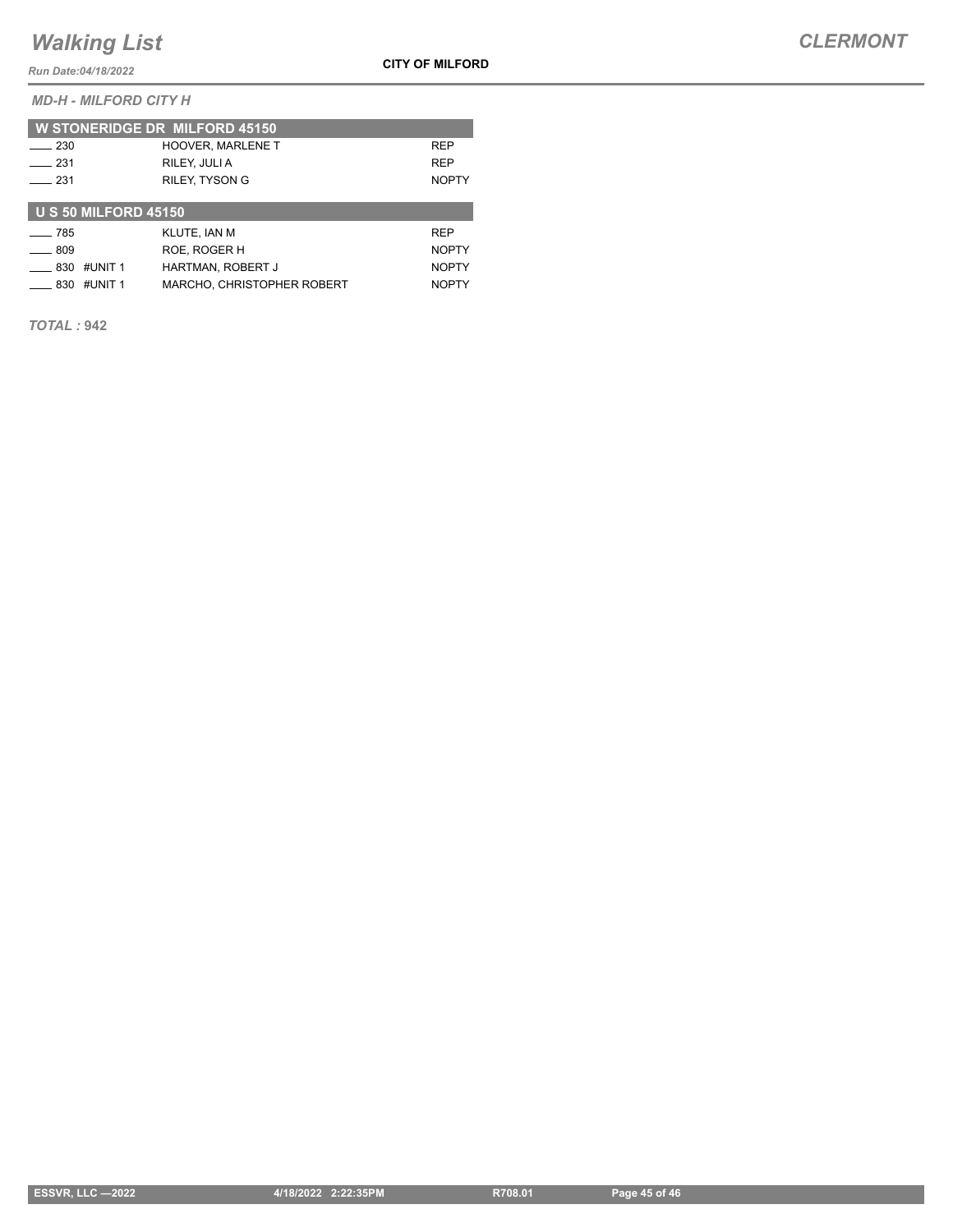*Run Date:04/18/2022*

*MD-H - MILFORD CITY H*

|                             | <b>W STONERIDGE DR MILFORD 45150</b> |              |  |  |
|-----------------------------|--------------------------------------|--------------|--|--|
| $\equiv$ 230                | <b>HOOVER, MARLENE T</b>             | <b>REP</b>   |  |  |
| $\equiv$ 231                | RILEY, JULI A                        | <b>REP</b>   |  |  |
| 231                         | <b>RILEY. TYSON G</b>                | <b>NOPTY</b> |  |  |
| <b>U S 50 MILFORD 45150</b> |                                      |              |  |  |
|                             |                                      |              |  |  |
|                             |                                      |              |  |  |
| __ 785                      | KLUTE. IAN M                         | <b>REP</b>   |  |  |
| 809                         | ROE. ROGER H                         | <b>NOPTY</b> |  |  |

Lackson #UNIT 1 MARCHO, CHRISTOPHER ROBERT NOPTY

*TOTAL :* **942**